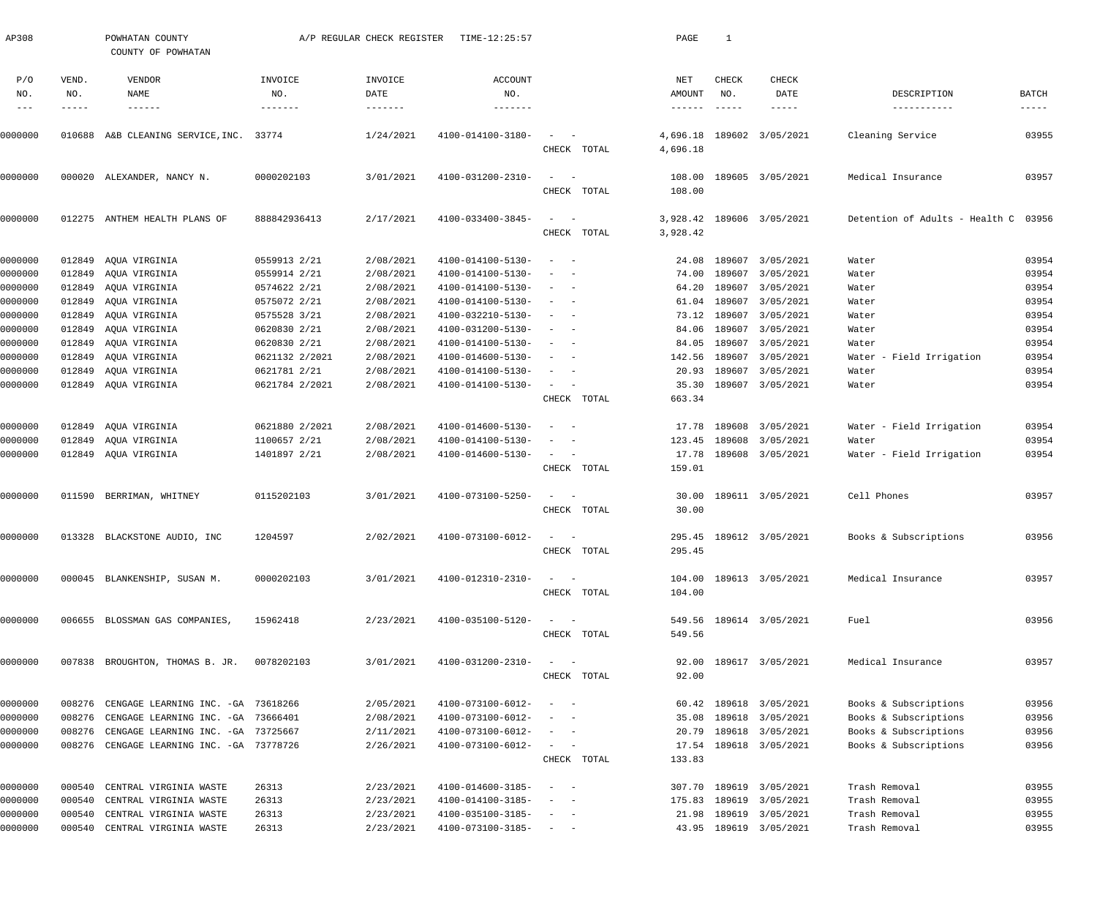| P/O<br>VEND.<br>CHECK<br>CHECK<br>VENDOR<br>INVOICE<br>INVOICE<br><b>ACCOUNT</b><br>NET<br>NO.<br>NAME<br>NO.<br>NO.<br>AMOUNT<br>NO.<br>DATE<br>NO.<br>DATE<br>DESCRIPTION<br>$- - -$<br>$- - - - - - -$<br>-------<br>$- - - - - - - -$<br>-------<br>-----<br>$- - - - - - -$<br>-----<br>-----------<br>1/24/2021<br>4100-014100-3180-<br>4,696.18<br>189602 3/05/2021<br>Cleaning Service<br>)000000<br>010688<br>A&B CLEANING SERVICE, INC. 33774<br>$\sim$<br>$\sim$ $-$<br>4,696.18<br>CHECK TOTAL<br>3/01/2021<br>4100-031200-2310-<br>0000000<br>0000202103<br>108.00<br>189605 3/05/2021<br>Medical Insurance<br>000020 ALEXANDER, NANCY N.<br>$\sim$<br>$\sim$ $-$<br>CHECK TOTAL<br>108.00<br>2/17/2021<br>4100-033400-3845-<br>Detention of Adults - Health C<br>0000000<br>012275<br>888842936413<br>3,928.42<br>189606 3/05/2021<br>ANTHEM HEALTH PLANS OF<br>$\sim$<br>$\sim$ $-$<br>CHECK TOTAL<br>3,928.42<br>2/08/2021<br>0000000<br>012849<br>AQUA VIRGINIA<br>0559913 2/21<br>4100-014100-5130-<br>24.08<br>189607<br>3/05/2021<br>$\sim$ $-$<br>Water<br>$\overline{\phantom{a}}$<br>2/08/2021<br>0000000<br>012849<br>AQUA VIRGINIA<br>0559914 2/21<br>4100-014100-5130-<br>74.00<br>189607<br>3/05/2021<br>Water<br>2/08/2021<br>0000000<br>012849<br>AQUA VIRGINIA<br>0574622 2/21<br>4100-014100-5130-<br>64.20<br>189607<br>3/05/2021<br>Water<br>$\overline{\phantom{a}}$<br>2/08/2021<br>0000000<br>012849<br>AQUA VIRGINIA<br>0575072 2/21<br>4100-014100-5130-<br>61.04<br>189607<br>3/05/2021<br>Water<br>2/08/2021<br>73.12 189607<br>0000000<br>012849<br>AOUA VIRGINIA<br>0575528 3/21<br>4100-032210-5130-<br>3/05/2021<br>Water<br>2/08/2021<br>0000000<br>012849<br>AQUA VIRGINIA<br>0620830 2/21<br>4100-031200-5130-<br>84.06<br>189607<br>3/05/2021<br>Water<br>$\overline{\phantom{a}}$<br>2/08/2021<br>0000000<br>012849<br>AQUA VIRGINIA<br>0620830 2/21<br>4100-014100-5130-<br>84.05<br>189607<br>3/05/2021<br>Water<br>2/08/2021<br>189607<br>0000000<br>012849<br>AQUA VIRGINIA<br>0621132 2/2021<br>4100-014600-5130-<br>142.56<br>3/05/2021<br>Water - Field Irrigation<br>0621781 2/21<br>2/08/2021<br>20.93<br>189607<br>0000000<br>012849<br>AQUA VIRGINIA<br>4100-014100-5130-<br>3/05/2021<br>Water<br>$\overline{\phantom{a}}$<br>0000000<br>012849 AQUA VIRGINIA<br>0621784 2/2021<br>2/08/2021<br>35.30<br>189607 3/05/2021<br>4100-014100-5130-<br>$\sim$ $ -$<br>Water<br>663.34<br>CHECK TOTAL<br>0000000<br>012849<br>AQUA VIRGINIA<br>0621880 2/2021<br>2/08/2021<br>4100-014600-5130-<br>17.78 189608<br>3/05/2021<br>Water - Field Irrigation<br>$\overline{\phantom{a}}$<br>$\sim$<br>0000000<br>012849<br>AQUA VIRGINIA<br>1100657 2/21<br>2/08/2021<br>4100-014100-5130-<br>123.45<br>189608<br>3/05/2021<br>Water<br>17.78<br>189608 3/05/2021<br>Water - Field Irrigation<br>0000000<br>012849 AQUA VIRGINIA<br>1401897 2/21<br>2/08/2021<br>4100-014600-5130-<br>$\sim$ $ -$<br>159.01<br>CHECK TOTAL<br>3/01/2021<br>0000000<br>0115202103<br>4100-073100-5250-<br>189611 3/05/2021<br>Cell Phones<br>011590 BERRIMAN, WHITNEY<br>30.00<br>$\sim$<br>$\sim$ $-$<br>30.00<br>CHECK TOTAL<br>1204597<br>2/02/2021<br>4100-073100-6012-<br>295.45 189612 3/05/2021<br>Books & Subscriptions<br>0000000<br>013328 BLACKSTONE AUDIO, INC<br>295.45<br>CHECK TOTAL<br>0000202103<br>3/01/2021<br>4100-012310-2310-<br>Medical Insurance<br>0000000<br>000045 BLANKENSHIP, SUSAN M.<br>104.00 189613 3/05/2021<br>$\frac{1}{2}$ and $\frac{1}{2}$ and $\frac{1}{2}$<br>CHECK TOTAL<br>104.00<br>006655 BLOSSMAN GAS COMPANIES,<br>15962418<br>2/23/2021<br>4100-035100-5120-<br>549.56 189614 3/05/2021<br>Fuel<br>0000000<br>$\sim$ $ -$<br>549.56<br>CHECK TOTAL<br>007838 BROUGHTON, THOMAS B. JR.<br>0078202103<br>3/01/2021<br>4100-031200-2310-<br>92.00 189617 3/05/2021<br>Medical Insurance<br>0000000<br>CHECK TOTAL<br>92.00<br>0000000<br>008276 CENGAGE LEARNING INC. - GA 73618266<br>2/05/2021<br>4100-073100-6012-<br>60.42 189618 3/05/2021<br>Books & Subscriptions<br>$\sim$<br>0000000<br>008276<br>CENGAGE LEARNING INC. - GA 73666401<br>2/08/2021<br>4100-073100-6012-<br>189618<br>3/05/2021<br>Books & Subscriptions<br>35.08<br>008276<br>CENGAGE LEARNING INC. - GA 73725667<br>2/11/2021<br>4100-073100-6012-<br>189618 3/05/2021<br>Books & Subscriptions<br>0000000<br>20.79<br>$\frac{1}{2} \left( \frac{1}{2} \right) \left( \frac{1}{2} \right) \left( \frac{1}{2} \right) \left( \frac{1}{2} \right)$<br>0000000<br>008276 CENGAGE LEARNING INC. - GA 73778726<br>2/26/2021<br>4100-073100-6012-<br>17.54 189618 3/05/2021<br>Books & Subscriptions<br>$\sim$ $ -$<br>CHECK TOTAL<br>133.83<br>2/23/2021<br>4100-014600-3185-<br>307.70 189619 3/05/2021<br>0000000<br>000540<br>CENTRAL VIRGINIA WASTE<br>26313<br>Trash Removal<br>$\sim$<br>0000000<br>000540<br>26313<br>2/23/2021<br>4100-014100-3185-<br>189619 3/05/2021<br>Trash Removal<br>CENTRAL VIRGINIA WASTE<br>175.83<br>CENTRAL VIRGINIA WASTE<br>26313<br>2/23/2021<br>4100-035100-3185-<br>189619 3/05/2021<br>Trash Removal<br>0000000<br>000540<br>21.98<br>$\sim$<br>43.95 189619 3/05/2021<br>0000000<br>000540<br>CENTRAL VIRGINIA WASTE<br>26313<br>2/23/2021<br>4100-073100-3185-<br>Trash Removal<br>$\sim$ $  \sim$ $ -$ | AP308 | POWHATAN COUNTY<br>COUNTY OF POWHATAN | A/P REGULAR CHECK REGISTER | TIME-12:25:57 |  | PAGE | $\mathbf{1}$ |  |               |
|---------------------------------------------------------------------------------------------------------------------------------------------------------------------------------------------------------------------------------------------------------------------------------------------------------------------------------------------------------------------------------------------------------------------------------------------------------------------------------------------------------------------------------------------------------------------------------------------------------------------------------------------------------------------------------------------------------------------------------------------------------------------------------------------------------------------------------------------------------------------------------------------------------------------------------------------------------------------------------------------------------------------------------------------------------------------------------------------------------------------------------------------------------------------------------------------------------------------------------------------------------------------------------------------------------------------------------------------------------------------------------------------------------------------------------------------------------------------------------------------------------------------------------------------------------------------------------------------------------------------------------------------------------------------------------------------------------------------------------------------------------------------------------------------------------------------------------------------------------------------------------------------------------------------------------------------------------------------------------------------------------------------------------------------------------------------------------------------------------------------------------------------------------------------------------------------------------------------------------------------------------------------------------------------------------------------------------------------------------------------------------------------------------------------------------------------------------------------------------------------------------------------------------------------------------------------------------------------------------------------------------------------------------------------------------------------------------------------------------------------------------------------------------------------------------------------------------------------------------------------------------------------------------------------------------------------------------------------------------------------------------------------------------------------------------------------------------------------------------------------------------------------------------------------------------------------------------------------------------------------------------------------------------------------------------------------------------------------------------------------------------------------------------------------------------------------------------------------------------------------------------------------------------------------------------------------------------------------------------------------------------------------------------------------------------------------------------------------------------------------------------------------------------------------------------------------------------------------------------------------------------------------------------------------------------------------------------------------------------------------------------------------------------------------------------------------------------------------------------------------------------------------------------------------------------------------------------------------------------------------------------------------------------------------------------------------------------------------------------------------------------------------------------------------------------------------------------------------------------------------------------------------------------------------------------------------------------------------------------------------------------------------------------------------------------------------------------------------------------------------------------------------------------------------------------------------------------------------------------------------------------------------------------------------------------------------------------------------------------------------------------------------------------------------------------------------------------------------------------------------------------------------------------------------------------------------------------------------------------------------------------------------------------------------------------|-------|---------------------------------------|----------------------------|---------------|--|------|--------------|--|---------------|
|                                                                                                                                                                                                                                                                                                                                                                                                                                                                                                                                                                                                                                                                                                                                                                                                                                                                                                                                                                                                                                                                                                                                                                                                                                                                                                                                                                                                                                                                                                                                                                                                                                                                                                                                                                                                                                                                                                                                                                                                                                                                                                                                                                                                                                                                                                                                                                                                                                                                                                                                                                                                                                                                                                                                                                                                                                                                                                                                                                                                                                                                                                                                                                                                                                                                                                                                                                                                                                                                                                                                                                                                                                                                                                                                                                                                                                                                                                                                                                                                                                                                                                                                                                                                                                                                                                                                                                                                                                                                                                                                                                                                                                                                                                                                                                                                                                                                                                                                                                                                                                                                                                                                                                                                                                                                                                         |       |                                       |                            |               |  |      |              |  | BATCH         |
|                                                                                                                                                                                                                                                                                                                                                                                                                                                                                                                                                                                                                                                                                                                                                                                                                                                                                                                                                                                                                                                                                                                                                                                                                                                                                                                                                                                                                                                                                                                                                                                                                                                                                                                                                                                                                                                                                                                                                                                                                                                                                                                                                                                                                                                                                                                                                                                                                                                                                                                                                                                                                                                                                                                                                                                                                                                                                                                                                                                                                                                                                                                                                                                                                                                                                                                                                                                                                                                                                                                                                                                                                                                                                                                                                                                                                                                                                                                                                                                                                                                                                                                                                                                                                                                                                                                                                                                                                                                                                                                                                                                                                                                                                                                                                                                                                                                                                                                                                                                                                                                                                                                                                                                                                                                                                                         |       |                                       |                            |               |  |      |              |  | $- - - - - -$ |
|                                                                                                                                                                                                                                                                                                                                                                                                                                                                                                                                                                                                                                                                                                                                                                                                                                                                                                                                                                                                                                                                                                                                                                                                                                                                                                                                                                                                                                                                                                                                                                                                                                                                                                                                                                                                                                                                                                                                                                                                                                                                                                                                                                                                                                                                                                                                                                                                                                                                                                                                                                                                                                                                                                                                                                                                                                                                                                                                                                                                                                                                                                                                                                                                                                                                                                                                                                                                                                                                                                                                                                                                                                                                                                                                                                                                                                                                                                                                                                                                                                                                                                                                                                                                                                                                                                                                                                                                                                                                                                                                                                                                                                                                                                                                                                                                                                                                                                                                                                                                                                                                                                                                                                                                                                                                                                         |       |                                       |                            |               |  |      |              |  | 03955         |
|                                                                                                                                                                                                                                                                                                                                                                                                                                                                                                                                                                                                                                                                                                                                                                                                                                                                                                                                                                                                                                                                                                                                                                                                                                                                                                                                                                                                                                                                                                                                                                                                                                                                                                                                                                                                                                                                                                                                                                                                                                                                                                                                                                                                                                                                                                                                                                                                                                                                                                                                                                                                                                                                                                                                                                                                                                                                                                                                                                                                                                                                                                                                                                                                                                                                                                                                                                                                                                                                                                                                                                                                                                                                                                                                                                                                                                                                                                                                                                                                                                                                                                                                                                                                                                                                                                                                                                                                                                                                                                                                                                                                                                                                                                                                                                                                                                                                                                                                                                                                                                                                                                                                                                                                                                                                                                         |       |                                       |                            |               |  |      |              |  |               |
|                                                                                                                                                                                                                                                                                                                                                                                                                                                                                                                                                                                                                                                                                                                                                                                                                                                                                                                                                                                                                                                                                                                                                                                                                                                                                                                                                                                                                                                                                                                                                                                                                                                                                                                                                                                                                                                                                                                                                                                                                                                                                                                                                                                                                                                                                                                                                                                                                                                                                                                                                                                                                                                                                                                                                                                                                                                                                                                                                                                                                                                                                                                                                                                                                                                                                                                                                                                                                                                                                                                                                                                                                                                                                                                                                                                                                                                                                                                                                                                                                                                                                                                                                                                                                                                                                                                                                                                                                                                                                                                                                                                                                                                                                                                                                                                                                                                                                                                                                                                                                                                                                                                                                                                                                                                                                                         |       |                                       |                            |               |  |      |              |  | 03957         |
|                                                                                                                                                                                                                                                                                                                                                                                                                                                                                                                                                                                                                                                                                                                                                                                                                                                                                                                                                                                                                                                                                                                                                                                                                                                                                                                                                                                                                                                                                                                                                                                                                                                                                                                                                                                                                                                                                                                                                                                                                                                                                                                                                                                                                                                                                                                                                                                                                                                                                                                                                                                                                                                                                                                                                                                                                                                                                                                                                                                                                                                                                                                                                                                                                                                                                                                                                                                                                                                                                                                                                                                                                                                                                                                                                                                                                                                                                                                                                                                                                                                                                                                                                                                                                                                                                                                                                                                                                                                                                                                                                                                                                                                                                                                                                                                                                                                                                                                                                                                                                                                                                                                                                                                                                                                                                                         |       |                                       |                            |               |  |      |              |  |               |
|                                                                                                                                                                                                                                                                                                                                                                                                                                                                                                                                                                                                                                                                                                                                                                                                                                                                                                                                                                                                                                                                                                                                                                                                                                                                                                                                                                                                                                                                                                                                                                                                                                                                                                                                                                                                                                                                                                                                                                                                                                                                                                                                                                                                                                                                                                                                                                                                                                                                                                                                                                                                                                                                                                                                                                                                                                                                                                                                                                                                                                                                                                                                                                                                                                                                                                                                                                                                                                                                                                                                                                                                                                                                                                                                                                                                                                                                                                                                                                                                                                                                                                                                                                                                                                                                                                                                                                                                                                                                                                                                                                                                                                                                                                                                                                                                                                                                                                                                                                                                                                                                                                                                                                                                                                                                                                         |       |                                       |                            |               |  |      |              |  | 03956         |
|                                                                                                                                                                                                                                                                                                                                                                                                                                                                                                                                                                                                                                                                                                                                                                                                                                                                                                                                                                                                                                                                                                                                                                                                                                                                                                                                                                                                                                                                                                                                                                                                                                                                                                                                                                                                                                                                                                                                                                                                                                                                                                                                                                                                                                                                                                                                                                                                                                                                                                                                                                                                                                                                                                                                                                                                                                                                                                                                                                                                                                                                                                                                                                                                                                                                                                                                                                                                                                                                                                                                                                                                                                                                                                                                                                                                                                                                                                                                                                                                                                                                                                                                                                                                                                                                                                                                                                                                                                                                                                                                                                                                                                                                                                                                                                                                                                                                                                                                                                                                                                                                                                                                                                                                                                                                                                         |       |                                       |                            |               |  |      |              |  |               |
|                                                                                                                                                                                                                                                                                                                                                                                                                                                                                                                                                                                                                                                                                                                                                                                                                                                                                                                                                                                                                                                                                                                                                                                                                                                                                                                                                                                                                                                                                                                                                                                                                                                                                                                                                                                                                                                                                                                                                                                                                                                                                                                                                                                                                                                                                                                                                                                                                                                                                                                                                                                                                                                                                                                                                                                                                                                                                                                                                                                                                                                                                                                                                                                                                                                                                                                                                                                                                                                                                                                                                                                                                                                                                                                                                                                                                                                                                                                                                                                                                                                                                                                                                                                                                                                                                                                                                                                                                                                                                                                                                                                                                                                                                                                                                                                                                                                                                                                                                                                                                                                                                                                                                                                                                                                                                                         |       |                                       |                            |               |  |      |              |  | 03954         |
|                                                                                                                                                                                                                                                                                                                                                                                                                                                                                                                                                                                                                                                                                                                                                                                                                                                                                                                                                                                                                                                                                                                                                                                                                                                                                                                                                                                                                                                                                                                                                                                                                                                                                                                                                                                                                                                                                                                                                                                                                                                                                                                                                                                                                                                                                                                                                                                                                                                                                                                                                                                                                                                                                                                                                                                                                                                                                                                                                                                                                                                                                                                                                                                                                                                                                                                                                                                                                                                                                                                                                                                                                                                                                                                                                                                                                                                                                                                                                                                                                                                                                                                                                                                                                                                                                                                                                                                                                                                                                                                                                                                                                                                                                                                                                                                                                                                                                                                                                                                                                                                                                                                                                                                                                                                                                                         |       |                                       |                            |               |  |      |              |  | 03954         |
|                                                                                                                                                                                                                                                                                                                                                                                                                                                                                                                                                                                                                                                                                                                                                                                                                                                                                                                                                                                                                                                                                                                                                                                                                                                                                                                                                                                                                                                                                                                                                                                                                                                                                                                                                                                                                                                                                                                                                                                                                                                                                                                                                                                                                                                                                                                                                                                                                                                                                                                                                                                                                                                                                                                                                                                                                                                                                                                                                                                                                                                                                                                                                                                                                                                                                                                                                                                                                                                                                                                                                                                                                                                                                                                                                                                                                                                                                                                                                                                                                                                                                                                                                                                                                                                                                                                                                                                                                                                                                                                                                                                                                                                                                                                                                                                                                                                                                                                                                                                                                                                                                                                                                                                                                                                                                                         |       |                                       |                            |               |  |      |              |  | 03954         |
|                                                                                                                                                                                                                                                                                                                                                                                                                                                                                                                                                                                                                                                                                                                                                                                                                                                                                                                                                                                                                                                                                                                                                                                                                                                                                                                                                                                                                                                                                                                                                                                                                                                                                                                                                                                                                                                                                                                                                                                                                                                                                                                                                                                                                                                                                                                                                                                                                                                                                                                                                                                                                                                                                                                                                                                                                                                                                                                                                                                                                                                                                                                                                                                                                                                                                                                                                                                                                                                                                                                                                                                                                                                                                                                                                                                                                                                                                                                                                                                                                                                                                                                                                                                                                                                                                                                                                                                                                                                                                                                                                                                                                                                                                                                                                                                                                                                                                                                                                                                                                                                                                                                                                                                                                                                                                                         |       |                                       |                            |               |  |      |              |  | 03954         |
|                                                                                                                                                                                                                                                                                                                                                                                                                                                                                                                                                                                                                                                                                                                                                                                                                                                                                                                                                                                                                                                                                                                                                                                                                                                                                                                                                                                                                                                                                                                                                                                                                                                                                                                                                                                                                                                                                                                                                                                                                                                                                                                                                                                                                                                                                                                                                                                                                                                                                                                                                                                                                                                                                                                                                                                                                                                                                                                                                                                                                                                                                                                                                                                                                                                                                                                                                                                                                                                                                                                                                                                                                                                                                                                                                                                                                                                                                                                                                                                                                                                                                                                                                                                                                                                                                                                                                                                                                                                                                                                                                                                                                                                                                                                                                                                                                                                                                                                                                                                                                                                                                                                                                                                                                                                                                                         |       |                                       |                            |               |  |      |              |  | 03954         |
|                                                                                                                                                                                                                                                                                                                                                                                                                                                                                                                                                                                                                                                                                                                                                                                                                                                                                                                                                                                                                                                                                                                                                                                                                                                                                                                                                                                                                                                                                                                                                                                                                                                                                                                                                                                                                                                                                                                                                                                                                                                                                                                                                                                                                                                                                                                                                                                                                                                                                                                                                                                                                                                                                                                                                                                                                                                                                                                                                                                                                                                                                                                                                                                                                                                                                                                                                                                                                                                                                                                                                                                                                                                                                                                                                                                                                                                                                                                                                                                                                                                                                                                                                                                                                                                                                                                                                                                                                                                                                                                                                                                                                                                                                                                                                                                                                                                                                                                                                                                                                                                                                                                                                                                                                                                                                                         |       |                                       |                            |               |  |      |              |  | 03954         |
|                                                                                                                                                                                                                                                                                                                                                                                                                                                                                                                                                                                                                                                                                                                                                                                                                                                                                                                                                                                                                                                                                                                                                                                                                                                                                                                                                                                                                                                                                                                                                                                                                                                                                                                                                                                                                                                                                                                                                                                                                                                                                                                                                                                                                                                                                                                                                                                                                                                                                                                                                                                                                                                                                                                                                                                                                                                                                                                                                                                                                                                                                                                                                                                                                                                                                                                                                                                                                                                                                                                                                                                                                                                                                                                                                                                                                                                                                                                                                                                                                                                                                                                                                                                                                                                                                                                                                                                                                                                                                                                                                                                                                                                                                                                                                                                                                                                                                                                                                                                                                                                                                                                                                                                                                                                                                                         |       |                                       |                            |               |  |      |              |  | 03954         |
|                                                                                                                                                                                                                                                                                                                                                                                                                                                                                                                                                                                                                                                                                                                                                                                                                                                                                                                                                                                                                                                                                                                                                                                                                                                                                                                                                                                                                                                                                                                                                                                                                                                                                                                                                                                                                                                                                                                                                                                                                                                                                                                                                                                                                                                                                                                                                                                                                                                                                                                                                                                                                                                                                                                                                                                                                                                                                                                                                                                                                                                                                                                                                                                                                                                                                                                                                                                                                                                                                                                                                                                                                                                                                                                                                                                                                                                                                                                                                                                                                                                                                                                                                                                                                                                                                                                                                                                                                                                                                                                                                                                                                                                                                                                                                                                                                                                                                                                                                                                                                                                                                                                                                                                                                                                                                                         |       |                                       |                            |               |  |      |              |  | 03954         |
|                                                                                                                                                                                                                                                                                                                                                                                                                                                                                                                                                                                                                                                                                                                                                                                                                                                                                                                                                                                                                                                                                                                                                                                                                                                                                                                                                                                                                                                                                                                                                                                                                                                                                                                                                                                                                                                                                                                                                                                                                                                                                                                                                                                                                                                                                                                                                                                                                                                                                                                                                                                                                                                                                                                                                                                                                                                                                                                                                                                                                                                                                                                                                                                                                                                                                                                                                                                                                                                                                                                                                                                                                                                                                                                                                                                                                                                                                                                                                                                                                                                                                                                                                                                                                                                                                                                                                                                                                                                                                                                                                                                                                                                                                                                                                                                                                                                                                                                                                                                                                                                                                                                                                                                                                                                                                                         |       |                                       |                            |               |  |      |              |  | 03954         |
|                                                                                                                                                                                                                                                                                                                                                                                                                                                                                                                                                                                                                                                                                                                                                                                                                                                                                                                                                                                                                                                                                                                                                                                                                                                                                                                                                                                                                                                                                                                                                                                                                                                                                                                                                                                                                                                                                                                                                                                                                                                                                                                                                                                                                                                                                                                                                                                                                                                                                                                                                                                                                                                                                                                                                                                                                                                                                                                                                                                                                                                                                                                                                                                                                                                                                                                                                                                                                                                                                                                                                                                                                                                                                                                                                                                                                                                                                                                                                                                                                                                                                                                                                                                                                                                                                                                                                                                                                                                                                                                                                                                                                                                                                                                                                                                                                                                                                                                                                                                                                                                                                                                                                                                                                                                                                                         |       |                                       |                            |               |  |      |              |  | 03954         |
|                                                                                                                                                                                                                                                                                                                                                                                                                                                                                                                                                                                                                                                                                                                                                                                                                                                                                                                                                                                                                                                                                                                                                                                                                                                                                                                                                                                                                                                                                                                                                                                                                                                                                                                                                                                                                                                                                                                                                                                                                                                                                                                                                                                                                                                                                                                                                                                                                                                                                                                                                                                                                                                                                                                                                                                                                                                                                                                                                                                                                                                                                                                                                                                                                                                                                                                                                                                                                                                                                                                                                                                                                                                                                                                                                                                                                                                                                                                                                                                                                                                                                                                                                                                                                                                                                                                                                                                                                                                                                                                                                                                                                                                                                                                                                                                                                                                                                                                                                                                                                                                                                                                                                                                                                                                                                                         |       |                                       |                            |               |  |      |              |  |               |
|                                                                                                                                                                                                                                                                                                                                                                                                                                                                                                                                                                                                                                                                                                                                                                                                                                                                                                                                                                                                                                                                                                                                                                                                                                                                                                                                                                                                                                                                                                                                                                                                                                                                                                                                                                                                                                                                                                                                                                                                                                                                                                                                                                                                                                                                                                                                                                                                                                                                                                                                                                                                                                                                                                                                                                                                                                                                                                                                                                                                                                                                                                                                                                                                                                                                                                                                                                                                                                                                                                                                                                                                                                                                                                                                                                                                                                                                                                                                                                                                                                                                                                                                                                                                                                                                                                                                                                                                                                                                                                                                                                                                                                                                                                                                                                                                                                                                                                                                                                                                                                                                                                                                                                                                                                                                                                         |       |                                       |                            |               |  |      |              |  | 03954         |
|                                                                                                                                                                                                                                                                                                                                                                                                                                                                                                                                                                                                                                                                                                                                                                                                                                                                                                                                                                                                                                                                                                                                                                                                                                                                                                                                                                                                                                                                                                                                                                                                                                                                                                                                                                                                                                                                                                                                                                                                                                                                                                                                                                                                                                                                                                                                                                                                                                                                                                                                                                                                                                                                                                                                                                                                                                                                                                                                                                                                                                                                                                                                                                                                                                                                                                                                                                                                                                                                                                                                                                                                                                                                                                                                                                                                                                                                                                                                                                                                                                                                                                                                                                                                                                                                                                                                                                                                                                                                                                                                                                                                                                                                                                                                                                                                                                                                                                                                                                                                                                                                                                                                                                                                                                                                                                         |       |                                       |                            |               |  |      |              |  | 03954         |
|                                                                                                                                                                                                                                                                                                                                                                                                                                                                                                                                                                                                                                                                                                                                                                                                                                                                                                                                                                                                                                                                                                                                                                                                                                                                                                                                                                                                                                                                                                                                                                                                                                                                                                                                                                                                                                                                                                                                                                                                                                                                                                                                                                                                                                                                                                                                                                                                                                                                                                                                                                                                                                                                                                                                                                                                                                                                                                                                                                                                                                                                                                                                                                                                                                                                                                                                                                                                                                                                                                                                                                                                                                                                                                                                                                                                                                                                                                                                                                                                                                                                                                                                                                                                                                                                                                                                                                                                                                                                                                                                                                                                                                                                                                                                                                                                                                                                                                                                                                                                                                                                                                                                                                                                                                                                                                         |       |                                       |                            |               |  |      |              |  | 03954         |
|                                                                                                                                                                                                                                                                                                                                                                                                                                                                                                                                                                                                                                                                                                                                                                                                                                                                                                                                                                                                                                                                                                                                                                                                                                                                                                                                                                                                                                                                                                                                                                                                                                                                                                                                                                                                                                                                                                                                                                                                                                                                                                                                                                                                                                                                                                                                                                                                                                                                                                                                                                                                                                                                                                                                                                                                                                                                                                                                                                                                                                                                                                                                                                                                                                                                                                                                                                                                                                                                                                                                                                                                                                                                                                                                                                                                                                                                                                                                                                                                                                                                                                                                                                                                                                                                                                                                                                                                                                                                                                                                                                                                                                                                                                                                                                                                                                                                                                                                                                                                                                                                                                                                                                                                                                                                                                         |       |                                       |                            |               |  |      |              |  |               |
|                                                                                                                                                                                                                                                                                                                                                                                                                                                                                                                                                                                                                                                                                                                                                                                                                                                                                                                                                                                                                                                                                                                                                                                                                                                                                                                                                                                                                                                                                                                                                                                                                                                                                                                                                                                                                                                                                                                                                                                                                                                                                                                                                                                                                                                                                                                                                                                                                                                                                                                                                                                                                                                                                                                                                                                                                                                                                                                                                                                                                                                                                                                                                                                                                                                                                                                                                                                                                                                                                                                                                                                                                                                                                                                                                                                                                                                                                                                                                                                                                                                                                                                                                                                                                                                                                                                                                                                                                                                                                                                                                                                                                                                                                                                                                                                                                                                                                                                                                                                                                                                                                                                                                                                                                                                                                                         |       |                                       |                            |               |  |      |              |  | 03957         |
|                                                                                                                                                                                                                                                                                                                                                                                                                                                                                                                                                                                                                                                                                                                                                                                                                                                                                                                                                                                                                                                                                                                                                                                                                                                                                                                                                                                                                                                                                                                                                                                                                                                                                                                                                                                                                                                                                                                                                                                                                                                                                                                                                                                                                                                                                                                                                                                                                                                                                                                                                                                                                                                                                                                                                                                                                                                                                                                                                                                                                                                                                                                                                                                                                                                                                                                                                                                                                                                                                                                                                                                                                                                                                                                                                                                                                                                                                                                                                                                                                                                                                                                                                                                                                                                                                                                                                                                                                                                                                                                                                                                                                                                                                                                                                                                                                                                                                                                                                                                                                                                                                                                                                                                                                                                                                                         |       |                                       |                            |               |  |      |              |  |               |
|                                                                                                                                                                                                                                                                                                                                                                                                                                                                                                                                                                                                                                                                                                                                                                                                                                                                                                                                                                                                                                                                                                                                                                                                                                                                                                                                                                                                                                                                                                                                                                                                                                                                                                                                                                                                                                                                                                                                                                                                                                                                                                                                                                                                                                                                                                                                                                                                                                                                                                                                                                                                                                                                                                                                                                                                                                                                                                                                                                                                                                                                                                                                                                                                                                                                                                                                                                                                                                                                                                                                                                                                                                                                                                                                                                                                                                                                                                                                                                                                                                                                                                                                                                                                                                                                                                                                                                                                                                                                                                                                                                                                                                                                                                                                                                                                                                                                                                                                                                                                                                                                                                                                                                                                                                                                                                         |       |                                       |                            |               |  |      |              |  | 03956         |
|                                                                                                                                                                                                                                                                                                                                                                                                                                                                                                                                                                                                                                                                                                                                                                                                                                                                                                                                                                                                                                                                                                                                                                                                                                                                                                                                                                                                                                                                                                                                                                                                                                                                                                                                                                                                                                                                                                                                                                                                                                                                                                                                                                                                                                                                                                                                                                                                                                                                                                                                                                                                                                                                                                                                                                                                                                                                                                                                                                                                                                                                                                                                                                                                                                                                                                                                                                                                                                                                                                                                                                                                                                                                                                                                                                                                                                                                                                                                                                                                                                                                                                                                                                                                                                                                                                                                                                                                                                                                                                                                                                                                                                                                                                                                                                                                                                                                                                                                                                                                                                                                                                                                                                                                                                                                                                         |       |                                       |                            |               |  |      |              |  |               |
|                                                                                                                                                                                                                                                                                                                                                                                                                                                                                                                                                                                                                                                                                                                                                                                                                                                                                                                                                                                                                                                                                                                                                                                                                                                                                                                                                                                                                                                                                                                                                                                                                                                                                                                                                                                                                                                                                                                                                                                                                                                                                                                                                                                                                                                                                                                                                                                                                                                                                                                                                                                                                                                                                                                                                                                                                                                                                                                                                                                                                                                                                                                                                                                                                                                                                                                                                                                                                                                                                                                                                                                                                                                                                                                                                                                                                                                                                                                                                                                                                                                                                                                                                                                                                                                                                                                                                                                                                                                                                                                                                                                                                                                                                                                                                                                                                                                                                                                                                                                                                                                                                                                                                                                                                                                                                                         |       |                                       |                            |               |  |      |              |  | 03957         |
|                                                                                                                                                                                                                                                                                                                                                                                                                                                                                                                                                                                                                                                                                                                                                                                                                                                                                                                                                                                                                                                                                                                                                                                                                                                                                                                                                                                                                                                                                                                                                                                                                                                                                                                                                                                                                                                                                                                                                                                                                                                                                                                                                                                                                                                                                                                                                                                                                                                                                                                                                                                                                                                                                                                                                                                                                                                                                                                                                                                                                                                                                                                                                                                                                                                                                                                                                                                                                                                                                                                                                                                                                                                                                                                                                                                                                                                                                                                                                                                                                                                                                                                                                                                                                                                                                                                                                                                                                                                                                                                                                                                                                                                                                                                                                                                                                                                                                                                                                                                                                                                                                                                                                                                                                                                                                                         |       |                                       |                            |               |  |      |              |  |               |
|                                                                                                                                                                                                                                                                                                                                                                                                                                                                                                                                                                                                                                                                                                                                                                                                                                                                                                                                                                                                                                                                                                                                                                                                                                                                                                                                                                                                                                                                                                                                                                                                                                                                                                                                                                                                                                                                                                                                                                                                                                                                                                                                                                                                                                                                                                                                                                                                                                                                                                                                                                                                                                                                                                                                                                                                                                                                                                                                                                                                                                                                                                                                                                                                                                                                                                                                                                                                                                                                                                                                                                                                                                                                                                                                                                                                                                                                                                                                                                                                                                                                                                                                                                                                                                                                                                                                                                                                                                                                                                                                                                                                                                                                                                                                                                                                                                                                                                                                                                                                                                                                                                                                                                                                                                                                                                         |       |                                       |                            |               |  |      |              |  | 03956         |
|                                                                                                                                                                                                                                                                                                                                                                                                                                                                                                                                                                                                                                                                                                                                                                                                                                                                                                                                                                                                                                                                                                                                                                                                                                                                                                                                                                                                                                                                                                                                                                                                                                                                                                                                                                                                                                                                                                                                                                                                                                                                                                                                                                                                                                                                                                                                                                                                                                                                                                                                                                                                                                                                                                                                                                                                                                                                                                                                                                                                                                                                                                                                                                                                                                                                                                                                                                                                                                                                                                                                                                                                                                                                                                                                                                                                                                                                                                                                                                                                                                                                                                                                                                                                                                                                                                                                                                                                                                                                                                                                                                                                                                                                                                                                                                                                                                                                                                                                                                                                                                                                                                                                                                                                                                                                                                         |       |                                       |                            |               |  |      |              |  |               |
|                                                                                                                                                                                                                                                                                                                                                                                                                                                                                                                                                                                                                                                                                                                                                                                                                                                                                                                                                                                                                                                                                                                                                                                                                                                                                                                                                                                                                                                                                                                                                                                                                                                                                                                                                                                                                                                                                                                                                                                                                                                                                                                                                                                                                                                                                                                                                                                                                                                                                                                                                                                                                                                                                                                                                                                                                                                                                                                                                                                                                                                                                                                                                                                                                                                                                                                                                                                                                                                                                                                                                                                                                                                                                                                                                                                                                                                                                                                                                                                                                                                                                                                                                                                                                                                                                                                                                                                                                                                                                                                                                                                                                                                                                                                                                                                                                                                                                                                                                                                                                                                                                                                                                                                                                                                                                                         |       |                                       |                            |               |  |      |              |  | 03957         |
|                                                                                                                                                                                                                                                                                                                                                                                                                                                                                                                                                                                                                                                                                                                                                                                                                                                                                                                                                                                                                                                                                                                                                                                                                                                                                                                                                                                                                                                                                                                                                                                                                                                                                                                                                                                                                                                                                                                                                                                                                                                                                                                                                                                                                                                                                                                                                                                                                                                                                                                                                                                                                                                                                                                                                                                                                                                                                                                                                                                                                                                                                                                                                                                                                                                                                                                                                                                                                                                                                                                                                                                                                                                                                                                                                                                                                                                                                                                                                                                                                                                                                                                                                                                                                                                                                                                                                                                                                                                                                                                                                                                                                                                                                                                                                                                                                                                                                                                                                                                                                                                                                                                                                                                                                                                                                                         |       |                                       |                            |               |  |      |              |  |               |
|                                                                                                                                                                                                                                                                                                                                                                                                                                                                                                                                                                                                                                                                                                                                                                                                                                                                                                                                                                                                                                                                                                                                                                                                                                                                                                                                                                                                                                                                                                                                                                                                                                                                                                                                                                                                                                                                                                                                                                                                                                                                                                                                                                                                                                                                                                                                                                                                                                                                                                                                                                                                                                                                                                                                                                                                                                                                                                                                                                                                                                                                                                                                                                                                                                                                                                                                                                                                                                                                                                                                                                                                                                                                                                                                                                                                                                                                                                                                                                                                                                                                                                                                                                                                                                                                                                                                                                                                                                                                                                                                                                                                                                                                                                                                                                                                                                                                                                                                                                                                                                                                                                                                                                                                                                                                                                         |       |                                       |                            |               |  |      |              |  | 03956         |
|                                                                                                                                                                                                                                                                                                                                                                                                                                                                                                                                                                                                                                                                                                                                                                                                                                                                                                                                                                                                                                                                                                                                                                                                                                                                                                                                                                                                                                                                                                                                                                                                                                                                                                                                                                                                                                                                                                                                                                                                                                                                                                                                                                                                                                                                                                                                                                                                                                                                                                                                                                                                                                                                                                                                                                                                                                                                                                                                                                                                                                                                                                                                                                                                                                                                                                                                                                                                                                                                                                                                                                                                                                                                                                                                                                                                                                                                                                                                                                                                                                                                                                                                                                                                                                                                                                                                                                                                                                                                                                                                                                                                                                                                                                                                                                                                                                                                                                                                                                                                                                                                                                                                                                                                                                                                                                         |       |                                       |                            |               |  |      |              |  | 03956         |
|                                                                                                                                                                                                                                                                                                                                                                                                                                                                                                                                                                                                                                                                                                                                                                                                                                                                                                                                                                                                                                                                                                                                                                                                                                                                                                                                                                                                                                                                                                                                                                                                                                                                                                                                                                                                                                                                                                                                                                                                                                                                                                                                                                                                                                                                                                                                                                                                                                                                                                                                                                                                                                                                                                                                                                                                                                                                                                                                                                                                                                                                                                                                                                                                                                                                                                                                                                                                                                                                                                                                                                                                                                                                                                                                                                                                                                                                                                                                                                                                                                                                                                                                                                                                                                                                                                                                                                                                                                                                                                                                                                                                                                                                                                                                                                                                                                                                                                                                                                                                                                                                                                                                                                                                                                                                                                         |       |                                       |                            |               |  |      |              |  | 03956         |
|                                                                                                                                                                                                                                                                                                                                                                                                                                                                                                                                                                                                                                                                                                                                                                                                                                                                                                                                                                                                                                                                                                                                                                                                                                                                                                                                                                                                                                                                                                                                                                                                                                                                                                                                                                                                                                                                                                                                                                                                                                                                                                                                                                                                                                                                                                                                                                                                                                                                                                                                                                                                                                                                                                                                                                                                                                                                                                                                                                                                                                                                                                                                                                                                                                                                                                                                                                                                                                                                                                                                                                                                                                                                                                                                                                                                                                                                                                                                                                                                                                                                                                                                                                                                                                                                                                                                                                                                                                                                                                                                                                                                                                                                                                                                                                                                                                                                                                                                                                                                                                                                                                                                                                                                                                                                                                         |       |                                       |                            |               |  |      |              |  | 03956         |
|                                                                                                                                                                                                                                                                                                                                                                                                                                                                                                                                                                                                                                                                                                                                                                                                                                                                                                                                                                                                                                                                                                                                                                                                                                                                                                                                                                                                                                                                                                                                                                                                                                                                                                                                                                                                                                                                                                                                                                                                                                                                                                                                                                                                                                                                                                                                                                                                                                                                                                                                                                                                                                                                                                                                                                                                                                                                                                                                                                                                                                                                                                                                                                                                                                                                                                                                                                                                                                                                                                                                                                                                                                                                                                                                                                                                                                                                                                                                                                                                                                                                                                                                                                                                                                                                                                                                                                                                                                                                                                                                                                                                                                                                                                                                                                                                                                                                                                                                                                                                                                                                                                                                                                                                                                                                                                         |       |                                       |                            |               |  |      |              |  |               |
|                                                                                                                                                                                                                                                                                                                                                                                                                                                                                                                                                                                                                                                                                                                                                                                                                                                                                                                                                                                                                                                                                                                                                                                                                                                                                                                                                                                                                                                                                                                                                                                                                                                                                                                                                                                                                                                                                                                                                                                                                                                                                                                                                                                                                                                                                                                                                                                                                                                                                                                                                                                                                                                                                                                                                                                                                                                                                                                                                                                                                                                                                                                                                                                                                                                                                                                                                                                                                                                                                                                                                                                                                                                                                                                                                                                                                                                                                                                                                                                                                                                                                                                                                                                                                                                                                                                                                                                                                                                                                                                                                                                                                                                                                                                                                                                                                                                                                                                                                                                                                                                                                                                                                                                                                                                                                                         |       |                                       |                            |               |  |      |              |  | 03955         |
|                                                                                                                                                                                                                                                                                                                                                                                                                                                                                                                                                                                                                                                                                                                                                                                                                                                                                                                                                                                                                                                                                                                                                                                                                                                                                                                                                                                                                                                                                                                                                                                                                                                                                                                                                                                                                                                                                                                                                                                                                                                                                                                                                                                                                                                                                                                                                                                                                                                                                                                                                                                                                                                                                                                                                                                                                                                                                                                                                                                                                                                                                                                                                                                                                                                                                                                                                                                                                                                                                                                                                                                                                                                                                                                                                                                                                                                                                                                                                                                                                                                                                                                                                                                                                                                                                                                                                                                                                                                                                                                                                                                                                                                                                                                                                                                                                                                                                                                                                                                                                                                                                                                                                                                                                                                                                                         |       |                                       |                            |               |  |      |              |  | 03955         |
|                                                                                                                                                                                                                                                                                                                                                                                                                                                                                                                                                                                                                                                                                                                                                                                                                                                                                                                                                                                                                                                                                                                                                                                                                                                                                                                                                                                                                                                                                                                                                                                                                                                                                                                                                                                                                                                                                                                                                                                                                                                                                                                                                                                                                                                                                                                                                                                                                                                                                                                                                                                                                                                                                                                                                                                                                                                                                                                                                                                                                                                                                                                                                                                                                                                                                                                                                                                                                                                                                                                                                                                                                                                                                                                                                                                                                                                                                                                                                                                                                                                                                                                                                                                                                                                                                                                                                                                                                                                                                                                                                                                                                                                                                                                                                                                                                                                                                                                                                                                                                                                                                                                                                                                                                                                                                                         |       |                                       |                            |               |  |      |              |  | 03955         |
|                                                                                                                                                                                                                                                                                                                                                                                                                                                                                                                                                                                                                                                                                                                                                                                                                                                                                                                                                                                                                                                                                                                                                                                                                                                                                                                                                                                                                                                                                                                                                                                                                                                                                                                                                                                                                                                                                                                                                                                                                                                                                                                                                                                                                                                                                                                                                                                                                                                                                                                                                                                                                                                                                                                                                                                                                                                                                                                                                                                                                                                                                                                                                                                                                                                                                                                                                                                                                                                                                                                                                                                                                                                                                                                                                                                                                                                                                                                                                                                                                                                                                                                                                                                                                                                                                                                                                                                                                                                                                                                                                                                                                                                                                                                                                                                                                                                                                                                                                                                                                                                                                                                                                                                                                                                                                                         |       |                                       |                            |               |  |      |              |  | 03955         |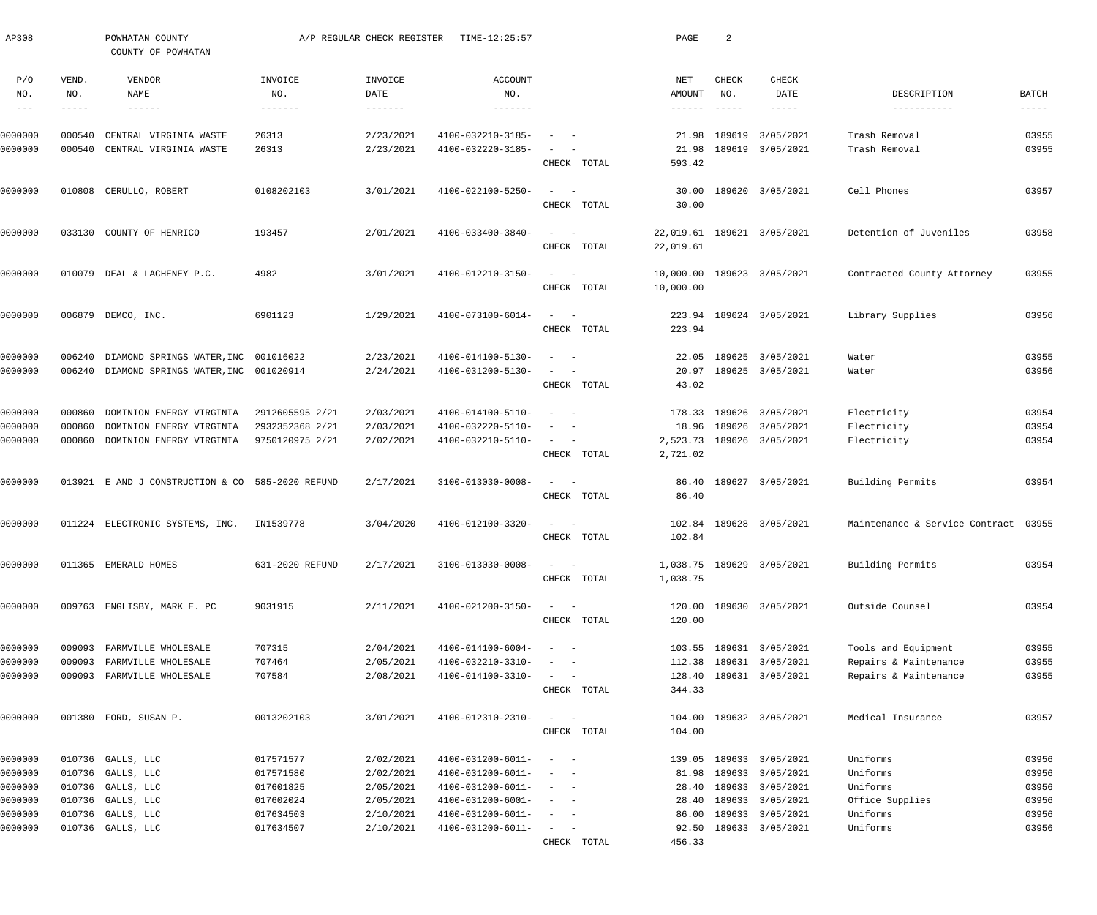| AP308                                    |                               | POWHATAN COUNTY<br>COUNTY OF POWHATAN                |                                    | A/P REGULAR CHECK REGISTER | TIME-12:25:57                          |                                                                                                                                          | PAGE                             | 2                                         |                                      |                                      |                               |
|------------------------------------------|-------------------------------|------------------------------------------------------|------------------------------------|----------------------------|----------------------------------------|------------------------------------------------------------------------------------------------------------------------------------------|----------------------------------|-------------------------------------------|--------------------------------------|--------------------------------------|-------------------------------|
| P/O<br>NO.<br>$\qquad \qquad - \qquad -$ | VEND.<br>NO.<br>$- - - - - -$ | VENDOR<br>NAME<br>$- - - - - - -$                    | INVOICE<br>NO.<br>-------          | INVOICE<br>DATE<br>------- | ACCOUNT<br>NO.<br>-------              |                                                                                                                                          | NET<br>AMOUNT<br>$- - - - - - -$ | CHECK<br>NO.<br>$\qquad \qquad - - - - -$ | CHECK<br>DATE<br>-----               | DESCRIPTION<br>-----------           | <b>BATCH</b><br>$- - - - - -$ |
|                                          |                               |                                                      |                                    |                            |                                        |                                                                                                                                          |                                  |                                           |                                      |                                      |                               |
| 0000000<br>0000000                       | 000540<br>000540              | CENTRAL VIRGINIA WASTE<br>CENTRAL VIRGINIA WASTE     | 26313<br>26313                     | 2/23/2021<br>2/23/2021     | 4100-032210-3185-<br>4100-032220-3185- | $\overline{\phantom{m}}$                                                                                                                 | 21.98<br>21.98                   |                                           | 189619 3/05/2021<br>189619 3/05/2021 | Trash Removal<br>Trash Removal       | 03955<br>03955                |
|                                          |                               |                                                      |                                    |                            |                                        | CHECK TOTAL                                                                                                                              | 593.42                           |                                           |                                      |                                      |                               |
| 0000000                                  |                               | 010808 CERULLO, ROBERT                               | 0108202103                         | 3/01/2021                  | 4100-022100-5250-                      | $\sim$<br>$\sim$<br>CHECK TOTAL                                                                                                          | 30.00<br>30.00                   |                                           | 189620 3/05/2021                     | Cell Phones                          | 03957                         |
| 0000000                                  |                               | 033130 COUNTY OF HENRICO                             | 193457                             | 2/01/2021                  | 4100-033400-3840-                      | $\sim$ .<br>$\sim$ $-$<br>CHECK TOTAL                                                                                                    | 22,019.61<br>22,019.61           |                                           | 189621 3/05/2021                     | Detention of Juveniles               | 03958                         |
| 0000000                                  | 010079                        | DEAL & LACHENEY P.C.                                 | 4982                               | 3/01/2021                  | 4100-012210-3150-                      | $\sim$ .<br>$\sim$ $-$<br>CHECK TOTAL                                                                                                    | 10,000.00<br>10,000.00           |                                           | 189623 3/05/2021                     | Contracted County Attorney           | 03955                         |
| 0000000                                  |                               | 006879 DEMCO, INC.                                   | 6901123                            | 1/29/2021                  | 4100-073100-6014-                      | $\frac{1}{2}$ and $\frac{1}{2}$ and $\frac{1}{2}$<br>CHECK TOTAL                                                                         | 223.94                           |                                           | 223.94 189624 3/05/2021              | Library Supplies                     | 03956                         |
| 0000000                                  | 006240                        | DIAMOND SPRINGS WATER, INC 001016022                 |                                    | 2/23/2021                  | 4100-014100-5130-                      | $\overline{\phantom{m}}$<br>$\overline{\phantom{a}}$                                                                                     | 22.05                            |                                           | 189625 3/05/2021                     | Water                                | 03955                         |
| 0000000                                  |                               | 006240 DIAMOND SPRINGS WATER, INC 001020914          |                                    | 2/24/2021                  | 4100-031200-5130-                      | $\frac{1}{2} \left( \frac{1}{2} \right) \left( \frac{1}{2} \right) \left( \frac{1}{2} \right) \left( \frac{1}{2} \right)$<br>CHECK TOTAL | 20.97<br>43.02                   |                                           | 189625 3/05/2021                     | Water                                | 03956                         |
|                                          |                               |                                                      |                                    |                            |                                        |                                                                                                                                          |                                  |                                           |                                      |                                      |                               |
| 0000000                                  | 000860                        | DOMINION ENERGY VIRGINIA                             | 2912605595 2/21                    | 2/03/2021                  | 4100-014100-5110-                      | $\sim$<br>$\sim$                                                                                                                         |                                  |                                           | 178.33 189626 3/05/2021              | Electricity                          | 03954                         |
| 0000000<br>0000000                       | 000860<br>000860              | DOMINION ENERGY VIRGINIA<br>DOMINION ENERGY VIRGINIA | 2932352368 2/21<br>9750120975 2/21 | 2/03/2021<br>2/02/2021     | 4100-032220-5110-<br>4100-032210-5110- | $\overline{\phantom{a}}$<br>$\sim$<br>$\frac{1}{2}$ and $\frac{1}{2}$ and $\frac{1}{2}$                                                  | 18.96<br>2,523.73                |                                           | 189626 3/05/2021<br>189626 3/05/2021 | Electricity<br>Electricity           | 03954<br>03954                |
|                                          |                               |                                                      |                                    |                            |                                        | CHECK TOTAL                                                                                                                              | 2,721.02                         |                                           |                                      |                                      |                               |
| 0000000                                  |                               | 013921 E AND J CONSTRUCTION & CO 585-2020 REFUND     |                                    | 2/17/2021                  | 3100-013030-0008-                      | $\frac{1}{2}$ and $\frac{1}{2}$ and $\frac{1}{2}$<br>CHECK TOTAL                                                                         | 86.40<br>86.40                   |                                           | 189627 3/05/2021                     | Building Permits                     | 03954                         |
| 0000000                                  |                               | 011224 ELECTRONIC SYSTEMS, INC.                      | IN1539778                          | 3/04/2020                  | 4100-012100-3320-                      | $\begin{array}{cccccccccc} - & & & & & & & - \end{array}$<br>CHECK TOTAL                                                                 | 102.84                           |                                           | 102.84 189628 3/05/2021              | Maintenance & Service Contract 03955 |                               |
| 0000000                                  |                               | 011365 EMERALD HOMES                                 | 631-2020 REFUND                    | 2/17/2021                  | 3100-013030-0008-                      | $\frac{1}{2}$ and $\frac{1}{2}$ and $\frac{1}{2}$<br>CHECK TOTAL                                                                         | 1,038.75                         |                                           | 1,038.75 189629 3/05/2021            | Building Permits                     | 03954                         |
| 0000000                                  |                               | 009763 ENGLISBY, MARK E. PC                          | 9031915                            | 2/11/2021                  | 4100-021200-3150-                      | $\frac{1}{2}$ and $\frac{1}{2}$ and $\frac{1}{2}$<br>CHECK TOTAL                                                                         | 120.00                           |                                           | 120.00 189630 3/05/2021              | Outside Counsel                      | 03954                         |
| 0000000                                  |                               | 009093 FARMVILLE WHOLESALE                           | 707315                             | 2/04/2021                  | 4100-014100-6004-                      | $\frac{1}{2}$ and $\frac{1}{2}$ and $\frac{1}{2}$                                                                                        |                                  |                                           | 103.55 189631 3/05/2021              | Tools and Equipment                  | 03955                         |
| 0000000                                  | 009093                        | FARMVILLE WHOLESALE                                  | 707464                             | 2/05/2021                  | 4100-032210-3310-                      | $\sim$ $  -$                                                                                                                             | 112.38                           |                                           | 189631 3/05/2021                     | Repairs & Maintenance                | 03955                         |
| 0000000                                  |                               | 009093 FARMVILLE WHOLESALE                           | 707584                             | 2/08/2021                  | 4100-014100-3310-                      | $\sim$ 100 $\sim$<br>CHECK TOTAL                                                                                                         | 344.33                           |                                           | 128.40 189631 3/05/2021              | Repairs & Maintenance                | 03955                         |
| 0000000                                  |                               | 001380 FORD, SUSAN P.                                | 0013202103                         | 3/01/2021                  | 4100-012310-2310-                      | $\frac{1}{2}$ and $\frac{1}{2}$ and $\frac{1}{2}$                                                                                        |                                  |                                           | 104.00 189632 3/05/2021              | Medical Insurance                    | 03957                         |
|                                          |                               |                                                      |                                    |                            |                                        | CHECK TOTAL                                                                                                                              | 104.00                           |                                           |                                      |                                      |                               |
| 0000000                                  |                               | 010736 GALLS, LLC                                    | 017571577                          | 2/02/2021                  | 4100-031200-6011-                      | $\sim$ $  -$                                                                                                                             |                                  |                                           | 139.05 189633 3/05/2021              | Uniforms                             | 03956                         |
| 0000000                                  |                               | 010736 GALLS, LLC                                    | 017571580                          | 2/02/2021                  | 4100-031200-6011-                      | $\sim$ $  -$                                                                                                                             | 81.98                            |                                           | 189633 3/05/2021                     | Uniforms                             | 03956                         |
| 0000000                                  |                               | 010736 GALLS, LLC                                    | 017601825                          | 2/05/2021                  | 4100-031200-6011-                      | $\sim$ $  -$                                                                                                                             | 28.40                            |                                           | 189633 3/05/2021                     | Uniforms                             | 03956                         |
| 0000000                                  |                               | 010736 GALLS, LLC                                    | 017602024                          | 2/05/2021                  | 4100-031200-6001-                      | $\sim$ $  -$                                                                                                                             | 28.40                            |                                           | 189633 3/05/2021                     | Office Supplies                      | 03956                         |
| 0000000                                  |                               | 010736 GALLS, LLC                                    | 017634503                          | 2/10/2021                  | 4100-031200-6011-                      | $\frac{1}{2}$ and $\frac{1}{2}$ and $\frac{1}{2}$                                                                                        |                                  |                                           | 86.00 189633 3/05/2021               | Uniforms                             | 03956                         |
| 0000000                                  |                               | 010736 GALLS, LLC                                    | 017634507                          | 2/10/2021                  | 4100-031200-6011-                      | $\mathcal{L} = \{ \mathcal{L} \}$ , where                                                                                                |                                  |                                           | 92.50 189633 3/05/2021               | Uniforms                             | 03956                         |
|                                          |                               |                                                      |                                    |                            |                                        | CHECK TOTAL                                                                                                                              | 456.33                           |                                           |                                      |                                      |                               |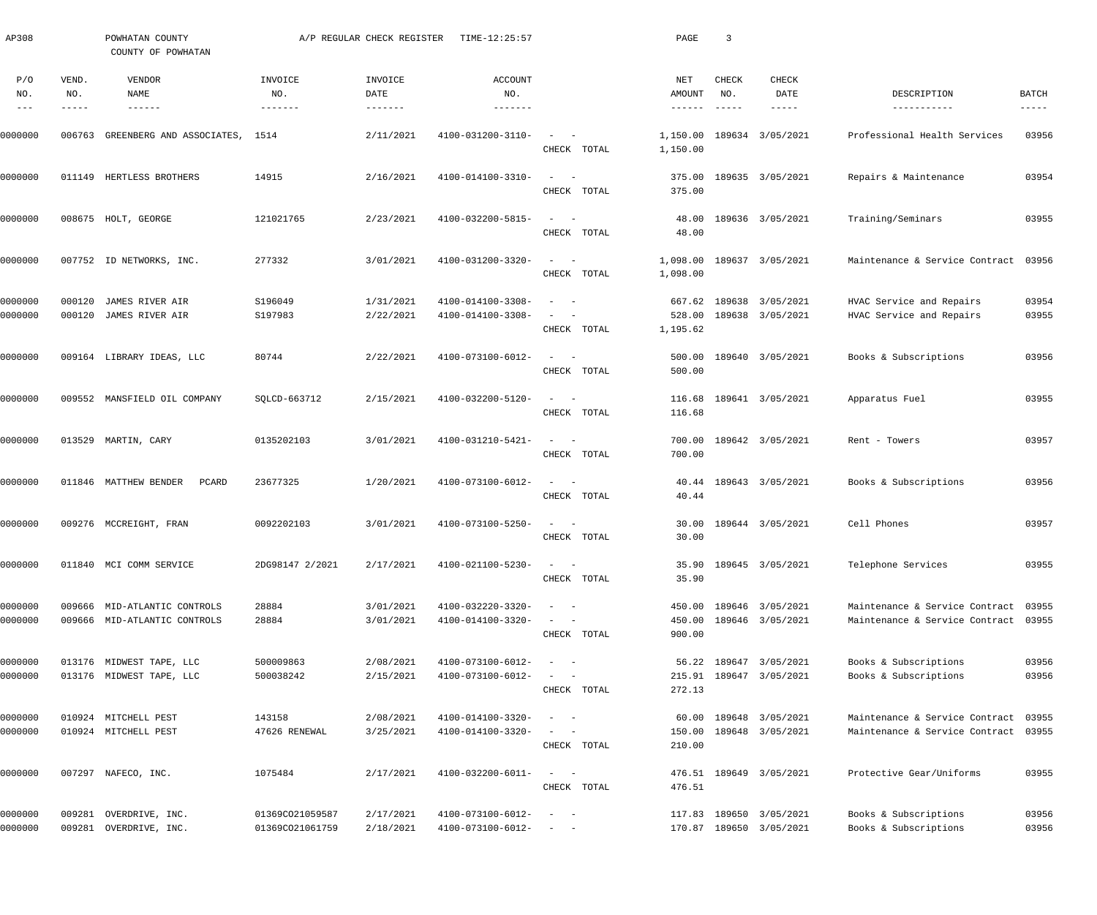| AP308              |                  | POWHATAN COUNTY<br>COUNTY OF POWHATAN                        |                                    | A/P REGULAR CHECK REGISTER             | TIME-12:25:57                          |                                                                                                                                                     | PAGE                         | $\overline{3}$ |                                                    |                                                                  |                             |
|--------------------|------------------|--------------------------------------------------------------|------------------------------------|----------------------------------------|----------------------------------------|-----------------------------------------------------------------------------------------------------------------------------------------------------|------------------------------|----------------|----------------------------------------------------|------------------------------------------------------------------|-----------------------------|
| P/O<br>NO.         | VEND.<br>NO.     | VENDOR<br><b>NAME</b><br>------                              | INVOICE<br>NO.<br>-------          | INVOICE<br>DATE<br>$- - - - - - - - -$ | <b>ACCOUNT</b><br>NO.<br>-------       |                                                                                                                                                     | NET<br>AMOUNT                | CHECK<br>NO.   | <b>CHECK</b><br>DATE                               | DESCRIPTION<br>-----------                                       | <b>BATCH</b><br>$--- - - -$ |
| 0000000            | 006763           | GREENBERG AND ASSOCIATES, 1514                               |                                    | 2/11/2021                              | 4100-031200-3110-                      | $\equiv$<br>$\sim$<br>CHECK TOTAL                                                                                                                   | 1,150.00<br>1,150.00         |                | 189634 3/05/2021                                   | Professional Health Services                                     | 03956                       |
| 0000000            |                  | 011149 HERTLESS BROTHERS                                     | 14915                              | 2/16/2021                              | 4100-014100-3310-                      | $\sim$<br>$\sim$ $-$<br>CHECK TOTAL                                                                                                                 | 375.00<br>375.00             |                | 189635 3/05/2021                                   | Repairs & Maintenance                                            | 03954                       |
| 0000000            |                  | 008675 HOLT, GEORGE                                          | 121021765                          | 2/23/2021                              | 4100-032200-5815-                      | $\sim$<br>$\sim$ $-$<br>CHECK TOTAL                                                                                                                 | 48.00<br>48.00               |                | 189636 3/05/2021                                   | Training/Seminars                                                | 03955                       |
| 0000000            |                  | 007752 ID NETWORKS, INC.                                     | 277332                             | 3/01/2021                              | 4100-031200-3320-                      | $\sim$<br>$\sim$<br>CHECK TOTAL                                                                                                                     | 1,098.00<br>1,098.00         |                | 189637 3/05/2021                                   | Maintenance & Service Contract 03956                             |                             |
| 0000000<br>0000000 | 000120<br>000120 | JAMES RIVER AIR<br>JAMES RIVER AIR                           | S196049<br>S197983                 | 1/31/2021<br>2/22/2021                 | 4100-014100-3308-<br>4100-014100-3308- | $\sim$<br>CHECK TOTAL                                                                                                                               | 667.62<br>528.00<br>1,195.62 |                | 189638 3/05/2021<br>189638 3/05/2021               | HVAC Service and Repairs<br>HVAC Service and Repairs             | 03954<br>03955              |
| 0000000            |                  | 009164 LIBRARY IDEAS, LLC                                    | 80744                              | 2/22/2021                              | 4100-073100-6012-                      | $\equiv$<br>$\overline{\phantom{a}}$<br>CHECK TOTAL                                                                                                 | 500.00<br>500.00             |                | 189640 3/05/2021                                   | Books & Subscriptions                                            | 03956                       |
| 0000000            |                  | 009552 MANSFIELD OIL COMPANY                                 | SQLCD-663712                       | 2/15/2021                              | 4100-032200-5120-                      | $\equiv$<br>$\sim$ $-$<br>CHECK TOTAL                                                                                                               | 116.68<br>116.68             |                | 189641 3/05/2021                                   | Apparatus Fuel                                                   | 03955                       |
| 0000000            |                  | 013529 MARTIN, CARY                                          | 0135202103                         | 3/01/2021                              | 4100-031210-5421-                      | $\equiv$<br>$\sim$ $-$<br>CHECK TOTAL                                                                                                               | 700.00<br>700.00             |                | 189642 3/05/2021                                   | Rent - Towers                                                    | 03957                       |
| 0000000            |                  | 011846 MATTHEW BENDER<br>PCARD                               | 23677325                           | 1/20/2021                              | 4100-073100-6012-                      | $\sim$<br>$\sim$ $-$<br>CHECK TOTAL                                                                                                                 | 40.44<br>40.44               |                | 189643 3/05/2021                                   | Books & Subscriptions                                            | 03956                       |
| 0000000            |                  | 009276 MCCREIGHT, FRAN                                       | 0092202103                         | 3/01/2021                              | 4100-073100-5250-                      | CHECK TOTAL                                                                                                                                         | 30.00                        |                | 30.00 189644 3/05/2021                             | Cell Phones                                                      | 03957                       |
| 0000000            |                  | 011840 MCI COMM SERVICE                                      | 2DG98147 2/2021                    | 2/17/2021                              | 4100-021100-5230-                      | $\mathcal{L}_{\text{max}}$ , and $\mathcal{L}_{\text{max}}$<br>CHECK TOTAL                                                                          | 35.90                        |                | 35.90 189645 3/05/2021                             | Telephone Services                                               | 03955                       |
| 0000000<br>0000000 |                  | 009666 MID-ATLANTIC CONTROLS<br>009666 MID-ATLANTIC CONTROLS | 28884<br>28884                     | 3/01/2021<br>3/01/2021                 | 4100-032220-3320-<br>4100-014100-3320- | $\qquad \qquad -$<br>$\sim$<br>CHECK TOTAL                                                                                                          | 450.00<br>900.00             |                | 450.00 189646 3/05/2021<br>189646 3/05/2021        | Maintenance & Service Contract<br>Maintenance & Service Contract | 03955<br>03955              |
| 0000000<br>0000000 |                  | 013176 MIDWEST TAPE, LLC<br>013176 MIDWEST TAPE, LLC         | 500009863<br>500038242             | 2/08/2021<br>2/15/2021                 | 4100-073100-6012-<br>4100-073100-6012- | $\sim$<br>$\sim$ $-$<br>$\sim$<br>$\sim$ $-$<br>CHECK TOTAL                                                                                         | 272.13                       |                | 56.22 189647 3/05/2021<br>215.91 189647 3/05/2021  | Books & Subscriptions<br>Books & Subscriptions                   | 03956<br>03956              |
| 0000000<br>0000000 |                  | 010924 MITCHELL PEST<br>010924 MITCHELL PEST                 | 143158<br>47626 RENEWAL            | 2/08/2021<br>3/25/2021                 | 4100-014100-3320-<br>4100-014100-3320- | $\sim$<br>$\sim$ $-$<br>$\frac{1}{2} \left( \frac{1}{2} \right) \left( \frac{1}{2} \right) = \frac{1}{2} \left( \frac{1}{2} \right)$<br>CHECK TOTAL | 150.00<br>210.00             |                | 60.00 189648 3/05/2021<br>189648 3/05/2021         | Maintenance & Service Contract<br>Maintenance & Service Contract | 03955<br>03955              |
| 0000000            |                  | 007297 NAFECO, INC.                                          | 1075484                            | 2/17/2021                              | 4100-032200-6011-                      | $\sim$<br>$\sim$ $-$<br>CHECK TOTAL                                                                                                                 | 476.51                       |                | 476.51 189649 3/05/2021                            | Protective Gear/Uniforms                                         | 03955                       |
| 0000000<br>0000000 | 009281           | OVERDRIVE, INC.<br>009281 OVERDRIVE, INC.                    | 01369CO21059587<br>01369CO21061759 | 2/17/2021<br>2/18/2021                 | 4100-073100-6012-<br>4100-073100-6012- | $\equiv$<br>$\sim$ $-$<br>$\sim$ $ -$                                                                                                               |                              |                | 117.83 189650 3/05/2021<br>170.87 189650 3/05/2021 | Books & Subscriptions<br>Books & Subscriptions                   | 03956<br>03956              |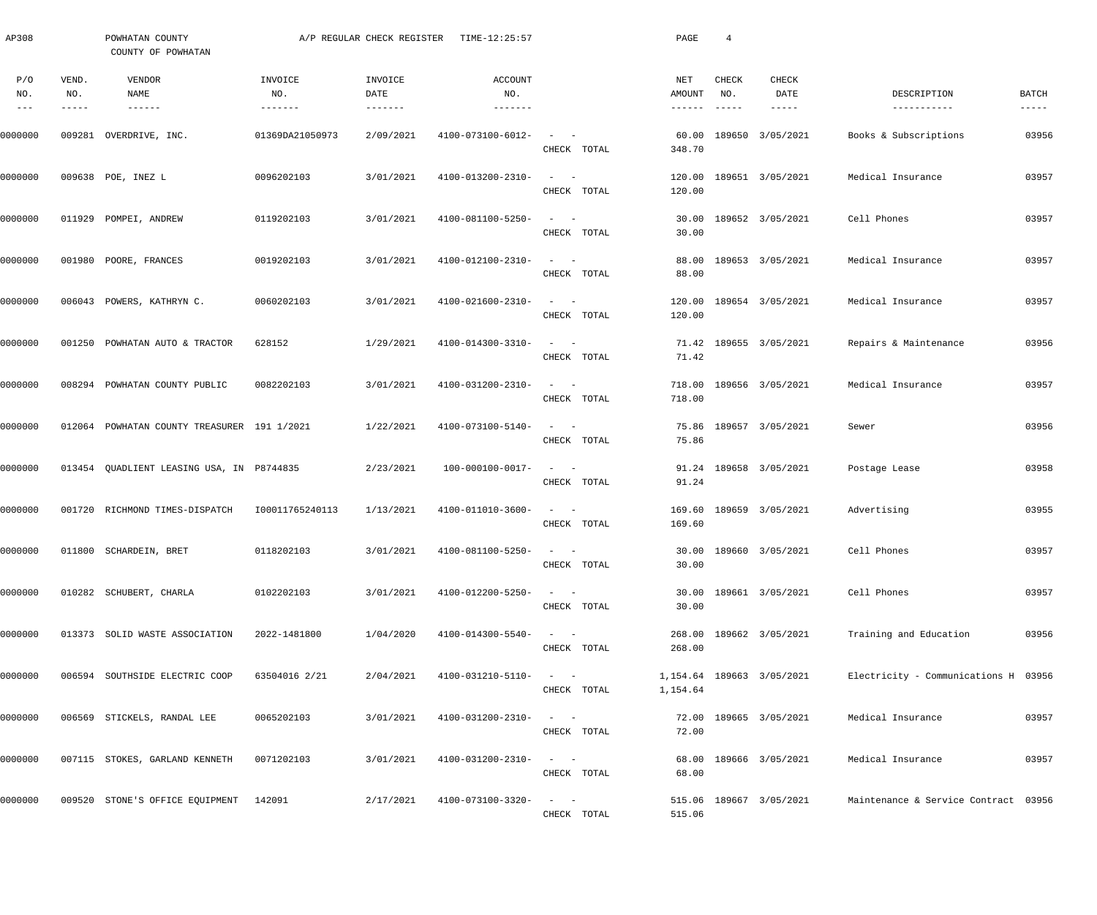| AP308                       |                       | POWHATAN COUNTY<br>COUNTY OF POWHATAN       |                 | A/P REGULAR CHECK REGISTER | TIME-12:25:57                |                                                                            | PAGE                     | $\overline{4}$                            |                                       |                                      |                        |
|-----------------------------|-----------------------|---------------------------------------------|-----------------|----------------------------|------------------------------|----------------------------------------------------------------------------|--------------------------|-------------------------------------------|---------------------------------------|--------------------------------------|------------------------|
| P/O<br>NO.<br>$\frac{1}{2}$ | VEND.<br>NO.<br>----- | VENDOR<br>NAME<br>$- - - - - - -$           | INVOICE<br>NO.  | INVOICE<br>DATE            | ACCOUNT<br>NO.<br>-------    |                                                                            | NET<br>AMOUNT<br>------- | CHECK<br>NO.<br>$\qquad \qquad - - - - -$ | <b>CHECK</b><br>DATE<br>$- - - - - -$ | DESCRIPTION<br>-----------           | BATCH<br>$- - - - - -$ |
| 0000000                     |                       | 009281 OVERDRIVE, INC.                      | 01369DA21050973 | 2/09/2021                  | 4100-073100-6012-            | $\begin{array}{cccccccccc} - & & & & & & & - \end{array}$<br>CHECK TOTAL   | 60.00<br>348.70          |                                           | 189650 3/05/2021                      | Books & Subscriptions                | 03956                  |
| 0000000                     |                       | 009638 POE, INEZ L                          | 0096202103      | 3/01/2021                  | 4100-013200-2310-            | $\qquad \qquad -$<br>CHECK TOTAL                                           | 120.00<br>120.00         |                                           | 189651 3/05/2021                      | Medical Insurance                    | 03957                  |
| 0000000                     |                       | 011929 POMPEI, ANDREW                       | 0119202103      | 3/01/2021                  | 4100-081100-5250-            | $\qquad \qquad -$<br>CHECK TOTAL                                           | 30.00<br>30.00           |                                           | 189652 3/05/2021                      | Cell Phones                          | 03957                  |
| 0000000                     |                       | 001980 POORE, FRANCES                       | 0019202103      | 3/01/2021                  | 4100-012100-2310-            | $\qquad \qquad -$<br>CHECK TOTAL                                           | 88.00<br>88.00           |                                           | 189653 3/05/2021                      | Medical Insurance                    | 03957                  |
| 0000000                     |                       | 006043 POWERS, KATHRYN C.                   | 0060202103      | 3/01/2021                  | 4100-021600-2310-            | $\frac{1}{2}$ and $\frac{1}{2}$<br>CHECK TOTAL                             | 120.00<br>120.00         |                                           | 189654 3/05/2021                      | Medical Insurance                    | 03957                  |
| 0000000                     |                       | 001250 POWHATAN AUTO & TRACTOR              | 628152          | 1/29/2021                  | 4100-014300-3310-            | $\qquad \qquad -$<br>CHECK TOTAL                                           | 71.42                    |                                           | 71.42 189655 3/05/2021                | Repairs & Maintenance                | 03956                  |
| 0000000                     |                       | 008294 POWHATAN COUNTY PUBLIC               | 0082202103      | 3/01/2021                  | 4100-031200-2310-            | $\qquad \qquad -$<br>CHECK TOTAL                                           | 718.00                   |                                           | 718.00 189656 3/05/2021               | Medical Insurance                    | 03957                  |
| 0000000                     |                       | 012064 POWHATAN COUNTY TREASURER 191 1/2021 |                 | 1/22/2021                  | 4100-073100-5140-            | $\qquad \qquad -$<br>CHECK TOTAL                                           | 75.86                    |                                           | 75.86 189657 3/05/2021                | Sewer                                | 03956                  |
| 0000000                     |                       | 013454 QUADLIENT LEASING USA, IN P8744835   |                 | 2/23/2021                  | 100-000100-0017-             | $\qquad \qquad -$<br>CHECK TOTAL                                           | 91.24                    |                                           | 91.24 189658 3/05/2021                | Postage Lease                        | 03958                  |
| 0000000                     |                       | 001720 RICHMOND TIMES-DISPATCH              | 100011765240113 | 1/13/2021                  | 4100-011010-3600-            | $\begin{array}{cccccccccc} - & & & & & & & - \end{array}$<br>CHECK TOTAL   | 169.60                   |                                           | 169.60 189659 3/05/2021               | Advertising                          | 03955                  |
| 0000000                     |                       | 011800 SCHARDEIN, BRET                      | 0118202103      | 3/01/2021                  | $4100 - 081100 - 5250 - - -$ | CHECK TOTAL                                                                | 30.00                    |                                           | 30.00 189660 3/05/2021                | Cell Phones                          | 03957                  |
| 0000000                     |                       | 010282 SCHUBERT, CHARLA                     | 0102202103      | 3/01/2021                  | 4100-012200-5250-            | $\mathcal{L}_{\text{max}}$ , and $\mathcal{L}_{\text{max}}$<br>CHECK TOTAL | 30.00                    |                                           | 30.00 189661 3/05/2021                | Cell Phones                          | 03957                  |
| 0000000                     |                       | 013373 SOLID WASTE ASSOCIATION              | 2022-1481800    | 1/04/2020                  | 4100-014300-5540-            | $\mathcal{L}_{\text{max}}$ , and $\mathcal{L}_{\text{max}}$<br>CHECK TOTAL | 268.00                   |                                           | 268.00 189662 3/05/2021               | Training and Education               | 03956                  |
| 0000000                     |                       | 006594 SOUTHSIDE ELECTRIC COOP              | 63504016 2/21   | 2/04/2021                  | 4100-031210-5110-            | $\mathcal{L}_{\text{max}}$ , and $\mathcal{L}_{\text{max}}$<br>CHECK TOTAL | 1,154.64                 |                                           | 1,154.64 189663 3/05/2021             | Electricity - Communications H 03956 |                        |
| 0000000                     |                       | 006569 STICKELS, RANDAL LEE                 | 0065202103      | 3/01/2021                  | 4100-031200-2310-            | $\mathcal{L}_{\text{max}}$ , and $\mathcal{L}_{\text{max}}$<br>CHECK TOTAL | 72.00                    |                                           | 72.00 189665 3/05/2021                | Medical Insurance                    | 03957                  |
| 0000000                     |                       | 007115 STOKES, GARLAND KENNETH              | 0071202103      | 3/01/2021                  | 4100-031200-2310-            | $\mathcal{L}_{\text{max}}$ , and $\mathcal{L}_{\text{max}}$<br>CHECK TOTAL | 68.00                    |                                           | 68.00 189666 3/05/2021                | Medical Insurance                    | 03957                  |
| 0000000                     |                       | 009520 STONE'S OFFICE EQUIPMENT 142091      |                 | 2/17/2021                  | 4100-073100-3320-            | $\alpha = 1, \ldots, \alpha$<br>CHECK TOTAL                                | 515.06                   |                                           | 515.06 189667 3/05/2021               | Maintenance & Service Contract 03956 |                        |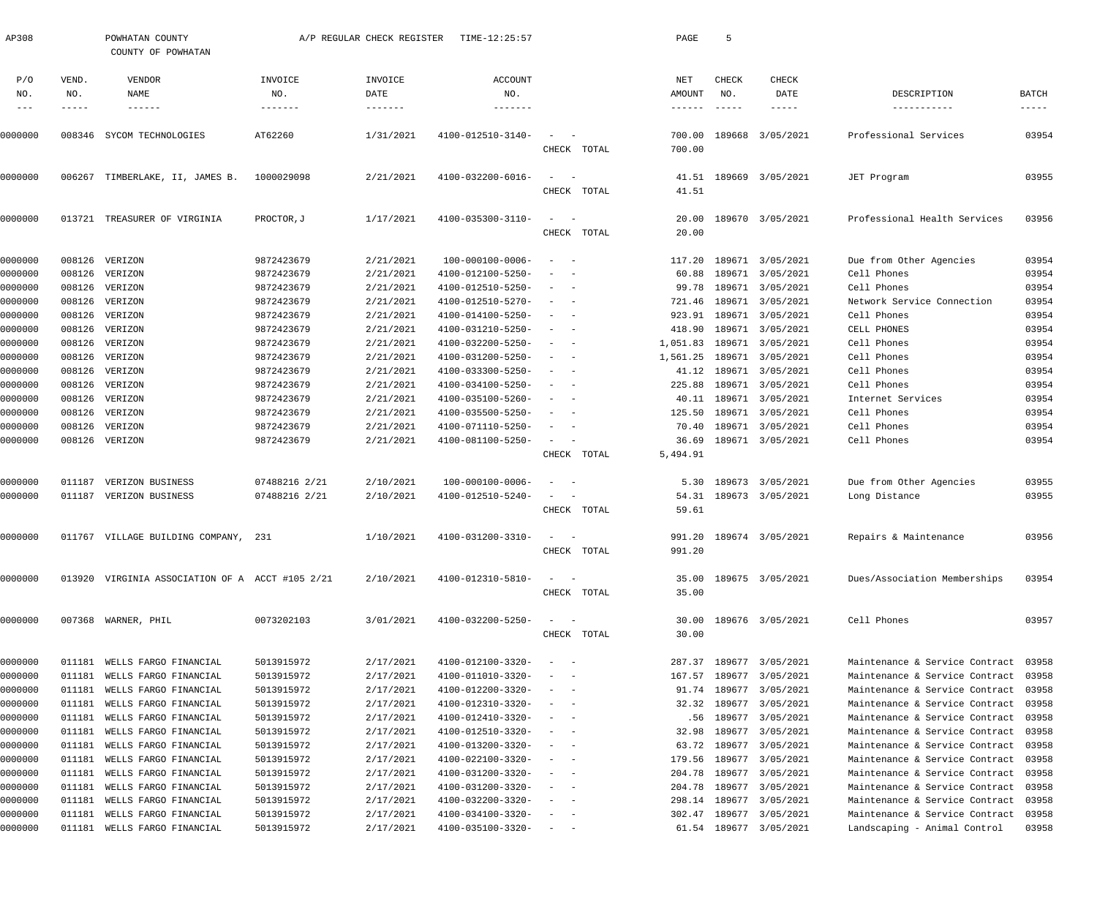| AP308        |                    | POWHATAN COUNTY<br>COUNTY OF POWHATAN           |                | A/P REGULAR CHECK REGISTER | TIME-12:25:57     |                          |             | PAGE             | 5                    |                         |                                |                        |
|--------------|--------------------|-------------------------------------------------|----------------|----------------------------|-------------------|--------------------------|-------------|------------------|----------------------|-------------------------|--------------------------------|------------------------|
| P/O          | VEND.              | VENDOR                                          | INVOICE        | INVOICE                    | <b>ACCOUNT</b>    |                          |             | <b>NET</b>       | CHECK                | CHECK                   |                                |                        |
| NO.<br>$---$ | NO.<br>$--- - - -$ | NAME<br>------                                  | NO.<br>------- | DATE<br>$- - - - - - -$    | NO.<br>-------    |                          |             | AMOUNT<br>------ | NO.<br>$- - - - - -$ | DATE                    | DESCRIPTION<br>-----------     | BATCH<br>$- - - - - -$ |
|              |                    |                                                 |                |                            |                   |                          |             |                  |                      |                         |                                |                        |
| 0000000      |                    | 008346 SYCOM TECHNOLOGIES                       | AT62260        | 1/31/2021                  | 4100-012510-3140- |                          |             | 700.00           | 189668               | 3/05/2021               | Professional Services          | 03954                  |
|              |                    |                                                 |                |                            |                   |                          | CHECK TOTAL | 700.00           |                      |                         |                                |                        |
| 0000000      |                    | 006267 TIMBERLAKE, II, JAMES B.                 | 1000029098     | 2/21/2021                  | 4100-032200-6016- |                          |             | 41.51            |                      | 189669 3/05/2021        | JET Program                    | 03955                  |
|              |                    |                                                 |                |                            |                   |                          | CHECK TOTAL | 41.51            |                      |                         |                                |                        |
| 0000000      |                    | 013721 TREASURER OF VIRGINIA                    | PROCTOR, J     | 1/17/2021                  | 4100-035300-3110- | $\sim$                   |             | 20.00            |                      | 189670 3/05/2021        | Professional Health Services   | 03956                  |
|              |                    |                                                 |                |                            |                   |                          | CHECK TOTAL | 20.00            |                      |                         |                                |                        |
| 0000000      | 008126             | VERIZON                                         | 9872423679     | 2/21/2021                  | 100-000100-0006-  | $\overline{\phantom{a}}$ |             | 117.20           |                      | 189671 3/05/2021        | Due from Other Agencies        | 03954                  |
| 0000000      | 008126             | VERIZON                                         | 9872423679     | 2/21/2021                  | 4100-012100-5250- |                          |             | 60.88            |                      | 189671 3/05/2021        | Cell Phones                    | 03954                  |
| 0000000      | 008126             | VERIZON                                         | 9872423679     | 2/21/2021                  | 4100-012510-5250- |                          |             | 99.78            |                      | 189671 3/05/2021        | Cell Phones                    | 03954                  |
| 0000000      | 008126             | VERIZON                                         | 9872423679     | 2/21/2021                  | 4100-012510-5270- |                          |             | 721.46           |                      | 189671 3/05/2021        | Network Service Connection     | 03954                  |
| 0000000      | 008126             | VERIZON                                         | 9872423679     | 2/21/2021                  | 4100-014100-5250- |                          |             | 923.91           |                      | 189671 3/05/2021        | Cell Phones                    | 03954                  |
| 0000000      | 008126             | VERIZON                                         | 9872423679     | 2/21/2021                  | 4100-031210-5250- |                          |             | 418.90           |                      | 189671 3/05/2021        | CELL PHONES                    | 03954                  |
| 0000000      | 008126             | VERIZON                                         | 9872423679     | 2/21/2021                  | 4100-032200-5250- |                          |             | 1,051.83         |                      | 189671 3/05/2021        | Cell Phones                    | 03954                  |
| 0000000      | 008126             | VERIZON                                         | 9872423679     | 2/21/2021                  | 4100-031200-5250- |                          |             | 1,561.25         |                      | 189671 3/05/2021        | Cell Phones                    | 03954                  |
| 0000000      | 008126             | VERIZON                                         | 9872423679     | 2/21/2021                  | 4100-033300-5250- |                          |             | 41.12            |                      | 189671 3/05/2021        | Cell Phones                    | 03954                  |
| 0000000      | 008126             | VERIZON                                         | 9872423679     | 2/21/2021                  | 4100-034100-5250- |                          |             | 225.88           |                      | 189671 3/05/2021        | Cell Phones                    | 03954                  |
| 0000000      | 008126             | VERIZON                                         | 9872423679     | 2/21/2021                  | 4100-035100-5260- |                          |             | 40.11            |                      | 189671 3/05/2021        | Internet Services              | 03954                  |
| 0000000      | 008126             | VERIZON                                         | 9872423679     | 2/21/2021                  | 4100-035500-5250- |                          |             | 125.50           |                      | 189671 3/05/2021        | Cell Phones                    | 03954                  |
| 0000000      | 008126             | VERIZON                                         | 9872423679     | 2/21/2021                  | 4100-071110-5250- |                          |             | 70.40            |                      | 189671 3/05/2021        | Cell Phones                    | 03954                  |
| 0000000      |                    | 008126 VERIZON                                  | 9872423679     | 2/21/2021                  | 4100-081100-5250- |                          |             | 36.69            |                      | 189671 3/05/2021        | Cell Phones                    | 03954                  |
|              |                    |                                                 |                |                            |                   |                          | CHECK TOTAL | 5,494.91         |                      |                         |                                |                        |
| 0000000      | 011187             | VERIZON BUSINESS                                | 07488216 2/21  | 2/10/2021                  | 100-000100-0006-  |                          |             | 5.30             |                      | 189673 3/05/2021        | Due from Other Agencies        | 03955                  |
| 0000000      |                    | 011187 VERIZON BUSINESS                         | 07488216 2/21  | 2/10/2021                  | 4100-012510-5240- |                          |             | 54.31            |                      | 189673 3/05/2021        | Long Distance                  | 03955                  |
|              |                    |                                                 |                |                            |                   |                          | CHECK TOTAL | 59.61            |                      |                         |                                |                        |
| 0000000      |                    | 011767 VILLAGE BUILDING COMPANY, 231            |                | 1/10/2021                  | 4100-031200-3310- |                          |             |                  |                      | 991.20 189674 3/05/2021 | Repairs & Maintenance          | 03956                  |
|              |                    |                                                 |                |                            |                   |                          | CHECK TOTAL | 991.20           |                      |                         |                                |                        |
| 0000000      |                    | 013920 VIRGINIA ASSOCIATION OF A ACCT #105 2/21 |                | 2/10/2021                  | 4100-012310-5810- |                          |             | 35.00            |                      | 189675 3/05/2021        | Dues/Association Memberships   | 03954                  |
|              |                    |                                                 |                |                            |                   |                          | CHECK TOTAL | 35.00            |                      |                         |                                |                        |
| 0000000      |                    | 007368 WARNER, PHIL                             | 0073202103     | 3/01/2021                  | 4100-032200-5250- |                          |             | 30.00            |                      | 189676 3/05/2021        | Cell Phones                    | 03957                  |
|              |                    |                                                 |                |                            |                   |                          | CHECK TOTAL | 30.00            |                      |                         |                                |                        |
| 0000000      |                    | 011181 WELLS FARGO FINANCIAL                    | 5013915972     | 2/17/2021                  | 4100-012100-3320- |                          |             | 287.37           |                      | 189677 3/05/2021        | Maintenance & Service Contract | 03958                  |
| 0000000      | 011181             | WELLS FARGO FINANCIAL                           | 5013915972     | 2/17/2021                  | 4100-011010-3320- |                          |             | 167.57           |                      | 189677 3/05/2021        | Maintenance & Service Contract | 03958                  |
| 0000000      | 011181             | WELLS FARGO FINANCIAL                           | 5013915972     | 2/17/2021                  | 4100-012200-3320- |                          |             | 91.74            |                      | 189677 3/05/2021        | Maintenance & Service Contract | 03958                  |
| 0000000      | 011181             | WELLS FARGO FINANCIAL                           | 5013915972     | 2/17/2021                  | 4100-012310-3320- | $\overline{\phantom{a}}$ |             | 32.32            |                      | 189677 3/05/2021        | Maintenance & Service Contract | 03958                  |
| 0000000      | 011181             | WELLS FARGO FINANCIAL                           | 5013915972     | 2/17/2021                  | 4100-012410-3320- |                          |             | .56              |                      | 189677 3/05/2021        | Maintenance & Service Contract | 03958                  |
| 0000000      | 011181             | WELLS FARGO FINANCIAL                           | 5013915972     | 2/17/2021                  | 4100-012510-3320- |                          |             | 32.98            |                      | 189677 3/05/2021        | Maintenance & Service Contract | 03958                  |
| 0000000      | 011181             | WELLS FARGO FINANCIAL                           | 5013915972     | 2/17/2021                  | 4100-013200-3320- | $\overline{\phantom{a}}$ |             | 63.72            |                      | 189677 3/05/2021        | Maintenance & Service Contract | 03958                  |
| 0000000      | 011181             | WELLS FARGO FINANCIAL                           | 5013915972     | 2/17/2021                  | 4100-022100-3320- |                          |             | 179.56           |                      | 189677 3/05/2021        | Maintenance & Service Contract | 03958                  |
| 0000000      | 011181             | WELLS FARGO FINANCIAL                           | 5013915972     | 2/17/2021                  | 4100-031200-3320- |                          |             | 204.78           |                      | 189677 3/05/2021        | Maintenance & Service Contract | 03958                  |
| 0000000      | 011181             | WELLS FARGO FINANCIAL                           | 5013915972     | 2/17/2021                  | 4100-031200-3320- |                          |             | 204.78           |                      | 189677 3/05/2021        | Maintenance & Service Contract | 03958                  |
| 0000000      | 011181             | WELLS FARGO FINANCIAL                           | 5013915972     | 2/17/2021                  | 4100-032200-3320- |                          |             | 298.14           |                      | 189677 3/05/2021        | Maintenance & Service Contract | 03958                  |
| 0000000      |                    | 011181 WELLS FARGO FINANCIAL                    | 5013915972     | 2/17/2021                  | 4100-034100-3320- | $\overline{\phantom{a}}$ |             | 302.47           |                      | 189677 3/05/2021        | Maintenance & Service Contract | 03958                  |
| 0000000      |                    | 011181 WELLS FARGO FINANCIAL                    | 5013915972     | 2/17/2021                  | 4100-035100-3320- |                          |             |                  |                      | 61.54 189677 3/05/2021  | Landscaping - Animal Control   | 03958                  |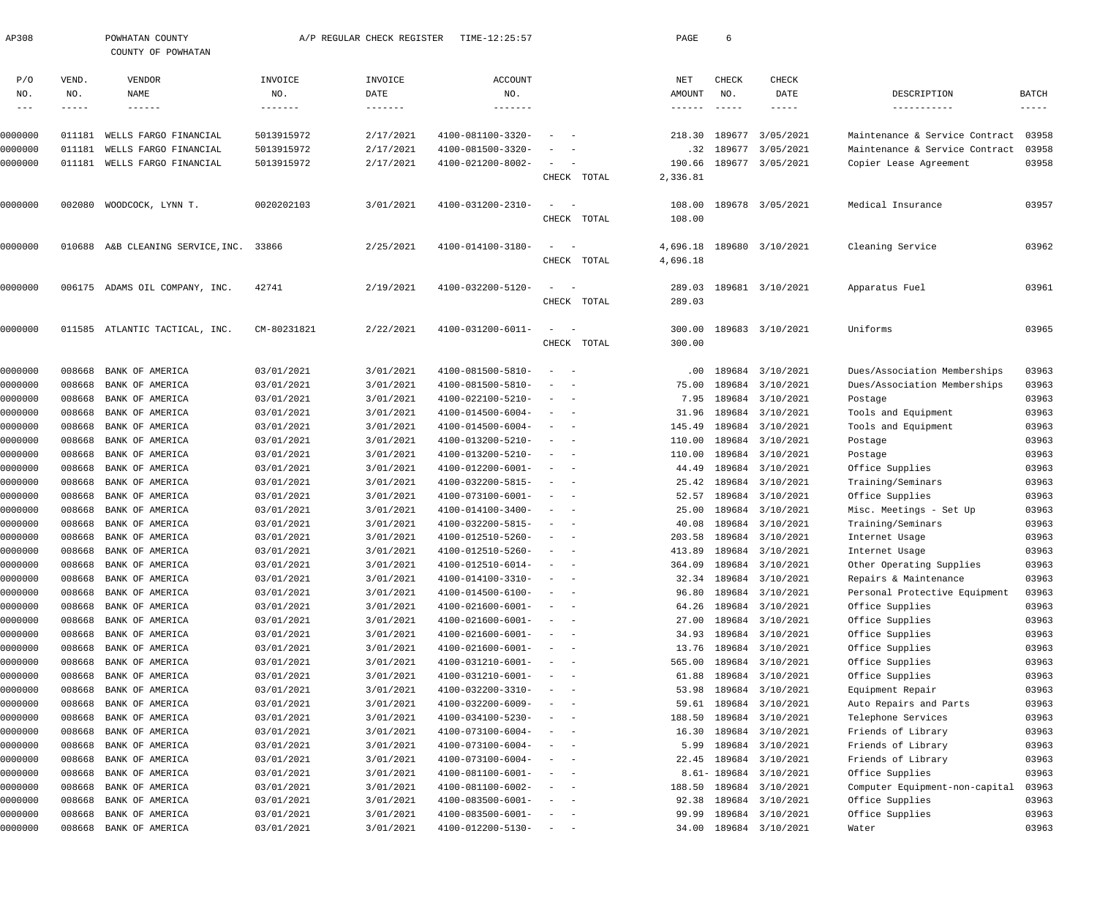| AP308                       |                       | POWHATAN COUNTY<br>COUNTY OF POWHATAN |                           | A/P REGULAR CHECK REGISTER  | TIME-12:25:57                                 |                                                                                                              |             | PAGE                    | 6                             |                                      |                                                   |                                      |
|-----------------------------|-----------------------|---------------------------------------|---------------------------|-----------------------------|-----------------------------------------------|--------------------------------------------------------------------------------------------------------------|-------------|-------------------------|-------------------------------|--------------------------------------|---------------------------------------------------|--------------------------------------|
| P/O<br>NO.<br>$\frac{1}{2}$ | VEND.<br>NO.<br>----- | VENDOR<br>NAME<br>$- - - - - - -$     | INVOICE<br>NO.<br>------- | INVOICE<br>DATE<br>-------- | ACCOUNT<br>NO.<br>-------                     |                                                                                                              |             | NET<br>AMOUNT<br>------ | CHECK<br>NO.<br>$- - - - - -$ | CHECK<br>DATE<br>-----               | DESCRIPTION<br>-----------                        | <b>BATCH</b><br>$\cdots\cdots\cdots$ |
| 0000000                     | 011181                | WELLS FARGO FINANCIAL                 | 5013915972                | 2/17/2021                   | 4100-081100-3320-                             |                                                                                                              |             | 218.30                  | 189677                        | 3/05/2021                            | Maintenance & Service Contract                    | 03958                                |
| 0000000                     | 011181                | WELLS FARGO FINANCIAL                 | 5013915972                | 2/17/2021                   | 4100-081500-3320-                             |                                                                                                              |             | .32                     |                               | 189677 3/05/2021                     | Maintenance & Service Contract                    | 03958                                |
| 0000000                     | 011181                | WELLS FARGO FINANCIAL                 | 5013915972                | 2/17/2021                   | 4100-021200-8002-                             | $\sim$                                                                                                       |             | 190.66                  |                               | 189677 3/05/2021                     | Copier Lease Agreement                            | 03958                                |
|                             |                       |                                       |                           |                             |                                               |                                                                                                              | CHECK TOTAL | 2,336.81                |                               |                                      |                                                   |                                      |
| 0000000                     |                       | 002080 WOODCOCK, LYNN T.              | 0020202103                | 3/01/2021                   | 4100-031200-2310-                             | $\sim$                                                                                                       | CHECK TOTAL | 108.00<br>108.00        |                               | 189678 3/05/2021                     | Medical Insurance                                 | 03957                                |
| 0000000                     |                       | 010688 A&B CLEANING SERVICE, INC.     | 33866                     | 2/25/2021                   | 4100-014100-3180-                             | $\overline{\phantom{a}}$                                                                                     | CHECK TOTAL | 4,696.18<br>4,696.18    |                               | 189680 3/10/2021                     | Cleaning Service                                  | 03962                                |
| 0000000                     |                       | 006175 ADAMS OIL COMPANY, INC.        | 42741                     | 2/19/2021                   | 4100-032200-5120-                             | $\overline{\phantom{a}}$                                                                                     | CHECK TOTAL | 289.03<br>289.03        |                               | 189681 3/10/2021                     | Apparatus Fuel                                    | 03961                                |
| 0000000                     |                       | 011585 ATLANTIC TACTICAL, INC.        | CM-80231821               | 2/22/2021                   | 4100-031200-6011-                             | $\overline{\phantom{a}}$                                                                                     | CHECK TOTAL | 300.00<br>300.00        |                               | 189683 3/10/2021                     | Uniforms                                          | 03965                                |
| 0000000                     | 008668                | BANK OF AMERICA                       | 03/01/2021                | 3/01/2021                   | 4100-081500-5810-                             | $\overline{\phantom{a}}$                                                                                     |             | .00                     |                               | 189684 3/10/2021                     | Dues/Association Memberships                      | 03963                                |
| 0000000                     | 008668                | BANK OF AMERICA                       | 03/01/2021                | 3/01/2021                   | 4100-081500-5810-                             | $\overline{\phantom{a}}$                                                                                     |             | 75.00                   |                               | 189684 3/10/2021                     | Dues/Association Memberships                      | 03963                                |
| 0000000                     | 008668                | BANK OF AMERICA                       | 03/01/2021                | 3/01/2021                   | 4100-022100-5210-                             | $\overline{\phantom{a}}$                                                                                     |             | 7.95                    |                               | 189684 3/10/2021                     | Postage                                           | 03963                                |
| 0000000                     | 008668                | BANK OF AMERICA                       | 03/01/2021                | 3/01/2021                   | 4100-014500-6004-                             | $\overline{\phantom{a}}$<br>$\overline{\phantom{a}}$                                                         |             | 31.96                   |                               | 189684 3/10/2021                     | Tools and Equipment                               | 03963                                |
| 0000000                     | 008668                | BANK OF AMERICA                       | 03/01/2021                | 3/01/2021                   | 4100-014500-6004-                             | $\overline{\phantom{a}}$<br>$\overline{\phantom{a}}$                                                         |             | 145.49                  |                               | 189684 3/10/2021                     | Tools and Equipment                               | 03963                                |
| 0000000                     | 008668                | BANK OF AMERICA                       | 03/01/2021                | 3/01/2021                   | 4100-013200-5210-                             | $\overline{\phantom{a}}$                                                                                     |             | 110.00                  |                               | 189684 3/10/2021                     | Postage                                           | 03963                                |
| 0000000                     | 008668                | BANK OF AMERICA                       | 03/01/2021                | 3/01/2021                   | 4100-013200-5210-                             | $\overline{\phantom{a}}$<br>$\overline{\phantom{a}}$                                                         |             | 110.00                  |                               | 189684 3/10/2021                     | Postage                                           | 03963                                |
| 0000000                     | 008668                | BANK OF AMERICA                       | 03/01/2021                | 3/01/2021                   | 4100-012200-6001-                             | $\sim$<br>$\overline{\phantom{0}}$                                                                           |             | 44.49                   |                               | 189684 3/10/2021                     | Office Supplies                                   | 03963                                |
| 0000000                     | 008668                | BANK OF AMERICA                       | 03/01/2021                | 3/01/2021                   | 4100-032200-5815-                             | $\overline{\phantom{a}}$                                                                                     |             | 25.42                   |                               | 189684 3/10/2021                     | Training/Seminars                                 | 03963                                |
| 0000000                     | 008668                | BANK OF AMERICA                       | 03/01/2021                | 3/01/2021                   | 4100-073100-6001-                             | $\overline{\phantom{a}}$<br>$\overline{\phantom{a}}$                                                         |             | 52.57                   |                               | 189684 3/10/2021                     | Office Supplies                                   | 03963                                |
| 0000000                     | 008668                | BANK OF AMERICA                       | 03/01/2021                | 3/01/2021                   | 4100-014100-3400-                             | $\sim$<br>$\overline{\phantom{a}}$                                                                           |             | 25.00                   |                               | 189684 3/10/2021                     | Misc. Meetings - Set Up                           | 03963                                |
| 0000000                     | 008668                | BANK OF AMERICA                       | 03/01/2021                | 3/01/2021                   | 4100-032200-5815-                             | $\overline{\phantom{a}}$                                                                                     |             | 40.08                   |                               | 189684 3/10/2021                     | Training/Seminars                                 | 03963                                |
| 0000000                     | 008668                | BANK OF AMERICA                       | 03/01/2021                | 3/01/2021                   | 4100-012510-5260-                             |                                                                                                              |             | 203.58                  |                               | 189684 3/10/2021                     | Internet Usage                                    | 03963                                |
| 0000000                     |                       | 008668 BANK OF AMERICA                | 03/01/2021                | 3/01/2021                   | 4100-012510-5260-                             |                                                                                                              |             |                         |                               | 413.89 189684 3/10/2021              | Internet Usage                                    | 03963                                |
| 0000000                     | 008668                | BANK OF AMERICA                       | 03/01/2021<br>03/01/2021  | 3/01/2021<br>3/01/2021      | $4100 - 012510 - 6014 -$<br>4100-014100-3310- | $\qquad \qquad -$                                                                                            |             |                         |                               | 364.09 189684 3/10/2021              | Other Operating Supplies<br>Repairs & Maintenance | 03963<br>03963                       |
| 0000000<br>0000000          | 008668<br>008668      | BANK OF AMERICA<br>BANK OF AMERICA    | 03/01/2021                | 3/01/2021                   | 4100-014500-6100-                             | $\qquad \qquad -$                                                                                            |             | 32.34<br>96.80          |                               | 189684 3/10/2021<br>189684 3/10/2021 | Personal Protective Equipment                     | 03963                                |
| 0000000                     | 008668                | BANK OF AMERICA                       | 03/01/2021                | 3/01/2021                   | 4100-021600-6001-                             | $\frac{1}{2}$ and $\frac{1}{2}$ and $\frac{1}{2}$                                                            |             | 64.26                   |                               | 189684 3/10/2021                     | Office Supplies                                   | 03963                                |
| 0000000                     | 008668                | BANK OF AMERICA                       | 03/01/2021                | 3/01/2021                   | 4100-021600-6001-                             | $\begin{array}{cccccccccc} - & & & & & & & - \end{array}$                                                    |             | 27.00                   |                               | 189684 3/10/2021                     | Office Supplies                                   | 03963                                |
| 0000000                     | 008668                | BANK OF AMERICA                       | 03/01/2021                | 3/01/2021                   | 4100-021600-6001-                             | $\begin{array}{cccccccccc} - & & & & & & & - \end{array}$                                                    |             | 34.93                   |                               | 189684 3/10/2021                     | Office Supplies                                   | 03963                                |
| 0000000                     | 008668                | BANK OF AMERICA                       | 03/01/2021                | 3/01/2021                   | 4100-021600-6001-                             | $\begin{array}{cccccccccc} - & & & & & & & - \end{array}$                                                    |             | 13.76                   |                               | 189684 3/10/2021                     | Office Supplies                                   | 03963                                |
| 0000000                     | 008668                | BANK OF AMERICA                       | 03/01/2021                | 3/01/2021                   | 4100-031210-6001-                             | $\begin{array}{cccccccccc} - & & & & & & & - \end{array}$                                                    |             | 565.00                  |                               | 189684 3/10/2021                     | Office Supplies                                   | 03963                                |
| 0000000                     | 008668                | BANK OF AMERICA                       | 03/01/2021                | 3/01/2021                   | 4100-031210-6001-                             | $\begin{array}{cccccccccc} - & & & & & & & - \end{array}$                                                    |             | 61.88                   |                               | 189684 3/10/2021                     | Office Supplies                                   | 03963                                |
| 0000000                     | 008668                | BANK OF AMERICA                       | 03/01/2021                | 3/01/2021                   | 4100-032200-3310-                             | $\frac{1}{2} \left( \frac{1}{2} \right) \left( \frac{1}{2} \right) = \frac{1}{2} \left( \frac{1}{2} \right)$ |             | 53.98                   |                               | 189684 3/10/2021                     | Equipment Repair                                  | 03963                                |
| 0000000                     | 008668                | BANK OF AMERICA                       | 03/01/2021                | 3/01/2021                   | 4100-032200-6009-                             | $\sim$ $-$                                                                                                   |             | 59.61                   |                               | 189684 3/10/2021                     | Auto Repairs and Parts                            | 03963                                |
| 0000000                     | 008668                | BANK OF AMERICA                       | 03/01/2021                | 3/01/2021                   | 4100-034100-5230-                             | $\qquad \qquad - \qquad -$                                                                                   |             | 188.50                  |                               | 189684 3/10/2021                     | Telephone Services                                | 03963                                |
| 0000000                     | 008668                | BANK OF AMERICA                       | 03/01/2021                | 3/01/2021                   | 4100-073100-6004-                             | $\qquad \qquad -$                                                                                            |             | 16.30                   |                               | 189684 3/10/2021                     | Friends of Library                                | 03963                                |
| 0000000                     | 008668                | BANK OF AMERICA                       | 03/01/2021                | 3/01/2021                   | 4100-073100-6004-                             | $\qquad \qquad -$                                                                                            |             | 5.99                    |                               | 189684 3/10/2021                     | Friends of Library                                | 03963                                |
| 0000000                     | 008668                | BANK OF AMERICA                       | 03/01/2021                | 3/01/2021                   | 4100-073100-6004-                             | $\qquad \qquad -$                                                                                            |             | 22.45                   |                               | 189684 3/10/2021                     | Friends of Library                                | 03963                                |
| 0000000                     | 008668                | BANK OF AMERICA                       | 03/01/2021                | 3/01/2021                   | 4100-081100-6001-                             | $\qquad \qquad -$                                                                                            |             |                         |                               | 8.61-189684 3/10/2021                | Office Supplies                                   | 03963                                |
| 0000000                     | 008668                | BANK OF AMERICA                       | 03/01/2021                | 3/01/2021                   | 4100-081100-6002-                             | $\qquad \qquad -$                                                                                            |             | 188.50                  |                               | 189684 3/10/2021                     | Computer Equipment-non-capital                    | 03963                                |
| 0000000                     | 008668                | BANK OF AMERICA                       | 03/01/2021                | 3/01/2021                   | $4100 - 083500 - 6001 -$                      | $\begin{array}{cccccccccc} - & & & & & & & - \end{array}$                                                    |             | 92.38                   |                               | 189684 3/10/2021                     | Office Supplies                                   | 03963                                |
| 0000000                     | 008668                | BANK OF AMERICA                       | 03/01/2021                | 3/01/2021                   | $4100 - 083500 - 6001 -$                      | $\overline{\phantom{a}}$<br>$\sim$ $-$                                                                       |             | 99.99                   |                               | 189684 3/10/2021                     | Office Supplies                                   | 03963                                |
| 0000000                     |                       | 008668 BANK OF AMERICA                | 03/01/2021                | 3/01/2021                   | $4100 - 012200 - 5130 - - -$                  |                                                                                                              |             |                         |                               | 34.00 189684 3/10/2021               | Water                                             | 03963                                |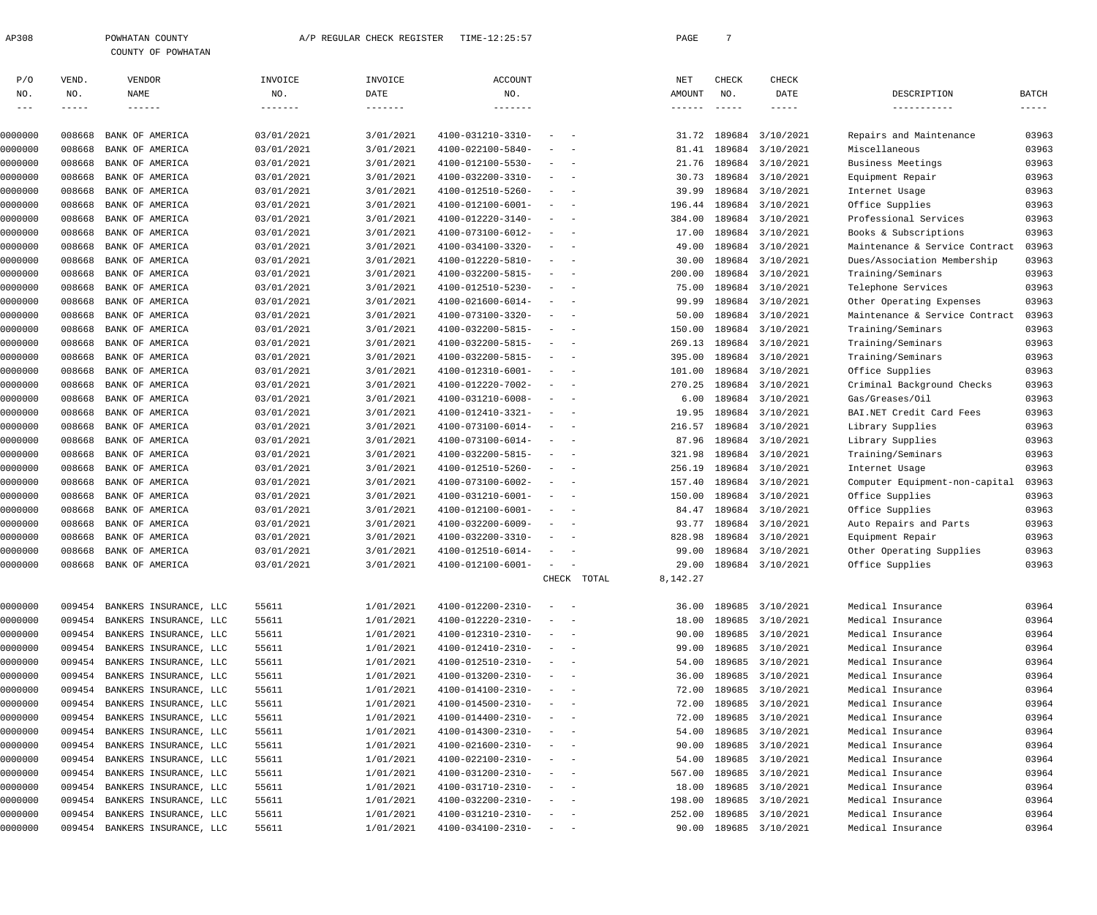| 308 | POWHATAN COUNTY    |
|-----|--------------------|
|     | COUNTY OF POWHATAN |

| P/O     | VEND.  | VENDOR                        | INVOICE    | INVOICE   | ACCOUNT           |                                                      |       | NET      | CHECK         | CHECK                  |                                |             |
|---------|--------|-------------------------------|------------|-----------|-------------------|------------------------------------------------------|-------|----------|---------------|------------------------|--------------------------------|-------------|
| NO.     | NO.    | <b>NAME</b>                   | NO.        | DATE      | NO.               |                                                      |       | AMOUNT   | NO.           | DATE                   | DESCRIPTION                    | BATCH       |
| $--\,-$ | -----  |                               | -------    | -------   | $- - - - - - -$   |                                                      |       | ------   | $- - - - - -$ |                        | -----------                    | $- - - - -$ |
| 0000000 | 008668 | BANK OF AMERICA               | 03/01/2021 | 3/01/2021 | 4100-031210-3310- | $\overline{\phantom{0}}$                             |       | 31.72    | 189684        | 3/10/2021              | Repairs and Maintenance        | 03963       |
| 0000000 | 008668 | BANK OF AMERICA               | 03/01/2021 | 3/01/2021 | 4100-022100-5840- |                                                      |       | 81.41    | 189684        | 3/10/2021              | Miscellaneous                  | 03963       |
| 0000000 | 008668 | BANK OF AMERICA               | 03/01/2021 | 3/01/2021 | 4100-012100-5530- |                                                      |       | 21.76    | 189684        | 3/10/2021              | Business Meetings              | 03963       |
| 0000000 | 008668 | BANK OF AMERICA               | 03/01/2021 | 3/01/2021 | 4100-032200-3310- |                                                      |       | 30.73    | 189684        | 3/10/2021              | Equipment Repair               | 03963       |
| 0000000 | 008668 | BANK OF AMERICA               | 03/01/2021 | 3/01/2021 | 4100-012510-5260- |                                                      |       | 39.99    | 189684        | 3/10/2021              | Internet Usage                 | 03963       |
| 0000000 | 008668 | BANK OF AMERICA               | 03/01/2021 | 3/01/2021 | 4100-012100-6001- |                                                      |       | 196.44   | 189684        | 3/10/2021              | Office Supplies                | 03963       |
| 0000000 | 008668 | BANK OF AMERICA               | 03/01/2021 | 3/01/2021 | 4100-012220-3140- |                                                      |       | 384.00   | 189684        | 3/10/2021              | Professional Services          | 03963       |
| 0000000 | 008668 | BANK OF AMERICA               | 03/01/2021 | 3/01/2021 | 4100-073100-6012- |                                                      |       | 17.00    | 189684        | 3/10/2021              | Books & Subscriptions          | 03963       |
| 0000000 | 008668 | BANK OF AMERICA               | 03/01/2021 | 3/01/2021 | 4100-034100-3320- |                                                      |       | 49.00    | 189684        | 3/10/2021              | Maintenance & Service Contract | 03963       |
| 0000000 | 008668 | BANK OF AMERICA               | 03/01/2021 | 3/01/2021 | 4100-012220-5810- |                                                      |       | 30.00    | 189684        | 3/10/2021              | Dues/Association Membership    | 03963       |
| 0000000 | 008668 | BANK OF AMERICA               | 03/01/2021 | 3/01/2021 | 4100-032200-5815- |                                                      |       | 200.00   | 189684        | 3/10/2021              | Training/Seminars              | 03963       |
| 0000000 | 008668 | BANK OF AMERICA               | 03/01/2021 | 3/01/2021 | 4100-012510-5230- |                                                      |       | 75.00    | 189684        | 3/10/2021              | Telephone Services             | 03963       |
| 0000000 | 008668 | BANK OF AMERICA               | 03/01/2021 | 3/01/2021 | 4100-021600-6014- |                                                      |       | 99.99    | 189684        | 3/10/2021              | Other Operating Expenses       | 03963       |
| 0000000 | 008668 | BANK OF AMERICA               | 03/01/2021 | 3/01/2021 | 4100-073100-3320- |                                                      |       | 50.00    | 189684        | 3/10/2021              | Maintenance & Service Contract | 03963       |
| 0000000 | 008668 | BANK OF AMERICA               | 03/01/2021 | 3/01/2021 | 4100-032200-5815- |                                                      |       | 150.00   | 189684        | 3/10/2021              | Training/Seminars              | 03963       |
| 0000000 | 008668 | BANK OF AMERICA               | 03/01/2021 | 3/01/2021 | 4100-032200-5815- |                                                      |       | 269.13   | 189684        | 3/10/2021              | Training/Seminars              | 03963       |
| 0000000 | 008668 | BANK OF AMERICA               | 03/01/2021 | 3/01/2021 |                   |                                                      |       | 395.00   | 189684        | 3/10/2021              |                                | 03963       |
| 0000000 | 008668 |                               | 03/01/2021 | 3/01/2021 | 4100-032200-5815- |                                                      |       | 101.00   | 189684        | 3/10/2021              | Training/Seminars              | 03963       |
|         | 008668 | BANK OF AMERICA               |            |           | 4100-012310-6001- |                                                      |       |          | 189684        |                        | Office Supplies                |             |
| 0000000 | 008668 | BANK OF AMERICA               | 03/01/2021 | 3/01/2021 | 4100-012220-7002- |                                                      |       | 270.25   | 189684        | 3/10/2021              | Criminal Background Checks     | 03963       |
| 0000000 |        | BANK OF AMERICA               | 03/01/2021 | 3/01/2021 | 4100-031210-6008- |                                                      |       | 6.00     |               | 3/10/2021              | Gas/Greases/Oil                | 03963       |
| 0000000 | 008668 | BANK OF AMERICA               | 03/01/2021 | 3/01/2021 | 4100-012410-3321- |                                                      |       | 19.95    | 189684        | 3/10/2021              | BAI.NET Credit Card Fees       | 03963       |
| 0000000 | 008668 | BANK OF AMERICA               | 03/01/2021 | 3/01/2021 | 4100-073100-6014- |                                                      |       | 216.57   | 189684        | 3/10/2021              | Library Supplies               | 03963       |
| 0000000 | 008668 | BANK OF AMERICA               | 03/01/2021 | 3/01/2021 | 4100-073100-6014- |                                                      |       | 87.96    | 189684        | 3/10/2021              | Library Supplies               | 03963       |
| 0000000 | 008668 | BANK OF AMERICA               | 03/01/2021 | 3/01/2021 | 4100-032200-5815- |                                                      |       | 321.98   | 189684        | 3/10/2021              | Training/Seminars              | 03963       |
| 0000000 | 008668 | BANK OF AMERICA               | 03/01/2021 | 3/01/2021 | 4100-012510-5260- |                                                      |       | 256.19   | 189684        | 3/10/2021              | Internet Usage                 | 03963       |
| 0000000 | 008668 | BANK OF AMERICA               | 03/01/2021 | 3/01/2021 | 4100-073100-6002- |                                                      |       | 157.40   | 189684        | 3/10/2021              | Computer Equipment-non-capital | 03963       |
| 0000000 | 008668 | BANK OF AMERICA               | 03/01/2021 | 3/01/2021 | 4100-031210-6001- |                                                      |       | 150.00   | 189684        | 3/10/2021              | Office Supplies                | 03963       |
| 0000000 | 008668 | BANK OF AMERICA               | 03/01/2021 | 3/01/2021 | 4100-012100-6001- |                                                      |       | 84.47    | 189684        | 3/10/2021              | Office Supplies                | 03963       |
| 0000000 | 008668 | BANK OF AMERICA               | 03/01/2021 | 3/01/2021 | 4100-032200-6009- |                                                      |       | 93.77    | 189684        | 3/10/2021              | Auto Repairs and Parts         | 03963       |
| 0000000 | 008668 | BANK OF AMERICA               | 03/01/2021 | 3/01/2021 | 4100-032200-3310- |                                                      |       | 828.98   | 189684        | 3/10/2021              | Equipment Repair               | 03963       |
| 0000000 | 008668 | BANK OF AMERICA               | 03/01/2021 | 3/01/2021 | 4100-012510-6014- |                                                      |       | 99.00    | 189684        | 3/10/2021              | Other Operating Supplies       | 03963       |
| 0000000 | 008668 | BANK OF AMERICA               | 03/01/2021 | 3/01/2021 | 4100-012100-6001- | $\sim$                                               |       | 29.00    | 189684        | 3/10/2021              | Office Supplies                | 03963       |
|         |        |                               |            |           |                   | CHECK                                                | TOTAL | 8,142.27 |               |                        |                                |             |
| 0000000 |        | 009454 BANKERS INSURANCE, LLC | 55611      | 1/01/2021 | 4100-012200-2310- | $\sim$                                               |       |          |               | 36.00 189685 3/10/2021 | Medical Insurance              | 03964       |
| 0000000 | 009454 | BANKERS INSURANCE, LLC        | 55611      | 1/01/2021 | 4100-012220-2310- |                                                      |       | 18.00    | 189685        | 3/10/2021              | Medical Insurance              | 03964       |
| 0000000 |        | 009454 BANKERS INSURANCE, LLC | 55611      | 1/01/2021 | 4100-012310-2310- | $\overline{\phantom{a}}$<br>$\overline{\phantom{a}}$ |       | 90.00    |               | 189685 3/10/2021       | Medical Insurance              | 03964       |
| 0000000 | 009454 | BANKERS INSURANCE, LLC        | 55611      | 1/01/2021 | 4100-012410-2310- |                                                      |       | 99.00    |               | 189685 3/10/2021       | Medical Insurance              | 03964       |
| 0000000 |        | 009454 BANKERS INSURANCE, LLC | 55611      | 1/01/2021 | 4100-012510-2310- | $\sim$<br>$\overline{\phantom{a}}$                   |       | 54.00    |               | 189685 3/10/2021       | Medical Insurance              | 03964       |
| 0000000 | 009454 | BANKERS INSURANCE, LLC        | 55611      | 1/01/2021 | 4100-013200-2310- |                                                      |       | 36.00    |               | 189685 3/10/2021       | Medical Insurance              | 03964       |
| 0000000 |        | 009454 BANKERS INSURANCE, LLC | 55611      | 1/01/2021 | 4100-014100-2310- | $\overline{\phantom{a}}$<br>$\overline{\phantom{a}}$ |       | 72.00    |               | 189685 3/10/2021       | Medical Insurance              | 03964       |
| 0000000 | 009454 | BANKERS INSURANCE, LLC        | 55611      | 1/01/2021 | 4100-014500-2310- | $\overline{\phantom{0}}$                             |       | 72.00    |               | 189685 3/10/2021       | Medical Insurance              | 03964       |
| 0000000 |        | 009454 BANKERS INSURANCE, LLC | 55611      | 1/01/2021 | 4100-014400-2310- | $\overline{\phantom{m}}$<br>$\overline{\phantom{0}}$ |       | 72.00    |               | 189685 3/10/2021       | Medical Insurance              | 03964       |
| 0000000 | 009454 | BANKERS INSURANCE, LLC        | 55611      | 1/01/2021 | 4100-014300-2310- | $\overline{\phantom{a}}$                             |       | 54.00    |               | 189685 3/10/2021       | Medical Insurance              | 03964       |
| 0000000 |        | 009454 BANKERS INSURANCE, LLC | 55611      | 1/01/2021 | 4100-021600-2310- | $\overline{\phantom{0}}$                             |       | 90.00    |               | 189685 3/10/2021       | Medical Insurance              | 03964       |
| 0000000 | 009454 | BANKERS INSURANCE, LLC        | 55611      | 1/01/2021 | 4100-022100-2310- | $\overline{\phantom{m}}$<br>$\overline{\phantom{a}}$ |       | 54.00    |               | 189685 3/10/2021       | Medical Insurance              | 03964       |
| 0000000 | 009454 | BANKERS INSURANCE, LLC        | 55611      | 1/01/2021 | 4100-031200-2310- | $\overline{\phantom{0}}$                             |       | 567.00   |               | 189685 3/10/2021       | Medical Insurance              | 03964       |
| 0000000 | 009454 | BANKERS INSURANCE, LLC        | 55611      | 1/01/2021 | 4100-031710-2310- | $\overline{\phantom{m}}$<br>$\overline{\phantom{a}}$ |       | 18.00    |               | 189685 3/10/2021       | Medical Insurance              | 03964       |
| 0000000 | 009454 | BANKERS INSURANCE, LLC        | 55611      | 1/01/2021 | 4100-032200-2310- |                                                      |       | 198.00   |               | 189685 3/10/2021       | Medical Insurance              | 03964       |
| 0000000 |        | 009454 BANKERS INSURANCE, LLC | 55611      | 1/01/2021 | 4100-031210-2310- | $\overline{\phantom{a}}$<br>$\overline{\phantom{a}}$ |       | 252.00   |               | 189685 3/10/2021       | Medical Insurance              | 03964       |
| 0000000 |        | 009454 BANKERS INSURANCE, LLC | 55611      | 1/01/2021 | 4100-034100-2310- | $\alpha = 1, \ldots, \alpha$                         |       |          |               | 90.00 189685 3/10/2021 | Medical Insurance              | 03964       |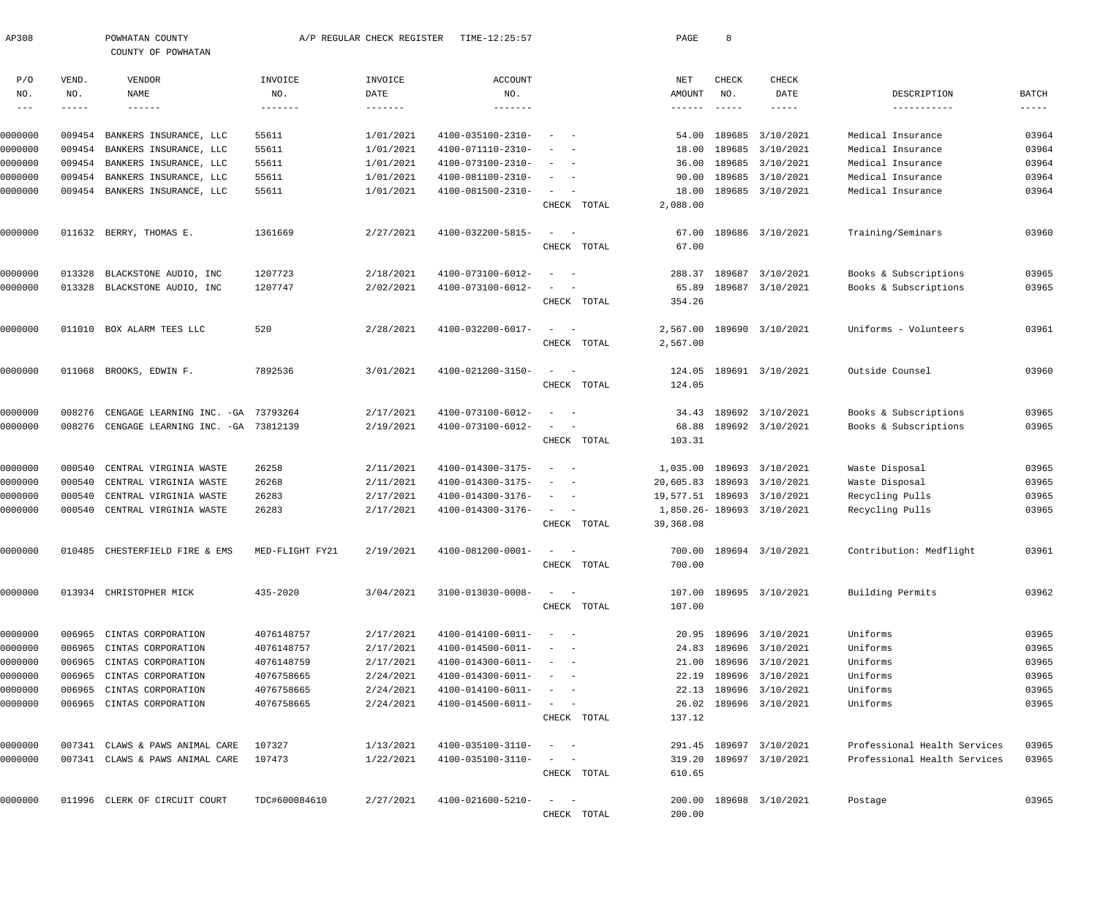| AP308          |                    | POWHATAN COUNTY<br>COUNTY OF POWHATAN          |                | A/P REGULAR CHECK REGISTER | TIME-12:25:57                |                                                                             |             | PAGE                      | 8                    |                            |                              |                   |
|----------------|--------------------|------------------------------------------------|----------------|----------------------------|------------------------------|-----------------------------------------------------------------------------|-------------|---------------------------|----------------------|----------------------------|------------------------------|-------------------|
| P/O            | VEND.              | VENDOR                                         | INVOICE        | INVOICE                    | <b>ACCOUNT</b>               |                                                                             |             | NET                       | CHECK                | CHECK                      |                              |                   |
| NO.<br>$--\,-$ | NO.<br>$--- - - -$ | NAME<br>$- - - - - - -$                        | NO.<br>------- | DATE<br>$- - - - - - - -$  | NO.<br>$- - - - - - -$       |                                                                             |             | AMOUNT<br>$- - - - - - -$ | NO.<br>$- - - - - -$ | DATE<br>$--- - - -$        | DESCRIPTION<br>-----------   | BATCH<br>$------$ |
| 0000000        | 009454             | BANKERS INSURANCE, LLC                         | 55611          | 1/01/2021                  | 4100-035100-2310-            |                                                                             |             | 54.00                     | 189685               | 3/10/2021                  | Medical Insurance            | 03964             |
| 0000000        | 009454             | BANKERS INSURANCE, LLC                         | 55611          | 1/01/2021                  | 4100-071110-2310-            |                                                                             |             | 18.00                     |                      | 189685 3/10/2021           | Medical Insurance            | 03964             |
| 0000000        | 009454             | BANKERS INSURANCE, LLC                         | 55611          | 1/01/2021                  | 4100-073100-2310-            |                                                                             |             | 36.00                     |                      | 189685 3/10/2021           | Medical Insurance            | 03964             |
| 0000000        | 009454             | BANKERS INSURANCE, LLC                         | 55611          | 1/01/2021                  | 4100-081100-2310-            | $\sim$                                                                      |             | 90.00                     |                      | 189685 3/10/2021           | Medical Insurance            | 03964             |
| 0000000        |                    | 009454 BANKERS INSURANCE, LLC                  | 55611          | 1/01/2021                  | 4100-081500-2310-            | $\sim$                                                                      | CHECK TOTAL | 18.00<br>2,088.00         |                      | 189685 3/10/2021           | Medical Insurance            | 03964             |
| 0000000        |                    | 011632 BERRY, THOMAS E.                        | 1361669        | 2/27/2021                  | 4100-032200-5815-            | $\sim$<br>$\overline{\phantom{0}}$                                          |             | 67.00                     |                      | 189686 3/10/2021           | Training/Seminars            | 03960             |
|                |                    |                                                |                |                            |                              |                                                                             | CHECK TOTAL | 67.00                     |                      |                            |                              |                   |
| 0000000        | 013328             | BLACKSTONE AUDIO, INC                          | 1207723        | 2/18/2021                  | 4100-073100-6012-            | $\sim$ $-$                                                                  |             | 288.37                    | 189687               | 3/10/2021                  | Books & Subscriptions        | 03965             |
| 0000000        | 013328             | BLACKSTONE AUDIO, INC                          | 1207747        | 2/02/2021                  | 4100-073100-6012-            |                                                                             | CHECK TOTAL | 65.89<br>354.26           |                      | 189687 3/10/2021           | Books & Subscriptions        | 03965             |
| 0000000        | 011010             | BOX ALARM TEES LLC                             | 520            | 2/28/2021                  | 4100-032200-6017-            | $\sim$ $-$                                                                  |             | 2,567.00                  |                      | 189690 3/10/2021           | Uniforms - Volunteers        | 03961             |
|                |                    |                                                |                |                            |                              |                                                                             | CHECK TOTAL | 2,567.00                  |                      |                            |                              |                   |
| 0000000        | 011068             | BROOKS, EDWIN F.                               | 7892536        | 3/01/2021                  | 4100-021200-3150-            |                                                                             | CHECK TOTAL | 124.05<br>124.05          |                      | 189691 3/10/2021           | Outside Counsel              | 03960             |
| 0000000        | 008276             | CENGAGE LEARNING INC. - GA                     | 73793264       | 2/17/2021                  | 4100-073100-6012-            |                                                                             |             | 34.43                     |                      | 189692 3/10/2021           | Books & Subscriptions        | 03965             |
| 0000000        | 008276             | CENGAGE LEARNING INC. - GA 73812139            |                | 2/19/2021                  | 4100-073100-6012-            |                                                                             | CHECK TOTAL | 68.88<br>103.31           |                      | 189692 3/10/2021           | Books & Subscriptions        | 03965             |
| 0000000        | 000540             | CENTRAL VIRGINIA WASTE                         | 26258          | 2/11/2021                  | 4100-014300-3175-            | $\overline{\phantom{0}}$                                                    |             | 1,035.00                  |                      | 189693 3/10/2021           | Waste Disposal               | 03965             |
| 0000000        | 000540             | CENTRAL VIRGINIA WASTE                         | 26268          | 2/11/2021                  | 4100-014300-3175-            | $\sim$ $-$                                                                  |             | 20,605.83                 |                      | 189693 3/10/2021           | Waste Disposal               | 03965             |
| 0000000        | 000540             | CENTRAL VIRGINIA WASTE                         | 26283          | 2/17/2021                  | 4100-014300-3176-            | $\sim$<br>$\sim$ $-$                                                        |             |                           |                      | 19,577.51 189693 3/10/2021 | Recycling Pulls              | 03965             |
| 0000000        | 000540             | CENTRAL VIRGINIA WASTE                         | 26283          | 2/17/2021                  | 4100-014300-3176-            | $\sim$                                                                      | CHECK TOTAL | 39,368.08                 |                      | 1,850.26-189693 3/10/2021  | Recycling Pulls              | 03965             |
| 0000000        |                    | 010485 CHESTERFIELD FIRE & EMS MED-FLIGHT FY21 |                | 2/19/2021                  | 4100-081200-0001-            |                                                                             | CHECK TOTAL | 700.00                    |                      | 700.00 189694 3/10/2021    | Contribution: Medflight      | 03961             |
|                |                    |                                                |                |                            |                              |                                                                             |             |                           |                      |                            |                              |                   |
| 0000000        |                    | 013934 CHRISTOPHER MICK                        | 435-2020       | 3/04/2021                  | 3100-013030-0008-            |                                                                             | CHECK TOTAL | 107.00                    |                      | 107.00 189695 3/10/2021    | Building Permits             | 03962             |
| 0000000        | 006965             | CINTAS CORPORATION                             | 4076148757     | 2/17/2021                  | $4100 - 014100 - 6011 - - -$ |                                                                             |             |                           |                      | 20.95 189696 3/10/2021     | Uniforms                     | 03965             |
| 0000000        | 006965             | CINTAS CORPORATION                             | 4076148757     | 2/17/2021                  | 4100-014500-6011-            | $\sim$ $-$                                                                  |             |                           |                      | 24.83 189696 3/10/2021     | Uniforms                     | 03965             |
| 0000000        | 006965             | CINTAS CORPORATION                             | 4076148759     | 2/17/2021                  | 4100-014300-6011-            | $\alpha \rightarrow \alpha \beta \gamma \gamma \gamma \gamma \gamma \gamma$ |             | 21.00                     |                      | 189696 3/10/2021           | Uniforms                     | 03965             |
| 0000000        | 006965             | CINTAS CORPORATION                             | 4076758665     | 2/24/2021                  | 4100-014300-6011-            | $\alpha = 1$ , $\alpha = 1$                                                 |             |                           |                      | 22.19 189696 3/10/2021     | Uniforms                     | 03965             |
| 0000000        | 006965             | CINTAS CORPORATION                             | 4076758665     | 2/24/2021                  | 4100-014100-6011-            | $\alpha = 1, \ldots, n-1$                                                   |             |                           |                      | 22.13 189696 3/10/2021     | Uniforms                     | 03965             |
| 0000000        |                    | 006965 CINTAS CORPORATION                      | 4076758665     | 2/24/2021                  | 4100-014500-6011-            | $\alpha = 1, \ldots, n-1$                                                   | CHECK TOTAL | 26.02<br>137.12           |                      | 189696 3/10/2021           | Uniforms                     | 03965             |
| 0000000        |                    | 007341 CLAWS & PAWS ANIMAL CARE                | 107327         | 1/13/2021                  | 4100-035100-3110-            | $\sim$ $-$                                                                  |             |                           |                      | 291.45 189697 3/10/2021    | Professional Health Services | 03965             |
| 0000000        |                    | 007341 CLAWS & PAWS ANIMAL CARE                | 107473         | 1/22/2021                  | 4100-035100-3110-            | $\sim$ $  -$                                                                |             | 319.20                    |                      | 189697 3/10/2021           | Professional Health Services | 03965             |
|                |                    |                                                |                |                            |                              |                                                                             | CHECK TOTAL | 610.65                    |                      |                            |                              |                   |
| 0000000        |                    | 011996 CLERK OF CIRCUIT COURT                  | TDC#600084610  | 2/27/2021                  | 4100-021600-5210-            | $\sim$ $-$                                                                  |             |                           |                      | 200.00 189698 3/10/2021    | Postage                      | 03965             |
|                |                    |                                                |                |                            |                              |                                                                             | CHECK TOTAL | 200.00                    |                      |                            |                              |                   |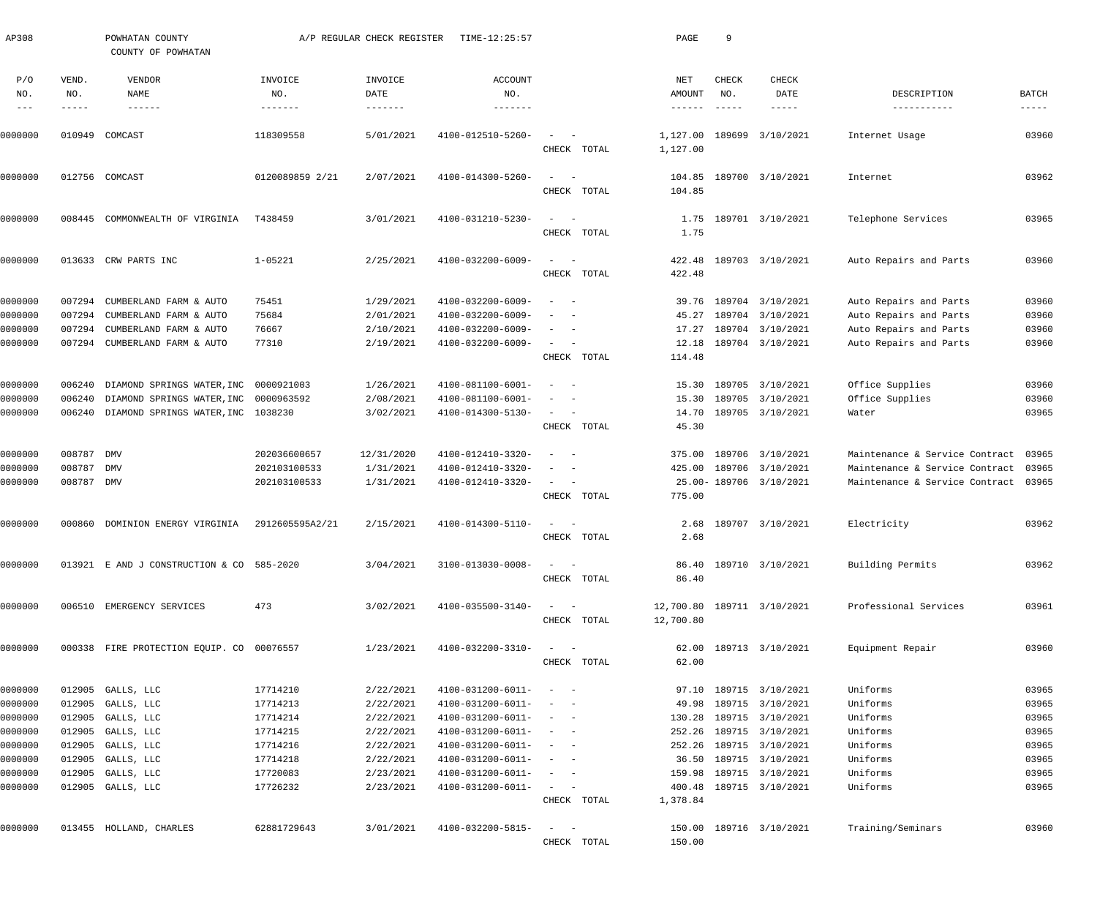| AP308                       |                       | POWHATAN COUNTY<br>COUNTY OF POWHATAN            |                            | A/P REGULAR CHECK REGISTER | TIME-12:25:57                          |                                                   | PAGE                             | 9                             |                                      |                                                  |                        |
|-----------------------------|-----------------------|--------------------------------------------------|----------------------------|----------------------------|----------------------------------------|---------------------------------------------------|----------------------------------|-------------------------------|--------------------------------------|--------------------------------------------------|------------------------|
| P/O<br>NO.<br>$\frac{1}{2}$ | VEND.<br>NO.<br>----- | VENDOR<br>NAME<br>$- - - - - - -$                | INVOICE<br>NO.<br>-------- | INVOICE<br>DATE            | ACCOUNT<br>NO.                         |                                                   | NET<br>AMOUNT<br>$- - - - - - -$ | CHECK<br>NO.<br>$\frac{1}{2}$ | <b>CHECK</b><br>DATE<br>$- - - - -$  | DESCRIPTION<br>-----------                       | BATCH<br>$- - - - - -$ |
| 0000000                     | 010949                | COMCAST                                          | 118309558                  | 5/01/2021                  | 4100-012510-5260-                      | $\sim$<br>CHECK TOTAL                             | 1,127.00<br>1,127.00             | 189699                        | 3/10/2021                            | Internet Usage                                   | 03960                  |
| 0000000                     |                       | 012756 COMCAST                                   | 0120089859 2/21            | 2/07/2021                  | 4100-014300-5260-                      | $\equiv$<br>CHECK TOTAL                           | 104.85<br>104.85                 |                               | 189700 3/10/2021                     | Internet                                         | 03962                  |
| 0000000                     | 008445                | COMMONWEALTH OF VIRGINIA                         | T438459                    | 3/01/2021                  | 4100-031210-5230-                      | $\equiv$<br>CHECK TOTAL                           | 1.75<br>1.75                     |                               | 189701 3/10/2021                     | Telephone Services                               | 03965                  |
| 0000000                     |                       | 013633 CRW PARTS INC                             | $1 - 05221$                | 2/25/2021                  | 4100-032200-6009-                      | $\sim$<br>CHECK TOTAL                             | 422.48<br>422.48                 |                               | 189703 3/10/2021                     | Auto Repairs and Parts                           | 03960                  |
| 0000000<br>0000000          | 007294<br>007294      | CUMBERLAND FARM & AUTO<br>CUMBERLAND FARM & AUTO | 75451<br>75684             | 1/29/2021<br>2/01/2021     | 4100-032200-6009-<br>4100-032200-6009- | $\overline{\phantom{a}}$                          | 39.76<br>45.27                   |                               | 189704 3/10/2021<br>189704 3/10/2021 | Auto Repairs and Parts<br>Auto Repairs and Parts | 03960<br>03960         |
| 0000000                     | 007294                | CUMBERLAND FARM & AUTO                           | 76667                      | 2/10/2021                  | 4100-032200-6009-                      |                                                   | 17.27                            |                               | 189704 3/10/2021                     | Auto Repairs and Parts                           | 03960                  |
| 0000000                     |                       | 007294 CUMBERLAND FARM & AUTO                    | 77310                      | 2/19/2021                  | 4100-032200-6009-                      | $\sim$                                            | 12.18                            |                               | 189704 3/10/2021                     | Auto Repairs and Parts                           | 03960                  |
|                             |                       |                                                  |                            |                            |                                        | CHECK TOTAL                                       | 114.48                           |                               |                                      |                                                  |                        |
| 0000000                     | 006240                | DIAMOND SPRINGS WATER, INC 0000921003            |                            | 1/26/2021                  | 4100-081100-6001-                      | $\overline{\phantom{a}}$                          | 15.30                            |                               | 189705 3/10/2021                     | Office Supplies                                  | 03960                  |
| 0000000                     | 006240                | DIAMOND SPRINGS WATER, INC 0000963592            |                            | 2/08/2021                  | 4100-081100-6001-                      |                                                   | 15.30                            |                               | 189705 3/10/2021                     | Office Supplies                                  | 03960                  |
| 0000000                     | 006240                | DIAMOND SPRINGS WATER, INC 1038230               |                            | 3/02/2021                  | 4100-014300-5130-                      | $\sim$                                            | 14.70                            |                               | 189705 3/10/2021                     | Water                                            | 03965                  |
|                             |                       |                                                  |                            |                            |                                        | CHECK TOTAL                                       | 45.30                            |                               |                                      |                                                  |                        |
| 0000000                     | 008787                | <b>DMV</b>                                       | 202036600657               | 12/31/2020                 | 4100-012410-3320-                      | $\sim$                                            | 375.00                           |                               | 189706 3/10/2021                     | Maintenance & Service Contract                   | 03965                  |
| 0000000                     | 008787                | <b>DMV</b>                                       | 202103100533               | 1/31/2021                  | 4100-012410-3320-                      | $\overline{\phantom{a}}$                          | 425.00                           |                               | 189706 3/10/2021                     | Maintenance & Service Contract                   | 03965                  |
| 0000000                     | 008787 DMV            |                                                  | 202103100533               | 1/31/2021                  | 4100-012410-3320-                      | $\sim$ 100 $\mu$<br>$\hspace{0.1mm}$              |                                  |                               | 25.00-189706 3/10/2021               | Maintenance & Service Contract 03965             |                        |
|                             |                       |                                                  |                            |                            |                                        | CHECK TOTAL                                       | 775.00                           |                               |                                      |                                                  |                        |
| 0000000                     | 000860                | DOMINION ENERGY VIRGINIA                         | 2912605595A2/21            | 2/15/2021                  | 4100-014300-5110-                      | $\sim$                                            | 2.68                             |                               | 189707 3/10/2021                     | Electricity                                      | 03962                  |
|                             |                       |                                                  |                            |                            |                                        | CHECK TOTAL                                       | 2.68                             |                               |                                      |                                                  |                        |
| 0000000                     |                       | 013921 E AND J CONSTRUCTION & CO 585-2020        |                            | 3/04/2021                  | 3100-013030-0008-                      | $\sim$ $  -$                                      |                                  |                               | 86.40 189710 3/10/2021               | Building Permits                                 | 03962                  |
|                             |                       |                                                  |                            |                            |                                        | CHECK TOTAL                                       | 86.40                            |                               |                                      |                                                  |                        |
| 0000000                     |                       | 006510 EMERGENCY SERVICES                        | 473                        | 3/02/2021                  | 4100-035500-3140-                      | $\frac{1}{2}$ and $\frac{1}{2}$ and $\frac{1}{2}$ |                                  |                               | 12,700.80 189711 3/10/2021           | Professional Services                            | 03961                  |
|                             |                       |                                                  |                            |                            |                                        | CHECK TOTAL                                       | 12,700.80                        |                               |                                      |                                                  |                        |
| 0000000                     |                       | 000338 FIRE PROTECTION EQUIP. CO 00076557        |                            | 1/23/2021                  | 4100-032200-3310-                      | $\frac{1}{2}$ and $\frac{1}{2}$ and $\frac{1}{2}$ |                                  |                               | 62.00 189713 3/10/2021               | Equipment Repair                                 | 03960                  |
|                             |                       |                                                  |                            |                            |                                        | CHECK TOTAL                                       | 62.00                            |                               |                                      |                                                  |                        |
| 0000000                     |                       | 012905 GALLS, LLC                                | 17714210                   | 2/22/2021                  | 4100-031200-6011-                      | $\sim$ $  -$                                      |                                  |                               | 97.10 189715 3/10/2021               | Uniforms                                         | 03965                  |
| 0000000                     |                       | 012905 GALLS, LLC                                | 17714213                   | 2/22/2021                  | 4100-031200-6011-                      | $\sim$ $  -$                                      | 49.98                            |                               | 189715 3/10/2021                     | Uniforms                                         | 03965                  |
| 0000000                     |                       | 012905 GALLS, LLC                                | 17714214                   | 2/22/2021                  | 4100-031200-6011-                      | $\sim$ $  -$                                      | 130.28                           |                               | 189715 3/10/2021                     | Uniforms                                         | 03965                  |
| 0000000                     |                       | 012905 GALLS, LLC                                | 17714215                   | 2/22/2021                  | 4100-031200-6011-                      | $\sim$ $ -$                                       | 252.26                           |                               | 189715 3/10/2021                     | Uniforms                                         | 03965                  |
| 0000000                     |                       | 012905 GALLS, LLC                                | 17714216                   | 2/22/2021                  | 4100-031200-6011-                      | $\sim$ $ -$                                       | 252.26                           |                               | 189715 3/10/2021                     | Uniforms                                         | 03965                  |
| 0000000                     |                       | 012905 GALLS, LLC                                | 17714218                   | 2/22/2021                  | 4100-031200-6011-                      | $\sim$ $ -$                                       | 36.50                            |                               | 189715 3/10/2021                     | Uniforms                                         | 03965                  |
| 0000000                     |                       | 012905 GALLS, LLC                                | 17720083                   | 2/23/2021                  | 4100-031200-6011-                      | $\sim$ $ -$                                       | 159.98                           |                               | 189715 3/10/2021                     | Uniforms                                         | 03965                  |
| 0000000                     |                       | 012905 GALLS, LLC                                | 17726232                   | 2/23/2021                  | 4100-031200-6011-                      | $\sim$ $ -$                                       | 400.48                           |                               | 189715 3/10/2021                     | Uniforms                                         | 03965                  |
|                             |                       |                                                  |                            |                            |                                        | CHECK TOTAL                                       | 1,378.84                         |                               |                                      |                                                  |                        |
| 0000000                     |                       | 013455 HOLLAND, CHARLES                          | 62881729643                | 3/01/2021                  | 4100-032200-5815-                      | $\frac{1}{2}$ and $\frac{1}{2}$ and $\frac{1}{2}$ |                                  |                               | 150.00 189716 3/10/2021              | Training/Seminars                                | 03960                  |
|                             |                       |                                                  |                            |                            |                                        | CHECK TOTAL                                       | 150.00                           |                               |                                      |                                                  |                        |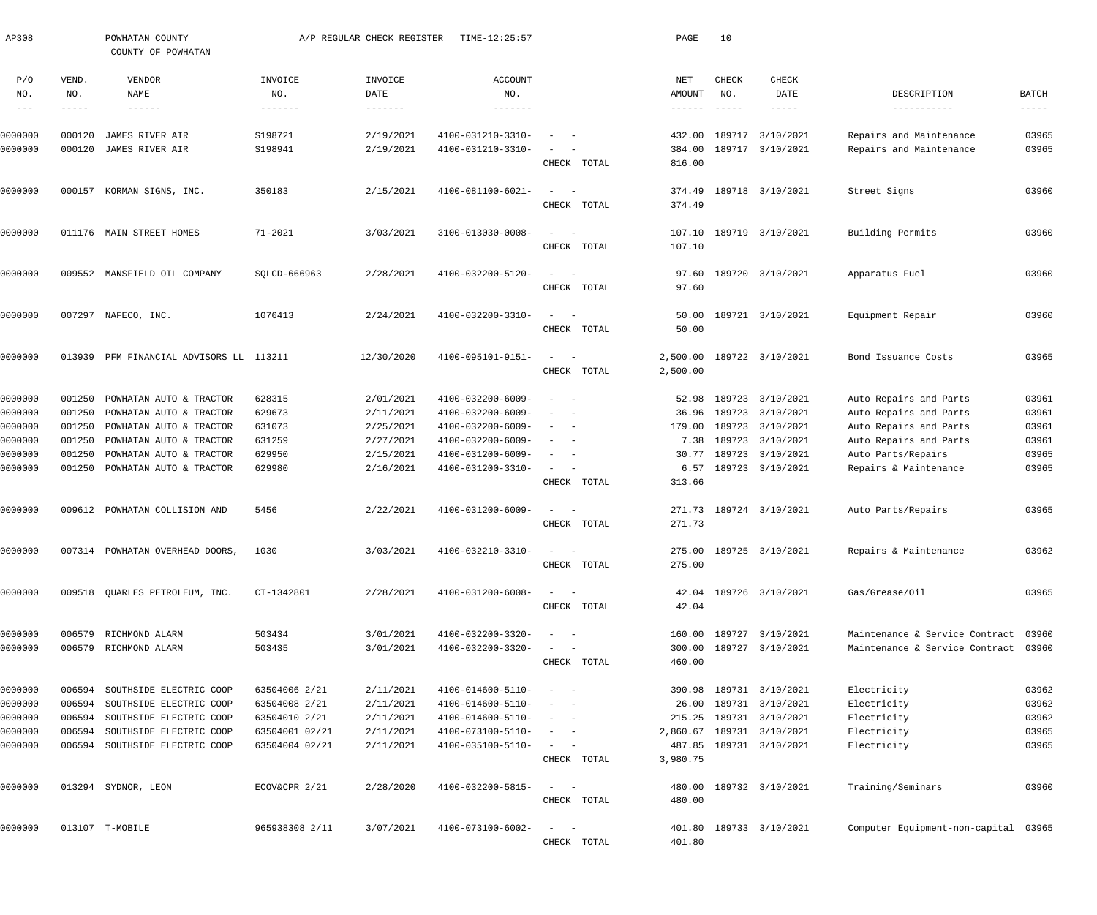| AP308                      |              | POWHATAN COUNTY<br>COUNTY OF POWHATAN |                | A/P REGULAR CHECK REGISTER | TIME-12:25:57                |                                                   |             | PAGE          | 10                        |                         |                                      |               |
|----------------------------|--------------|---------------------------------------|----------------|----------------------------|------------------------------|---------------------------------------------------|-------------|---------------|---------------------------|-------------------------|--------------------------------------|---------------|
| P/O<br>NO.                 | VEND.<br>NO. | VENDOR<br>NAME                        | INVOICE<br>NO. | INVOICE<br>DATE            | ACCOUNT<br>NO.               |                                                   |             | NET<br>AMOUNT | CHECK<br>NO.              | CHECK<br>DATE           | DESCRIPTION                          | BATCH         |
| $\qquad \qquad - \qquad -$ | -----        | $- - - - - - -$                       | -------        | $- - - - - - - -$          | -------                      |                                                   |             | ------        | $\qquad \qquad - - - - -$ | -----                   | -----------                          | $- - - - - -$ |
| 0000000                    | 000120       | JAMES RIVER AIR                       | S198721        | 2/19/2021                  | 4100-031210-3310-            |                                                   |             | 432.00        | 189717                    | 3/10/2021               | Repairs and Maintenance              | 03965         |
| 0000000                    | 000120       | JAMES RIVER AIR                       | S198941        | 2/19/2021                  | 4100-031210-3310-            |                                                   |             | 384.00        |                           | 189717 3/10/2021        | Repairs and Maintenance              | 03965         |
|                            |              |                                       |                |                            |                              |                                                   | CHECK TOTAL | 816.00        |                           |                         |                                      |               |
| 0000000                    |              | 000157 KORMAN SIGNS, INC.             | 350183         | 2/15/2021                  | 4100-081100-6021-            | $\sim$<br>$\sim$ $-$                              |             | 374.49        |                           | 189718 3/10/2021        | Street Signs                         | 03960         |
|                            |              |                                       |                |                            |                              |                                                   | CHECK TOTAL | 374.49        |                           |                         |                                      |               |
| 0000000                    | 011176       | MAIN STREET HOMES                     | $71 - 2021$    | 3/03/2021                  | 3100-013030-0008-            | $\sim$<br>- -                                     |             | 107.10        |                           | 189719 3/10/2021        | Building Permits                     | 03960         |
|                            |              |                                       |                |                            |                              |                                                   | CHECK TOTAL | 107.10        |                           |                         |                                      |               |
| 0000000                    |              | 009552 MANSFIELD OIL COMPANY          | SOLCD-666963   | 2/28/2021                  | 4100-032200-5120-            | $\sim$                                            |             | 97.60         |                           | 189720 3/10/2021        |                                      | 03960         |
|                            |              |                                       |                |                            |                              |                                                   | CHECK TOTAL | 97.60         |                           |                         | Apparatus Fuel                       |               |
|                            |              |                                       |                |                            |                              |                                                   |             |               |                           |                         |                                      |               |
| 0000000                    |              | 007297 NAFECO, INC.                   | 1076413        | 2/24/2021                  | 4100-032200-3310-            | $\sim$<br>$\overline{\phantom{a}}$                |             | 50.00         |                           | 189721 3/10/2021        | Equipment Repair                     | 03960         |
|                            |              |                                       |                |                            |                              |                                                   | CHECK TOTAL | 50.00         |                           |                         |                                      |               |
| 0000000                    | 013939       | PFM FINANCIAL ADVISORS LL 113211      |                | 12/30/2020                 | 4100-095101-9151-            | $\sim$<br>$\sim$                                  |             | 2,500.00      |                           | 189722 3/10/2021        | Bond Issuance Costs                  | 03965         |
|                            |              |                                       |                |                            |                              |                                                   | CHECK TOTAL | 2,500.00      |                           |                         |                                      |               |
| 0000000                    | 001250       | POWHATAN AUTO & TRACTOR               | 628315         | 2/01/2021                  | 4100-032200-6009-            | - -                                               |             | 52.98         | 189723                    | 3/10/2021               | Auto Repairs and Parts               | 03961         |
| 0000000                    | 001250       | POWHATAN AUTO & TRACTOR               | 629673         | 2/11/2021                  | 4100-032200-6009-            |                                                   |             | 36.96         | 189723                    | 3/10/2021               | Auto Repairs and Parts               | 03961         |
| 0000000                    | 001250       | POWHATAN AUTO & TRACTOR               | 631073         | 2/25/2021                  | 4100-032200-6009-            |                                                   |             | 179.00        | 189723                    | 3/10/2021               | Auto Repairs and Parts               | 03961         |
| 0000000                    | 001250       | POWHATAN AUTO & TRACTOR               | 631259         | 2/27/2021                  | 4100-032200-6009-            |                                                   |             | 7.38          | 189723                    | 3/10/2021               | Auto Repairs and Parts               | 03961         |
| 0000000                    | 001250       | POWHATAN AUTO & TRACTOR               | 629950         | 2/15/2021                  | 4100-031200-6009-            |                                                   |             | 30.77         | 189723                    | 3/10/2021               | Auto Parts/Repairs                   | 03965         |
| 0000000                    | 001250       | POWHATAN AUTO & TRACTOR               | 629980         | 2/16/2021                  | 4100-031200-3310-            | $\sim$<br>$\sim$                                  |             | 6.57          |                           | 189723 3/10/2021        | Repairs & Maintenance                | 03965         |
|                            |              |                                       |                |                            |                              |                                                   | CHECK TOTAL | 313.66        |                           |                         |                                      |               |
| 0000000                    |              | 009612 POWHATAN COLLISION AND         | 5456           | 2/22/2021                  | 4100-031200-6009-            | $\sim$<br>$\sim$ $-$                              |             |               |                           | 271.73 189724 3/10/2021 | Auto Parts/Repairs                   | 03965         |
|                            |              |                                       |                |                            |                              |                                                   | CHECK TOTAL | 271.73        |                           |                         |                                      |               |
| 0000000                    |              | 007314 POWHATAN OVERHEAD DOORS, 1030  |                | 3/03/2021                  | $4100 - 032210 - 3310 - - -$ |                                                   |             |               |                           | 275.00 189725 3/10/2021 | Repairs & Maintenance                | 03962         |
|                            |              |                                       |                |                            |                              |                                                   | CHECK TOTAL | 275.00        |                           |                         |                                      |               |
|                            |              |                                       |                |                            |                              |                                                   |             |               |                           |                         |                                      |               |
| 0000000                    |              | 009518 QUARLES PETROLEUM, INC.        | CT-1342801     | 2/28/2021                  | 4100-031200-6008-            |                                                   | CHECK TOTAL | 42.04         |                           | 42.04 189726 3/10/2021  | Gas/Grease/Oil                       | 03965         |
|                            |              |                                       |                |                            |                              |                                                   |             |               |                           |                         |                                      |               |
| 0000000                    |              | 006579 RICHMOND ALARM                 | 503434         | 3/01/2021                  | 4100-032200-3320-            |                                                   |             |               |                           | 160.00 189727 3/10/2021 | Maintenance & Service Contract       | 03960         |
| 0000000                    |              | 006579 RICHMOND ALARM                 | 503435         | 3/01/2021                  | 4100-032200-3320-            |                                                   |             | 300.00        |                           | 189727 3/10/2021        | Maintenance & Service Contract       | 03960         |
|                            |              |                                       |                |                            |                              |                                                   | CHECK TOTAL | 460.00        |                           |                         |                                      |               |
| 0000000                    | 006594       | SOUTHSIDE ELECTRIC COOP               | 63504006 2/21  | 2/11/2021                  | 4100-014600-5110-            |                                                   |             |               |                           | 390.98 189731 3/10/2021 | Electricity                          | 03962         |
| 0000000                    | 006594       | SOUTHSIDE ELECTRIC COOP               | 63504008 2/21  | 2/11/2021                  | 4100-014600-5110-            |                                                   |             | 26.00         |                           | 189731 3/10/2021        | Electricity                          | 03962         |
| 0000000                    | 006594       | SOUTHSIDE ELECTRIC COOP               | 63504010 2/21  | 2/11/2021                  | 4100-014600-5110-            |                                                   |             | 215.25        |                           | 189731 3/10/2021        | Electricity                          | 03962         |
| 0000000                    | 006594       | SOUTHSIDE ELECTRIC COOP               | 63504001 02/21 | 2/11/2021                  | 4100-073100-5110-            |                                                   |             | 2,860.67      |                           | 189731 3/10/2021        | Electricity                          | 03965         |
| 0000000                    |              | 006594 SOUTHSIDE ELECTRIC COOP        | 63504004 02/21 | 2/11/2021                  | 4100-035100-5110-            |                                                   |             | 487.85        |                           | 189731 3/10/2021        | Electricity                          | 03965         |
|                            |              |                                       |                |                            |                              |                                                   | CHECK TOTAL | 3,980.75      |                           |                         |                                      |               |
| 0000000                    |              | 013294 SYDNOR, LEON                   | ECOV&CPR 2/21  | 2/28/2020                  | 4100-032200-5815-            | $\sim$                                            |             |               |                           | 480.00 189732 3/10/2021 | Training/Seminars                    | 03960         |
|                            |              |                                       |                |                            |                              |                                                   | CHECK TOTAL | 480.00        |                           |                         |                                      |               |
| 0000000                    |              | 013107 T-MOBILE                       | 965938308 2/11 | 3/07/2021                  | 4100-073100-6002-            | $\frac{1}{2}$ and $\frac{1}{2}$ and $\frac{1}{2}$ |             |               |                           | 401.80 189733 3/10/2021 | Computer Equipment-non-capital 03965 |               |
|                            |              |                                       |                |                            |                              |                                                   | CHECK TOTAL | 401.80        |                           |                         |                                      |               |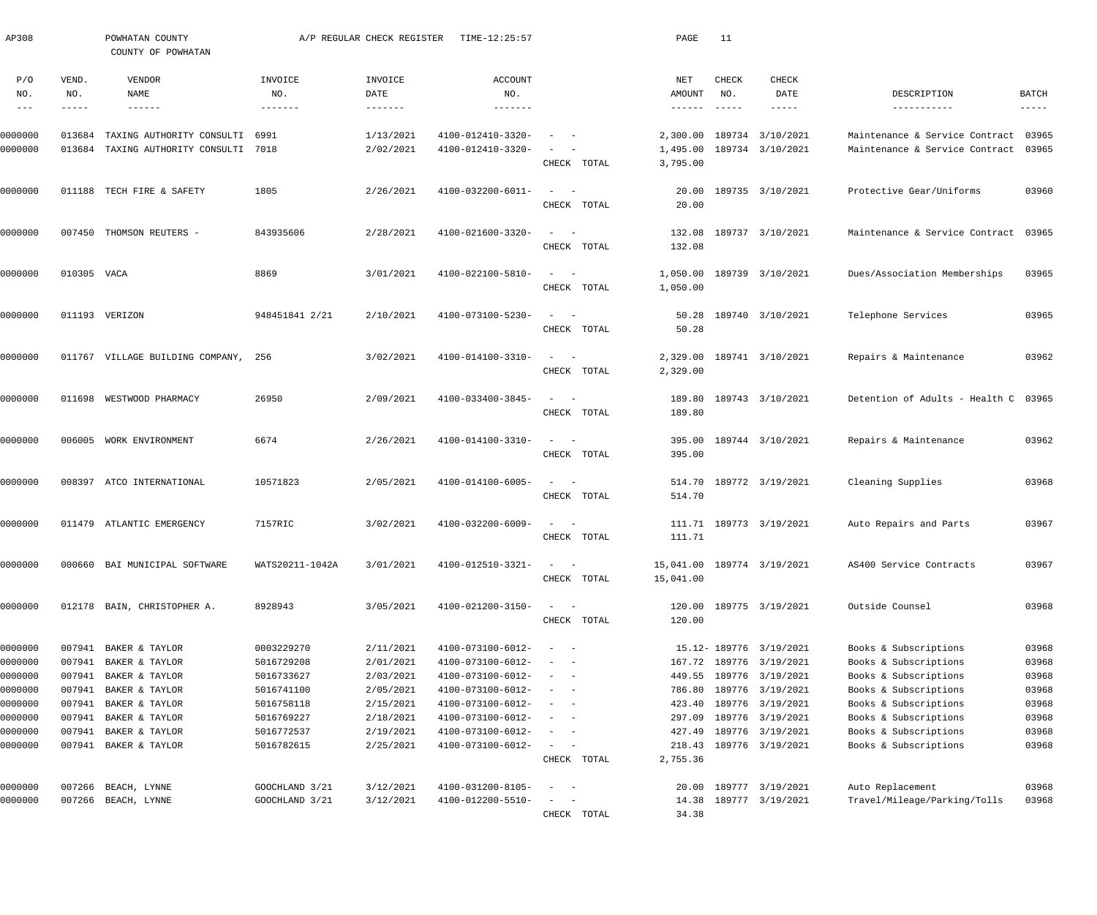| AP308                                                                     |                                                                    | POWHATAN COUNTY<br>COUNTY OF POWHATAN                                                                                      |                                                                                                | A/P REGULAR CHECK REGISTER                                                              | TIME-12:25:57                                                                                                                                   |                                                                                                                                                                                                | PAGE                                 | 11                            |                                                                                                                                                              |                                                                                                                                                                             |                                                             |
|---------------------------------------------------------------------------|--------------------------------------------------------------------|----------------------------------------------------------------------------------------------------------------------------|------------------------------------------------------------------------------------------------|-----------------------------------------------------------------------------------------|-------------------------------------------------------------------------------------------------------------------------------------------------|------------------------------------------------------------------------------------------------------------------------------------------------------------------------------------------------|--------------------------------------|-------------------------------|--------------------------------------------------------------------------------------------------------------------------------------------------------------|-----------------------------------------------------------------------------------------------------------------------------------------------------------------------------|-------------------------------------------------------------|
| P/O<br>NO.<br>$\frac{1}{2}$                                               | VEND.<br>NO.<br>-----                                              | VENDOR<br>NAME<br>$- - - - - -$                                                                                            | INVOICE<br>NO.<br>-------                                                                      | INVOICE<br>DATE                                                                         | ACCOUNT<br>NO.                                                                                                                                  |                                                                                                                                                                                                | NET<br>AMOUNT<br>$- - - - - - -$     | CHECK<br>NO.<br>$- - - - - -$ | CHECK<br>DATE<br>$- - - - - -$                                                                                                                               | DESCRIPTION<br>-----------                                                                                                                                                  | BATCH<br>$- - - - - -$                                      |
| 0000000<br>0000000                                                        | 013684<br>013684                                                   | TAXING AUTHORITY CONSULTI 6991<br>TAXING AUTHORITY CONSULTI 7018                                                           |                                                                                                | 1/13/2021<br>2/02/2021                                                                  | 4100-012410-3320-<br>4100-012410-3320-                                                                                                          | CHECK TOTAL                                                                                                                                                                                    | 2,300.00<br>1,495.00<br>3,795.00     |                               | 189734 3/10/2021<br>189734 3/10/2021                                                                                                                         | Maintenance & Service Contract<br>Maintenance & Service Contract 03965                                                                                                      | 03965                                                       |
| 0000000                                                                   | 011188                                                             | TECH FIRE & SAFETY                                                                                                         | 1805                                                                                           | 2/26/2021                                                                               | 4100-032200-6011-                                                                                                                               | $\qquad \qquad -$<br>CHECK TOTAL                                                                                                                                                               | 20.00<br>20.00                       |                               | 189735 3/10/2021                                                                                                                                             | Protective Gear/Uniforms                                                                                                                                                    | 03960                                                       |
| 0000000                                                                   |                                                                    | 007450 THOMSON REUTERS -                                                                                                   | 843935606                                                                                      | 2/28/2021                                                                               | 4100-021600-3320-                                                                                                                               | $\sim$ $-$<br>$\sim$<br>CHECK TOTAL                                                                                                                                                            | 132.08<br>132.08                     |                               | 189737 3/10/2021                                                                                                                                             | Maintenance & Service Contract 03965                                                                                                                                        |                                                             |
| 0000000                                                                   | 010305 VACA                                                        |                                                                                                                            | 8869                                                                                           | 3/01/2021                                                                               | 4100-022100-5810-                                                                                                                               | $\omega_{\rm{max}}$ and $\omega_{\rm{max}}$<br>CHECK TOTAL                                                                                                                                     | 1,050.00<br>1,050.00                 |                               | 189739 3/10/2021                                                                                                                                             | Dues/Association Memberships                                                                                                                                                | 03965                                                       |
| 0000000                                                                   |                                                                    | 011193 VERIZON                                                                                                             | 948451841 2/21                                                                                 | 2/10/2021                                                                               | 4100-073100-5230-                                                                                                                               | $\sim$<br>$\sim$ $-$<br>CHECK TOTAL                                                                                                                                                            | 50.28<br>50.28                       |                               | 189740 3/10/2021                                                                                                                                             | Telephone Services                                                                                                                                                          | 03965                                                       |
| 0000000                                                                   |                                                                    | 011767 VILLAGE BUILDING COMPANY, 256                                                                                       |                                                                                                | 3/02/2021                                                                               | 4100-014100-3310-                                                                                                                               | $\frac{1}{2} \left( \frac{1}{2} \right) \left( \frac{1}{2} \right) = \frac{1}{2} \left( \frac{1}{2} \right)$<br>CHECK TOTAL                                                                    | 2,329.00<br>2,329.00                 |                               | 189741 3/10/2021                                                                                                                                             | Repairs & Maintenance                                                                                                                                                       | 03962                                                       |
| 0000000                                                                   | 011698                                                             | WESTWOOD PHARMACY                                                                                                          | 26950                                                                                          | 2/09/2021                                                                               | 4100-033400-3845-                                                                                                                               | $\frac{1}{2} \left( \frac{1}{2} \right) \left( \frac{1}{2} \right) = \frac{1}{2} \left( \frac{1}{2} \right)$<br>CHECK TOTAL                                                                    | 189.80<br>189.80                     |                               | 189743 3/10/2021                                                                                                                                             | Detention of Adults - Health C 03965                                                                                                                                        |                                                             |
| 0000000                                                                   |                                                                    | 006005 WORK ENVIRONMENT                                                                                                    | 6674                                                                                           | 2/26/2021                                                                               | 4100-014100-3310-                                                                                                                               | $\frac{1}{2}$ and $\frac{1}{2}$ and $\frac{1}{2}$<br>CHECK TOTAL                                                                                                                               | 395.00<br>395.00                     |                               | 189744 3/10/2021                                                                                                                                             | Repairs & Maintenance                                                                                                                                                       | 03962                                                       |
| 0000000                                                                   |                                                                    | 008397 ATCO INTERNATIONAL                                                                                                  | 10571823                                                                                       | 2/05/2021                                                                               | 4100-014100-6005-                                                                                                                               | $\qquad \qquad -$<br>CHECK TOTAL                                                                                                                                                               | 514.70                               |                               | 514.70 189772 3/19/2021                                                                                                                                      | Cleaning Supplies                                                                                                                                                           | 03968                                                       |
| 0000000                                                                   |                                                                    | 011479 ATLANTIC EMERGENCY                                                                                                  | 7157RIC                                                                                        | 3/02/2021                                                                               | 4100-032200-6009-                                                                                                                               | $\sim$<br>$\sim$ $-$<br>CHECK TOTAL                                                                                                                                                            | 111.71                               |                               | 111.71 189773 3/19/2021                                                                                                                                      | Auto Repairs and Parts                                                                                                                                                      | 03967                                                       |
| 0000000                                                                   |                                                                    | 000660 BAI MUNICIPAL SOFTWARE                                                                                              | WATS20211-1042A                                                                                | 3/01/2021                                                                               | 4100-012510-3321-                                                                                                                               | $\sim$ $  -$<br>CHECK TOTAL                                                                                                                                                                    | 15,041.00                            |                               | 15,041.00 189774 3/19/2021                                                                                                                                   | AS400 Service Contracts                                                                                                                                                     | 03967                                                       |
| 0000000                                                                   |                                                                    | 012178 BAIN, CHRISTOPHER A.                                                                                                | 8928943                                                                                        | 3/05/2021                                                                               | 4100-021200-3150-                                                                                                                               | $\frac{1}{2} \left( \frac{1}{2} \right) \left( \frac{1}{2} \right) = \frac{1}{2} \left( \frac{1}{2} \right)$<br>CHECK TOTAL                                                                    | 120.00                               |                               | 120.00 189775 3/19/2021                                                                                                                                      | Outside Counsel                                                                                                                                                             | 03968                                                       |
| 0000000<br>0000000<br>0000000<br>0000000<br>0000000<br>0000000<br>0000000 | 007941<br>007941<br>007941<br>007941<br>007941<br>007941<br>007941 | BAKER & TAYLOR<br>BAKER & TAYLOR<br>BAKER & TAYLOR<br>BAKER & TAYLOR<br>BAKER & TAYLOR<br>BAKER & TAYLOR<br>BAKER & TAYLOR | 0003229270<br>5016729208<br>5016733627<br>5016741100<br>5016758118<br>5016769227<br>5016772537 | 2/11/2021<br>2/01/2021<br>2/03/2021<br>2/05/2021<br>2/15/2021<br>2/18/2021<br>2/19/2021 | 4100-073100-6012-<br>4100-073100-6012-<br>4100-073100-6012-<br>4100-073100-6012-<br>4100-073100-6012-<br>4100-073100-6012-<br>4100-073100-6012- | $\sim$<br>$\sim$ $-$<br>$\sim$ $-$<br>$\sim$<br>$\sim$ $-$<br>$\overline{\phantom{a}}$<br>$\sim$ $-$<br>$\overline{\phantom{a}}$<br>$\sim$ $-$<br>$\sim$<br>$\sim$ $-$<br>$\sim$<br>$\sim$ $-$ | 786.80<br>423.40<br>297.09<br>427.49 |                               | 15.12-189776 3/19/2021<br>167.72 189776 3/19/2021<br>449.55 189776 3/19/2021<br>189776 3/19/2021<br>189776 3/19/2021<br>189776 3/19/2021<br>189776 3/19/2021 | Books & Subscriptions<br>Books & Subscriptions<br>Books & Subscriptions<br>Books & Subscriptions<br>Books & Subscriptions<br>Books & Subscriptions<br>Books & Subscriptions | 03968<br>03968<br>03968<br>03968<br>03968<br>03968<br>03968 |
| 0000000<br>0000000                                                        | 007941<br>007266                                                   | BAKER & TAYLOR<br>BEACH, LYNNE                                                                                             | 5016782615<br>GOOCHLAND 3/21                                                                   | 2/25/2021<br>3/12/2021                                                                  | 4100-073100-6012-<br>4100-031200-8105-                                                                                                          | $\frac{1}{2}$ and $\frac{1}{2}$<br>$\overline{\phantom{a}}$<br>CHECK TOTAL<br>$\sim$<br>$\sim$ $-$                                                                                             | 218.43<br>2,755.36                   |                               | 189776 3/19/2021<br>20.00 189777 3/19/2021                                                                                                                   | Books & Subscriptions<br>Auto Replacement                                                                                                                                   | 03968<br>03968                                              |
| 0000000                                                                   | 007266                                                             | BEACH, LYNNE                                                                                                               | GOOCHLAND 3/21                                                                                 | 3/12/2021                                                                               | 4100-012200-5510-                                                                                                                               | $\frac{1}{2} \left( \frac{1}{2} \right) \left( \frac{1}{2} \right) = \frac{1}{2} \left( \frac{1}{2} \right)$<br>CHECK TOTAL                                                                    | 34.38                                |                               | 14.38 189777 3/19/2021                                                                                                                                       | Travel/Mileage/Parking/Tolls                                                                                                                                                | 03968                                                       |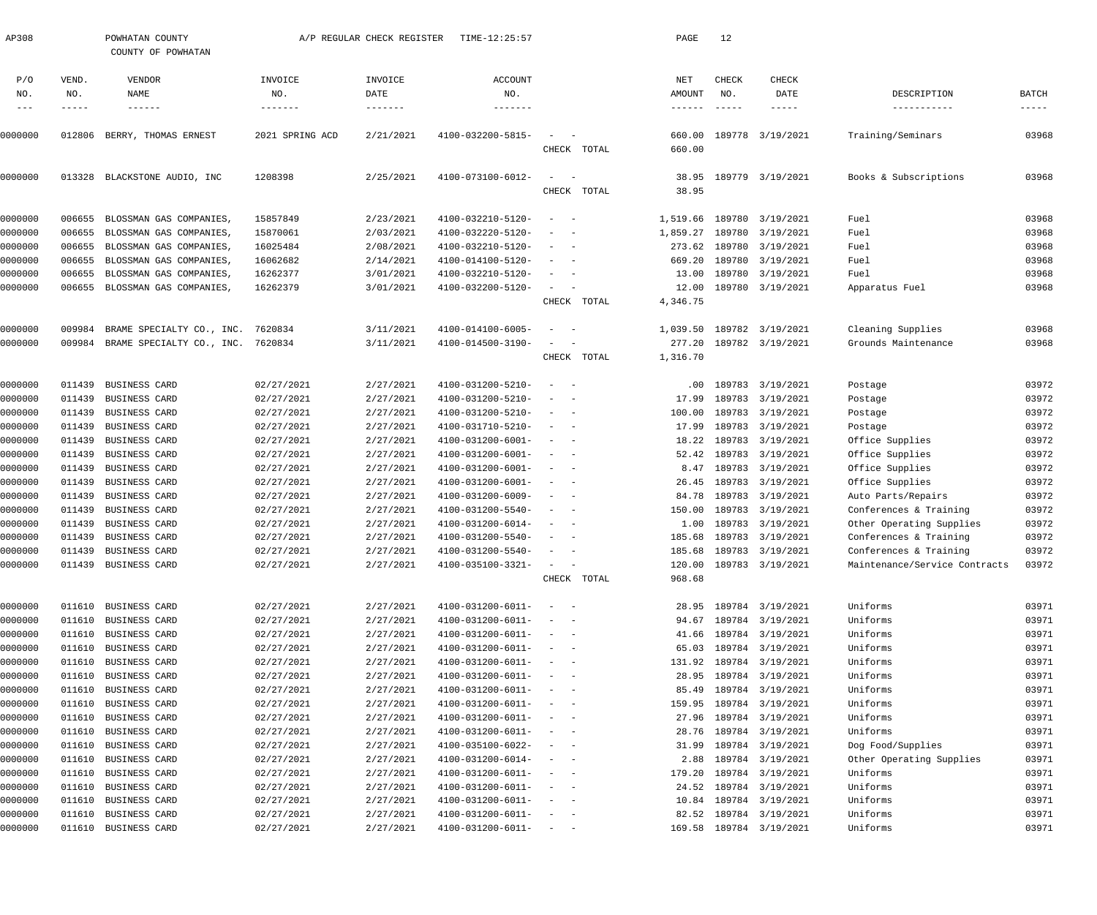| AP308   |        | POWHATAN COUNTY<br>COUNTY OF POWHATAN |                   | A/P REGULAR CHECK REGISTER | TIME-12:25:57                |                                                      |             | PAGE                       | 12                          |                         |                               |                         |
|---------|--------|---------------------------------------|-------------------|----------------------------|------------------------------|------------------------------------------------------|-------------|----------------------------|-----------------------------|-------------------------|-------------------------------|-------------------------|
| P/O     | VEND.  | VENDOR                                | INVOICE           | INVOICE                    | ACCOUNT                      |                                                      |             | NET                        | CHECK                       | CHECK                   |                               |                         |
| NO.     | NO.    | NAME                                  | NO.               | DATE                       | NO.                          |                                                      |             | AMOUNT                     | NO.                         | DATE                    | DESCRIPTION                   | BATCH                   |
| $- - -$ | -----  | $- - - - - - -$                       | $- - - - - - - -$ | $- - - - - - - -$          | $- - - - - - - -$            |                                                      |             | $\cdots\cdots\cdots\cdots$ | $\qquad \qquad - - - - - -$ | -----                   | -----------                   | $\qquad \qquad - - - -$ |
| 0000000 | 012806 | BERRY, THOMAS ERNEST                  | 2021 SPRING ACD   | 2/21/2021                  | 4100-032200-5815-            |                                                      | CHECK TOTAL | 660.00<br>660.00           |                             | 189778 3/19/2021        | Training/Seminars             | 03968                   |
| 0000000 |        | 013328 BLACKSTONE AUDIO, INC          | 1208398           | 2/25/2021                  | 4100-073100-6012-            | $\sim$<br>$\sim$ $-$                                 | CHECK TOTAL | 38.95<br>38.95             |                             | 189779 3/19/2021        | Books & Subscriptions         | 03968                   |
| 0000000 | 006655 | BLOSSMAN GAS COMPANIES                | 15857849          | 2/23/2021                  | 4100-032210-5120-            | $\sim$ $-$<br>$\overline{\phantom{a}}$               |             | 1,519.66                   |                             | 189780 3/19/2021        | Fuel                          | 03968                   |
| 0000000 | 006655 | BLOSSMAN GAS COMPANIES                | 15870061          | 2/03/2021                  | 4100-032220-5120-            | $\overline{\phantom{a}}$                             |             | 1,859.27                   |                             | 189780 3/19/2021        | Fuel                          | 03968                   |
| 0000000 | 006655 | BLOSSMAN GAS COMPANIES                | 16025484          | 2/08/2021                  | 4100-032210-5120-            | $\overline{\phantom{a}}$                             |             | 273.62                     |                             | 189780 3/19/2021        | Fuel                          | 03968                   |
| 0000000 | 006655 | BLOSSMAN GAS COMPANIES                | 16062682          | 2/14/2021                  | 4100-014100-5120-            | $\overline{\phantom{a}}$                             |             | 669.20                     |                             | 189780 3/19/2021        | Fuel                          | 03968                   |
| 0000000 | 006655 | BLOSSMAN GAS COMPANIES                | 16262377          | 3/01/2021                  | 4100-032210-5120-            | $\overline{\phantom{a}}$                             |             | 13.00                      |                             | 189780 3/19/2021        | Fuel                          | 03968                   |
| 0000000 | 006655 | BLOSSMAN GAS COMPANIES                | 16262379          | 3/01/2021                  | 4100-032200-5120-            | $\sim$                                               |             | 12.00                      |                             | 189780 3/19/2021        | Apparatus Fuel                | 03968                   |
|         |        |                                       |                   |                            |                              |                                                      | CHECK TOTAL | 4,346.75                   |                             |                         |                               |                         |
| 0000000 | 009984 | BRAME SPECIALTY CO., INC.             | 7620834           | 3/11/2021                  | 4100-014100-6005-            |                                                      |             | 1,039.50                   |                             | 189782 3/19/2021        | Cleaning Supplies             | 03968                   |
| 0000000 |        | 009984 BRAME SPECIALTY CO., INC.      | 7620834           | 3/11/2021                  | 4100-014500-3190-            | $\overline{\phantom{a}}$                             |             |                            |                             | 277.20 189782 3/19/2021 | Grounds Maintenance           | 03968                   |
|         |        |                                       |                   |                            |                              |                                                      | CHECK TOTAL | 1,316.70                   |                             |                         |                               |                         |
| 0000000 | 011439 | BUSINESS CARD                         | 02/27/2021        | 2/27/2021                  | 4100-031200-5210-            | $\overline{\phantom{m}}$<br>$\overline{\phantom{a}}$ |             | .00                        |                             | 189783 3/19/2021        | Postage                       | 03972                   |
| 0000000 | 011439 | BUSINESS CARD                         | 02/27/2021        | 2/27/2021                  | 4100-031200-5210-            | $\overline{\phantom{a}}$                             |             | 17.99                      |                             | 189783 3/19/2021        | Postage                       | 03972                   |
| 0000000 | 011439 | BUSINESS CARD                         | 02/27/2021        | 2/27/2021                  | 4100-031200-5210-            | $\overline{\phantom{a}}$<br>$\sim$                   |             | 100.00                     |                             | 189783 3/19/2021        | Postage                       | 03972                   |
| 0000000 | 011439 | BUSINESS CARD                         | 02/27/2021        | 2/27/2021                  | 4100-031710-5210-            | $\overline{\phantom{a}}$<br>- -                      |             | 17.99                      |                             | 189783 3/19/2021        | Postage                       | 03972                   |
| 0000000 | 011439 | BUSINESS CARD                         | 02/27/2021        | 2/27/2021                  | 4100-031200-6001-            | $\sim$<br>$\sim$                                     |             | 18.22                      |                             | 189783 3/19/2021        | Office Supplies               | 03972                   |
| 0000000 | 011439 | BUSINESS CARD                         | 02/27/2021        | 2/27/2021                  | 4100-031200-6001-            | $\sim$<br>- -                                        |             | 52.42                      |                             | 189783 3/19/2021        | Office Supplies               | 03972                   |
| 0000000 | 011439 | BUSINESS CARD                         | 02/27/2021        | 2/27/2021                  | 4100-031200-6001-            | $\sim$                                               |             | 8.47                       |                             | 189783 3/19/2021        | Office Supplies               | 03972                   |
| 0000000 | 011439 | BUSINESS CARD                         | 02/27/2021        | 2/27/2021                  | 4100-031200-6001-            | $\sim$<br>$\sim$                                     |             | 26.45                      |                             | 189783 3/19/2021        | Office Supplies               | 03972                   |
| 0000000 | 011439 | BUSINESS CARD                         | 02/27/2021        | 2/27/2021                  | 4100-031200-6009-            | $\overline{\phantom{a}}$<br>$\overline{\phantom{a}}$ |             | 84.78                      |                             | 189783 3/19/2021        | Auto Parts/Repairs            | 03972                   |
| 0000000 | 011439 | BUSINESS CARD                         | 02/27/2021        | 2/27/2021                  | 4100-031200-5540-            | $\overline{\phantom{a}}$<br>$\overline{\phantom{a}}$ |             | 150.00                     |                             | 189783 3/19/2021        | Conferences & Training        | 03972                   |
| 0000000 | 011439 | BUSINESS CARD                         | 02/27/2021        | 2/27/2021                  | 4100-031200-6014-            |                                                      |             | 1.00                       |                             | 189783 3/19/2021        | Other Operating Supplies      | 03972                   |
| 0000000 |        | 011439 BUSINESS CARD                  | 02/27/2021        | 2/27/2021                  | 4100-031200-5540-            |                                                      |             |                            |                             | 185.68 189783 3/19/2021 | Conferences & Training        | 03972                   |
| 0000000 |        | 011439 BUSINESS CARD                  | 02/27/2021        | 2/27/2021                  | 4100-031200-5540-            | $\sim$                                               |             |                            |                             | 185.68 189783 3/19/2021 | Conferences & Training        | 03972                   |
| 0000000 |        | 011439 BUSINESS CARD                  | 02/27/2021        | 2/27/2021                  | 4100-035100-3321-            |                                                      |             | 120.00                     |                             | 189783 3/19/2021        | Maintenance/Service Contracts | 03972                   |
|         |        |                                       |                   |                            |                              |                                                      | CHECK TOTAL | 968.68                     |                             |                         |                               |                         |
| 0000000 |        | 011610 BUSINESS CARD                  | 02/27/2021        | 2/27/2021                  | 4100-031200-6011-            | $\sim$<br>$\sim$ $-$                                 |             | 28.95                      |                             | 189784 3/19/2021        | Uniforms                      | 03971                   |
| 0000000 |        | 011610 BUSINESS CARD                  | 02/27/2021        | 2/27/2021                  | 4100-031200-6011-            |                                                      |             | 94.67                      |                             | 189784 3/19/2021        | Uniforms                      | 03971                   |
| 0000000 |        | 011610 BUSINESS CARD                  | 02/27/2021        | 2/27/2021                  | 4100-031200-6011-            | $\sim$ $ -$                                          |             | 41.66                      |                             | 189784 3/19/2021        | Uniforms                      | 03971                   |
| 0000000 | 011610 | BUSINESS CARD                         | 02/27/2021        | 2/27/2021                  | 4100-031200-6011-            | $\sim$<br>$\sim$                                     |             | 65.03                      |                             | 189784 3/19/2021        | Uniforms                      | 03971                   |
| 0000000 |        | 011610 BUSINESS CARD                  | 02/27/2021        | 2/27/2021                  | 4100-031200-6011-            | $\sim$<br>$\sim$ $-$                                 |             | 131.92                     |                             | 189784 3/19/2021        | Uniforms                      | 03971                   |
| 0000000 | 011610 | BUSINESS CARD                         | 02/27/2021        | 2/27/2021                  | 4100-031200-6011-            | $\sim$ $  -$                                         |             | 28.95                      |                             | 189784 3/19/2021        | Uniforms                      | 03971                   |
| 0000000 | 011610 | BUSINESS CARD                         | 02/27/2021        | 2/27/2021                  | 4100-031200-6011-            | $\sim$<br>$\sim$                                     |             | 85.49                      |                             | 189784 3/19/2021        | Uniforms                      | 03971                   |
| 0000000 |        | 011610 BUSINESS CARD                  | 02/27/2021        | 2/27/2021                  | 4100-031200-6011-            | $\sim$ $  -$                                         |             | 159.95                     |                             | 189784 3/19/2021        | Uniforms                      | 03971                   |
| 0000000 | 011610 | BUSINESS CARD                         | 02/27/2021        | 2/27/2021                  | 4100-031200-6011-            | $\sim$ $  -$                                         |             | 27.96                      |                             | 189784 3/19/2021        | Uniforms                      | 03971                   |
| 0000000 | 011610 | BUSINESS CARD                         | 02/27/2021        | 2/27/2021                  | 4100-031200-6011-            | $\sim$                                               |             | 28.76                      |                             | 189784 3/19/2021        | Uniforms                      | 03971                   |
| 0000000 |        | 011610 BUSINESS CARD                  | 02/27/2021        | 2/27/2021                  | 4100-035100-6022-            | $\sim$<br>$\sim$ $-$                                 |             | 31.99                      |                             | 189784 3/19/2021        | Dog Food/Supplies             | 03971                   |
| 0000000 | 011610 | BUSINESS CARD                         | 02/27/2021        | 2/27/2021                  | 4100-031200-6014-            | $\sim$<br>$\sim$ $-$                                 |             | 2.88                       |                             | 189784 3/19/2021        | Other Operating Supplies      | 03971                   |
| 0000000 | 011610 | BUSINESS CARD                         | 02/27/2021        | 2/27/2021                  | 4100-031200-6011-            | $\sim$<br>$\sim$ $-$                                 |             | 179.20                     |                             | 189784 3/19/2021        | Uniforms                      | 03971                   |
| 0000000 |        | 011610 BUSINESS CARD                  | 02/27/2021        | 2/27/2021                  | 4100-031200-6011-            | $\sim$ $  -$                                         |             | 24.52                      |                             | 189784 3/19/2021        | Uniforms                      | 03971                   |
| 0000000 | 011610 | BUSINESS CARD                         | 02/27/2021        | 2/27/2021                  | 4100-031200-6011-            | $\sim$ $  -$                                         |             | 10.84                      |                             | 189784 3/19/2021        | Uniforms                      | 03971                   |
| 0000000 |        | 011610 BUSINESS CARD                  | 02/27/2021        | 2/27/2021                  | 4100-031200-6011-            | $\sim$<br>$\sim$ $-$                                 |             |                            |                             | 82.52 189784 3/19/2021  | Uniforms                      | 03971                   |
| 0000000 |        | 011610 BUSINESS CARD                  | 02/27/2021        | 2/27/2021                  | $4100 - 031200 - 6011 - - -$ |                                                      |             |                            |                             | 169.58 189784 3/19/2021 | Uniforms                      | 03971                   |
|         |        |                                       |                   |                            |                              |                                                      |             |                            |                             |                         |                               |                         |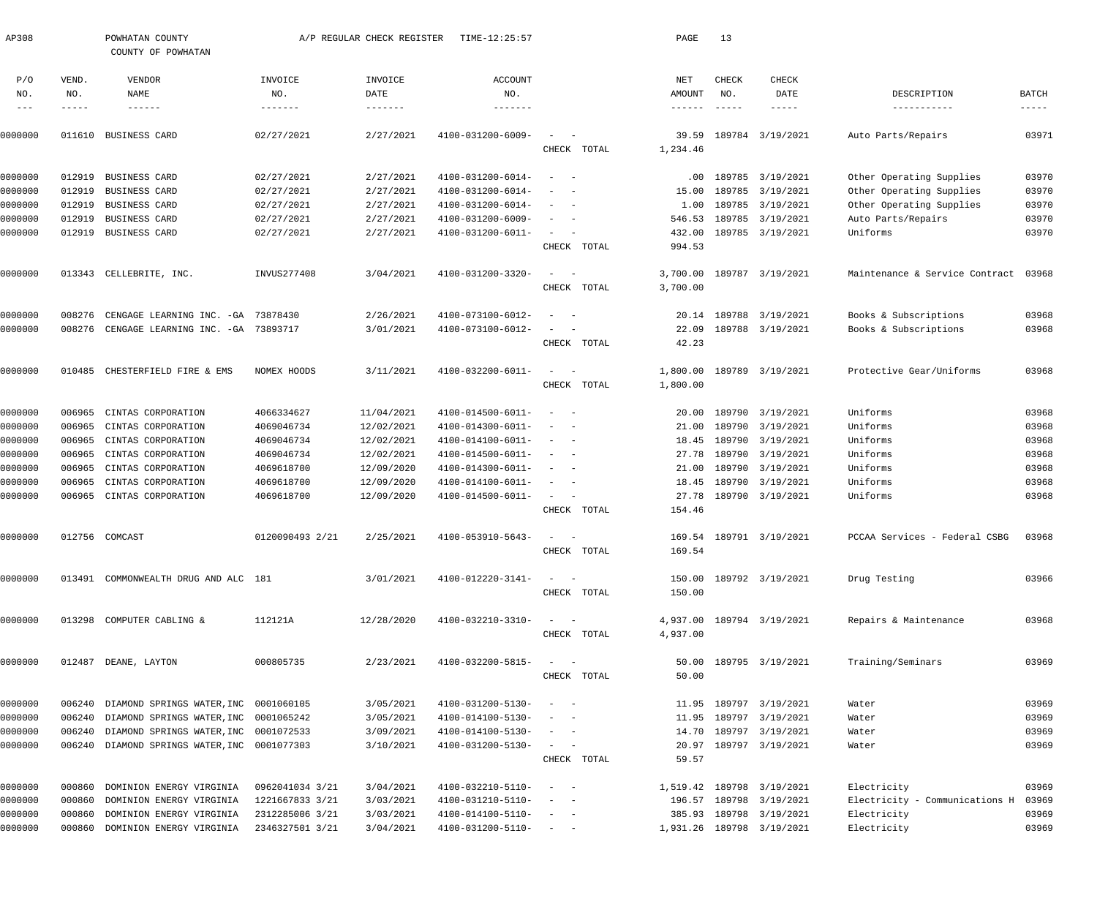| AP308   |        | POWHATAN COUNTY                       |                 | A/P REGULAR CHECK REGISTER | TIME-12:25:57     |                                        |             | PAGE             | 13            |                           |                                |                      |
|---------|--------|---------------------------------------|-----------------|----------------------------|-------------------|----------------------------------------|-------------|------------------|---------------|---------------------------|--------------------------------|----------------------|
|         |        | COUNTY OF POWHATAN                    |                 |                            |                   |                                        |             |                  |               |                           |                                |                      |
| P/O     | VEND.  | VENDOR                                | INVOICE         | INVOICE                    | <b>ACCOUNT</b>    |                                        |             | NET              | CHECK         | CHECK                     |                                |                      |
| NO.     | NO.    | NAME                                  | NO.             | DATE                       | NO.               |                                        |             | AMOUNT           | NO.           | DATE                      | DESCRIPTION                    | <b>BATCH</b>         |
| $---$   | -----  | $- - - - - - -$                       | --------        | $- - - - - - -$            | -------           |                                        |             | $- - - - - - -$  | $- - - - - -$ | $- - - - -$               | -----------                    | $\cdots\cdots\cdots$ |
| 0000000 | 011610 | BUSINESS CARD                         | 02/27/2021      | 2/27/2021                  | 4100-031200-6009- | $\overline{\phantom{a}}$<br>$\sim$ $-$ |             | 39.59            |               | 189784 3/19/2021          | Auto Parts/Repairs             | 03971                |
|         |        |                                       |                 |                            |                   |                                        | CHECK TOTAL | 1,234.46         |               |                           |                                |                      |
|         |        |                                       |                 |                            |                   |                                        |             |                  |               |                           |                                |                      |
| 0000000 | 012919 | BUSINESS CARD                         | 02/27/2021      | 2/27/2021                  | 4100-031200-6014- | $\sim$<br>$\sim$ $-$                   |             | $.00 \,$         |               | 189785 3/19/2021          | Other Operating Supplies       | 03970                |
| 0000000 | 012919 | BUSINESS CARD                         | 02/27/2021      | 2/27/2021                  | 4100-031200-6014- | $\sim$ $-$                             |             | 15.00            |               | 189785 3/19/2021          | Other Operating Supplies       | 03970                |
| 0000000 | 012919 | BUSINESS CARD                         | 02/27/2021      | 2/27/2021                  | 4100-031200-6014- | $\sim$<br>$\sim$ $-$                   |             | 1.00             |               | 189785 3/19/2021          | Other Operating Supplies       | 03970                |
| 0000000 | 012919 | BUSINESS CARD                         | 02/27/2021      | 2/27/2021                  | 4100-031200-6009- | $\sim$<br>$\sim$ $-$                   |             | 546.53           |               | 189785 3/19/2021          | Auto Parts/Repairs             | 03970                |
| 0000000 | 012919 | BUSINESS CARD                         | 02/27/2021      | 2/27/2021                  | 4100-031200-6011- | $\sim$<br>$\sim$ $-$                   | CHECK TOTAL | 432.00<br>994.53 |               | 189785 3/19/2021          | Uniforms                       | 03970                |
|         |        |                                       |                 |                            |                   |                                        |             |                  |               |                           |                                |                      |
| 0000000 |        | 013343 CELLEBRITE, INC.               | INVUS277408     | 3/04/2021                  | 4100-031200-3320- | $\sim$<br>$\sim$ $-$                   |             | 3,700.00         |               | 189787 3/19/2021          | Maintenance & Service Contract | 03968                |
|         |        |                                       |                 |                            |                   |                                        | CHECK TOTAL | 3,700.00         |               |                           |                                |                      |
| 0000000 | 008276 | CENGAGE LEARNING INC. - GA            | 73878430        | 2/26/2021                  | 4100-073100-6012- | $\sim$<br>$\sim$                       |             | 20.14            |               | 189788 3/19/2021          | Books & Subscriptions          | 03968                |
| 0000000 | 008276 | CENGAGE LEARNING INC. - GA            | 73893717        | 3/01/2021                  | 4100-073100-6012- | $\overline{\phantom{a}}$<br>$\sim$     |             | 22.09            |               | 189788 3/19/2021          | Books & Subscriptions          | 03968                |
|         |        |                                       |                 |                            |                   |                                        | CHECK TOTAL | 42.23            |               |                           |                                |                      |
| 0000000 | 010485 | CHESTERFIELD FIRE & EMS               | NOMEX HOODS     | 3/11/2021                  | 4100-032200-6011- | $\sim$<br>$\sim$ $-$                   |             | 1,800.00         |               | 189789 3/19/2021          | Protective Gear/Uniforms       | 03968                |
|         |        |                                       |                 |                            |                   |                                        | CHECK TOTAL | 1,800.00         |               |                           |                                |                      |
| 0000000 | 006965 | CINTAS CORPORATION                    | 4066334627      | 11/04/2021                 | 4100-014500-6011- | $\sim$<br>$\sim$ $-$                   |             | 20.00            |               | 189790 3/19/2021          | Uniforms                       | 03968                |
| 0000000 | 006965 | CINTAS CORPORATION                    | 4069046734      | 12/02/2021                 | 4100-014300-6011- | $\sim$<br>$\sim$ $-$                   |             | 21.00            |               | 189790 3/19/2021          | Uniforms                       | 03968                |
| 0000000 | 006965 | CINTAS CORPORATION                    | 4069046734      | 12/02/2021                 | 4100-014100-6011- | $\sim$<br>$\sim$ $-$                   |             | 18.45            |               | 189790 3/19/2021          | Uniforms                       | 03968                |
| 0000000 | 006965 | CINTAS CORPORATION                    | 4069046734      | 12/02/2021                 | 4100-014500-6011- | $\sim$<br>$\sim$ $-$                   |             | 27.78            |               | 189790 3/19/2021          | Uniforms                       | 03968                |
| 0000000 | 006965 | CINTAS CORPORATION                    | 4069618700      | 12/09/2020                 | 4100-014300-6011- | $\sim$<br>$\sim$ $-$                   |             | 21.00            |               | 189790 3/19/2021          | Uniforms                       | 03968                |
| 0000000 | 006965 | CINTAS CORPORATION                    | 4069618700      | 12/09/2020                 | 4100-014100-6011- | $\sim$<br>$\sim$ $-$                   |             | 18.45            |               | 189790 3/19/2021          | Uniforms                       | 03968                |
| 0000000 | 006965 | CINTAS CORPORATION                    | 4069618700      | 12/09/2020                 | 4100-014500-6011- | $\sim$<br>$\sim$ $-$                   |             | 27.78            |               | 189790 3/19/2021          | Uniforms                       | 03968                |
|         |        |                                       |                 |                            |                   |                                        | CHECK TOTAL | 154.46           |               |                           |                                |                      |
| 0000000 |        | 012756 COMCAST                        | 0120090493 2/21 | 2/25/2021                  | 4100-053910-5643- | $\hspace{0.1mm}-\hspace{0.1mm}$        |             |                  |               | 169.54 189791 3/19/2021   | PCCAA Services - Federal CSBG  | 03968                |
|         |        |                                       |                 |                            |                   |                                        | CHECK TOTAL | 169.54           |               |                           |                                |                      |
|         |        |                                       |                 |                            |                   |                                        |             |                  |               |                           |                                |                      |
| 0000000 |        | 013491 COMMONWEALTH DRUG AND ALC 181  |                 | 3/01/2021                  | 4100-012220-3141- | $\sim$<br>$\sim$ $-$                   |             |                  |               | 150.00 189792 3/19/2021   | Drug Testing                   | 03966                |
|         |        |                                       |                 |                            |                   |                                        | CHECK TOTAL | 150.00           |               |                           |                                |                      |
| 0000000 |        | 013298 COMPUTER CABLING &             | 112121A         | 12/28/2020                 | 4100-032210-3310- | $\sim$<br>$\sim$ $-$                   |             |                  |               | 4,937.00 189794 3/19/2021 | Repairs & Maintenance          | 03968                |
|         |        |                                       |                 |                            |                   |                                        | CHECK TOTAL | 4,937.00         |               |                           |                                |                      |
| 0000000 |        | 012487 DEANE, LAYTON                  | 000805735       | 2/23/2021                  | 4100-032200-5815- | $\sim$<br>$\sim$ $-$                   |             | 50.00            |               | 189795 3/19/2021          | Training/Seminars              | 03969                |
|         |        |                                       |                 |                            |                   |                                        | CHECK TOTAL | 50.00            |               |                           |                                |                      |
| 0000000 | 006240 | DIAMOND SPRINGS WATER, INC 0001060105 |                 | 3/05/2021                  | 4100-031200-5130- | $\sim$<br>$\sim$ $-$                   |             | 11.95            |               | 189797 3/19/2021          | Water                          | 03969                |
| 0000000 | 006240 | DIAMOND SPRINGS WATER, INC 0001065242 |                 | 3/05/2021                  | 4100-014100-5130- | $\sim$ $  -$                           |             | 11.95            |               | 189797 3/19/2021          | Water                          | 03969                |
|         | 006240 | DIAMOND SPRINGS WATER, INC 0001072533 |                 | 3/09/2021                  | 4100-014100-5130- | $\sim$ $  -$                           |             | 14.70            |               | 189797 3/19/2021          |                                | 03969                |
| 0000000 | 006240 |                                       |                 | 3/10/2021                  | 4100-031200-5130- | $\sim$ $  -$                           |             | 20.97            |               | 189797 3/19/2021          | Water                          | 03969                |
| 0000000 |        | DIAMOND SPRINGS WATER, INC 0001077303 |                 |                            |                   |                                        | CHECK TOTAL | 59.57            |               |                           | Water                          |                      |
|         |        |                                       |                 |                            |                   |                                        |             |                  |               |                           |                                |                      |
| 0000000 | 000860 | DOMINION ENERGY VIRGINIA              | 0962041034 3/21 | 3/04/2021                  | 4100-032210-5110- | $\sim$<br>$\sim$ $-$                   |             |                  |               | 1,519.42 189798 3/19/2021 | Electricity                    | 03969                |
| 0000000 | 000860 | DOMINION ENERGY VIRGINIA              | 1221667833 3/21 | 3/03/2021                  | 4100-031210-5110- | $\sim$ $  -$                           |             |                  |               | 196.57 189798 3/19/2021   | Electricity - Communications H | 03969                |
| 0000000 | 000860 | DOMINION ENERGY VIRGINIA              | 2312285006 3/21 | 3/03/2021                  | 4100-014100-5110- | $\sim$ $  -$                           |             | 385.93           |               | 189798 3/19/2021          | Electricity                    | 03969                |
| 0000000 | 000860 | DOMINION ENERGY VIRGINIA              | 2346327501 3/21 | 3/04/2021                  | 4100-031200-5110- | $\sim$ $  -$                           |             |                  |               | 1,931.26 189798 3/19/2021 | Electricity                    | 03969                |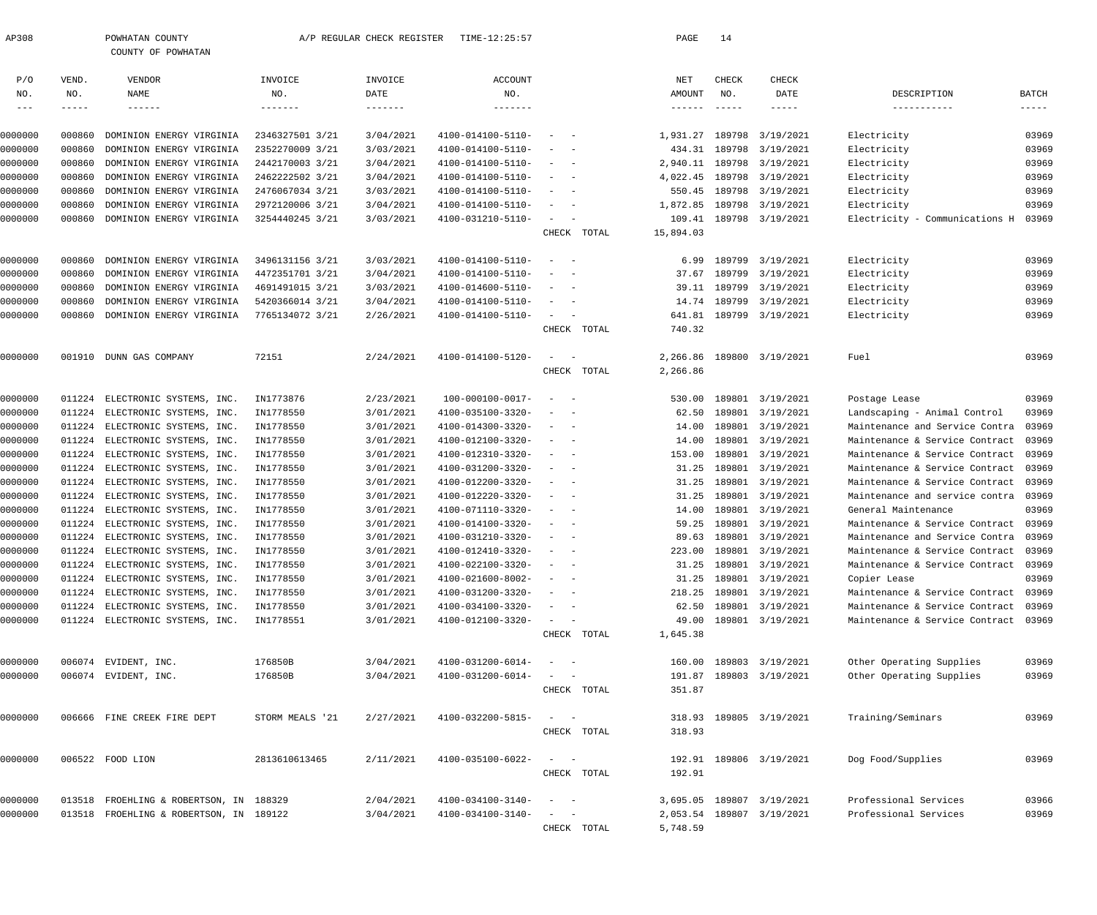| AP308               |        | POWHATAN COUNTY                         |                 | A/P REGULAR CHECK REGISTER | TIME-12:25:57     |                                                                                                                           |             | PAGE            | 14          |                           |                                      |              |
|---------------------|--------|-----------------------------------------|-----------------|----------------------------|-------------------|---------------------------------------------------------------------------------------------------------------------------|-------------|-----------------|-------------|---------------------------|--------------------------------------|--------------|
|                     |        | COUNTY OF POWHATAN                      |                 |                            |                   |                                                                                                                           |             |                 |             |                           |                                      |              |
| P/O                 | VEND.  | VENDOR                                  | INVOICE         | INVOICE                    | ACCOUNT           |                                                                                                                           |             | NET             | CHECK       | CHECK                     |                                      |              |
| NO.                 | NO.    | NAME                                    | NO.             | DATE                       | NO.               |                                                                                                                           |             | AMOUNT          | NO.         | DATE                      | DESCRIPTION                          | <b>BATCH</b> |
| $\qquad \qquad - -$ | -----  | $- - - - - - -$                         | -------         | $- - - - - - - -$          | $- - - - - - -$   |                                                                                                                           |             | $- - - - - - -$ | $- - - - -$ | $--- - - -$               | -----------                          | $- - - - -$  |
|                     |        |                                         |                 |                            |                   |                                                                                                                           |             |                 |             |                           |                                      |              |
| 0000000             | 000860 | DOMINION ENERGY VIRGINIA                | 2346327501 3/21 | 3/04/2021                  | 4100-014100-5110- | $\overline{\phantom{a}}$                                                                                                  |             | 1,931.27        |             | 189798 3/19/2021          | Electricity                          | 03969        |
| 0000000             | 000860 | DOMINION ENERGY VIRGINIA                | 2352270009 3/21 | 3/03/2021                  | 4100-014100-5110- |                                                                                                                           |             | 434.31          |             | 189798 3/19/2021          | Electricity                          | 03969        |
| 0000000             | 000860 | DOMINION ENERGY VIRGINIA                | 2442170003 3/21 | 3/04/2021                  | 4100-014100-5110- | $\overline{\phantom{a}}$                                                                                                  |             | 2,940.11        |             | 189798 3/19/2021          | Electricity                          | 03969        |
| 0000000             | 000860 | DOMINION ENERGY VIRGINIA                | 2462222502 3/21 | 3/04/2021                  | 4100-014100-5110- |                                                                                                                           |             | 4,022.45        |             | 189798 3/19/2021          | Electricity                          | 03969        |
| 0000000             | 000860 | DOMINION ENERGY VIRGINIA                | 2476067034 3/21 | 3/03/2021                  | 4100-014100-5110- |                                                                                                                           |             | 550.45          |             | 189798 3/19/2021          | Electricity                          | 03969        |
| 0000000             | 000860 | DOMINION ENERGY VIRGINIA                | 2972120006 3/21 | 3/04/2021                  | 4100-014100-5110- | $\overline{\phantom{a}}$                                                                                                  |             | 1,872.85        |             | 189798 3/19/2021          | Electricity                          | 03969        |
| 0000000             | 000860 | DOMINION ENERGY VIRGINIA                | 3254440245 3/21 | 3/03/2021                  | 4100-031210-5110- | $\sim$                                                                                                                    | CHECK TOTAL | 15,894.03       |             | 109.41 189798 3/19/2021   | Electricity - Communications H       | 03969        |
|                     |        |                                         |                 |                            |                   |                                                                                                                           |             |                 |             |                           |                                      |              |
| 0000000             | 000860 | DOMINION ENERGY VIRGINIA                | 3496131156 3/21 | 3/03/2021                  | 4100-014100-5110- |                                                                                                                           |             | 6.99            |             | 189799 3/19/2021          | Electricity                          | 03969        |
| 0000000             | 000860 | DOMINION ENERGY VIRGINIA                | 4472351701 3/21 | 3/04/2021                  | 4100-014100-5110- |                                                                                                                           |             | 37.67           |             | 189799 3/19/2021          | Electricity                          | 03969        |
| 0000000             | 000860 | DOMINION ENERGY VIRGINIA                | 4691491015 3/21 | 3/03/2021                  | 4100-014600-5110- |                                                                                                                           |             | 39.11           |             | 189799 3/19/2021          | Electricity                          | 03969        |
| 0000000             | 000860 | DOMINION ENERGY VIRGINIA                | 5420366014 3/21 | 3/04/2021                  | 4100-014100-5110- |                                                                                                                           |             |                 |             | 14.74 189799 3/19/2021    | Electricity                          | 03969        |
| 0000000             | 000860 | DOMINION ENERGY VIRGINIA                | 7765134072 3/21 | 2/26/2021                  | 4100-014100-5110- | $\sim$<br>$\sim$ $-$                                                                                                      |             | 641.81          |             | 189799 3/19/2021          | Electricity                          | 03969        |
|                     |        |                                         |                 |                            |                   |                                                                                                                           | CHECK TOTAL | 740.32          |             |                           |                                      |              |
| 0000000             |        | 001910 DUNN GAS COMPANY                 | 72151           | 2/24/2021                  | 4100-014100-5120- | $\overline{\phantom{0}}$                                                                                                  |             | 2,266.86        |             | 189800 3/19/2021          | Fuel                                 | 03969        |
|                     |        |                                         |                 |                            |                   |                                                                                                                           | CHECK TOTAL | 2,266.86        |             |                           |                                      |              |
|                     |        |                                         |                 |                            |                   |                                                                                                                           |             |                 |             |                           |                                      |              |
| 0000000             | 011224 | ELECTRONIC SYSTEMS, INC.                | IN1773876       | 2/23/2021                  | 100-000100-0017-  | $\overline{\phantom{a}}$                                                                                                  |             | 530.00          |             | 189801 3/19/2021          | Postage Lease                        | 03969        |
| 0000000             | 011224 | ELECTRONIC SYSTEMS, INC.                | IN1778550       | 3/01/2021                  | 4100-035100-3320- | $\overline{\phantom{a}}$                                                                                                  |             | 62.50           |             | 189801 3/19/2021          | Landscaping - Animal Control         | 03969        |
| 0000000             |        | 011224 ELECTRONIC SYSTEMS, INC.         | IN1778550       | 3/01/2021                  | 4100-014300-3320- | $\sim$                                                                                                                    |             | 14.00           |             | 189801 3/19/2021          | Maintenance and Service Contra       | 03969        |
| 0000000             | 011224 | ELECTRONIC SYSTEMS, INC.                | IN1778550       | 3/01/2021                  | 4100-012100-3320- |                                                                                                                           |             | 14.00           |             | 189801 3/19/2021          | Maintenance & Service Contract       | 03969        |
| 0000000             | 011224 | ELECTRONIC SYSTEMS, INC.                | IN1778550       | 3/01/2021                  | 4100-012310-3320- | $\sim$                                                                                                                    |             | 153.00          |             | 189801 3/19/2021          | Maintenance & Service Contract       | 03969        |
| 0000000             |        | 011224 ELECTRONIC SYSTEMS, INC.         | IN1778550       | 3/01/2021                  | 4100-031200-3320- | $\sim$                                                                                                                    |             | 31.25           |             | 189801 3/19/2021          | Maintenance & Service Contract       | 03969        |
| 0000000             | 011224 | ELECTRONIC SYSTEMS, INC.                | IN1778550       | 3/01/2021                  | 4100-012200-3320- |                                                                                                                           |             | 31.25           |             | 189801 3/19/2021          | Maintenance & Service Contract       | 03969        |
| 0000000             | 011224 | ELECTRONIC SYSTEMS, INC.                | IN1778550       | 3/01/2021                  | 4100-012220-3320- | $\sim$                                                                                                                    |             | 31.25           |             | 189801 3/19/2021          | Maintenance and service contra       | 03969        |
| 0000000             |        | 011224 ELECTRONIC SYSTEMS, INC.         | IN1778550       | 3/01/2021                  | 4100-071110-3320- | $\hspace{0.1mm}-\hspace{0.1mm}$                                                                                           |             | 14.00           |             | 189801 3/19/2021          | General Maintenance                  | 03969        |
| 0000000             | 011224 | ELECTRONIC SYSTEMS, INC.                | IN1778550       | 3/01/2021                  | 4100-014100-3320- |                                                                                                                           |             | 59.25           |             | 189801 3/19/2021          | Maintenance & Service Contract       | 03969        |
| 0000000             |        | 011224 ELECTRONIC SYSTEMS, INC.         | IN1778550       | 3/01/2021                  | 4100-031210-3320- |                                                                                                                           |             |                 |             | 89.63 189801 3/19/2021    | Maintenance and Service Contra 03969 |              |
| 0000000             | 011224 | ELECTRONIC SYSTEMS, INC.                | IN1778550       | 3/01/2021                  | 4100-012410-3320- |                                                                                                                           |             |                 |             | 223.00 189801 3/19/2021   | Maintenance & Service Contract       | 03969        |
| 0000000             | 011224 | ELECTRONIC SYSTEMS, INC.                | IN1778550       | 3/01/2021                  | 4100-022100-3320- |                                                                                                                           |             |                 |             | 31.25 189801 3/19/2021    | Maintenance & Service Contract       | 03969        |
| 0000000             | 011224 | ELECTRONIC SYSTEMS, INC.                | IN1778550       | 3/01/2021                  | 4100-021600-8002- |                                                                                                                           |             | 31.25           |             | 189801 3/19/2021          | Copier Lease                         | 03969        |
| 0000000             |        | 011224 ELECTRONIC SYSTEMS, INC.         | IN1778550       | 3/01/2021                  | 4100-031200-3320- | $\frac{1}{2} \left( \frac{1}{2} \right) \left( \frac{1}{2} \right) \left( \frac{1}{2} \right) \left( \frac{1}{2} \right)$ |             |                 |             | 218.25 189801 3/19/2021   | Maintenance & Service Contract       | 03969        |
| 0000000             |        | 011224 ELECTRONIC SYSTEMS, INC.         | IN1778550       | 3/01/2021                  | 4100-034100-3320- | $\frac{1}{2} \left( \frac{1}{2} \right) \left( \frac{1}{2} \right) \left( \frac{1}{2} \right) \left( \frac{1}{2} \right)$ |             | 62.50           |             | 189801 3/19/2021          | Maintenance & Service Contract       | 03969        |
| 0000000             |        | 011224 ELECTRONIC SYSTEMS, INC.         | IN1778551       | 3/01/2021                  | 4100-012100-3320- |                                                                                                                           |             | 49.00           |             | 189801 3/19/2021          | Maintenance & Service Contract 03969 |              |
|                     |        |                                         |                 |                            |                   |                                                                                                                           | CHECK TOTAL | 1,645.38        |             |                           |                                      |              |
| 0000000             |        | 006074 EVIDENT, INC.                    | 176850B         | 3/04/2021                  | 4100-031200-6014- | $\sim$ $-$                                                                                                                |             | 160.00          |             | 189803 3/19/2021          | Other Operating Supplies             | 03969        |
| 0000000             |        | 006074 EVIDENT, INC.                    | 176850B         | 3/04/2021                  | 4100-031200-6014- |                                                                                                                           |             | 191.87          |             | 189803 3/19/2021          | Other Operating Supplies             | 03969        |
|                     |        |                                         |                 |                            |                   |                                                                                                                           | CHECK TOTAL | 351.87          |             |                           |                                      |              |
| 0000000             |        | 006666 FINE CREEK FIRE DEPT             | STORM MEALS '21 | 2/27/2021                  | 4100-032200-5815- | $\sim$ $-$                                                                                                                |             |                 |             | 318.93 189805 3/19/2021   | Training/Seminars                    | 03969        |
|                     |        |                                         |                 |                            |                   |                                                                                                                           | CHECK TOTAL | 318.93          |             |                           |                                      |              |
|                     |        |                                         |                 |                            |                   |                                                                                                                           |             |                 |             |                           |                                      |              |
| 0000000             |        | 006522 FOOD LION                        | 2813610613465   | 2/11/2021                  | 4100-035100-6022- | $\overline{\phantom{0}}$                                                                                                  |             |                 |             | 192.91 189806 3/19/2021   | Dog Food/Supplies                    | 03969        |
|                     |        |                                         |                 |                            |                   |                                                                                                                           | CHECK TOTAL | 192.91          |             |                           |                                      |              |
| 0000000             |        | 013518 FROEHLING & ROBERTSON, IN 188329 |                 | 2/04/2021                  | 4100-034100-3140- | $\sim$                                                                                                                    |             | 3,695.05        |             | 189807 3/19/2021          | Professional Services                | 03966        |
| 0000000             |        | 013518 FROEHLING & ROBERTSON, IN 189122 |                 | 3/04/2021                  | 4100-034100-3140- | $\sim$<br>$\sim$ $-$                                                                                                      |             |                 |             | 2,053.54 189807 3/19/2021 | Professional Services                | 03969        |
|                     |        |                                         |                 |                            |                   |                                                                                                                           | CHECK TOTAL | 5,748.59        |             |                           |                                      |              |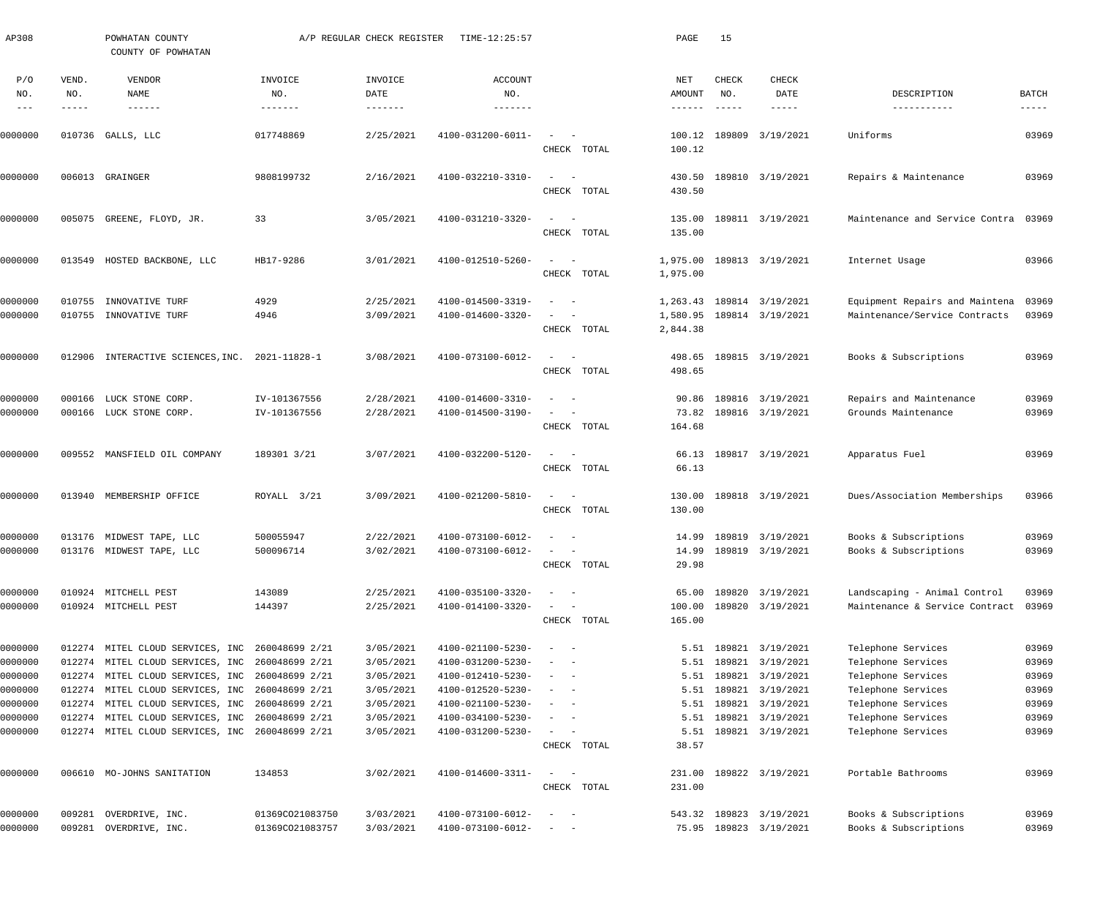| AP308                           |                       | POWHATAN COUNTY<br>COUNTY OF POWHATAN                         |                                   | A/P REGULAR CHECK REGISTER             | TIME-12:25:57                          |                                                                                                              |             | PAGE                    | 15                                        |                                           |                                          |                        |
|---------------------------------|-----------------------|---------------------------------------------------------------|-----------------------------------|----------------------------------------|----------------------------------------|--------------------------------------------------------------------------------------------------------------|-------------|-------------------------|-------------------------------------------|-------------------------------------------|------------------------------------------|------------------------|
| P/O<br>NO.<br>$\qquad \qquad -$ | VEND.<br>NO.<br>----- | VENDOR<br>NAME<br>$\cdots\cdots\cdots\cdots$                  | INVOICE<br>NO.<br>$- - - - - - -$ | INVOICE<br>DATE<br>$- - - - - - - - -$ | <b>ACCOUNT</b><br>NO.<br>-------       |                                                                                                              |             | NET<br>AMOUNT<br>------ | CHECK<br>NO.<br>$\qquad \qquad - - - - -$ | CHECK<br>DATE<br>-----                    | DESCRIPTION<br>-----------               | BATCH<br>$- - - - - -$ |
| 0000000                         | 010736                | GALLS, LLC                                                    | 017748869                         | 2/25/2021                              | 4100-031200-6011-                      | CHECK TOTAL                                                                                                  |             | 100.12<br>100.12        |                                           | 189809 3/19/2021                          | Uniforms                                 | 03969                  |
| 0000000                         |                       | 006013 GRAINGER                                               | 9808199732                        | 2/16/2021                              | 4100-032210-3310-                      | $\sim$                                                                                                       |             | 430.50                  |                                           | 189810 3/19/2021                          | Repairs & Maintenance                    | 03969                  |
|                                 |                       |                                                               |                                   |                                        |                                        | CHECK TOTAL                                                                                                  |             | 430.50                  |                                           |                                           |                                          |                        |
| 0000000                         | 005075                | GREENE, FLOYD, JR.                                            | 33                                | 3/05/2021                              | 4100-031210-3320-                      | $\overline{\phantom{a}}$<br>CHECK TOTAL                                                                      |             | 135.00<br>135.00        |                                           | 189811 3/19/2021                          | Maintenance and Service Contra           | 03969                  |
| 0000000                         | 013549                | HOSTED BACKBONE, LLC                                          | HB17-9286                         | 3/01/2021                              | 4100-012510-5260-                      | $\overline{\phantom{m}}$<br>CHECK TOTAL                                                                      |             | 1,975.00<br>1,975.00    |                                           | 189813 3/19/2021                          | Internet Usage                           | 03966                  |
|                                 |                       |                                                               |                                   |                                        |                                        |                                                                                                              |             |                         |                                           |                                           |                                          |                        |
| 0000000                         | 010755                | INNOVATIVE TURF                                               | 4929                              | 2/25/2021                              | 4100-014500-3319-                      |                                                                                                              |             | 1,263.43                |                                           | 189814 3/19/2021                          | Equipment Repairs and Maintena           | 03969                  |
| 0000000                         | 010755                | INNOVATIVE TURF                                               | 4946                              | 3/09/2021                              | 4100-014600-3320-                      | CHECK TOTAL                                                                                                  |             | 2,844.38                |                                           | 1,580.95 189814 3/19/2021                 | Maintenance/Service Contracts            | 03969                  |
| 0000000                         | 012906                | INTERACTIVE SCIENCES, INC.                                    | 2021-11828-1                      | 3/08/2021                              | 4100-073100-6012-                      | $\sim$                                                                                                       |             | 498.65                  |                                           | 189815 3/19/2021                          | Books & Subscriptions                    | 03969                  |
|                                 |                       |                                                               |                                   |                                        |                                        | CHECK TOTAL                                                                                                  |             | 498.65                  |                                           |                                           |                                          |                        |
| 0000000                         | 000166                | LUCK STONE CORP.                                              | IV-101367556                      | 2/28/2021                              | 4100-014600-3310-                      | $\sim$                                                                                                       |             | 90.86                   |                                           | 189816 3/19/2021                          | Repairs and Maintenance                  | 03969                  |
| 0000000                         |                       | 000166 LUCK STONE CORP.                                       | IV-101367556                      | 2/28/2021                              | 4100-014500-3190-                      | CHECK TOTAL                                                                                                  |             | 73.82<br>164.68         |                                           | 189816 3/19/2021                          | Grounds Maintenance                      | 03969                  |
| 0000000                         | 009552                | MANSFIELD OIL COMPANY                                         | 189301 3/21                       | 3/07/2021                              | 4100-032200-5120-                      | $\sim$<br>$\sim$                                                                                             |             | 66.13                   |                                           | 189817 3/19/2021                          | Apparatus Fuel                           | 03969                  |
|                                 |                       |                                                               |                                   |                                        |                                        | CHECK TOTAL                                                                                                  |             | 66.13                   |                                           |                                           |                                          |                        |
| 0000000                         | 013940                | MEMBERSHIP OFFICE                                             | ROYALL 3/21                       | 3/09/2021                              | 4100-021200-5810-                      | $\frac{1}{2} \left( \frac{1}{2} \right) \left( \frac{1}{2} \right) = \frac{1}{2} \left( \frac{1}{2} \right)$ |             | 130.00                  |                                           | 189818 3/19/2021                          | Dues/Association Memberships             | 03966                  |
|                                 |                       |                                                               |                                   |                                        |                                        | CHECK TOTAL                                                                                                  |             | 130.00                  |                                           |                                           |                                          |                        |
| 0000000                         |                       | 013176 MIDWEST TAPE, LLC                                      | 500055947                         | 2/22/2021                              | 4100-073100-6012-                      |                                                                                                              |             |                         |                                           | 14.99 189819 3/19/2021                    | Books & Subscriptions                    | 03969                  |
| 0000000                         |                       | 013176 MIDWEST TAPE, LLC                                      | 500096714                         | 3/02/2021                              | $4100 - 073100 - 6012 - - -$           | CHECK TOTAL                                                                                                  |             | 29.98                   |                                           | 14.99 189819 3/19/2021                    | Books & Subscriptions                    | 03969                  |
|                                 |                       |                                                               |                                   |                                        |                                        |                                                                                                              |             |                         |                                           |                                           |                                          |                        |
| 0000000                         |                       | 010924 MITCHELL PEST                                          | 143089                            | 2/25/2021                              | 4100-035100-3320-                      |                                                                                                              |             |                         |                                           | 65.00 189820 3/19/2021                    | Landscaping - Animal Control             | 03969                  |
| 0000000                         |                       | 010924 MITCHELL PEST                                          | 144397                            | 2/25/2021                              | 4100-014100-3320-                      | CHECK TOTAL                                                                                                  |             | 100.00<br>165.00        |                                           | 189820 3/19/2021                          | Maintenance & Service Contract           | 03969                  |
|                                 |                       |                                                               |                                   |                                        |                                        |                                                                                                              |             |                         |                                           |                                           |                                          |                        |
| 0000000                         |                       | 012274 MITEL CLOUD SERVICES, INC                              | 260048699 2/21                    | 3/05/2021                              | 4100-021100-5230-                      |                                                                                                              |             |                         |                                           | 5.51 189821 3/19/2021<br>189821 3/19/2021 | Telephone Services                       | 03969                  |
| 0000000<br>0000000              | 012274                | MITEL CLOUD SERVICES, INC<br>012274 MITEL CLOUD SERVICES, INC | 260048699 2/21<br>260048699 2/21  | 3/05/2021<br>3/05/2021                 | 4100-031200-5230-<br>4100-012410-5230- |                                                                                                              |             | 5.51<br>5.51            |                                           | 189821 3/19/2021                          | Telephone Services<br>Telephone Services | 03969<br>03969         |
| 0000000                         |                       | 012274 MITEL CLOUD SERVICES, INC                              | 260048699 2/21                    | 3/05/2021                              | 4100-012520-5230-                      |                                                                                                              |             | 5.51                    |                                           | 189821 3/19/2021                          | Telephone Services                       | 03969                  |
| 0000000                         | 012274                | MITEL CLOUD SERVICES, INC                                     | 260048699 2/21                    | 3/05/2021                              | 4100-021100-5230-                      |                                                                                                              |             | 5.51                    |                                           | 189821 3/19/2021                          | Telephone Services                       | 03969                  |
| 0000000                         |                       | 012274 MITEL CLOUD SERVICES, INC                              | 260048699 2/21                    | 3/05/2021                              | 4100-034100-5230-                      |                                                                                                              |             | 5.51                    |                                           | 189821 3/19/2021                          | Telephone Services                       | 03969                  |
| 0000000                         |                       | 012274 MITEL CLOUD SERVICES, INC                              | 260048699 2/21                    | 3/05/2021                              | 4100-031200-5230-                      | $\sim$ 100 $\mu$                                                                                             |             | 5.51                    |                                           | 189821 3/19/2021                          | Telephone Services                       | 03969                  |
|                                 |                       |                                                               |                                   |                                        |                                        |                                                                                                              | CHECK TOTAL | 38.57                   |                                           |                                           |                                          |                        |
| 0000000                         |                       | 006610 MO-JOHNS SANITATION                                    | 134853                            | 3/02/2021                              | 4100-014600-3311-                      | $\omega_{\rm{max}}=1$                                                                                        |             |                         |                                           | 231.00 189822 3/19/2021                   | Portable Bathrooms                       | 03969                  |
|                                 |                       |                                                               |                                   |                                        |                                        |                                                                                                              | CHECK TOTAL | 231.00                  |                                           |                                           |                                          |                        |
| 0000000                         |                       | 009281 OVERDRIVE, INC.                                        | 01369CO21083750                   | 3/03/2021                              | 4100-073100-6012-                      |                                                                                                              |             |                         |                                           | 543.32 189823 3/19/2021                   | Books & Subscriptions                    | 03969                  |
| 0000000                         |                       | 009281 OVERDRIVE, INC.                                        | 01369CO21083757                   | 3/03/2021                              | 4100-073100-6012-                      | $\sim$ 100 $\sim$ 100 $\sim$                                                                                 |             |                         |                                           | 75.95 189823 3/19/2021                    | Books & Subscriptions                    | 03969                  |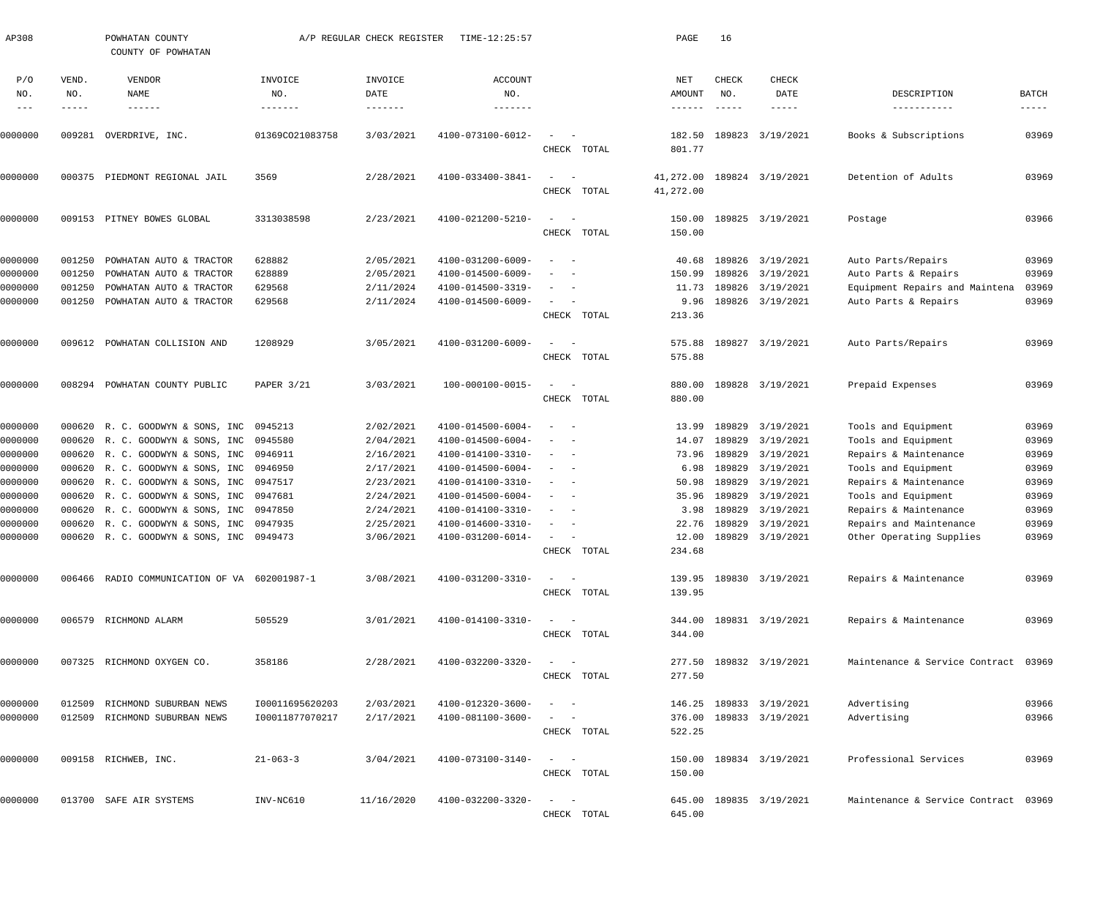| AP308      |              | POWHATAN COUNTY<br>COUNTY OF POWHATAN        |                 | A/P REGULAR CHECK REGISTER | TIME-12:25:57         |              |             | PAGE                   | 16            |                         |                                      |             |
|------------|--------------|----------------------------------------------|-----------------|----------------------------|-----------------------|--------------|-------------|------------------------|---------------|-------------------------|--------------------------------------|-------------|
| P/O<br>NO. | VEND.<br>NO. | VENDOR<br>NAME                               | INVOICE<br>NO.  | INVOICE<br>DATE            | <b>ACCOUNT</b><br>NO. |              |             | NET<br>AMOUNT          | CHECK<br>NO.  | CHECK<br>DATE           | DESCRIPTION                          | BATCH       |
|            |              | $- - - - - - -$                              | $- - - - - - -$ |                            | $- - - - - - -$       |              |             | ------                 | $- - - - - -$ | -----                   | -----------                          | $- - - - -$ |
| 0000000    | 009281       | OVERDRIVE, INC.                              | 01369CO21083758 | 3/03/2021                  | 4100-073100-6012-     |              | CHECK TOTAL | 182.50<br>801.77       |               | 189823 3/19/2021        | Books & Subscriptions                | 03969       |
| 0000000    | 000375       | PIEDMONT REGIONAL JAIL                       | 3569            | 2/28/2021                  | 4100-033400-3841-     | CHECK        | TOTAL       | 41,272.00<br>41,272.00 |               | 189824 3/19/2021        | Detention of Adults                  | 03969       |
| 0000000    | 009153       | PITNEY BOWES GLOBAL                          | 3313038598      | 2/23/2021                  | 4100-021200-5210-     | $\sim$       | CHECK TOTAL | 150.00<br>150.00       |               | 189825 3/19/2021        | Postage                              | 03966       |
| 0000000    | 001250       | POWHATAN AUTO & TRACTOR                      | 628882          | 2/05/2021                  | 4100-031200-6009-     |              |             | 40.68                  |               | 189826 3/19/2021        | Auto Parts/Repairs                   | 03969       |
| 0000000    | 001250       | POWHATAN AUTO & TRACTOR                      | 628889          | 2/05/2021                  | 4100-014500-6009-     |              |             | 150.99                 |               | 189826 3/19/2021        | Auto Parts & Repairs                 | 03969       |
| 0000000    | 001250       | POWHATAN AUTO & TRACTOR                      | 629568          | 2/11/2024                  | 4100-014500-3319-     |              |             | 11.73                  | 189826        | 3/19/2021               | Equipment Repairs and Maintena       | 03969       |
| 0000000    | 001250       | POWHATAN AUTO & TRACTOR                      | 629568          | 2/11/2024                  | 4100-014500-6009-     |              |             | 9.96                   |               | 189826 3/19/2021        | Auto Parts & Repairs                 | 03969       |
|            |              |                                              |                 |                            |                       | CHECK        | TOTAL       | 213.36                 |               |                         |                                      |             |
| 0000000    |              | 009612 POWHATAN COLLISION AND                | 1208929         | 3/05/2021                  | 4100-031200-6009-     | $\sim$       |             | 575.88                 |               | 189827 3/19/2021        | Auto Parts/Repairs                   | 03969       |
|            |              |                                              |                 |                            |                       |              | CHECK TOTAL | 575.88                 |               |                         |                                      |             |
| 0000000    | 008294       | POWHATAN COUNTY PUBLIC                       | PAPER 3/21      | 3/03/2021                  | 100-000100-0015-      | $\sim$       | CHECK TOTAL | 880.00<br>880.00       |               | 189828 3/19/2021        | Prepaid Expenses                     | 03969       |
| 0000000    |              | 000620 R. C. GOODWYN & SONS, INC             | 0945213         | 2/02/2021                  | 4100-014500-6004-     |              |             | 13.99                  | 189829        | 3/19/2021               | Tools and Equipment                  | 03969       |
| 0000000    |              | 000620 R. C. GOODWYN & SONS, INC             | 0945580         | 2/04/2021                  | 4100-014500-6004-     |              |             | 14.07                  | 189829        | 3/19/2021               | Tools and Equipment                  | 03969       |
| 0000000    |              | 000620 R. C. GOODWYN & SONS, INC             | 0946911         | 2/16/2021                  | 4100-014100-3310-     |              |             | 73.96                  | 189829        | 3/19/2021               | Repairs & Maintenance                | 03969       |
| 0000000    |              | 000620 R. C. GOODWYN & SONS, INC             | 0946950         | 2/17/2021                  | 4100-014500-6004-     |              |             | 6.98                   | 189829        | 3/19/2021               | Tools and Equipment                  | 03969       |
| 0000000    | 000620       | R. C. GOODWYN & SONS, INC                    | 0947517         | 2/23/2021                  | 4100-014100-3310-     |              |             | 50.98                  | 189829        | 3/19/2021               | Repairs & Maintenance                | 03969       |
| 0000000    |              | 000620 R. C. GOODWYN & SONS, INC             | 0947681         | 2/24/2021                  | 4100-014500-6004-     |              |             | 35.96                  | 189829        | 3/19/2021               | Tools and Equipment                  | 03969       |
| 0000000    |              | 000620 R. C. GOODWYN & SONS, INC             | 0947850         | 2/24/2021                  | 4100-014100-3310-     |              |             | 3.98                   | 189829        | 3/19/2021               | Repairs & Maintenance                | 03969       |
| 0000000    | 000620       | R. C. GOODWYN & SONS, INC                    | 0947935         | 2/25/2021                  | 4100-014600-3310-     |              |             | 22.76                  | 189829        | 3/19/2021               | Repairs and Maintenance              | 03969       |
| 0000000    |              | 000620 R. C. GOODWYN & SONS, INC 0949473     |                 | 3/06/2021                  | 4100-031200-6014-     |              |             | 12.00                  |               | 189829 3/19/2021        | Other Operating Supplies             | 03969       |
|            |              |                                              |                 |                            |                       |              | CHECK TOTAL | 234.68                 |               |                         |                                      |             |
| 0000000    |              | 006466 RADIO COMMUNICATION OF VA 602001987-1 |                 | 3/08/2021                  | 4100-031200-3310-     | $\sim$ $  -$ |             |                        |               | 139.95 189830 3/19/2021 | Repairs & Maintenance                | 03969       |
|            |              |                                              |                 |                            |                       |              | CHECK TOTAL | 139.95                 |               |                         |                                      |             |
| 0000000    |              | 006579 RICHMOND ALARM                        | 505529          | 3/01/2021                  | 4100-014100-3310-     | $\sim$ $  -$ |             |                        |               | 344.00 189831 3/19/2021 | Repairs & Maintenance                | 03969       |
|            |              |                                              |                 |                            |                       |              | CHECK TOTAL | 344.00                 |               |                         |                                      |             |
| 0000000    |              | 007325 RICHMOND OXYGEN CO.                   | 358186          | 2/28/2021                  | 4100-032200-3320-     |              |             |                        |               | 277.50 189832 3/19/2021 | Maintenance & Service Contract 03969 |             |
|            |              |                                              |                 |                            |                       |              | CHECK TOTAL | 277.50                 |               |                         |                                      |             |
| 0000000    | 012509       | RICHMOND SUBURBAN NEWS                       | 100011695620203 | 2/03/2021                  | 4100-012320-3600-     |              |             |                        |               | 146.25 189833 3/19/2021 | Advertising                          | 03966       |
| 0000000    |              | 012509 RICHMOND SUBURBAN NEWS                | I00011877070217 | 2/17/2021                  | 4100-081100-3600-     |              |             |                        |               | 376.00 189833 3/19/2021 | Advertising                          | 03966       |
|            |              |                                              |                 |                            |                       |              | CHECK TOTAL | 522.25                 |               |                         |                                      |             |
| 0000000    |              | 009158 RICHWEB, INC.                         | $21 - 063 - 3$  | 3/04/2021                  | 4100-073100-3140-     | $\sim$ $  -$ |             |                        |               | 150.00 189834 3/19/2021 | Professional Services                | 03969       |
|            |              |                                              |                 |                            |                       |              | CHECK TOTAL | 150.00                 |               |                         |                                      |             |
| 0000000    |              | 013700 SAFE AIR SYSTEMS                      | INV-NC610       | 11/16/2020                 | 4100-032200-3320-     | $\sim$ $  -$ |             |                        |               | 645.00 189835 3/19/2021 | Maintenance & Service Contract 03969 |             |
|            |              |                                              |                 |                            |                       |              | CHECK TOTAL | 645.00                 |               |                         |                                      |             |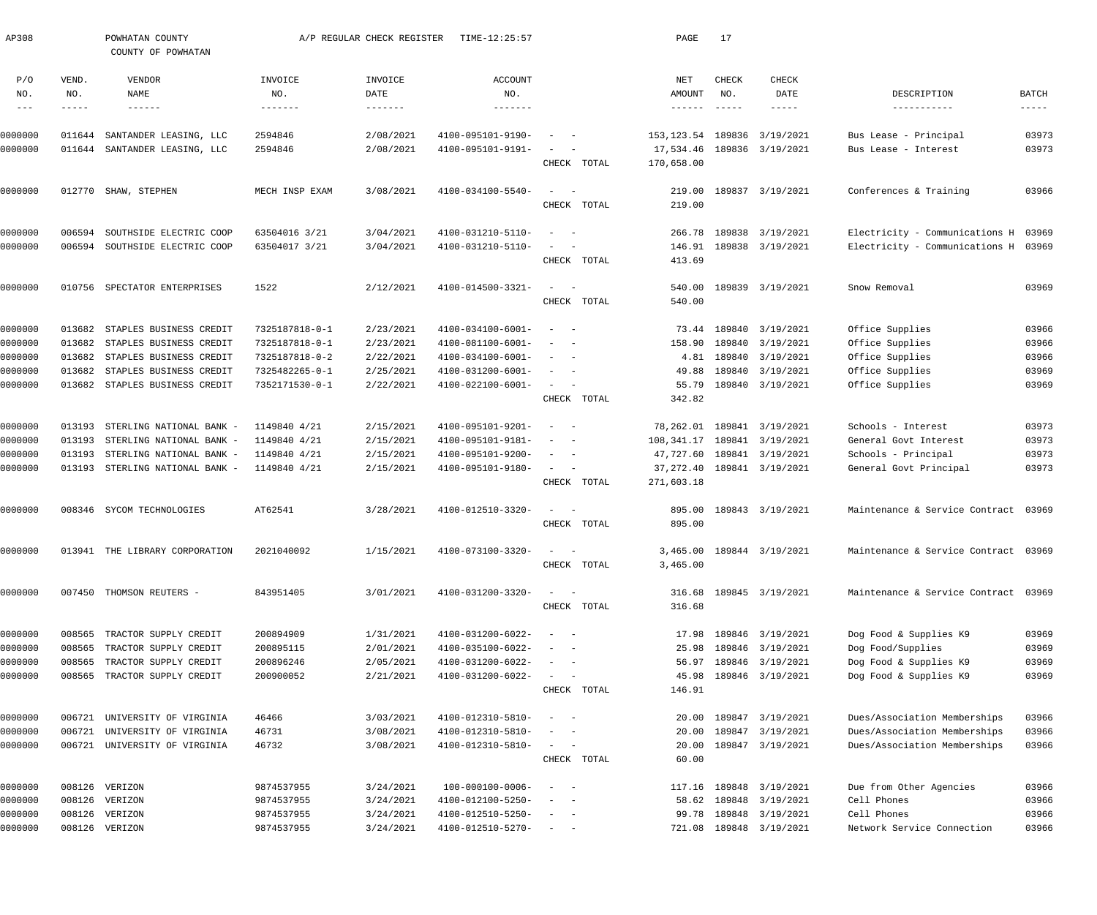| AP308              |        | POWHATAN COUNTY<br>COUNTY OF POWHATAN |                          | A/P REGULAR CHECK REGISTER | TIME-12:25:57                         |                                                                                                                              | PAGE                         | 17            |                                                   |                                        |                      |
|--------------------|--------|---------------------------------------|--------------------------|----------------------------|---------------------------------------|------------------------------------------------------------------------------------------------------------------------------|------------------------------|---------------|---------------------------------------------------|----------------------------------------|----------------------|
| P/O                | VEND.  | VENDOR                                | INVOICE                  | INVOICE                    | <b>ACCOUNT</b>                        |                                                                                                                              | NET                          | CHECK         | CHECK                                             |                                        |                      |
| NO.                | NO.    | NAME                                  | NO.                      | DATE                       | NO.                                   |                                                                                                                              | AMOUNT                       | NO.           | DATE                                              | DESCRIPTION                            | BATCH                |
| $\frac{1}{2}$      | -----  | $- - - - - - -$                       | $- - - - - - -$          | $- - - - - - -$            | --------                              |                                                                                                                              | $- - - - - - -$              | $- - - - - -$ | $- - - - - -$                                     | -----------                            | $\cdots\cdots\cdots$ |
| 0000000            | 011644 | SANTANDER LEASING, LLC                | 2594846                  | 2/08/2021                  | 4100-095101-9190-                     | $\sim$                                                                                                                       | 153,123.54                   |               | 189836 3/19/2021                                  | Bus Lease - Principal                  | 03973                |
| 0000000            |        | 011644 SANTANDER LEASING, LLC         | 2594846                  | 2/08/2021                  | 4100-095101-9191-                     | $\sim$ $  -$                                                                                                                 | 17,534.46                    |               | 189836 3/19/2021                                  | Bus Lease - Interest                   | 03973                |
|                    |        |                                       |                          |                            |                                       | CHECK TOTAL                                                                                                                  | 170,658.00                   |               |                                                   |                                        |                      |
| 0000000            |        | 012770 SHAW, STEPHEN                  | MECH INSP EXAM           | 3/08/2021                  | 4100-034100-5540-                     | $\sim$ $  -$                                                                                                                 | 219.00                       |               | 189837 3/19/2021                                  | Conferences & Training                 | 03966                |
|                    |        |                                       |                          |                            |                                       | CHECK TOTAL                                                                                                                  | 219.00                       |               |                                                   |                                        |                      |
| 0000000            | 006594 | SOUTHSIDE ELECTRIC COOP               | 63504016 3/21            | 3/04/2021                  | 4100-031210-5110-                     | $\sim$ $-$<br>$\overline{\phantom{a}}$                                                                                       | 266.78                       |               | 189838 3/19/2021                                  | Electricity - Communications H 03969   |                      |
| 0000000            |        | 006594 SOUTHSIDE ELECTRIC COOP        | 63504017 3/21            | 3/04/2021                  | 4100-031210-5110-                     | $\sim$ $  -$                                                                                                                 |                              |               | 146.91 189838 3/19/2021                           | Electricity - Communications H 03969   |                      |
|                    |        |                                       |                          |                            |                                       | CHECK TOTAL                                                                                                                  | 413.69                       |               |                                                   |                                        |                      |
|                    |        |                                       |                          |                            |                                       |                                                                                                                              |                              |               |                                                   |                                        |                      |
| 0000000            |        | 010756 SPECTATOR ENTERPRISES          | 1522                     | 2/12/2021                  | 4100-014500-3321-                     | $\sim$ $  -$                                                                                                                 | 540.00                       |               | 189839 3/19/2021                                  | Snow Removal                           | 03969                |
|                    |        |                                       |                          |                            |                                       | CHECK TOTAL                                                                                                                  | 540.00                       |               |                                                   |                                        |                      |
| 0000000            | 013682 | STAPLES BUSINESS CREDIT               | 7325187818-0-1           | 2/23/2021                  | 4100-034100-6001-                     | $\overline{\phantom{a}}$<br>$\sim$ $-$                                                                                       |                              |               | 73.44 189840 3/19/2021                            | Office Supplies                        | 03966                |
| 0000000            | 013682 | STAPLES BUSINESS CREDIT               | 7325187818-0-1           | 2/23/2021                  | 4100-081100-6001-                     | $\sim$ $-$                                                                                                                   | 158.90                       |               | 189840 3/19/2021                                  | Office Supplies                        | 03966                |
| 0000000            | 013682 | STAPLES BUSINESS CREDIT               | 7325187818-0-2           | 2/22/2021                  | 4100-034100-6001-                     | $\frac{1}{2}$ and $\frac{1}{2}$ and $\frac{1}{2}$                                                                            | 4.81                         |               | 189840 3/19/2021                                  | Office Supplies                        | 03966                |
| 0000000            | 013682 | STAPLES BUSINESS CREDIT               | 7325482265-0-1           | 2/25/2021                  | 4100-031200-6001-                     | $\frac{1}{2}$ and $\frac{1}{2}$ and $\frac{1}{2}$                                                                            | 49.88                        |               | 189840 3/19/2021                                  | Office Supplies                        | 03969                |
| 0000000            |        | 013682 STAPLES BUSINESS CREDIT        | 7352171530-0-1           | 2/22/2021                  | 4100-022100-6001-                     | $\sim$ $  -$                                                                                                                 | 55.79                        |               | 189840 3/19/2021                                  | Office Supplies                        | 03969                |
|                    |        |                                       |                          |                            |                                       | CHECK TOTAL                                                                                                                  | 342.82                       |               |                                                   |                                        |                      |
| 0000000            | 013193 | STERLING NATIONAL BANK -              | 1149840 4/21             | 2/15/2021                  | 4100-095101-9201-                     | $\overline{\phantom{a}}$<br>$\sim$ $-$                                                                                       |                              |               | 78, 262.01 189841 3/19/2021                       | Schools - Interest                     | 03973                |
| 0000000            | 013193 | STERLING NATIONAL BANK -              | 1149840 4/21             | 2/15/2021                  | 4100-095101-9181-                     | $\frac{1}{2}$ and $\frac{1}{2}$ and $\frac{1}{2}$                                                                            | 108, 341.17 189841 3/19/2021 |               |                                                   | General Govt Interest                  | 03973                |
| 0000000            | 013193 | STERLING NATIONAL BANK -              | 1149840 4/21             | 2/15/2021                  | 4100-095101-9200-                     | $\frac{1}{2}$ and $\frac{1}{2}$ and $\frac{1}{2}$                                                                            | 47,727.60                    |               | 189841 3/19/2021                                  | Schools - Principal                    | 03973                |
| 0000000            | 013193 | STERLING NATIONAL BANK -              | 1149840 4/21             | 2/15/2021                  | 4100-095101-9180-                     | $\sim$ $  -$                                                                                                                 |                              |               | 37, 272.40 189841 3/19/2021                       | General Govt Principal                 | 03973                |
|                    |        |                                       |                          |                            |                                       | CHECK TOTAL                                                                                                                  | 271,603.18                   |               |                                                   |                                        |                      |
| 0000000            |        | 008346 SYCOM TECHNOLOGIES             | AT62541                  | 3/28/2021                  | 4100-012510-3320-                     | $\sim$<br>$\sim$                                                                                                             | 895.00                       |               | 189843 3/19/2021                                  | Maintenance & Service Contract 03969   |                      |
|                    |        |                                       |                          |                            |                                       | CHECK TOTAL                                                                                                                  | 895.00                       |               |                                                   |                                        |                      |
| 0000000            |        | 013941 THE LIBRARY CORPORATION        | 2021040092               | 1/15/2021                  | $4100 - 073100 - 3320 - - -$          |                                                                                                                              |                              |               | 3,465.00 189844 3/19/2021                         | Maintenance & Service Contract 03969   |                      |
|                    |        |                                       |                          |                            |                                       | CHECK TOTAL                                                                                                                  | 3,465.00                     |               |                                                   |                                        |                      |
|                    |        |                                       |                          |                            |                                       |                                                                                                                              |                              |               |                                                   |                                        |                      |
| 0000000            |        | 007450 THOMSON REUTERS -              | 843951405                | 3/01/2021                  | 4100-031200-3320-                     | $\sim$ 100 $\sim$ $\sim$                                                                                                     |                              |               | 316.68 189845 3/19/2021                           | Maintenance & Service Contract 03969   |                      |
|                    |        |                                       |                          |                            |                                       | CHECK TOTAL                                                                                                                  | 316.68                       |               |                                                   |                                        |                      |
| 0000000            | 008565 | TRACTOR SUPPLY CREDIT                 | 200894909                | 1/31/2021                  | 4100-031200-6022-                     | $\frac{1}{2}$ and $\frac{1}{2}$ and $\frac{1}{2}$                                                                            |                              |               | 17.98 189846 3/19/2021                            | Dog Food & Supplies K9                 | 03969                |
| 0000000            | 008565 | TRACTOR SUPPLY CREDIT                 | 200895115                | 2/01/2021                  | 4100-035100-6022-                     | $\frac{1}{2} \left( \frac{1}{2} \right) \left( \frac{1}{2} \right) \left( \frac{1}{2} \right) \left( \frac{1}{2} \right)$    | 25.98                        |               | 189846 3/19/2021                                  | Dog Food/Supplies                      | 03969                |
| 0000000            | 008565 | TRACTOR SUPPLY CREDIT                 | 200896246                | 2/05/2021                  | 4100-031200-6022-                     | $\sim$ $ -$                                                                                                                  | 56.97                        |               | 189846 3/19/2021                                  | Dog Food & Supplies K9                 | 03969                |
| 0000000            |        | 008565 TRACTOR SUPPLY CREDIT          | 200900052                | 2/21/2021                  | 4100-031200-6022-                     | $\sim$ $  -$                                                                                                                 | 45.98                        |               | 189846 3/19/2021                                  | Dog Food & Supplies K9                 | 03969                |
|                    |        |                                       |                          |                            |                                       | CHECK TOTAL                                                                                                                  | 146.91                       |               |                                                   |                                        |                      |
| 0000000            | 006721 | UNIVERSITY OF VIRGINIA                | 46466                    | 3/03/2021                  | 4100-012310-5810-                     | $\sim$ $  -$                                                                                                                 |                              |               | 20.00 189847 3/19/2021                            | Dues/Association Memberships           | 03966                |
| 0000000            | 006721 | UNIVERSITY OF VIRGINIA                | 46731                    | 3/08/2021                  | 4100-012310-5810-                     | $\frac{1}{2} \left( \frac{1}{2} \right) \left( \frac{1}{2} \right) = \frac{1}{2} \left( \frac{1}{2} \right)$                 | 20.00                        |               | 189847 3/19/2021                                  | Dues/Association Memberships           | 03966                |
| 0000000            |        | 006721 UNIVERSITY OF VIRGINIA         | 46732                    | 3/08/2021                  | 4100-012310-5810-                     | $\sim$ $  -$                                                                                                                 | 20.00                        |               | 189847 3/19/2021                                  | Dues/Association Memberships           | 03966                |
|                    |        |                                       |                          |                            |                                       | CHECK TOTAL                                                                                                                  | 60.00                        |               |                                                   |                                        |                      |
|                    |        |                                       |                          |                            |                                       |                                                                                                                              |                              |               |                                                   |                                        |                      |
| 0000000<br>0000000 |        | 008126 VERIZON<br>008126 VERIZON      | 9874537955<br>9874537955 | 3/24/2021<br>3/24/2021     | 100-000100-0006-<br>4100-012100-5250- | $\sim$ $  -$<br>$\frac{1}{2} \left( \frac{1}{2} \right) \left( \frac{1}{2} \right) = \frac{1}{2} \left( \frac{1}{2} \right)$ |                              |               | 117.16 189848 3/19/2021<br>58.62 189848 3/19/2021 | Due from Other Agencies<br>Cell Phones | 03966<br>03966       |
| 0000000            | 008126 | VERIZON                               | 9874537955               | 3/24/2021                  | 4100-012510-5250-                     | $\sim$ $ -$                                                                                                                  | 99.78                        |               | 189848 3/19/2021                                  | Cell Phones                            | 03966                |
| 0000000            |        | 008126 VERIZON                        | 9874537955               | 3/24/2021                  | 4100-012510-5270-                     | $\alpha = 1$ , and $\alpha = 1$                                                                                              |                              |               | 721.08 189848 3/19/2021                           | Network Service Connection             | 03966                |
|                    |        |                                       |                          |                            |                                       |                                                                                                                              |                              |               |                                                   |                                        |                      |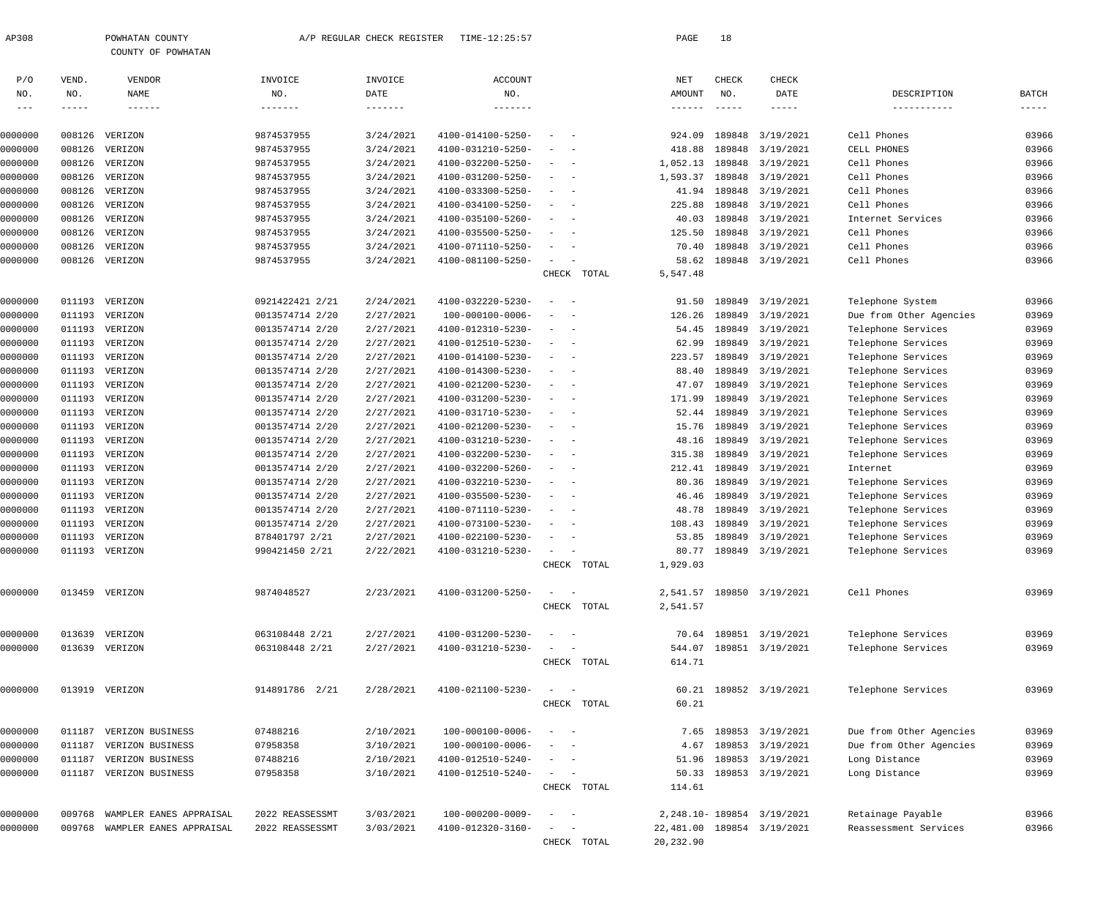| AP308               |             | POWHATAN COUNTY                  |                                    | A/P REGULAR CHECK REGISTER | TIME-12:25:57                          |                          |             | PAGE                 | 18            |                                      |                                |                |
|---------------------|-------------|----------------------------------|------------------------------------|----------------------------|----------------------------------------|--------------------------|-------------|----------------------|---------------|--------------------------------------|--------------------------------|----------------|
|                     |             | COUNTY OF POWHATAN               |                                    |                            |                                        |                          |             |                      |               |                                      |                                |                |
| P/O                 | VEND.       | VENDOR                           | INVOICE                            | INVOICE                    | <b>ACCOUNT</b>                         |                          |             | $\operatorname{NET}$ | ${\tt CHECK}$ | CHECK                                |                                |                |
| NO.                 | NO.         | <b>NAME</b>                      | NO.                                | DATE                       | NO.                                    |                          |             | AMOUNT               | NO.           | DATE                                 | DESCRIPTION                    | BATCH          |
| $\qquad \qquad - -$ | $- - - - -$ | $- - - - - - -$                  | -------                            | $- - - - - - -$            | -------                                |                          |             | ------               | $- - - - - -$ |                                      | -----------                    | $- - - - -$    |
| 0000000             | 008126      | VERIZON                          | 9874537955                         | 3/24/2021                  | 4100-014100-5250-                      |                          |             | 924.09               | 189848        | 3/19/2021                            | Cell Phones                    | 03966          |
| 0000000             | 008126      | VERIZON                          | 9874537955                         | 3/24/2021                  | 4100-031210-5250-                      |                          |             | 418.88               |               | 189848 3/19/2021                     | CELL PHONES                    | 03966          |
| 0000000             | 008126      | VERIZON                          | 9874537955                         | 3/24/2021                  | 4100-032200-5250-                      | $\overline{\phantom{a}}$ |             | 1,052.13             |               | 189848 3/19/2021                     | Cell Phones                    | 03966          |
| 0000000             | 008126      | VERIZON                          | 9874537955                         | 3/24/2021                  | 4100-031200-5250-                      |                          |             | 1,593.37             |               | 189848 3/19/2021                     | Cell Phones                    | 03966          |
| 0000000             | 008126      | VERIZON                          | 9874537955                         | 3/24/2021                  | 4100-033300-5250-                      | $\overline{\phantom{a}}$ |             | 41.94                |               | 189848 3/19/2021                     | Cell Phones                    | 03966          |
| 0000000             | 008126      | VERIZON                          | 9874537955                         | 3/24/2021                  | 4100-034100-5250-                      |                          |             | 225.88               | 189848        | 3/19/2021                            | Cell Phones                    | 03966          |
| 0000000             | 008126      | VERIZON                          | 9874537955                         | 3/24/2021                  | 4100-035100-5260-                      |                          |             | 40.03                |               | 189848 3/19/2021                     | Internet Services              | 03966          |
| 0000000             | 008126      | VERIZON                          | 9874537955                         | 3/24/2021                  | 4100-035500-5250-                      |                          |             | 125.50               |               | 189848 3/19/2021                     | Cell Phones                    | 03966          |
| 0000000             | 008126      | VERIZON                          | 9874537955                         | 3/24/2021                  | 4100-071110-5250-                      |                          |             | 70.40                |               | 189848 3/19/2021                     | Cell Phones                    | 03966          |
| 0000000             |             | 008126 VERIZON                   | 9874537955                         | 3/24/2021                  | 4100-081100-5250-                      |                          |             | 58.62                |               | 189848 3/19/2021                     | Cell Phones                    | 03966          |
|                     |             |                                  |                                    |                            |                                        |                          | CHECK TOTAL | 5,547.48             |               |                                      |                                |                |
| 0000000             | 011193      | VERIZON                          | 0921422421 2/21                    | 2/24/2021                  | 4100-032220-5230-                      | $\sim$                   |             | 91.50                | 189849        | 3/19/2021                            | Telephone System               | 03966          |
| 0000000             |             | 011193 VERIZON                   | 0013574714 2/20                    | 2/27/2021                  | $100 - 000100 - 0006 -$                |                          |             | 126.26               |               | 189849 3/19/2021                     | Due from Other Agencies        | 03969          |
| 0000000             |             | 011193 VERIZON                   | 0013574714 2/20                    | 2/27/2021                  | 4100-012310-5230-                      | $\sim$ $-$               |             | 54.45                |               | 189849 3/19/2021                     | Telephone Services             | 03969          |
| 0000000             |             | 011193 VERIZON                   | 0013574714 2/20                    | 2/27/2021                  | 4100-012510-5230-                      | $\sim$                   |             | 62.99                | 189849        | 3/19/2021                            | Telephone Services             | 03969          |
| 0000000             |             | 011193 VERIZON                   | 0013574714 2/20                    | 2/27/2021                  | 4100-014100-5230-                      |                          |             | 223.57               |               | 189849 3/19/2021                     | Telephone Services             | 03969          |
| 0000000             |             | 011193 VERIZON                   | 0013574714 2/20                    | 2/27/2021                  | 4100-014300-5230-                      | $\sim$                   |             | 88.40                |               | 189849 3/19/2021                     | Telephone Services             | 03969          |
| 0000000             |             | 011193 VERIZON                   | 0013574714 2/20                    | 2/27/2021                  | 4100-021200-5230-                      |                          |             | 47.07                |               | 189849 3/19/2021                     | Telephone Services             | 03969          |
| 0000000             |             | 011193 VERIZON                   | 0013574714 2/20                    | 2/27/2021                  | 4100-031200-5230-                      | $\sim$ $-$               |             | 171.99               |               | 189849 3/19/2021                     | Telephone Services             | 03969          |
| 0000000             |             | 011193 VERIZON                   | 0013574714 2/20                    | 2/27/2021                  | 4100-031710-5230-                      | $\sim$                   |             | 52.44                | 189849        | 3/19/2021                            | Telephone Services             | 03969          |
| 0000000             |             | 011193 VERIZON                   | 0013574714 2/20                    | 2/27/2021                  | 4100-021200-5230-                      |                          |             | 15.76                |               | 189849 3/19/2021                     | Telephone Services             | 03969          |
| 0000000             |             | 011193 VERIZON                   | 0013574714 2/20                    | 2/27/2021                  | 4100-031210-5230-                      | $\sim$                   |             | 48.16                |               | 189849 3/19/2021                     | Telephone Services             | 03969          |
| 0000000             |             | 011193 VERIZON<br>011193 VERIZON | 0013574714 2/20                    | 2/27/2021                  | 4100-032200-5230-                      | $\sim$ $-$               |             | 315.38               |               | 189849 3/19/2021                     | Telephone Services             | 03969<br>03969 |
| 0000000<br>0000000  |             | 011193 VERIZON                   | 0013574714 2/20<br>0013574714 2/20 | 2/27/2021<br>2/27/2021     | 4100-032200-5260-<br>4100-032210-5230- | $\sim$                   |             | 212.41<br>80.36      |               | 189849 3/19/2021<br>189849 3/19/2021 | Internet<br>Telephone Services | 03969          |
| 0000000             |             | 011193 VERIZON                   | 0013574714 2/20                    | 2/27/2021                  | 4100-035500-5230-                      |                          |             | 46.46                |               | 189849 3/19/2021                     | Telephone Services             | 03969          |
| 0000000             |             | 011193 VERIZON                   | 0013574714 2/20                    | 2/27/2021                  | 4100-071110-5230-                      |                          |             | 48.78                |               | 189849 3/19/2021                     | Telephone Services             | 03969          |
| 0000000             |             | 011193 VERIZON                   | 0013574714 2/20                    | 2/27/2021                  | 4100-073100-5230-                      |                          |             | 108.43               |               | 189849 3/19/2021                     | Telephone Services             | 03969          |
| 0000000             |             | 011193 VERIZON                   | 878401797 2/21                     | 2/27/2021                  | 4100-022100-5230-                      |                          |             |                      |               | 53.85 189849 3/19/2021               | Telephone Services             | 03969          |
| 0000000             |             | 011193 VERIZON                   | 990421450 2/21                     | 2/22/2021                  | $4100 - 031210 - 5230 -$               |                          |             | 80.77                |               | 189849 3/19/2021                     | Telephone Services             | 03969          |
|                     |             |                                  |                                    |                            |                                        |                          | CHECK TOTAL | 1,929.03             |               |                                      |                                |                |
|                     |             |                                  |                                    |                            |                                        |                          |             |                      |               |                                      |                                |                |
| 0000000             |             | 013459 VERIZON                   | 9874048527                         | 2/23/2021                  | 4100-031200-5250-                      |                          | CHECK TOTAL | 2,541.57<br>2,541.57 |               | 189850 3/19/2021                     | Cell Phones                    | 03969          |
|                     |             |                                  |                                    |                            |                                        |                          |             |                      |               |                                      |                                |                |
| 0000000             | 013639      | VERIZON                          | 063108448 2/21                     | 2/27/2021                  | 4100-031200-5230-                      |                          |             |                      |               | 70.64 189851 3/19/2021               | Telephone Services             | 03969          |
| 0000000             |             | 013639 VERIZON                   | 063108448 2/21                     | 2/27/2021                  | 4100-031210-5230-                      |                          |             | 544.07               |               | 189851 3/19/2021                     | Telephone Services             | 03969          |
|                     |             |                                  |                                    |                            |                                        |                          | CHECK TOTAL | 614.71               |               |                                      |                                |                |
| 0000000             |             | 013919 VERIZON                   | 914891786 2/21                     | 2/28/2021                  | 4100-021100-5230-                      | $\sim$<br>$\sim$ $-$     |             | 60.21                |               | 189852 3/19/2021                     | Telephone Services             | 03969          |
|                     |             |                                  |                                    |                            |                                        |                          | CHECK TOTAL | 60.21                |               |                                      |                                |                |
|                     | 011187      | VERIZON BUSINESS                 | 07488216                           | 2/10/2021                  | 100-000100-0006-                       |                          |             | 7.65                 |               | 189853 3/19/2021                     | Due from Other Agencies        | 03969          |
| 0000000<br>0000000  | 011187      | VERIZON BUSINESS                 | 07958358                           | 3/10/2021                  | 100-000100-0006-                       |                          |             | 4.67                 |               | 189853 3/19/2021                     | Due from Other Agencies        | 03969          |
| 0000000             | 011187      | VERIZON BUSINESS                 | 07488216                           | 2/10/2021                  | 4100-012510-5240-                      |                          |             | 51.96                |               | 189853 3/19/2021                     | Long Distance                  | 03969          |
| 0000000             |             | 011187 VERIZON BUSINESS          | 07958358                           | 3/10/2021                  | 4100-012510-5240-                      |                          |             | 50.33                |               | 189853 3/19/2021                     | Long Distance                  | 03969          |
|                     |             |                                  |                                    |                            |                                        |                          | CHECK TOTAL | 114.61               |               |                                      |                                |                |
|                     |             |                                  |                                    |                            |                                        |                          |             |                      |               |                                      |                                |                |
| 0000000             | 009768      | WAMPLER EANES APPRAISAL          | 2022 REASSESSMT                    | 3/03/2021                  | $100 - 000200 - 0009 -$                |                          |             |                      |               | 2, 248.10 - 189854 3/19/2021         | Retainage Payable              | 03966          |
| 0000000             | 009768      | WAMPLER EANES APPRAISAL          | 2022 REASSESSMT                    | 3/03/2021                  | 4100-012320-3160-                      | $\sim$ $-$               |             |                      |               | 22,481.00 189854 3/19/2021           | Reassessment Services          | 03966          |
|                     |             |                                  |                                    |                            |                                        |                          | CHECK TOTAL | 20, 232.90           |               |                                      |                                |                |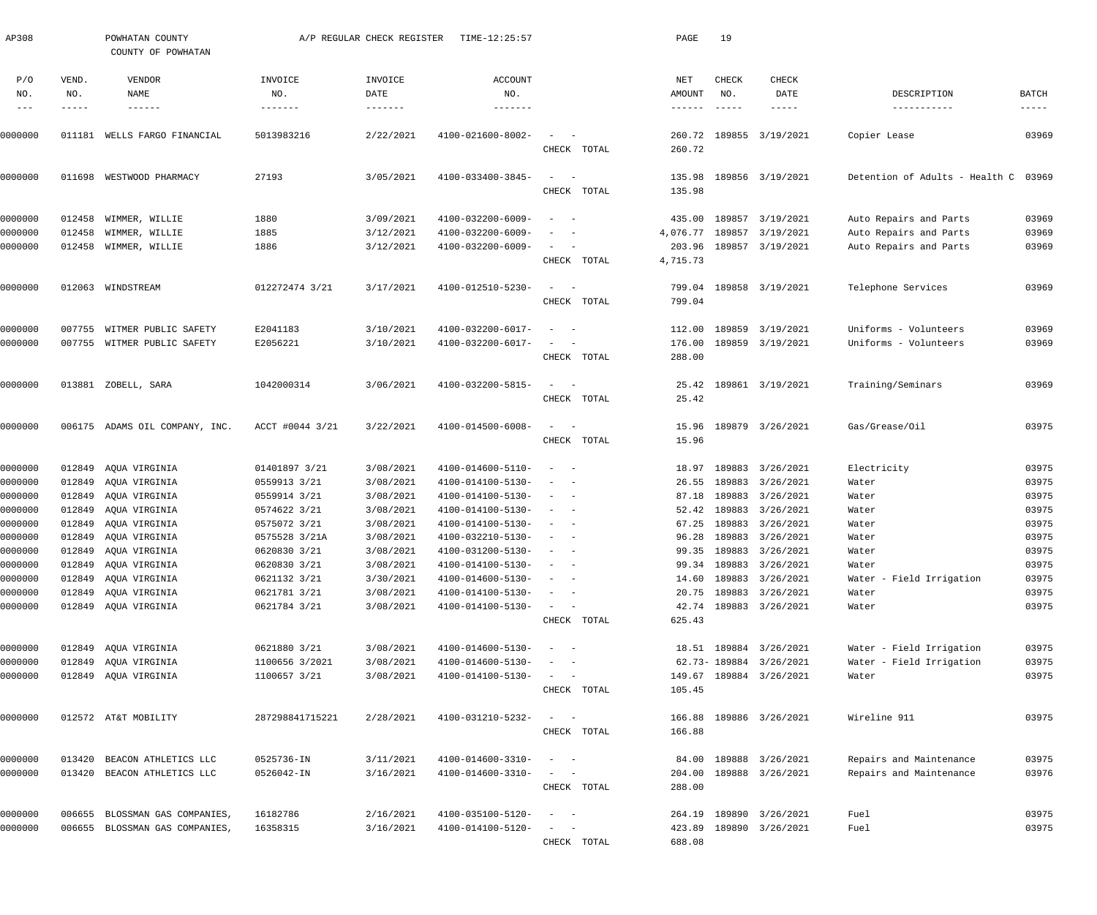| AP308         |              | POWHATAN COUNTY<br>COUNTY OF POWHATAN |                 | A/P REGULAR CHECK REGISTER | TIME-12:25:57                |                                                            | PAGE             | 19            |                         |                                      |                      |
|---------------|--------------|---------------------------------------|-----------------|----------------------------|------------------------------|------------------------------------------------------------|------------------|---------------|-------------------------|--------------------------------------|----------------------|
| P/O<br>NO.    | VEND.<br>NO. | VENDOR<br>NAME                        | INVOICE<br>NO.  | INVOICE<br>DATE            | ACCOUNT<br>NO.               |                                                            | NET<br>AMOUNT    | CHECK<br>NO.  | <b>CHECK</b><br>DATE    | DESCRIPTION                          | BATCH                |
| $\frac{1}{2}$ | -----        | $- - - - - - -$                       | --------        |                            | -------                      |                                                            | $- - - - - - -$  | $- - - - - -$ | $- - - - - -$           | -----------                          | $\cdots\cdots\cdots$ |
| 0000000       | 011181       | WELLS FARGO FINANCIAL                 | 5013983216      | 2/22/2021                  | 4100-021600-8002-            | $\sim$ .<br>CHECK TOTAL                                    | 260.72           |               | 260.72 189855 3/19/2021 | Copier Lease                         | 03969                |
| 0000000       | 011698       | WESTWOOD PHARMACY                     | 27193           | 3/05/2021                  | 4100-033400-3845-            | $\sim$ .<br>$\hspace{0.1mm}-\hspace{0.1mm}$<br>CHECK TOTAL | 135.98<br>135.98 |               | 189856 3/19/2021        | Detention of Adults - Health C 03969 |                      |
| 0000000       | 012458       | WIMMER, WILLIE                        | 1880            | 3/09/2021                  | 4100-032200-6009-            | $\sim$                                                     | 435.00           |               | 189857 3/19/2021        | Auto Repairs and Parts               | 03969                |
| 0000000       | 012458       | WIMMER, WILLIE                        | 1885            | 3/12/2021                  | 4100-032200-6009-            | $\overline{\phantom{0}}$                                   | 4,076.77         |               | 189857 3/19/2021        | Auto Repairs and Parts               | 03969                |
| 0000000       | 012458       | WIMMER, WILLIE                        | 1886            | 3/12/2021                  | 4100-032200-6009-            | $\sim$ 100 $\mu$<br>$\overline{\phantom{a}}$               | 203.96           |               | 189857 3/19/2021        | Auto Repairs and Parts               | 03969                |
|               |              |                                       |                 |                            |                              | CHECK TOTAL                                                | 4,715.73         |               |                         |                                      |                      |
| 0000000       |              | 012063 WINDSTREAM                     | 012272474 3/21  | 3/17/2021                  | 4100-012510-5230-            | $\sim$                                                     | 799.04           |               | 189858 3/19/2021        | Telephone Services                   | 03969                |
|               |              |                                       |                 |                            |                              | CHECK TOTAL                                                | 799.04           |               |                         |                                      |                      |
| 0000000       | 007755       | WITMER PUBLIC SAFETY                  | E2041183        | 3/10/2021                  | 4100-032200-6017-            | $\sim$ $-$                                                 | 112.00           | 189859        | 3/19/2021               | Uniforms - Volunteers                | 03969                |
| 0000000       |              | 007755 WITMER PUBLIC SAFETY           | E2056221        | 3/10/2021                  | 4100-032200-6017-            | $\sim$<br>$\overline{\phantom{a}}$                         | 176.00           |               | 189859 3/19/2021        | Uniforms - Volunteers                | 03969                |
|               |              |                                       |                 |                            |                              | CHECK TOTAL                                                | 288.00           |               |                         |                                      |                      |
| 0000000       |              | 013881 ZOBELL, SARA                   | 1042000314      | 3/06/2021                  | 4100-032200-5815-            | $\sim$<br>$\hspace{0.1mm}-\hspace{0.1mm}$                  | 25.42            |               | 189861 3/19/2021        | Training/Seminars                    | 03969                |
|               |              |                                       |                 |                            |                              | CHECK TOTAL                                                | 25.42            |               |                         |                                      |                      |
| 0000000       |              | 006175 ADAMS OIL COMPANY, INC.        | ACCT #0044 3/21 | 3/22/2021                  | 4100-014500-6008-            | $\sim$<br>$\overline{\phantom{a}}$                         | 15.96            |               | 189879 3/26/2021        | Gas/Grease/Oil                       | 03975                |
|               |              |                                       |                 |                            |                              | CHECK TOTAL                                                | 15.96            |               |                         |                                      |                      |
| 0000000       | 012849       | AQUA VIRGINIA                         | 01401897 3/21   | 3/08/2021                  | 4100-014600-5110-            | $\sim$                                                     | 18.97            | 189883        | 3/26/2021               | Electricity                          | 03975                |
| 0000000       | 012849       | AQUA VIRGINIA                         | 0559913 3/21    | 3/08/2021                  | 4100-014100-5130-            | $\overline{\phantom{0}}$                                   | 26.55            | 189883        | 3/26/2021               | Water                                | 03975                |
| 0000000       | 012849       | AQUA VIRGINIA                         | 0559914 3/21    | 3/08/2021                  | 4100-014100-5130-            | $\sim$<br>$\sim$                                           | 87.18            | 189883        | 3/26/2021               | Water                                | 03975                |
| 0000000       | 012849       | AQUA VIRGINIA                         | 0574622 3/21    | 3/08/2021                  | 4100-014100-5130-            | $\overline{\phantom{a}}$<br>$\overline{\phantom{0}}$       | 52.42            | 189883        | 3/26/2021               | Water                                | 03975                |
| 0000000       | 012849       | AQUA VIRGINIA                         | 0575072 3/21    | 3/08/2021                  | 4100-014100-5130-            | $\overline{\phantom{a}}$<br>$\sim$                         | 67.25            | 189883        | 3/26/2021               | Water                                | 03975                |
| 0000000       |              | 012849 AQUA VIRGINIA                  | 0575528 3/21A   | 3/08/2021                  | 4100-032210-5130-            | $\overline{\phantom{a}}$                                   | 96.28            |               | 189883 3/26/2021        | Water                                | 03975                |
| 0000000       |              | 012849 AOUA VIRGINIA                  | 0620830 3/21    | 3/08/2021                  | $4100 - 031200 - 5130 - - -$ |                                                            |                  |               | 99.35 189883 3/26/2021  | Water                                | 03975                |
| 0000000       |              | 012849 AQUA VIRGINIA                  | 0620830 3/21    | 3/08/2021                  | 4100-014100-5130-            | $\sim$ $  -$                                               |                  |               | 99.34 189883 3/26/2021  | Water                                | 03975                |
| 0000000       |              | 012849 AQUA VIRGINIA                  | 0621132 3/21    | 3/30/2021                  | 4100-014600-5130-            | $\sim$ $ -$                                                | 14.60            | 189883        | 3/26/2021               | Water - Field Irrigation             | 03975                |
| 0000000       |              | 012849 AQUA VIRGINIA                  | 0621781 3/21    | 3/08/2021                  | 4100-014100-5130-            | $\sim$ $  -$                                               |                  |               | 20.75 189883 3/26/2021  | Water                                | 03975                |
| 0000000       |              | 012849 AQUA VIRGINIA                  | 0621784 3/21    | 3/08/2021                  | 4100-014100-5130-            | $\frac{1}{2}$ and $\frac{1}{2}$ and $\frac{1}{2}$          |                  |               | 42.74 189883 3/26/2021  | Water                                | 03975                |
|               |              |                                       |                 |                            |                              | CHECK TOTAL                                                | 625.43           |               |                         |                                      |                      |
| 0000000       |              | 012849 AQUA VIRGINIA                  | 0621880 3/21    | 3/08/2021                  | 4100-014600-5130-            | $\sim$ $  -$                                               |                  |               | 18.51 189884 3/26/2021  | Water - Field Irrigation             | 03975                |
| 0000000       |              | 012849 AQUA VIRGINIA                  | 1100656 3/2021  | 3/08/2021                  | 4100-014600-5130-            | $\begin{array}{cccccccccc} - & & & & & & & - \end{array}$  |                  |               | 62.73-189884 3/26/2021  | Water - Field Irrigation             | 03975                |
| 0000000       |              | 012849 AQUA VIRGINIA                  | 1100657 3/21    | 3/08/2021                  | 4100-014100-5130-            | $\sim$ $  -$                                               |                  |               | 149.67 189884 3/26/2021 | Water                                | 03975                |
|               |              |                                       |                 |                            |                              | CHECK TOTAL                                                | 105.45           |               |                         |                                      |                      |
| 0000000       |              | 012572 AT&T MOBILITY                  | 287298841715221 | 2/28/2021                  | 4100-031210-5232-            | $\frac{1}{2}$ and $\frac{1}{2}$ and $\frac{1}{2}$          |                  |               | 166.88 189886 3/26/2021 | Wireline 911                         | 03975                |
|               |              |                                       |                 |                            |                              | CHECK TOTAL                                                | 166.88           |               |                         |                                      |                      |
| 0000000       |              | 013420 BEACON ATHLETICS LLC           | 0525736-IN      | 3/11/2021                  | 4100-014600-3310-            | $\sim$ $  -$                                               |                  |               | 84.00 189888 3/26/2021  | Repairs and Maintenance              | 03975                |
| 0000000       |              | 013420 BEACON ATHLETICS LLC           | 0526042-IN      | 3/16/2021                  | 4100-014600-3310-            | $\begin{array}{cccccccccc} - & & & & & & & - \end{array}$  | 204.00           |               | 189888 3/26/2021        | Repairs and Maintenance              | 03976                |
|               |              |                                       |                 |                            |                              | CHECK TOTAL                                                | 288.00           |               |                         |                                      |                      |
| 0000000       |              | 006655 BLOSSMAN GAS COMPANIES,        | 16182786        | 2/16/2021                  | 4100-035100-5120-            | $\begin{array}{cccccccccc} - & & & & & & & - \end{array}$  |                  |               | 264.19 189890 3/26/2021 | Fuel                                 | 03975                |
| 0000000       |              | 006655 BLOSSMAN GAS COMPANIES,        | 16358315        | 3/16/2021                  | 4100-014100-5120-            | $\sim$ $ -$                                                |                  |               | 423.89 189890 3/26/2021 | Fuel                                 | 03975                |
|               |              |                                       |                 |                            |                              | CHECK TOTAL                                                | 688.08           |               |                         |                                      |                      |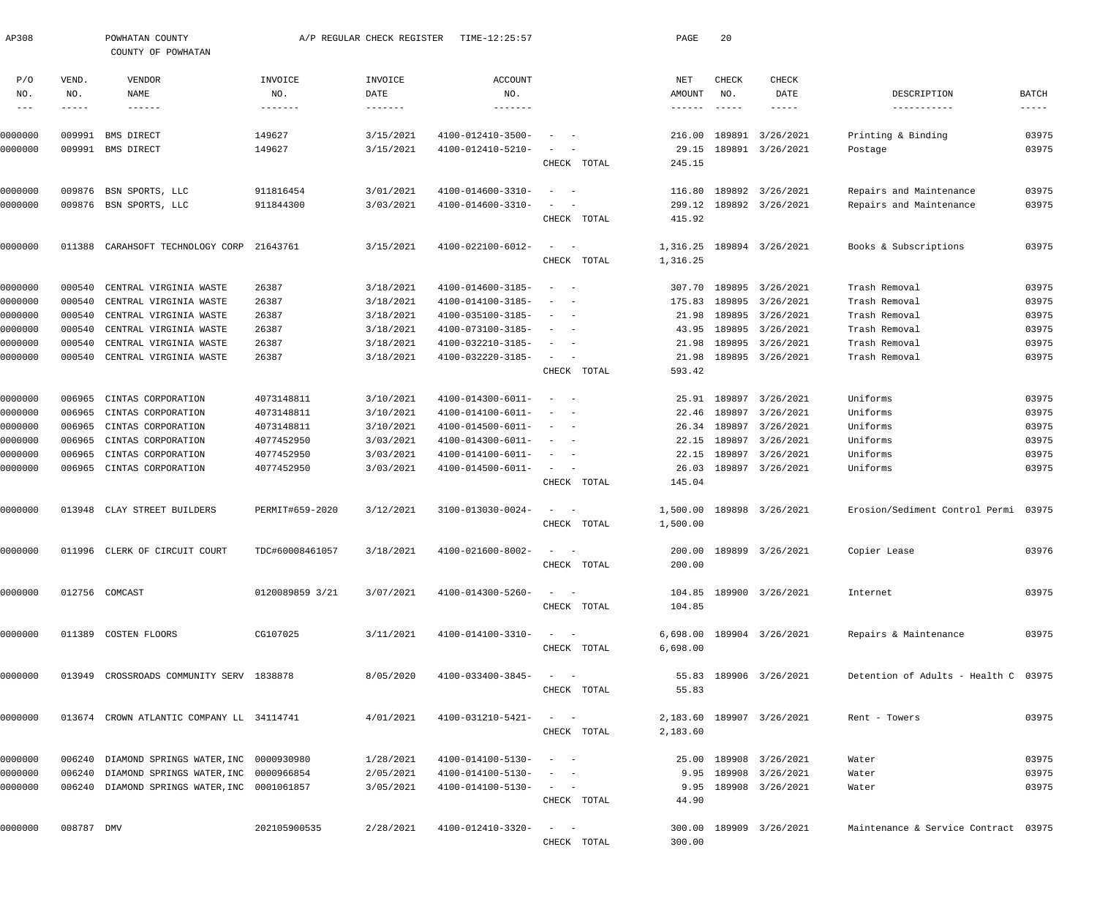|        | POWHATAN COUNTY<br>COUNTY OF POWHATAN |                                                                                                                                                                                                                                    |                                                                                                                                                                                                                                                                                                                              | TIME-12:25:57                                                              |                                                                                                                                     |                                                                                                                                                                                       | PAGE                                                                                                                                                                                                                                                                                                                                                                                                                                                                                                                                                                                        | 20                                                                   |                  |                                                                                                                                                                                                                                                                                                                                                                                                                                                                                                                                                                                    |                                                                                                                                                                      |
|--------|---------------------------------------|------------------------------------------------------------------------------------------------------------------------------------------------------------------------------------------------------------------------------------|------------------------------------------------------------------------------------------------------------------------------------------------------------------------------------------------------------------------------------------------------------------------------------------------------------------------------|----------------------------------------------------------------------------|-------------------------------------------------------------------------------------------------------------------------------------|---------------------------------------------------------------------------------------------------------------------------------------------------------------------------------------|---------------------------------------------------------------------------------------------------------------------------------------------------------------------------------------------------------------------------------------------------------------------------------------------------------------------------------------------------------------------------------------------------------------------------------------------------------------------------------------------------------------------------------------------------------------------------------------------|----------------------------------------------------------------------|------------------|------------------------------------------------------------------------------------------------------------------------------------------------------------------------------------------------------------------------------------------------------------------------------------------------------------------------------------------------------------------------------------------------------------------------------------------------------------------------------------------------------------------------------------------------------------------------------------|----------------------------------------------------------------------------------------------------------------------------------------------------------------------|
| VEND.  | VENDOR                                | INVOICE                                                                                                                                                                                                                            | INVOICE                                                                                                                                                                                                                                                                                                                      | <b>ACCOUNT</b>                                                             |                                                                                                                                     |                                                                                                                                                                                       | NET                                                                                                                                                                                                                                                                                                                                                                                                                                                                                                                                                                                         | CHECK                                                                | CHECK            |                                                                                                                                                                                                                                                                                                                                                                                                                                                                                                                                                                                    |                                                                                                                                                                      |
| NO.    | NAME                                  | NO.                                                                                                                                                                                                                                | DATE                                                                                                                                                                                                                                                                                                                         | NO.                                                                        |                                                                                                                                     |                                                                                                                                                                                       | AMOUNT                                                                                                                                                                                                                                                                                                                                                                                                                                                                                                                                                                                      | NO.                                                                  | DATE             | DESCRIPTION                                                                                                                                                                                                                                                                                                                                                                                                                                                                                                                                                                        | <b>BATCH</b>                                                                                                                                                         |
| -----  | $- - - - - - -$                       | $- - - - - - - -$                                                                                                                                                                                                                  | $- - - - - - - -$                                                                                                                                                                                                                                                                                                            | -------                                                                    |                                                                                                                                     |                                                                                                                                                                                       | $\cdots\cdots\cdots\cdots$                                                                                                                                                                                                                                                                                                                                                                                                                                                                                                                                                                  |                                                                      | -----            | -----------                                                                                                                                                                                                                                                                                                                                                                                                                                                                                                                                                                        | $--- - - -$                                                                                                                                                          |
|        |                                       |                                                                                                                                                                                                                                    |                                                                                                                                                                                                                                                                                                                              |                                                                            |                                                                                                                                     |                                                                                                                                                                                       |                                                                                                                                                                                                                                                                                                                                                                                                                                                                                                                                                                                             |                                                                      |                  |                                                                                                                                                                                                                                                                                                                                                                                                                                                                                                                                                                                    | 03975                                                                                                                                                                |
|        |                                       |                                                                                                                                                                                                                                    |                                                                                                                                                                                                                                                                                                                              |                                                                            |                                                                                                                                     |                                                                                                                                                                                       |                                                                                                                                                                                                                                                                                                                                                                                                                                                                                                                                                                                             |                                                                      |                  |                                                                                                                                                                                                                                                                                                                                                                                                                                                                                                                                                                                    | 03975                                                                                                                                                                |
|        |                                       |                                                                                                                                                                                                                                    |                                                                                                                                                                                                                                                                                                                              |                                                                            |                                                                                                                                     |                                                                                                                                                                                       | 245.15                                                                                                                                                                                                                                                                                                                                                                                                                                                                                                                                                                                      |                                                                      |                  |                                                                                                                                                                                                                                                                                                                                                                                                                                                                                                                                                                                    |                                                                                                                                                                      |
|        |                                       |                                                                                                                                                                                                                                    |                                                                                                                                                                                                                                                                                                                              |                                                                            |                                                                                                                                     |                                                                                                                                                                                       |                                                                                                                                                                                                                                                                                                                                                                                                                                                                                                                                                                                             |                                                                      |                  |                                                                                                                                                                                                                                                                                                                                                                                                                                                                                                                                                                                    | 03975                                                                                                                                                                |
|        |                                       |                                                                                                                                                                                                                                    |                                                                                                                                                                                                                                                                                                                              |                                                                            |                                                                                                                                     |                                                                                                                                                                                       |                                                                                                                                                                                                                                                                                                                                                                                                                                                                                                                                                                                             |                                                                      |                  |                                                                                                                                                                                                                                                                                                                                                                                                                                                                                                                                                                                    | 03975                                                                                                                                                                |
|        |                                       |                                                                                                                                                                                                                                    |                                                                                                                                                                                                                                                                                                                              |                                                                            |                                                                                                                                     |                                                                                                                                                                                       | 415.92                                                                                                                                                                                                                                                                                                                                                                                                                                                                                                                                                                                      |                                                                      |                  |                                                                                                                                                                                                                                                                                                                                                                                                                                                                                                                                                                                    |                                                                                                                                                                      |
|        |                                       |                                                                                                                                                                                                                                    |                                                                                                                                                                                                                                                                                                                              |                                                                            |                                                                                                                                     |                                                                                                                                                                                       |                                                                                                                                                                                                                                                                                                                                                                                                                                                                                                                                                                                             |                                                                      |                  |                                                                                                                                                                                                                                                                                                                                                                                                                                                                                                                                                                                    | 03975                                                                                                                                                                |
|        |                                       |                                                                                                                                                                                                                                    |                                                                                                                                                                                                                                                                                                                              |                                                                            |                                                                                                                                     |                                                                                                                                                                                       |                                                                                                                                                                                                                                                                                                                                                                                                                                                                                                                                                                                             |                                                                      |                  |                                                                                                                                                                                                                                                                                                                                                                                                                                                                                                                                                                                    |                                                                                                                                                                      |
|        |                                       |                                                                                                                                                                                                                                    |                                                                                                                                                                                                                                                                                                                              |                                                                            |                                                                                                                                     |                                                                                                                                                                                       |                                                                                                                                                                                                                                                                                                                                                                                                                                                                                                                                                                                             |                                                                      |                  |                                                                                                                                                                                                                                                                                                                                                                                                                                                                                                                                                                                    |                                                                                                                                                                      |
| 000540 | CENTRAL VIRGINIA WASTE                | 26387                                                                                                                                                                                                                              | 3/18/2021                                                                                                                                                                                                                                                                                                                    | 4100-014600-3185-                                                          | $\overline{\phantom{a}}$<br>$\overline{\phantom{a}}$                                                                                |                                                                                                                                                                                       | 307.70                                                                                                                                                                                                                                                                                                                                                                                                                                                                                                                                                                                      |                                                                      |                  | Trash Removal                                                                                                                                                                                                                                                                                                                                                                                                                                                                                                                                                                      | 03975                                                                                                                                                                |
| 000540 | CENTRAL VIRGINIA WASTE                | 26387                                                                                                                                                                                                                              | 3/18/2021                                                                                                                                                                                                                                                                                                                    | 4100-014100-3185-                                                          |                                                                                                                                     |                                                                                                                                                                                       | 175.83                                                                                                                                                                                                                                                                                                                                                                                                                                                                                                                                                                                      |                                                                      |                  | Trash Removal                                                                                                                                                                                                                                                                                                                                                                                                                                                                                                                                                                      | 03975                                                                                                                                                                |
| 000540 | CENTRAL VIRGINIA WASTE                | 26387                                                                                                                                                                                                                              | 3/18/2021                                                                                                                                                                                                                                                                                                                    | 4100-035100-3185-                                                          | $\overline{\phantom{a}}$                                                                                                            |                                                                                                                                                                                       | 21.98                                                                                                                                                                                                                                                                                                                                                                                                                                                                                                                                                                                       |                                                                      |                  | Trash Removal                                                                                                                                                                                                                                                                                                                                                                                                                                                                                                                                                                      | 03975                                                                                                                                                                |
| 000540 | CENTRAL VIRGINIA WASTE                | 26387                                                                                                                                                                                                                              | 3/18/2021                                                                                                                                                                                                                                                                                                                    | 4100-073100-3185-                                                          | $\overline{\phantom{a}}$                                                                                                            |                                                                                                                                                                                       | 43.95                                                                                                                                                                                                                                                                                                                                                                                                                                                                                                                                                                                       |                                                                      |                  | Trash Removal                                                                                                                                                                                                                                                                                                                                                                                                                                                                                                                                                                      | 03975                                                                                                                                                                |
| 000540 | CENTRAL VIRGINIA WASTE                | 26387                                                                                                                                                                                                                              | 3/18/2021                                                                                                                                                                                                                                                                                                                    | 4100-032210-3185-                                                          |                                                                                                                                     |                                                                                                                                                                                       | 21.98                                                                                                                                                                                                                                                                                                                                                                                                                                                                                                                                                                                       |                                                                      |                  | Trash Removal                                                                                                                                                                                                                                                                                                                                                                                                                                                                                                                                                                      | 03975                                                                                                                                                                |
|        | CENTRAL VIRGINIA WASTE                | 26387                                                                                                                                                                                                                              | 3/18/2021                                                                                                                                                                                                                                                                                                                    | 4100-032220-3185-                                                          | $\sim$                                                                                                                              |                                                                                                                                                                                       | 21.98                                                                                                                                                                                                                                                                                                                                                                                                                                                                                                                                                                                       |                                                                      |                  | Trash Removal                                                                                                                                                                                                                                                                                                                                                                                                                                                                                                                                                                      | 03975                                                                                                                                                                |
|        |                                       |                                                                                                                                                                                                                                    |                                                                                                                                                                                                                                                                                                                              |                                                                            |                                                                                                                                     |                                                                                                                                                                                       | 593.42                                                                                                                                                                                                                                                                                                                                                                                                                                                                                                                                                                                      |                                                                      |                  |                                                                                                                                                                                                                                                                                                                                                                                                                                                                                                                                                                                    |                                                                                                                                                                      |
| 006965 | CINTAS CORPORATION                    | 4073148811                                                                                                                                                                                                                         | 3/10/2021                                                                                                                                                                                                                                                                                                                    | 4100-014300-6011-                                                          | $\overline{\phantom{a}}$<br>$\sim$                                                                                                  |                                                                                                                                                                                       |                                                                                                                                                                                                                                                                                                                                                                                                                                                                                                                                                                                             |                                                                      |                  | Uniforms                                                                                                                                                                                                                                                                                                                                                                                                                                                                                                                                                                           | 03975                                                                                                                                                                |
| 006965 | CINTAS CORPORATION                    | 4073148811                                                                                                                                                                                                                         | 3/10/2021                                                                                                                                                                                                                                                                                                                    | 4100-014100-6011-                                                          |                                                                                                                                     |                                                                                                                                                                                       | 22.46                                                                                                                                                                                                                                                                                                                                                                                                                                                                                                                                                                                       |                                                                      |                  | Uniforms                                                                                                                                                                                                                                                                                                                                                                                                                                                                                                                                                                           | 03975                                                                                                                                                                |
| 006965 | CINTAS CORPORATION                    | 4073148811                                                                                                                                                                                                                         | 3/10/2021                                                                                                                                                                                                                                                                                                                    | 4100-014500-6011-                                                          | $\overline{\phantom{a}}$<br>$\overline{\phantom{a}}$                                                                                |                                                                                                                                                                                       | 26.34                                                                                                                                                                                                                                                                                                                                                                                                                                                                                                                                                                                       |                                                                      |                  | Uniforms                                                                                                                                                                                                                                                                                                                                                                                                                                                                                                                                                                           | 03975                                                                                                                                                                |
| 006965 | CINTAS CORPORATION                    | 4077452950                                                                                                                                                                                                                         | 3/03/2021                                                                                                                                                                                                                                                                                                                    | 4100-014300-6011-                                                          |                                                                                                                                     |                                                                                                                                                                                       | 22.15                                                                                                                                                                                                                                                                                                                                                                                                                                                                                                                                                                                       | 189897                                                               |                  | Uniforms                                                                                                                                                                                                                                                                                                                                                                                                                                                                                                                                                                           | 03975                                                                                                                                                                |
| 006965 | CINTAS CORPORATION                    | 4077452950                                                                                                                                                                                                                         | 3/03/2021                                                                                                                                                                                                                                                                                                                    | 4100-014100-6011-                                                          |                                                                                                                                     |                                                                                                                                                                                       | 22.15                                                                                                                                                                                                                                                                                                                                                                                                                                                                                                                                                                                       | 189897                                                               | 3/26/2021        | Uniforms                                                                                                                                                                                                                                                                                                                                                                                                                                                                                                                                                                           | 03975                                                                                                                                                                |
|        | CINTAS CORPORATION                    | 4077452950                                                                                                                                                                                                                         | 3/03/2021                                                                                                                                                                                                                                                                                                                    | 4100-014500-6011-                                                          |                                                                                                                                     |                                                                                                                                                                                       | 26.03                                                                                                                                                                                                                                                                                                                                                                                                                                                                                                                                                                                       |                                                                      |                  | Uniforms                                                                                                                                                                                                                                                                                                                                                                                                                                                                                                                                                                           | 03975                                                                                                                                                                |
|        |                                       |                                                                                                                                                                                                                                    |                                                                                                                                                                                                                                                                                                                              |                                                                            |                                                                                                                                     |                                                                                                                                                                                       | 145.04                                                                                                                                                                                                                                                                                                                                                                                                                                                                                                                                                                                      |                                                                      |                  |                                                                                                                                                                                                                                                                                                                                                                                                                                                                                                                                                                                    |                                                                                                                                                                      |
|        |                                       | PERMIT#659-2020                                                                                                                                                                                                                    | 3/12/2021                                                                                                                                                                                                                                                                                                                    | 3100-013030-0024-                                                          | $\sim$                                                                                                                              |                                                                                                                                                                                       | 1,500.00                                                                                                                                                                                                                                                                                                                                                                                                                                                                                                                                                                                    |                                                                      |                  | Erosion/Sediment Control Permi 03975                                                                                                                                                                                                                                                                                                                                                                                                                                                                                                                                               |                                                                                                                                                                      |
|        |                                       |                                                                                                                                                                                                                                    |                                                                                                                                                                                                                                                                                                                              |                                                                            |                                                                                                                                     |                                                                                                                                                                                       | 1,500.00                                                                                                                                                                                                                                                                                                                                                                                                                                                                                                                                                                                    |                                                                      |                  |                                                                                                                                                                                                                                                                                                                                                                                                                                                                                                                                                                                    |                                                                                                                                                                      |
|        |                                       | TDC#60008461057                                                                                                                                                                                                                    | 3/18/2021                                                                                                                                                                                                                                                                                                                    |                                                                            |                                                                                                                                     |                                                                                                                                                                                       |                                                                                                                                                                                                                                                                                                                                                                                                                                                                                                                                                                                             |                                                                      |                  |                                                                                                                                                                                                                                                                                                                                                                                                                                                                                                                                                                                    | 03976                                                                                                                                                                |
|        |                                       |                                                                                                                                                                                                                                    |                                                                                                                                                                                                                                                                                                                              |                                                                            |                                                                                                                                     |                                                                                                                                                                                       | 200.00                                                                                                                                                                                                                                                                                                                                                                                                                                                                                                                                                                                      |                                                                      |                  |                                                                                                                                                                                                                                                                                                                                                                                                                                                                                                                                                                                    |                                                                                                                                                                      |
|        |                                       |                                                                                                                                                                                                                                    |                                                                                                                                                                                                                                                                                                                              |                                                                            |                                                                                                                                     |                                                                                                                                                                                       |                                                                                                                                                                                                                                                                                                                                                                                                                                                                                                                                                                                             |                                                                      |                  |                                                                                                                                                                                                                                                                                                                                                                                                                                                                                                                                                                                    |                                                                                                                                                                      |
|        |                                       | 0120089859 3/21                                                                                                                                                                                                                    | 3/07/2021                                                                                                                                                                                                                                                                                                                    | 4100-014300-5260-                                                          |                                                                                                                                     |                                                                                                                                                                                       |                                                                                                                                                                                                                                                                                                                                                                                                                                                                                                                                                                                             |                                                                      |                  | Internet                                                                                                                                                                                                                                                                                                                                                                                                                                                                                                                                                                           | 03975                                                                                                                                                                |
|        |                                       |                                                                                                                                                                                                                                    |                                                                                                                                                                                                                                                                                                                              |                                                                            |                                                                                                                                     |                                                                                                                                                                                       | 104.85                                                                                                                                                                                                                                                                                                                                                                                                                                                                                                                                                                                      |                                                                      |                  |                                                                                                                                                                                                                                                                                                                                                                                                                                                                                                                                                                                    |                                                                                                                                                                      |
|        |                                       | CG107025                                                                                                                                                                                                                           | 3/11/2021                                                                                                                                                                                                                                                                                                                    |                                                                            |                                                                                                                                     |                                                                                                                                                                                       |                                                                                                                                                                                                                                                                                                                                                                                                                                                                                                                                                                                             |                                                                      |                  | Repairs & Maintenance                                                                                                                                                                                                                                                                                                                                                                                                                                                                                                                                                              | 03975                                                                                                                                                                |
|        |                                       |                                                                                                                                                                                                                                    |                                                                                                                                                                                                                                                                                                                              |                                                                            |                                                                                                                                     |                                                                                                                                                                                       | 6,698.00                                                                                                                                                                                                                                                                                                                                                                                                                                                                                                                                                                                    |                                                                      |                  |                                                                                                                                                                                                                                                                                                                                                                                                                                                                                                                                                                                    |                                                                                                                                                                      |
|        |                                       |                                                                                                                                                                                                                                    |                                                                                                                                                                                                                                                                                                                              |                                                                            |                                                                                                                                     |                                                                                                                                                                                       |                                                                                                                                                                                                                                                                                                                                                                                                                                                                                                                                                                                             |                                                                      |                  |                                                                                                                                                                                                                                                                                                                                                                                                                                                                                                                                                                                    |                                                                                                                                                                      |
|        |                                       |                                                                                                                                                                                                                                    |                                                                                                                                                                                                                                                                                                                              |                                                                            |                                                                                                                                     |                                                                                                                                                                                       |                                                                                                                                                                                                                                                                                                                                                                                                                                                                                                                                                                                             |                                                                      |                  |                                                                                                                                                                                                                                                                                                                                                                                                                                                                                                                                                                                    |                                                                                                                                                                      |
|        |                                       |                                                                                                                                                                                                                                    |                                                                                                                                                                                                                                                                                                                              |                                                                            |                                                                                                                                     |                                                                                                                                                                                       |                                                                                                                                                                                                                                                                                                                                                                                                                                                                                                                                                                                             |                                                                      |                  |                                                                                                                                                                                                                                                                                                                                                                                                                                                                                                                                                                                    |                                                                                                                                                                      |
|        |                                       |                                                                                                                                                                                                                                    | 4/01/2021                                                                                                                                                                                                                                                                                                                    |                                                                            |                                                                                                                                     |                                                                                                                                                                                       |                                                                                                                                                                                                                                                                                                                                                                                                                                                                                                                                                                                             |                                                                      |                  | Rent - Towers                                                                                                                                                                                                                                                                                                                                                                                                                                                                                                                                                                      | 03975                                                                                                                                                                |
|        |                                       |                                                                                                                                                                                                                                    |                                                                                                                                                                                                                                                                                                                              |                                                                            |                                                                                                                                     |                                                                                                                                                                                       | 2,183.60                                                                                                                                                                                                                                                                                                                                                                                                                                                                                                                                                                                    |                                                                      |                  |                                                                                                                                                                                                                                                                                                                                                                                                                                                                                                                                                                                    |                                                                                                                                                                      |
|        |                                       |                                                                                                                                                                                                                                    | 1/28/2021                                                                                                                                                                                                                                                                                                                    |                                                                            |                                                                                                                                     |                                                                                                                                                                                       |                                                                                                                                                                                                                                                                                                                                                                                                                                                                                                                                                                                             |                                                                      |                  | Water                                                                                                                                                                                                                                                                                                                                                                                                                                                                                                                                                                              | 03975                                                                                                                                                                |
|        |                                       |                                                                                                                                                                                                                                    | 2/05/2021                                                                                                                                                                                                                                                                                                                    |                                                                            |                                                                                                                                     |                                                                                                                                                                                       |                                                                                                                                                                                                                                                                                                                                                                                                                                                                                                                                                                                             |                                                                      |                  | Water                                                                                                                                                                                                                                                                                                                                                                                                                                                                                                                                                                              | 03975                                                                                                                                                                |
|        |                                       |                                                                                                                                                                                                                                    | 3/05/2021                                                                                                                                                                                                                                                                                                                    |                                                                            |                                                                                                                                     |                                                                                                                                                                                       |                                                                                                                                                                                                                                                                                                                                                                                                                                                                                                                                                                                             |                                                                      |                  | Water                                                                                                                                                                                                                                                                                                                                                                                                                                                                                                                                                                              | 03975                                                                                                                                                                |
|        |                                       |                                                                                                                                                                                                                                    |                                                                                                                                                                                                                                                                                                                              |                                                                            |                                                                                                                                     |                                                                                                                                                                                       | 44.90                                                                                                                                                                                                                                                                                                                                                                                                                                                                                                                                                                                       |                                                                      |                  |                                                                                                                                                                                                                                                                                                                                                                                                                                                                                                                                                                                    |                                                                                                                                                                      |
|        |                                       | 202105900535                                                                                                                                                                                                                       | 2/28/2021                                                                                                                                                                                                                                                                                                                    |                                                                            |                                                                                                                                     |                                                                                                                                                                                       |                                                                                                                                                                                                                                                                                                                                                                                                                                                                                                                                                                                             |                                                                      |                  | Maintenance & Service Contract 03975                                                                                                                                                                                                                                                                                                                                                                                                                                                                                                                                               |                                                                                                                                                                      |
|        |                                       |                                                                                                                                                                                                                                    |                                                                                                                                                                                                                                                                                                                              |                                                                            |                                                                                                                                     |                                                                                                                                                                                       | 300.00                                                                                                                                                                                                                                                                                                                                                                                                                                                                                                                                                                                      |                                                                      |                  |                                                                                                                                                                                                                                                                                                                                                                                                                                                                                                                                                                                    |                                                                                                                                                                      |
|        | 009876<br>011388                      | 009991<br>BMS DIRECT<br>009991 BMS DIRECT<br>BSN SPORTS, LLC<br>009876 BSN SPORTS, LLC<br>000540<br>006965<br>013948 CLAY STREET BUILDERS<br>011996 CLERK OF CIRCUIT COURT<br>012756 COMCAST<br>011389 COSTEN FLOORS<br>008787 DMV | 149627<br>149627<br>911816454<br>911844300<br>CARAHSOFT TECHNOLOGY CORP<br>21643761<br>013949 CROSSROADS COMMUNITY SERV 1838878<br>013674 CROWN ATLANTIC COMPANY LL 34114741<br>006240 DIAMOND SPRINGS WATER, INC 0000930980<br>006240 DIAMOND SPRINGS WATER, INC 0000966854<br>006240 DIAMOND SPRINGS WATER, INC 0001061857 | 3/15/2021<br>3/15/2021<br>3/01/2021<br>3/03/2021<br>3/15/2021<br>8/05/2020 | A/P REGULAR CHECK REGISTER<br>4100-012410-3500-<br>4100-012410-5210-<br>4100-014600-3310-<br>4100-014600-3310-<br>4100-022100-6012- | $\overline{\phantom{a}}$<br>$\sim$<br>4100-014100-3310-<br>4100-033400-3845-<br>4100-031210-5421-<br>4100-014100-5130-<br>4100-014100-5130-<br>4100-014100-5130-<br>4100-012410-3320- | CHECK TOTAL<br>CHECK TOTAL<br>$\sim$<br>CHECK TOTAL<br>CHECK TOTAL<br>$\sim$ $  -$<br>CHECK TOTAL<br>$\overline{\phantom{0}}$<br>CHECK TOTAL<br>$4100 - 021600 - 8002 - - -$<br>CHECK TOTAL<br>$\alpha = 1, \ldots, n-1$<br>CHECK TOTAL<br>$\label{eq:1} \mathcal{L}_{\mathcal{A}} = \mathcal{L}_{\mathcal{A}} + \mathcal{L}_{\mathcal{A}} + \mathcal{L}_{\mathcal{A}}$<br>CHECK TOTAL<br>$\mathcal{L}_{\mathcal{A}}$ and $\mathcal{L}_{\mathcal{A}}$ and $\mathcal{L}_{\mathcal{A}}$<br>CHECK TOTAL<br>CHECK TOTAL<br>$\alpha$ , and $\alpha$ , and $\alpha$<br>CHECK TOTAL<br>CHECK TOTAL | 216.00<br>29.15<br>116.80<br>299.12<br>1,316.25<br>1,316.25<br>55.83 | 189891<br>189897 | 3/26/2021<br>189891 3/26/2021<br>189892 3/26/2021<br>189892 3/26/2021<br>189894 3/26/2021<br>189895 3/26/2021<br>189895 3/26/2021<br>189895 3/26/2021<br>189895 3/26/2021<br>189895 3/26/2021<br>189895 3/26/2021<br>25.91 189897 3/26/2021<br>3/26/2021<br>189897 3/26/2021<br>3/26/2021<br>189897 3/26/2021<br>189898 3/26/2021<br>200.00 189899 3/26/2021<br>104.85 189900 3/26/2021<br>6,698.00 189904 3/26/2021<br>55.83 189906 3/26/2021<br>2,183.60 189907 3/26/2021<br>25.00 189908 3/26/2021<br>9.95 189908 3/26/2021<br>9.95 189908 3/26/2021<br>300.00 189909 3/26/2021 | Printing & Binding<br>Postage<br>Repairs and Maintenance<br>Repairs and Maintenance<br>Books & Subscriptions<br>Copier Lease<br>Detention of Adults - Health C 03975 |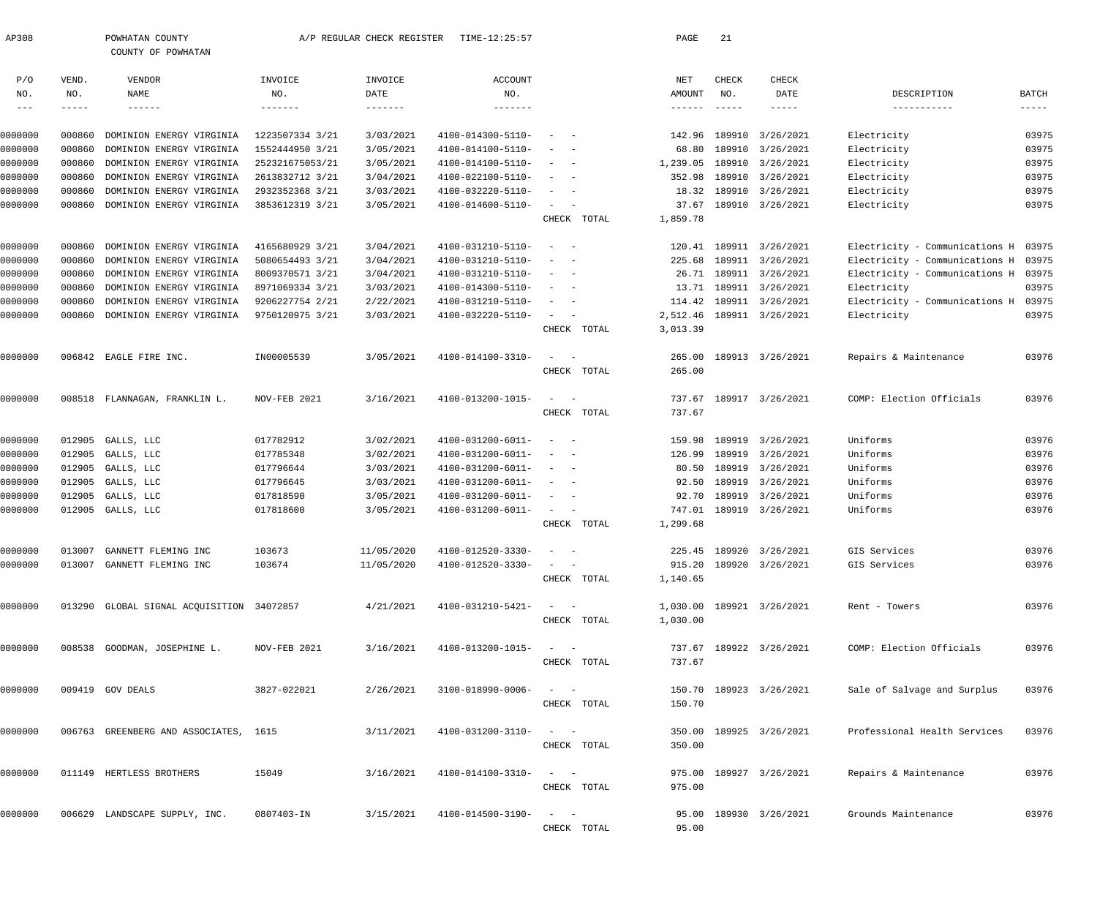| AP308               |              | POWHATAN COUNTY<br>COUNTY OF POWHATAN     |                 | A/P REGULAR CHECK REGISTER | TIME-12:25:57         |                                                                        | PAGE                       | 21                        |                           |                                      |               |
|---------------------|--------------|-------------------------------------------|-----------------|----------------------------|-----------------------|------------------------------------------------------------------------|----------------------------|---------------------------|---------------------------|--------------------------------------|---------------|
| P/O<br>NO.          | VEND.<br>NO. | VENDOR<br>NAME                            | INVOICE<br>NO.  | INVOICE<br>DATE            | <b>ACCOUNT</b><br>NO. |                                                                        | NET<br>AMOUNT              | CHECK<br>NO.              | CHECK<br>DATE             | DESCRIPTION                          | <b>BATCH</b>  |
| $\qquad \qquad - -$ | $-- - - -$   | $- - - - - - -$                           | -------         | $- - - - - - - -$          | $- - - - - - - -$     |                                                                        | $\cdots\cdots\cdots\cdots$ | $\qquad \qquad - - - - -$ | $- - - - - -$             | -----------                          | $- - - - - -$ |
| 0000000             | 000860       | DOMINION ENERGY VIRGINIA                  | 1223507334 3/21 | 3/03/2021                  | 4100-014300-5110-     |                                                                        | 142.96                     |                           | 189910 3/26/2021          | Electricity                          | 03975         |
| 0000000             | 000860       | DOMINION ENERGY VIRGINIA                  | 1552444950 3/21 | 3/05/2021                  | 4100-014100-5110-     |                                                                        | 68.80                      |                           | 189910 3/26/2021          | Electricity                          | 03975         |
| 0000000             | 000860       | DOMINION ENERGY VIRGINIA                  | 252321675053/21 | 3/05/2021                  | 4100-014100-5110-     | $\overline{\phantom{a}}$                                               | 1,239.05                   |                           | 189910 3/26/2021          | Electricity                          | 03975         |
| 0000000             | 000860       | DOMINION ENERGY VIRGINIA                  | 2613832712 3/21 | 3/04/2021                  | 4100-022100-5110-     |                                                                        | 352.98                     |                           | 189910 3/26/2021          | Electricity                          | 03975         |
| 0000000             | 000860       | DOMINION ENERGY VIRGINIA                  | 2932352368 3/21 | 3/03/2021                  | 4100-032220-5110-     | $\sim$                                                                 | 18.32                      |                           | 189910 3/26/2021          | Electricity                          | 03975         |
| 0000000             | 000860       | DOMINION ENERGY VIRGINIA                  | 3853612319 3/21 | 3/05/2021                  | 4100-014600-5110-     | $\sim$                                                                 | 37.67                      |                           | 189910 3/26/2021          | Electricity                          | 03975         |
|                     |              |                                           |                 |                            |                       | CHECK TOTAL                                                            | 1,859.78                   |                           |                           |                                      |               |
|                     |              |                                           |                 |                            |                       |                                                                        |                            |                           |                           |                                      |               |
| 0000000             | 000860       | DOMINION ENERGY VIRGINIA                  | 4165680929 3/21 | 3/04/2021                  | 4100-031210-5110-     | $\overline{\phantom{a}}$<br>$\sim$                                     | 120.41                     |                           | 189911 3/26/2021          | Electricity - Communications H       | 03975         |
| 0000000             | 000860       | DOMINION ENERGY VIRGINIA                  | 5080654493 3/21 | 3/04/2021                  | 4100-031210-5110-     |                                                                        | 225.68                     |                           | 189911 3/26/2021          | Electricity - Communications H       | 03975         |
| 0000000             | 000860       | DOMINION ENERGY VIRGINIA                  | 8009370571 3/21 | 3/04/2021                  | 4100-031210-5110-     | $\overline{\phantom{a}}$                                               |                            |                           | 26.71 189911 3/26/2021    | Electricity - Communications H 03975 |               |
| 0000000             | 000860       | DOMINION ENERGY VIRGINIA                  | 8971069334 3/21 | 3/03/2021                  | 4100-014300-5110-     |                                                                        | 13.71                      |                           | 189911 3/26/2021          | Electricity                          | 03975         |
| 0000000             | 000860       | DOMINION ENERGY VIRGINIA                  | 9206227754 2/21 | 2/22/2021                  | 4100-031210-5110-     | $\sim$                                                                 | 114.42                     |                           | 189911 3/26/2021          | Electricity - Communications H       | 03975         |
| 0000000             | 000860       | DOMINION ENERGY VIRGINIA                  | 9750120975 3/21 | 3/03/2021                  | 4100-032220-5110-     | $\sim$                                                                 | 2,512.46                   |                           | 189911 3/26/2021          | Electricity                          | 03975         |
|                     |              |                                           |                 |                            |                       | CHECK TOTAL                                                            | 3,013.39                   |                           |                           |                                      |               |
| 0000000             |              | 006842 EAGLE FIRE INC.                    | IN00005539      | 3/05/2021                  | 4100-014100-3310-     |                                                                        | 265.00                     |                           | 189913 3/26/2021          | Repairs & Maintenance                | 03976         |
|                     |              |                                           |                 |                            |                       | CHECK TOTAL                                                            | 265.00                     |                           |                           |                                      |               |
|                     |              |                                           |                 |                            |                       |                                                                        |                            |                           |                           |                                      |               |
| 0000000             |              | 008518 FLANNAGAN, FRANKLIN L.             | NOV-FEB 2021    | 3/16/2021                  | 4100-013200-1015-     |                                                                        | 737.67                     |                           | 189917 3/26/2021          | COMP: Election Officials             | 03976         |
|                     |              |                                           |                 |                            |                       | CHECK TOTAL                                                            | 737.67                     |                           |                           |                                      |               |
| 0000000             |              | 012905 GALLS, LLC                         | 017782912       | 3/02/2021                  | 4100-031200-6011-     | $\sim$<br>$\overline{\phantom{a}}$                                     | 159.98                     |                           | 189919 3/26/2021          | Uniforms                             | 03976         |
| 0000000             |              | 012905 GALLS, LLC                         | 017785348       | 3/02/2021                  | 4100-031200-6011-     | $\sim$                                                                 | 126.99                     |                           | 189919 3/26/2021          | Uniforms                             | 03976         |
| 0000000             |              | 012905 GALLS, LLC                         | 017796644       | 3/03/2021                  | 4100-031200-6011-     | $\sim$                                                                 | 80.50                      |                           | 189919 3/26/2021          | Uniforms                             | 03976         |
| 0000000             |              | 012905 GALLS, LLC                         | 017796645       | 3/03/2021                  | 4100-031200-6011-     | $\sim$                                                                 | 92.50                      |                           | 189919 3/26/2021          | Uniforms                             | 03976         |
| 0000000             | 012905       | GALLS, LLC                                | 017818590       | 3/05/2021                  | 4100-031200-6011-     | $\sim$                                                                 | 92.70                      |                           | 189919 3/26/2021          | Uniforms                             | 03976         |
| 0000000             |              | 012905 GALLS, LLC                         | 017818600       | 3/05/2021                  | 4100-031200-6011-     | $\sim$                                                                 | 747.01                     |                           | 189919 3/26/2021          | Uniforms                             | 03976         |
|                     |              |                                           |                 |                            |                       | CHECK TOTAL                                                            | 1,299.68                   |                           |                           |                                      |               |
| 0000000             |              | 013007 GANNETT FLEMING INC                | 103673          | 11/05/2020                 | 4100-012520-3330-     | and the contract of                                                    |                            |                           | 225.45 189920 3/26/2021   | GIS Services                         | 03976         |
| 0000000             |              | 013007 GANNETT FLEMING INC                | 103674          | 11/05/2020                 | 4100-012520-3330-     | $\alpha \rightarrow \beta \gamma$ and $\beta \rightarrow \beta \gamma$ |                            |                           | 915.20 189920 3/26/2021   | GIS Services                         | 03976         |
|                     |              |                                           |                 |                            |                       | CHECK TOTAL                                                            | 1,140.65                   |                           |                           |                                      |               |
|                     |              |                                           |                 |                            |                       |                                                                        |                            |                           |                           |                                      |               |
| 0000000             |              | 013290 GLOBAL SIGNAL ACQUISITION 34072857 |                 | 4/21/2021                  | 4100-031210-5421-     | $\alpha = 1, \ldots, n-1$                                              |                            |                           | 1,030.00 189921 3/26/2021 | Rent - Towers                        | 03976         |
|                     |              |                                           |                 |                            |                       | CHECK TOTAL                                                            | 1,030.00                   |                           |                           |                                      |               |
| 0000000             |              | 008538 GOODMAN, JOSEPHINE L.              | NOV-FEB 2021    | 3/16/2021                  | 4100-013200-1015-     | $\alpha\rightarrow\alpha\gamma$ , $\alpha\rightarrow\alpha\gamma$      |                            |                           | 737.67 189922 3/26/2021   | COMP: Election Officials             | 03976         |
|                     |              |                                           |                 |                            |                       | CHECK TOTAL                                                            | 737.67                     |                           |                           |                                      |               |
|                     |              |                                           |                 |                            |                       |                                                                        |                            |                           |                           |                                      |               |
| 0000000             |              | 009419 GOV DEALS                          | 3827-022021     | 2/26/2021                  | 3100-018990-0006-     | $\alpha = 1, \ldots, \alpha$                                           |                            |                           | 150.70 189923 3/26/2021   | Sale of Salvage and Surplus          | 03976         |
|                     |              |                                           |                 |                            |                       | CHECK TOTAL                                                            | 150.70                     |                           |                           |                                      |               |
| 0000000             |              | 006763 GREENBERG AND ASSOCIATES, 1615     |                 | 3/11/2021                  | 4100-031200-3110-     | $\alpha = 1, \ldots, \alpha$                                           |                            |                           | 350.00 189925 3/26/2021   | Professional Health Services         | 03976         |
|                     |              |                                           |                 |                            |                       | CHECK TOTAL                                                            | 350.00                     |                           |                           |                                      |               |
|                     |              |                                           |                 |                            |                       |                                                                        |                            |                           |                           |                                      |               |
| 0000000             |              | 011149 HERTLESS BROTHERS                  | 15049           | 3/16/2021                  | 4100-014100-3310-     | $\alpha = 1, \ldots, \alpha$ .                                         |                            |                           | 975.00 189927 3/26/2021   | Repairs & Maintenance                | 03976         |
|                     |              |                                           |                 |                            |                       | CHECK TOTAL                                                            | 975.00                     |                           |                           |                                      |               |
| 0000000             |              | 006629 LANDSCAPE SUPPLY, INC.             | 0807403-IN      | 3/15/2021                  | 4100-014500-3190-     | $\alpha = 1, \ldots, \alpha$                                           |                            |                           | 95.00 189930 3/26/2021    | Grounds Maintenance                  | 03976         |
|                     |              |                                           |                 |                            |                       | CHECK TOTAL                                                            | 95.00                      |                           |                           |                                      |               |
|                     |              |                                           |                 |                            |                       |                                                                        |                            |                           |                           |                                      |               |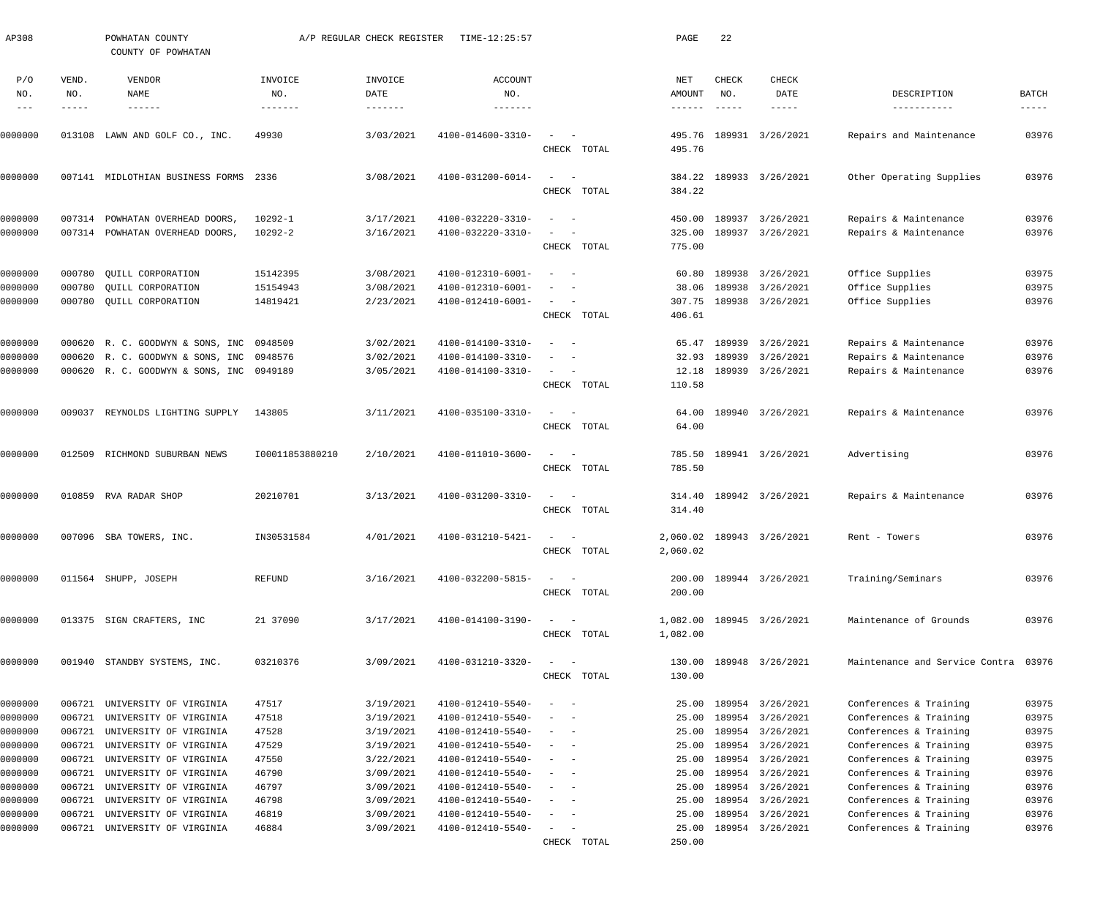| AP308              |                  | POWHATAN COUNTY<br>COUNTY OF POWHATAN            |                 | A/P REGULAR CHECK REGISTER | TIME-12:25:57                          |                                                      |             | PAGE             | 22                  |                                      |                                                  |                      |
|--------------------|------------------|--------------------------------------------------|-----------------|----------------------------|----------------------------------------|------------------------------------------------------|-------------|------------------|---------------------|--------------------------------------|--------------------------------------------------|----------------------|
| P/O<br>NO.         | VEND.<br>NO.     | VENDOR<br><b>NAME</b>                            | INVOICE<br>NO.  | INVOICE<br>DATE            | <b>ACCOUNT</b><br>NO.                  |                                                      |             | NET<br>AMOUNT    | <b>CHECK</b><br>NO. | <b>CHECK</b><br>DATE                 | DESCRIPTION                                      | <b>BATCH</b>         |
| $-- -$             | -----            | $- - - - - - -$                                  | -------         | $- - - - - - -$            | -------                                |                                                      |             | $- - - - - -$    | $- - - - - -$       | $- - - - -$                          | -----------                                      | $\cdots\cdots\cdots$ |
| 0000000            |                  | 013108 LAWN AND GOLF CO., INC.                   | 49930           | 3/03/2021                  | 4100-014600-3310-                      | $\overline{\phantom{a}}$                             | CHECK TOTAL | 495.76<br>495.76 |                     | 189931 3/26/2021                     | Repairs and Maintenance                          | 03976                |
| 0000000            |                  | 007141 MIDLOTHIAN BUSINESS FORMS 2336            |                 | 3/08/2021                  | 4100-031200-6014-                      | $\overline{\phantom{a}}$<br>$\overline{\phantom{a}}$ | CHECK TOTAL | 384.22<br>384.22 |                     | 189933 3/26/2021                     | Other Operating Supplies                         | 03976                |
|                    |                  |                                                  |                 |                            |                                        |                                                      |             |                  |                     |                                      |                                                  |                      |
| 0000000            | 007314           | POWHATAN OVERHEAD DOORS,                         | 10292-1         | 3/17/2021                  | 4100-032220-3310-                      | $\sim$ $-$                                           |             | 450.00           |                     | 189937 3/26/2021                     | Repairs & Maintenance                            | 03976                |
| 0000000            |                  | 007314 POWHATAN OVERHEAD DOORS,                  | 10292-2         | 3/16/2021                  | 4100-032220-3310-                      |                                                      | CHECK TOTAL | 325.00<br>775.00 |                     | 189937 3/26/2021                     | Repairs & Maintenance                            | 03976                |
| 0000000            | 000780           | QUILL CORPORATION                                | 15142395        | 3/08/2021                  | 4100-012310-6001-                      | $\sim$ $-$                                           |             | 60.80            |                     | 189938 3/26/2021                     | Office Supplies                                  | 03975                |
| 0000000            | 000780           | QUILL CORPORATION                                | 15154943        | 3/08/2021                  | 4100-012310-6001-                      |                                                      |             | 38.06            | 189938              | 3/26/2021                            | Office Supplies                                  | 03975                |
| 0000000            | 000780           | OUILL CORPORATION                                | 14819421        | 2/23/2021                  | 4100-012410-6001-                      | $\sim$<br>$\sim$                                     |             | 307.75           |                     | 189938 3/26/2021                     | Office Supplies                                  | 03976                |
|                    |                  |                                                  |                 |                            |                                        |                                                      | CHECK TOTAL | 406.61           |                     |                                      |                                                  |                      |
| 0000000            |                  | 000620 R. C. GOODWYN & SONS, INC 0948509         |                 | 3/02/2021                  | 4100-014100-3310-                      | $\sim$ $-$                                           |             | 65.47            |                     | 189939 3/26/2021                     | Repairs & Maintenance                            | 03976                |
| 0000000            |                  | 000620 R. C. GOODWYN & SONS, INC 0948576         |                 | 3/02/2021                  | 4100-014100-3310-                      | $\overline{\phantom{a}}$<br>$\sim$ $-$               |             | 32.93            | 189939              | 3/26/2021                            | Repairs & Maintenance                            | 03976                |
| 0000000            |                  | 000620 R. C. GOODWYN & SONS, INC 0949189         |                 | 3/05/2021                  | 4100-014100-3310-                      | $\sim$<br>$\sim$ $-$                                 |             | 12.18            |                     | 189939 3/26/2021                     | Repairs & Maintenance                            | 03976                |
|                    |                  |                                                  |                 |                            |                                        |                                                      | CHECK TOTAL | 110.58           |                     |                                      |                                                  |                      |
| 0000000            |                  | 009037 REYNOLDS LIGHTING SUPPLY                  | 143805          | 3/11/2021                  | 4100-035100-3310-                      | $\sim$<br>$\sim$                                     |             | 64.00            |                     | 189940 3/26/2021                     | Repairs & Maintenance                            | 03976                |
|                    |                  |                                                  |                 |                            |                                        |                                                      | CHECK TOTAL | 64.00            |                     |                                      |                                                  |                      |
| 0000000            |                  | 012509 RICHMOND SUBURBAN NEWS                    | 100011853880210 | 2/10/2021                  | 4100-011010-3600-                      | $\sim$<br>$\sim$ $-$                                 |             | 785.50           |                     | 189941 3/26/2021                     | Advertising                                      | 03976                |
|                    |                  |                                                  |                 |                            |                                        |                                                      | CHECK TOTAL | 785.50           |                     |                                      |                                                  |                      |
| 0000000            |                  | 010859 RVA RADAR SHOP                            | 20210701        | 3/13/2021                  | 4100-031200-3310-                      | $\sim$<br>$\sim$                                     |             | 314.40           |                     | 189942 3/26/2021                     | Repairs & Maintenance                            | 03976                |
|                    |                  |                                                  |                 |                            |                                        |                                                      | CHECK TOTAL | 314.40           |                     |                                      |                                                  |                      |
| 0000000            |                  | 007096 SBA TOWERS, INC.                          | IN30531584      | 4/01/2021                  | 4100-031210-5421-                      | $\sim$ $-$<br>$\hspace{0.1mm}-\hspace{0.1mm}$        |             |                  |                     | 2,060.02 189943 3/26/2021            | Rent - Towers                                    | 03976                |
|                    |                  |                                                  |                 |                            |                                        |                                                      | CHECK TOTAL | 2,060.02         |                     |                                      |                                                  |                      |
| 0000000            |                  | 011564 SHUPP, JOSEPH                             | REFUND          | 3/16/2021                  | 4100-032200-5815-                      |                                                      |             | 200.00           |                     | 189944 3/26/2021                     | Training/Seminars                                | 03976                |
|                    |                  |                                                  |                 |                            |                                        |                                                      | CHECK TOTAL | 200.00           |                     |                                      |                                                  |                      |
| 0000000            |                  | 013375 SIGN CRAFTERS, INC                        | 21 37090        | 3/17/2021                  | 4100-014100-3190-                      | $\sim$                                               |             | 1,082.00         |                     | 189945 3/26/2021                     | Maintenance of Grounds                           | 03976                |
|                    |                  |                                                  |                 |                            |                                        |                                                      | CHECK TOTAL | 1,082.00         |                     |                                      |                                                  |                      |
| 0000000            |                  | 001940 STANDBY SYSTEMS, INC.                     | 03210376        | 3/09/2021                  | 4100-031210-3320-                      |                                                      |             | 130.00           |                     | 189948 3/26/2021                     | Maintenance and Service Contra 03976             |                      |
|                    |                  |                                                  |                 |                            |                                        |                                                      | CHECK TOTAL | 130.00           |                     |                                      |                                                  |                      |
| 0000000            | 006721           | UNIVERSITY OF VIRGINIA                           | 47517           | 3/19/2021                  | 4100-012410-5540-                      | $\overline{\phantom{a}}$<br>- -                      |             | 25.00            |                     | 189954 3/26/2021                     | Conferences & Training                           | 03975                |
| 0000000            | 006721           | UNIVERSITY OF VIRGINIA                           | 47518           | 3/19/2021                  | 4100-012410-5540-                      | $\overline{\phantom{a}}$<br>$\sim$                   |             | 25.00            |                     | 189954 3/26/2021                     | Conferences & Training                           | 03975                |
| 0000000            | 006721           | UNIVERSITY OF VIRGINIA                           | 47528           | 3/19/2021                  | 4100-012410-5540-                      | $\overline{\phantom{a}}$<br>$\sim$                   |             | 25.00            |                     | 189954 3/26/2021                     | Conferences & Training                           | 03975                |
| 0000000            | 006721           | UNIVERSITY OF VIRGINIA                           | 47529           | 3/19/2021                  | 4100-012410-5540-                      | $\sim$<br>$\sim$                                     |             | 25.00            |                     | 189954 3/26/2021                     | Conferences & Training                           | 03975                |
| 0000000            | 006721           | UNIVERSITY OF VIRGINIA                           | 47550           | 3/22/2021                  | 4100-012410-5540-                      | $\sim$<br>$\sim$                                     |             | 25.00            |                     | 189954 3/26/2021                     | Conferences & Training                           | 03975                |
| 0000000            | 006721           | UNIVERSITY OF VIRGINIA                           | 46790           | 3/09/2021                  | 4100-012410-5540-                      | $\overline{\phantom{a}}$<br>- -                      |             | 25.00            |                     | 189954 3/26/2021                     | Conferences & Training                           | 03976                |
| 0000000<br>0000000 | 006721<br>006721 | UNIVERSITY OF VIRGINIA<br>UNIVERSITY OF VIRGINIA | 46797<br>46798  | 3/09/2021<br>3/09/2021     | 4100-012410-5540-<br>4100-012410-5540- | $\sim$<br>- -<br>$\sim$<br>$\sim$                    |             | 25.00<br>25.00   |                     | 189954 3/26/2021<br>189954 3/26/2021 | Conferences & Training<br>Conferences & Training | 03976<br>03976       |
| 0000000            | 006721           | UNIVERSITY OF VIRGINIA                           | 46819           | 3/09/2021                  | 4100-012410-5540-                      | $\overline{\phantom{a}}$<br>$\sim$ $-$               |             | 25.00            |                     | 189954 3/26/2021                     | Conferences & Training                           | 03976                |
| 0000000            | 006721           | UNIVERSITY OF VIRGINIA                           | 46884           | 3/09/2021                  | 4100-012410-5540-                      | $\overline{\phantom{a}}$<br>$\sim$ $-$               |             | 25.00            |                     | 189954 3/26/2021                     | Conferences & Training                           | 03976                |
|                    |                  |                                                  |                 |                            |                                        |                                                      | CHECK TOTAL | 250.00           |                     |                                      |                                                  |                      |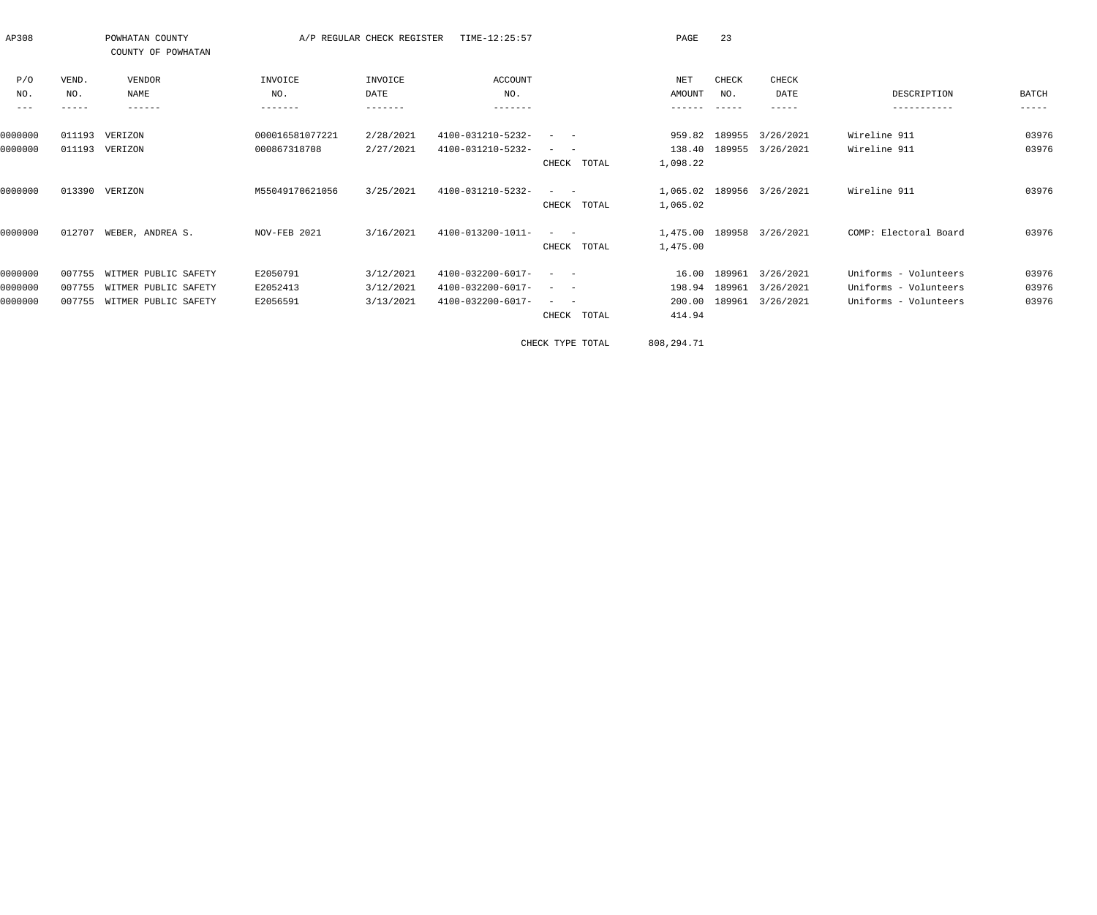| AP308             |        | POWHATAN COUNTY<br>COUNTY OF POWHATAN |                 | A/P REGULAR CHECK REGISTER | TIME-12:25:57     |                                                             | PAGE     | 23            |                           |                       |               |
|-------------------|--------|---------------------------------------|-----------------|----------------------------|-------------------|-------------------------------------------------------------|----------|---------------|---------------------------|-----------------------|---------------|
| P/O               | VEND.  | VENDOR                                | INVOICE         | INVOICE                    | ACCOUNT           |                                                             | NET      | CHECK         | <b>CHECK</b>              |                       |               |
| NO.               | NO.    | NAME                                  | NO.             | DATE                       | NO.               |                                                             | AMOUNT   | NO.           | DATE                      | DESCRIPTION           | BATCH         |
| $\qquad \qquad -$ | -----  | ------                                | -------         | -------                    | -------           |                                                             | ------   |               | -----                     | -----------           | $- - - - - -$ |
| 0000000           | 011193 | VERIZON                               | 000016581077221 | 2/28/2021                  | 4100-031210-5232- |                                                             |          |               | 959.82 189955 3/26/2021   | Wireline 911          | 03976         |
| 0000000           |        | 011193 VERIZON                        | 000867318708    | 2/27/2021                  | 4100-031210-5232- |                                                             |          |               | 138.40 189955 3/26/2021   | Wireline 911          | 03976         |
|                   |        |                                       |                 |                            |                   | CHECK TOTAL                                                 | 1,098.22 |               |                           |                       |               |
| 0000000           | 013390 | VERIZON                               | M55049170621056 | 3/25/2021                  | 4100-031210-5232- |                                                             |          |               | 1,065.02 189956 3/26/2021 | Wireline 911          | 03976         |
|                   |        |                                       |                 |                            |                   | CHECK TOTAL                                                 | 1,065.02 |               |                           |                       |               |
| 0000000           | 012707 | WEBER, ANDREA S.                      | NOV-FEB 2021    | 3/16/2021                  | 4100-013200-1011- | $\mathcal{L}_{\text{max}}$ , and $\mathcal{L}_{\text{max}}$ |          |               | 1,475.00 189958 3/26/2021 | COMP: Electoral Board | 03976         |
|                   |        |                                       |                 |                            |                   | CHECK TOTAL                                                 | 1,475.00 |               |                           |                       |               |
| 0000000           | 007755 | WITMER PUBLIC SAFETY                  | E2050791        | 3/12/2021                  | 4100-032200-6017- | $\mathcal{L}_{\text{max}}$ , and $\mathcal{L}_{\text{max}}$ | 16.00    |               | 189961 3/26/2021          | Uniforms - Volunteers | 03976         |
| 0000000           |        | 007755 WITMER PUBLIC SAFETY           | E2052413        | 3/12/2021                  | 4100-032200-6017- |                                                             |          | 198.94 189961 | 3/26/2021                 | Uniforms - Volunteers | 03976         |
| 0000000           | 007755 | WITMER PUBLIC SAFETY                  | E2056591        | 3/13/2021                  | 4100-032200-6017- |                                                             | 200.00   |               | 189961 3/26/2021          | Uniforms - Volunteers | 03976         |
|                   |        |                                       |                 |                            |                   | TOTAL<br>CHECK                                              | 414.94   |               |                           |                       |               |

CHECK TYPE TOTAL 808,294.71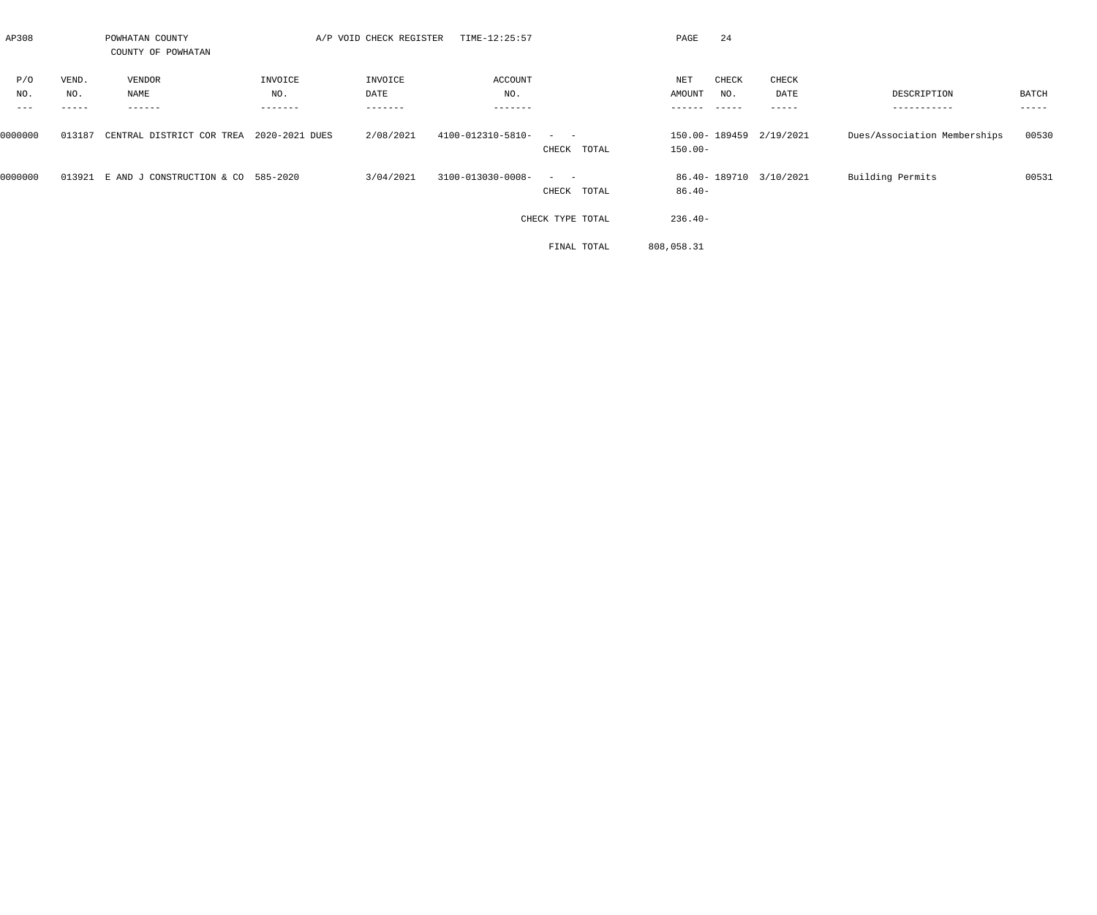| AP308   |           | POWHATAN COUNTY<br>COUNTY OF POWHATAN |                | A/P VOID CHECK REGISTER | TIME-12:25:57     |                  | 24<br>PAGE              |           |                              |        |
|---------|-----------|---------------------------------------|----------------|-------------------------|-------------------|------------------|-------------------------|-----------|------------------------------|--------|
| P/O     | VEND.     | VENDOR                                | INVOICE        | INVOICE                 | ACCOUNT           |                  | NET<br>CHECK            | CHECK     |                              |        |
| NO.     | NO.       | NAME                                  | NO.            | DATE                    | NO.               |                  | AMOUNT<br>NO.           | DATE      | DESCRIPTION                  | BATCH  |
|         | - - - - - | ------                                | -------        | -------                 | -------           |                  |                         | - - - - - | -----------                  | ------ |
| 0000000 | 013187    | CENTRAL DISTRICT COR TREA             | 2020-2021 DUES | 2/08/2021               | 4100-012310-5810- |                  | 150.00-189459 2/19/2021 |           | Dues/Association Memberships | 00530  |
|         |           |                                       |                |                         |                   | TOTAL<br>CHECK   | $150.00 -$              |           |                              |        |
| 0000000 | 013921    | E AND J CONSTRUCTION & CO 585-2020    |                | 3/04/2021               | 3100-013030-0008- |                  | 86.40-189710 3/10/2021  |           | Building Permits             | 00531  |
|         |           |                                       |                |                         |                   | CHECK TOTAL      | $86.40 -$               |           |                              |        |
|         |           |                                       |                |                         |                   | CHECK TYPE TOTAL | $236.40-$               |           |                              |        |
|         |           |                                       |                |                         |                   | FINAL TOTAL      | 808,058.31              |           |                              |        |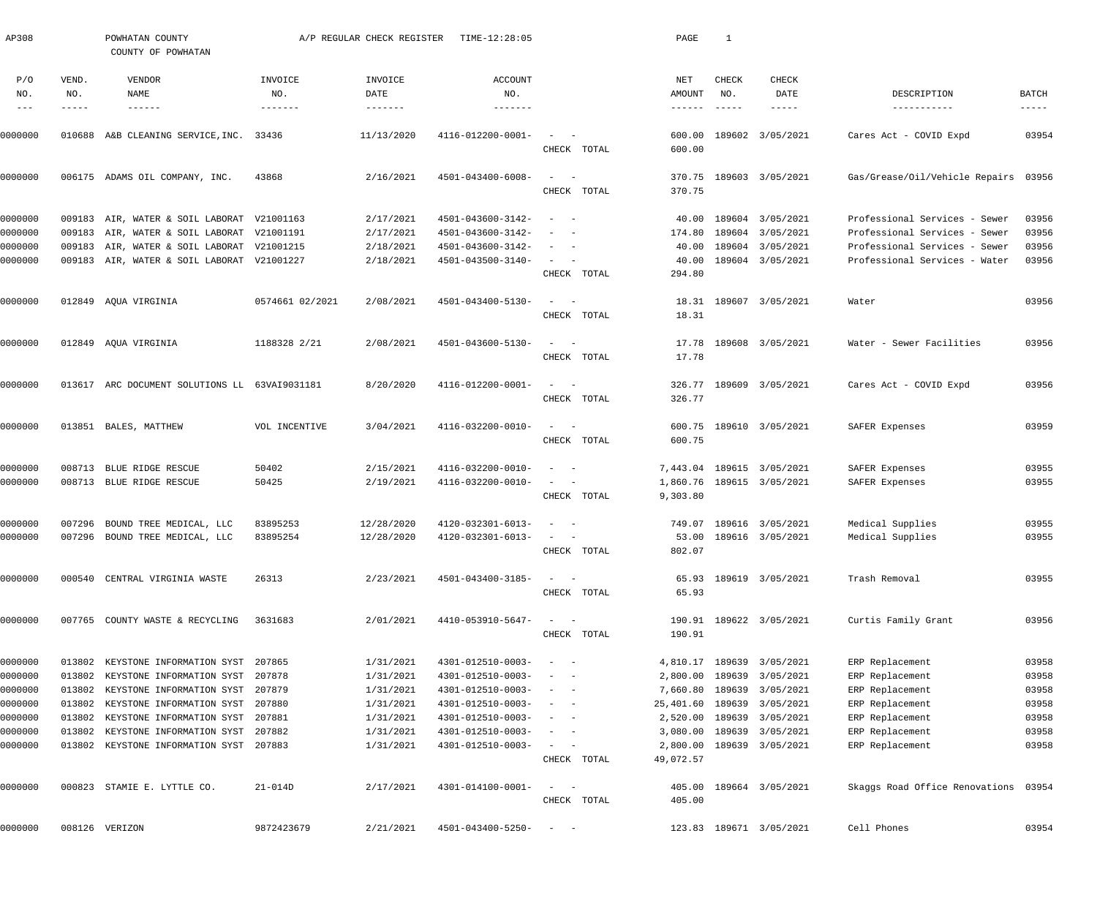| AP308      |              | POWHATAN COUNTY<br>COUNTY OF POWHATAN         |                 | A/P REGULAR CHECK REGISTER | TIME-12:28:05         |                                     | PAGE             | 1                   |                           |                                      |                      |
|------------|--------------|-----------------------------------------------|-----------------|----------------------------|-----------------------|-------------------------------------|------------------|---------------------|---------------------------|--------------------------------------|----------------------|
| P/O<br>NO. | VEND.<br>NO. | VENDOR<br><b>NAME</b>                         | INVOICE<br>NO.  | INVOICE<br>DATE            | <b>ACCOUNT</b><br>NO. |                                     | NET<br>AMOUNT    | <b>CHECK</b><br>NO. | <b>CHECK</b><br>DATE      | DESCRIPTION                          | BATCH                |
|            | -----        | $- - - - - - -$                               | -------         |                            | -------               |                                     | -------          | $- - - - - -$       | $- - - - -$               | -----------                          | $\cdots\cdots\cdots$ |
| 0000000    |              | 010688 A&B CLEANING SERVICE, INC. 33436       |                 | 11/13/2020                 | 4116-012200-0001-     | CHECK TOTAL                         | 600.00<br>600.00 |                     | 189602 3/05/2021          | Cares Act - COVID Expd               | 03954                |
|            |              |                                               |                 |                            |                       |                                     |                  |                     |                           |                                      |                      |
| 0000000    |              | 006175 ADAMS OIL COMPANY, INC.                | 43868           | 2/16/2021                  | 4501-043400-6008-     | $\sim$<br>$\sim$ $-$<br>CHECK TOTAL | 370.75           |                     | 370.75 189603 3/05/2021   | Gas/Grease/Oil/Vehicle Repairs 03956 |                      |
| 0000000    |              | 009183 AIR, WATER & SOIL LABORAT V21001163    |                 | 2/17/2021                  | 4501-043600-3142-     | $\sim$ $-$                          | 40.00            |                     | 189604 3/05/2021          | Professional Services - Sewer        | 03956                |
| 0000000    |              | 009183 AIR, WATER & SOIL LABORAT V21001191    |                 | 2/17/2021                  | 4501-043600-3142-     |                                     | 174.80           |                     | 189604 3/05/2021          | Professional Services - Sewer        | 03956                |
| 0000000    | 009183       | AIR, WATER & SOIL LABORAT V21001215           |                 | 2/18/2021                  | 4501-043600-3142-     |                                     | 40.00            |                     | 189604 3/05/2021          | Professional Services - Sewer        | 03956                |
| 0000000    |              | 009183 AIR, WATER & SOIL LABORAT V21001227    |                 | 2/18/2021                  | 4501-043500-3140-     |                                     | 40.00            |                     | 189604 3/05/2021          | Professional Services - Water        | 03956                |
|            |              |                                               |                 |                            |                       | CHECK TOTAL                         | 294.80           |                     |                           |                                      |                      |
| 0000000    |              | 012849 AQUA VIRGINIA                          | 0574661 02/2021 | 2/08/2021                  | 4501-043400-5130-     | $\sim$ $-$                          |                  |                     | 18.31 189607 3/05/2021    | Water                                | 03956                |
|            |              |                                               |                 |                            |                       | CHECK TOTAL                         | 18.31            |                     |                           |                                      |                      |
|            |              |                                               |                 |                            |                       |                                     |                  |                     |                           |                                      |                      |
| 0000000    |              | 012849 AQUA VIRGINIA                          | 1188328 2/21    | 2/08/2021                  | 4501-043600-5130-     |                                     | 17.78            |                     | 189608 3/05/2021          | Water - Sewer Facilities             | 03956                |
|            |              |                                               |                 |                            |                       | CHECK TOTAL                         | 17.78            |                     |                           |                                      |                      |
|            |              |                                               |                 |                            |                       |                                     |                  |                     |                           |                                      |                      |
| 0000000    |              | 013617 ARC DOCUMENT SOLUTIONS LL 63VAI9031181 |                 | 8/20/2020                  | 4116-012200-0001-     |                                     |                  |                     | 326.77 189609 3/05/2021   | Cares Act - COVID Expd               | 03956                |
|            |              |                                               |                 |                            |                       | CHECK TOTAL                         | 326.77           |                     |                           |                                      |                      |
| 0000000    |              | 013851 BALES, MATTHEW                         | VOL INCENTIVE   | 3/04/2021                  | 4116-032200-0010-     |                                     |                  |                     | 600.75 189610 3/05/2021   | SAFER Expenses                       | 03959                |
|            |              |                                               |                 |                            |                       | CHECK TOTAL                         | 600.75           |                     |                           |                                      |                      |
|            |              |                                               |                 |                            |                       |                                     |                  |                     |                           |                                      |                      |
| 0000000    |              | 008713 BLUE RIDGE RESCUE                      | 50402           | 2/15/2021                  | 4116-032200-0010-     |                                     |                  |                     | 7,443.04 189615 3/05/2021 | SAFER Expenses                       | 03955                |
| 0000000    |              | 008713 BLUE RIDGE RESCUE                      | 50425           | 2/19/2021                  | 4116-032200-0010-     |                                     |                  |                     | 1,860.76 189615 3/05/2021 | SAFER Expenses                       | 03955                |
|            |              |                                               |                 |                            |                       | CHECK TOTAL                         | 9,303.80         |                     |                           |                                      |                      |
| 0000000    | 007296       | BOUND TREE MEDICAL, LLC                       | 83895253        | 12/28/2020                 | 4120-032301-6013-     |                                     |                  |                     | 749.07 189616 3/05/2021   | Medical Supplies                     | 03955                |
| 0000000    |              | 007296 BOUND TREE MEDICAL, LLC                | 83895254        | 12/28/2020                 | 4120-032301-6013-     |                                     |                  |                     | 53.00 189616 3/05/2021    | Medical Supplies                     | 03955                |
|            |              |                                               |                 |                            |                       | CHECK TOTAL                         | 802.07           |                     |                           |                                      |                      |
| 0000000    |              | 000540 CENTRAL VIRGINIA WASTE                 | 26313           | 2/23/2021                  | 4501-043400-3185-     |                                     |                  |                     | 65.93 189619 3/05/2021    | Trash Removal                        | 03955                |
|            |              |                                               |                 |                            |                       | CHECK TOTAL                         | 65.93            |                     |                           |                                      |                      |
|            |              |                                               |                 |                            |                       |                                     |                  |                     |                           |                                      |                      |
| 0000000    |              | 007765 COUNTY WASTE & RECYCLING               | 3631683         | 2/01/2021                  | 4410-053910-5647-     | CHECK TOTAL                         | 190.91           |                     | 190.91 189622 3/05/2021   | Curtis Family Grant                  | 03956                |
|            |              |                                               |                 |                            |                       |                                     |                  |                     |                           |                                      |                      |
| 0000000    | 013802       | KEYSTONE INFORMATION SYST 207865              |                 | 1/31/2021                  | 4301-012510-0003-     |                                     | 4,810.17         |                     | 189639 3/05/2021          | ERP Replacement                      | 03958                |
| 0000000    | 013802       | KEYSTONE INFORMATION SYST 207878              |                 | 1/31/2021                  | 4301-012510-0003-     |                                     | 2,800.00         | 189639              | 3/05/2021                 | ERP Replacement                      | 03958                |
| 0000000    | 013802       | KEYSTONE INFORMATION SYST 207879              |                 | 1/31/2021                  | 4301-012510-0003-     | $\overline{\phantom{a}}$            | 7,660.80         |                     | 189639 3/05/2021          | ERP Replacement                      | 03958                |
| 0000000    | 013802       | KEYSTONE INFORMATION SYST 207880              |                 | 1/31/2021                  | 4301-012510-0003-     | $\overline{\phantom{a}}$            | 25,401.60        |                     | 189639 3/05/2021          | ERP Replacement                      | 03958                |
| 0000000    | 013802       | KEYSTONE INFORMATION SYST 207881              |                 | 1/31/2021                  | 4301-012510-0003-     |                                     | 2,520.00         |                     | 189639 3/05/2021          | ERP Replacement                      | 03958                |
| 0000000    | 013802       | KEYSTONE INFORMATION SYST 207882              |                 | 1/31/2021                  | 4301-012510-0003-     |                                     | 3,080.00         | 189639              | 3/05/2021                 | ERP Replacement                      | 03958                |
| 0000000    |              | 013802 KEYSTONE INFORMATION SYST 207883       |                 | 1/31/2021                  | 4301-012510-0003-     | $\equiv$                            | 2,800.00         |                     | 189639 3/05/2021          | ERP Replacement                      | 03958                |
|            |              |                                               |                 |                            |                       | CHECK TOTAL                         | 49,072.57        |                     |                           |                                      |                      |
| 0000000    |              | 000823 STAMIE E. LYTTLE CO.                   | $21 - 014D$     | 2/17/2021                  | 4301-014100-0001-     |                                     | 405.00           |                     | 189664 3/05/2021          | Skaggs Road Office Renovations 03954 |                      |
|            |              |                                               |                 |                            |                       | CHECK TOTAL                         | 405.00           |                     |                           |                                      |                      |
|            |              |                                               |                 |                            |                       |                                     |                  |                     |                           |                                      |                      |
| 0000000    |              | 008126 VERIZON                                | 9872423679      | 2/21/2021                  | 4501-043400-5250-     | $\alpha = 1$ , $\alpha = 1$         |                  |                     | 123.83 189671 3/05/2021   | Cell Phones                          | 03954                |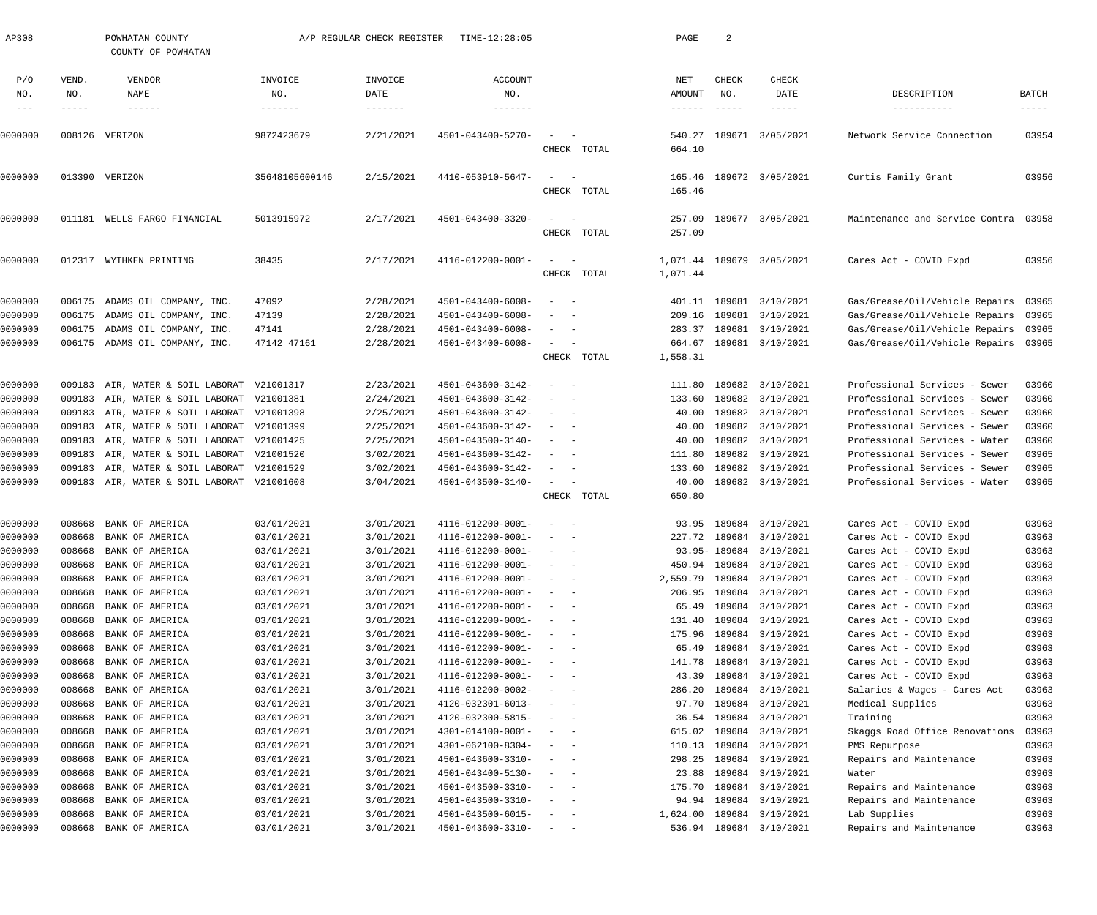| AP308               |                       | POWHATAN COUNTY<br>COUNTY OF POWHATAN      |                                     | A/P REGULAR CHECK REGISTER | TIME-12:28:05                          |                                                                                                                           |             | PAGE                    | 2                             |                                      |                                                  |                               |
|---------------------|-----------------------|--------------------------------------------|-------------------------------------|----------------------------|----------------------------------------|---------------------------------------------------------------------------------------------------------------------------|-------------|-------------------------|-------------------------------|--------------------------------------|--------------------------------------------------|-------------------------------|
| P/O<br>NO.<br>$---$ | VEND.<br>NO.<br>----- | VENDOR<br>NAME<br>$- - - - - - -$          | INVOICE<br>NO.<br>$- - - - - - - -$ | INVOICE<br>DATE            | ACCOUNT<br>NO.<br>--------             |                                                                                                                           |             | NET<br>AMOUNT<br>------ | CHECK<br>NO.<br>$- - - - - -$ | CHECK<br>DATE<br>$- - - - - -$       | DESCRIPTION<br>-----------                       | BATCH<br>$\cdots\cdots\cdots$ |
| 0000000             |                       | 008126 VERIZON                             | 9872423679                          | 2/21/2021                  | 4501-043400-5270-                      | $\sim$                                                                                                                    | CHECK TOTAL | 540.27<br>664.10        |                               | 189671 3/05/2021                     | Network Service Connection                       | 03954                         |
| 0000000             |                       | 013390 VERIZON                             | 35648105600146                      | 2/15/2021                  | 4410-053910-5647-                      | $\sim$ .<br>$\overline{\phantom{0}}$                                                                                      |             | 165.46                  |                               | 189672 3/05/2021                     | Curtis Family Grant                              | 03956                         |
|                     |                       |                                            |                                     |                            |                                        |                                                                                                                           | CHECK TOTAL | 165.46                  |                               |                                      |                                                  |                               |
| 0000000             | 011181                | WELLS FARGO FINANCIAL                      | 5013915972                          | 2/17/2021                  | 4501-043400-3320-                      | $\sim$<br>$\overline{\phantom{a}}$                                                                                        | CHECK TOTAL | 257.09<br>257.09        |                               | 189677 3/05/2021                     | Maintenance and Service Contra 03958             |                               |
| 0000000             |                       | 012317 WYTHKEN PRINTING                    | 38435                               | 2/17/2021                  | 4116-012200-0001-                      | $\sim$ $  -$                                                                                                              | CHECK TOTAL | 1,071.44<br>1,071.44    |                               | 189679 3/05/2021                     | Cares Act - COVID Expd                           | 03956                         |
| 0000000             |                       | 006175 ADAMS OIL COMPANY, INC.             | 47092                               | 2/28/2021                  | 4501-043400-6008-                      | $\overline{\phantom{a}}$<br>$\sim$                                                                                        |             |                         |                               | 401.11 189681 3/10/2021              | Gas/Grease/Oil/Vehicle Repairs                   | 03965                         |
| 0000000             |                       | 006175 ADAMS OIL COMPANY, INC.             | 47139                               | 2/28/2021                  | 4501-043400-6008-                      | - -                                                                                                                       |             |                         |                               | 209.16 189681 3/10/2021              | Gas/Grease/Oil/Vehicle Repairs                   | 03965                         |
| 0000000             |                       | 006175 ADAMS OIL COMPANY, INC.             | 47141                               | 2/28/2021                  | 4501-043400-6008-                      | $\frac{1}{2} \left( \frac{1}{2} \right) \left( \frac{1}{2} \right) \left( \frac{1}{2} \right) \left( \frac{1}{2} \right)$ |             | 283.37                  |                               | 189681 3/10/2021                     | Gas/Grease/Oil/Vehicle Repairs                   | 03965                         |
| 0000000             |                       | 006175 ADAMS OIL COMPANY, INC.             | 47142 47161                         | 2/28/2021                  | 4501-043400-6008-                      | $\sim$ 100 $\mu$<br>$\overline{\phantom{a}}$                                                                              |             | 664.67                  |                               | 189681 3/10/2021                     | Gas/Grease/Oil/Vehicle Repairs 03965             |                               |
|                     |                       |                                            |                                     |                            |                                        |                                                                                                                           | CHECK TOTAL | 1,558.31                |                               |                                      |                                                  |                               |
| 0000000             | 009183                | AIR, WATER & SOIL LABORAT                  | V21001317                           | 2/23/2021                  | 4501-043600-3142-                      | $\overline{\phantom{a}}$<br>$\sim$                                                                                        |             | 111.80                  |                               | 189682 3/10/2021                     | Professional Services - Sewer                    | 03960                         |
| 0000000             | 009183                | AIR, WATER & SOIL LABORAT                  | V21001381                           | 2/24/2021                  | 4501-043600-3142-                      | $\overline{\phantom{a}}$<br>$\sim$ $-$                                                                                    |             | 133.60                  |                               | 189682 3/10/2021                     | Professional Services - Sewer                    | 03960                         |
| 0000000             | 009183                | AIR, WATER & SOIL LABORAT                  | V21001398                           | 2/25/2021                  | 4501-043600-3142-                      | $\sim$<br>$\sim$ $-$                                                                                                      |             | 40.00                   |                               | 189682 3/10/2021                     | Professional Services - Sewer                    | 03960                         |
| 0000000             | 009183                | AIR, WATER & SOIL LABORAT                  | V21001399                           | 2/25/2021                  | 4501-043600-3142-                      | $\sim$<br>$\sim$ $-$                                                                                                      |             | 40.00                   |                               | 189682 3/10/2021                     | Professional Services - Sewer                    | 03960                         |
| 0000000             | 009183                | AIR, WATER & SOIL LABORAT                  | V21001425                           | 2/25/2021                  | 4501-043500-3140-                      | $\sim$<br>$\sim$ $-$                                                                                                      |             | 40.00                   |                               | 189682 3/10/2021                     | Professional Services - Water                    | 03960                         |
| 0000000             | 009183                | AIR, WATER & SOIL LABORAT                  | V21001520                           | 3/02/2021                  | 4501-043600-3142-                      | $\overline{\phantom{a}}$<br>$\sim$                                                                                        |             | 111.80                  |                               | 189682 3/10/2021                     | Professional Services - Sewer                    | 03965                         |
| 0000000             | 009183                | AIR, WATER & SOIL LABORAT                  | V21001529                           | 3/02/2021                  | 4501-043600-3142-                      | $\sim$ $  -$                                                                                                              |             | 133.60                  |                               | 189682 3/10/2021                     | Professional Services - Sewer                    | 03965                         |
| 0000000             |                       | 009183 AIR, WATER & SOIL LABORAT V21001608 |                                     | 3/04/2021                  | 4501-043500-3140-                      | $\sim$ $  -$                                                                                                              |             | 40.00                   |                               | 189682 3/10/2021                     | Professional Services - Water                    | 03965                         |
|                     |                       |                                            |                                     |                            |                                        |                                                                                                                           | CHECK TOTAL | 650.80                  |                               |                                      |                                                  |                               |
| 0000000             | 008668                | BANK OF AMERICA                            | 03/01/2021                          | 3/01/2021                  | 4116-012200-0001-                      | $\overline{\phantom{a}}$<br>$\overline{\phantom{a}}$                                                                      |             |                         |                               | 93.95 189684 3/10/2021               | Cares Act - COVID Expd                           | 03963                         |
| 0000000             | 008668                | BANK OF AMERICA                            | 03/01/2021                          | 3/01/2021                  | 4116-012200-0001-                      | $\sim$<br>$\sim$                                                                                                          |             |                         |                               | 227.72 189684 3/10/2021              | Cares Act - COVID Expd                           | 03963                         |
| 0000000             |                       | 008668 BANK OF AMERICA                     | 03/01/2021                          | 3/01/2021                  | $4116 - 012200 - 0001 - - -$           |                                                                                                                           |             |                         |                               | 93.95-189684 3/10/2021               | Cares Act - COVID Expd                           | 03963                         |
| 0000000             | 008668                | BANK OF AMERICA                            | 03/01/2021                          | 3/01/2021                  | 4116-012200-0001-                      |                                                                                                                           |             |                         |                               | 450.94 189684 3/10/2021              | Cares Act - COVID Expd                           | 03963                         |
| 0000000             | 008668                | BANK OF AMERICA                            | 03/01/2021                          | 3/01/2021                  | 4116-012200-0001-                      | $\frac{1}{2} \left( \frac{1}{2} \right) \left( \frac{1}{2} \right) \left( \frac{1}{2} \right) \left( \frac{1}{2} \right)$ |             | 2,559.79                |                               | 189684 3/10/2021                     | Cares Act - COVID Expd                           | 03963                         |
| 0000000             | 008668                | BANK OF AMERICA                            | 03/01/2021                          | 3/01/2021                  | 4116-012200-0001-                      | $\sim$ $ -$                                                                                                               |             |                         |                               | 206.95 189684 3/10/2021              | Cares Act - COVID Expd                           | 03963                         |
| 0000000             | 008668                | BANK OF AMERICA                            | 03/01/2021                          | 3/01/2021                  | 4116-012200-0001-                      | $\sim$ $ -$                                                                                                               |             | 65.49                   |                               | 189684 3/10/2021                     | Cares Act - COVID Expd                           | 03963                         |
| 0000000             | 008668                | BANK OF AMERICA                            | 03/01/2021                          | 3/01/2021                  | 4116-012200-0001-                      | $\sim$ $  -$                                                                                                              |             | 131.40                  |                               | 189684 3/10/2021                     | Cares Act - COVID Expd                           | 03963                         |
| 0000000<br>0000000  | 008668<br>008668      | BANK OF AMERICA<br>BANK OF AMERICA         | 03/01/2021<br>03/01/2021            | 3/01/2021<br>3/01/2021     | 4116-012200-0001-<br>4116-012200-0001- | $\sim$ $ -$<br>$\sim$ $ -$                                                                                                |             | 175.96<br>65.49         |                               | 189684 3/10/2021<br>189684 3/10/2021 | Cares Act - COVID Expd<br>Cares Act - COVID Expd | 03963<br>03963                |
| 0000000             | 008668                | BANK OF AMERICA                            | 03/01/2021                          | 3/01/2021                  | 4116-012200-0001-                      | $\sim$ $ -$                                                                                                               |             | 141.78                  |                               | 189684 3/10/2021                     | Cares Act - COVID Expd                           | 03963                         |
| 0000000             | 008668                | BANK OF AMERICA                            | 03/01/2021                          | 3/01/2021                  | 4116-012200-0001-                      | $\sim$ $ -$                                                                                                               |             | 43.39                   |                               | 189684 3/10/2021                     | Cares Act - COVID Expd                           | 03963                         |
| 0000000             | 008668                | BANK OF AMERICA                            | 03/01/2021                          | 3/01/2021                  | 4116-012200-0002-                      | $\sim$ 100 $\sim$ 100 $\sim$                                                                                              |             | 286.20                  |                               | 189684 3/10/2021                     | Salaries & Wages - Cares Act                     | 03963                         |
| 0000000             | 008668                | BANK OF AMERICA                            | 03/01/2021                          | 3/01/2021                  | 4120-032301-6013-                      | $\sim$ $ -$                                                                                                               |             | 97.70                   |                               | 189684 3/10/2021                     | Medical Supplies                                 | 03963                         |
| 0000000             | 008668                | BANK OF AMERICA                            | 03/01/2021                          | 3/01/2021                  | 4120-032300-5815-                      | $\sim$ $ -$                                                                                                               |             | 36.54                   |                               | 189684 3/10/2021                     | Training                                         | 03963                         |
| 0000000             | 008668                | BANK OF AMERICA                            | 03/01/2021                          | 3/01/2021                  | 4301-014100-0001-                      | $\sim$ 100 $\sim$ 100 $\sim$                                                                                              |             | 615.02                  |                               | 189684 3/10/2021                     | Skaggs Road Office Renovations                   | 03963                         |
| 0000000             | 008668                | BANK OF AMERICA                            | 03/01/2021                          | 3/01/2021                  | 4301-062100-8304-                      | $\sim$ 100 $\sim$ 100 $\sim$                                                                                              |             | 110.13                  |                               | 189684 3/10/2021                     | PMS Repurpose                                    | 03963                         |
| 0000000             | 008668                | BANK OF AMERICA                            | 03/01/2021                          | 3/01/2021                  | 4501-043600-3310-                      | $\sim$ 100 $\sim$ 100 $\sim$                                                                                              |             | 298.25                  |                               | 189684 3/10/2021                     | Repairs and Maintenance                          | 03963                         |
| 0000000             | 008668                | BANK OF AMERICA                            | 03/01/2021                          | 3/01/2021                  | 4501-043400-5130-                      | $\sim$ 100 $\sim$ 100 $\sim$                                                                                              |             | 23.88                   |                               | 189684 3/10/2021                     | Water                                            | 03963                         |
| 0000000             | 008668                | BANK OF AMERICA                            | 03/01/2021                          | 3/01/2021                  | 4501-043500-3310-                      | $\sim$ 100 $\sim$ 100 $\sim$                                                                                              |             | 175.70                  |                               | 189684 3/10/2021                     | Repairs and Maintenance                          | 03963                         |
| 0000000             | 008668                | BANK OF AMERICA                            | 03/01/2021                          | 3/01/2021                  | 4501-043500-3310-                      | $\sim$ 100 $\sim$ 100 $\sim$                                                                                              |             | 94.94                   |                               | 189684 3/10/2021                     | Repairs and Maintenance                          | 03963                         |
| 0000000             | 008668                | BANK OF AMERICA                            | 03/01/2021                          | 3/01/2021                  | 4501-043500-6015-                      | $\qquad \qquad -$                                                                                                         |             |                         |                               | 1,624.00 189684 3/10/2021            | Lab Supplies                                     | 03963                         |
| 0000000             |                       | 008668 BANK OF AMERICA                     | 03/01/2021                          | 3/01/2021                  | $4501 - 043600 - 3310 - - -$           |                                                                                                                           |             |                         |                               | 536.94 189684 3/10/2021              | Repairs and Maintenance                          | 03963                         |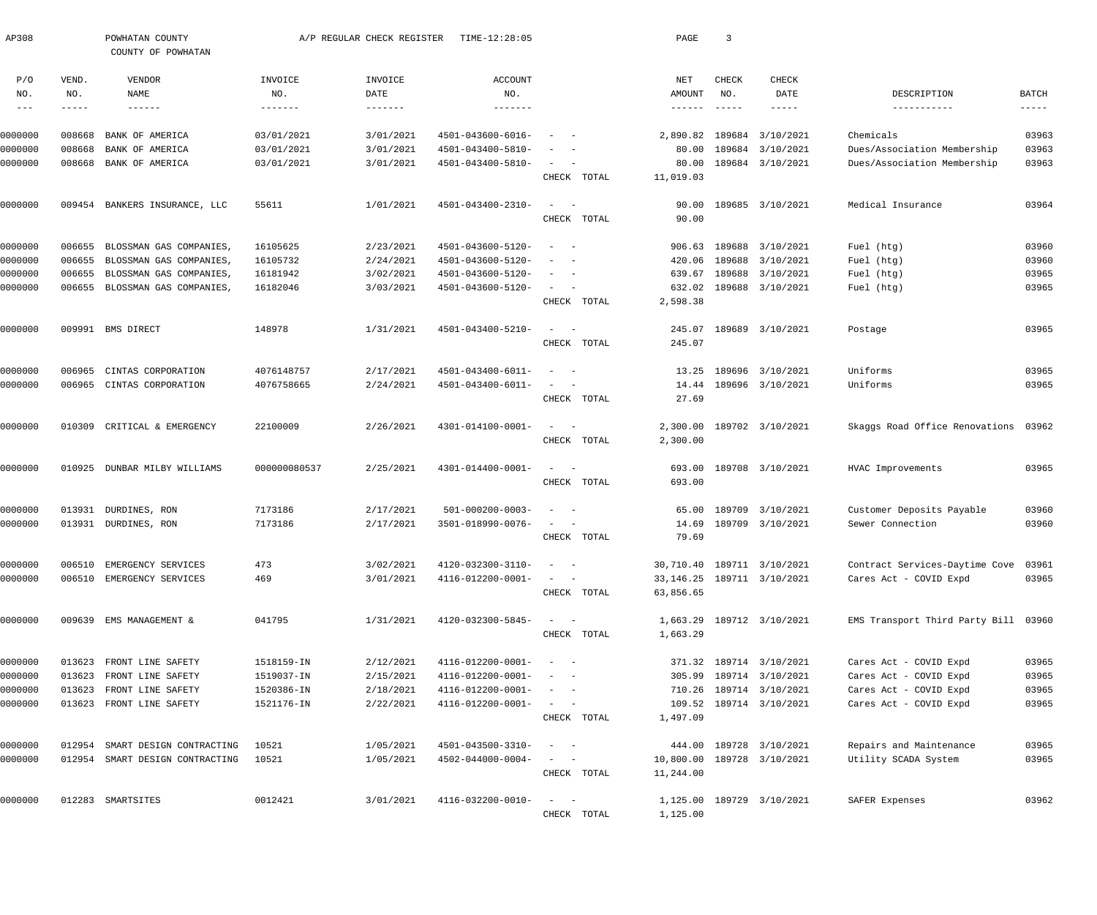| AP308               |              | POWHATAN COUNTY<br>COUNTY OF POWHATAN |                   | A/P REGULAR CHECK REGISTER | TIME-12:28:05            |                                                                                                                           | PAGE                 | $\overline{3}$ |                              |                                      |             |
|---------------------|--------------|---------------------------------------|-------------------|----------------------------|--------------------------|---------------------------------------------------------------------------------------------------------------------------|----------------------|----------------|------------------------------|--------------------------------------|-------------|
| P/O<br>NO.          | VEND.<br>NO. | VENDOR<br>NAME                        | INVOICE<br>NO.    | INVOICE<br>DATE            | ACCOUNT<br>NO.           |                                                                                                                           | NET<br>AMOUNT        | CHECK<br>NO.   | <b>CHECK</b><br>DATE         | DESCRIPTION                          | BATCH       |
| $\qquad \qquad - -$ | -----        | $- - - - - - -$                       | $- - - - - - - -$ | $- - - - - - - -$          | -------                  |                                                                                                                           | $- - - - - - -$      |                | -----                        |                                      | $- - - - -$ |
| 0000000             | 008668       | BANK OF AMERICA                       | 03/01/2021        | 3/01/2021                  | 4501-043600-6016-        |                                                                                                                           | 2,890.82             | 189684         | 3/10/2021                    | Chemicals                            | 03963       |
| 0000000             | 008668       | BANK OF AMERICA                       | 03/01/2021        | 3/01/2021                  | 4501-043400-5810-        |                                                                                                                           | 80.00                | 189684         | 3/10/2021                    | Dues/Association Membership          | 03963       |
| 0000000             | 008668       | BANK OF AMERICA                       | 03/01/2021        | 3/01/2021                  | 4501-043400-5810-        | $\sim$<br>CHECK TOTAL                                                                                                     | 80.00<br>11,019.03   |                | 189684 3/10/2021             | Dues/Association Membership          | 03963       |
|                     |              |                                       |                   |                            | 4501-043400-2310-        |                                                                                                                           |                      |                | 189685 3/10/2021             |                                      | 03964       |
| 0000000             |              | 009454 BANKERS INSURANCE, LLC         | 55611             | 1/01/2021                  |                          | $\sim$<br>CHECK TOTAL                                                                                                     | 90.00<br>90.00       |                |                              | Medical Insurance                    |             |
| 0000000             | 006655       | BLOSSMAN GAS COMPANIES,               | 16105625          | 2/23/2021                  | 4501-043600-5120-        | $\overline{\phantom{0}}$                                                                                                  | 906.63               | 189688         | 3/10/2021                    | Fuel (htg)                           | 03960       |
| 0000000             | 006655       | BLOSSMAN GAS COMPANIES,               | 16105732          | 2/24/2021                  | 4501-043600-5120-        |                                                                                                                           | 420.06               | 189688         | 3/10/2021                    | Fuel (htg)                           | 03960       |
| 0000000             | 006655       | BLOSSMAN GAS COMPANIES,               | 16181942          | 3/02/2021                  | 4501-043600-5120-        |                                                                                                                           | 639.67               | 189688         | 3/10/2021                    | Fuel (htg)                           | 03965       |
| 0000000             | 006655       | BLOSSMAN GAS COMPANIES,               | 16182046          | 3/03/2021                  | 4501-043600-5120-        |                                                                                                                           | 632.02               | 189688         | 3/10/2021                    | Fuel (htg)                           | 03965       |
|                     |              |                                       |                   |                            |                          | CHECK TOTAL                                                                                                               | 2,598.38             |                |                              |                                      |             |
| 0000000             |              | 009991 BMS DIRECT                     | 148978            | 1/31/2021                  | 4501-043400-5210-        | $\sim$                                                                                                                    | 245.07               | 189689         | 3/10/2021                    | Postage                              | 03965       |
|                     |              |                                       |                   |                            |                          | CHECK TOTAL                                                                                                               | 245.07               |                |                              |                                      |             |
| 0000000             | 006965       | CINTAS CORPORATION                    | 4076148757        | 2/17/2021                  | 4501-043400-6011-        |                                                                                                                           | 13.25                |                | 189696 3/10/2021             | Uniforms                             | 03965       |
| 0000000             | 006965       | CINTAS CORPORATION                    | 4076758665        | 2/24/2021                  | 4501-043400-6011-        | CHECK TOTAL                                                                                                               | 14.44<br>27.69       |                | 189696 3/10/2021             | Uniforms                             | 03965       |
|                     |              |                                       |                   |                            |                          |                                                                                                                           |                      |                |                              |                                      |             |
| 0000000             | 010309       | CRITICAL & EMERGENCY                  | 22100009          | 2/26/2021                  | 4301-014100-0001-        | $\sim$<br>$\sim$ $-$<br>CHECK TOTAL                                                                                       | 2,300.00<br>2,300.00 |                | 189702 3/10/2021             | Skaggs Road Office Renovations       | 03962       |
| 0000000             | 010925       | DUNBAR MILBY WILLIAMS                 | 000000080537      | 2/25/2021                  | 4301-014400-0001-        | $\frac{1}{2} \left( \frac{1}{2} \right) \left( \frac{1}{2} \right) \left( \frac{1}{2} \right) \left( \frac{1}{2} \right)$ | 693.00               |                | 189708 3/10/2021             | HVAC Improvements                    | 03965       |
|                     |              |                                       |                   |                            |                          | CHECK TOTAL                                                                                                               | 693.00               |                |                              |                                      |             |
| 0000000             | 013931       | DURDINES, RON                         | 7173186           | 2/17/2021                  | $501 - 000200 - 0003 -$  |                                                                                                                           | 65.00                | 189709         | 3/10/2021                    | Customer Deposits Payable            | 03960       |
| 0000000             |              | 013931 DURDINES, RON                  | 7173186           | 2/17/2021                  | 3501-018990-0076-        |                                                                                                                           | 14.69                | 189709         | 3/10/2021                    | Sewer Connection                     | 03960       |
|                     |              |                                       |                   |                            |                          | CHECK TOTAL                                                                                                               | 79.69                |                |                              |                                      |             |
| 0000000             | 006510       | EMERGENCY SERVICES                    | 473               | 3/02/2021                  | 4120-032300-3110-        | $\sim$<br>$\sim$ $-$                                                                                                      |                      |                | 30,710.40 189711 3/10/2021   | Contract Services-Daytime Cove 03961 |             |
| 0000000             |              | 006510 EMERGENCY SERVICES             | 469               | 3/01/2021                  | 4116-012200-0001-        |                                                                                                                           |                      |                | 33, 146. 25 189711 3/10/2021 | Cares Act - COVID Expd               | 03965       |
|                     |              |                                       |                   |                            |                          | CHECK TOTAL                                                                                                               | 63,856.65            |                |                              |                                      |             |
| 0000000             |              | 009639 EMS MANAGEMENT &               | 041795            | 1/31/2021                  | 4120-032300-5845-        | $\sim$ $  -$                                                                                                              |                      |                | 1,663.29 189712 3/10/2021    | EMS Transport Third Party Bill 03960 |             |
|                     |              |                                       |                   |                            |                          | CHECK TOTAL                                                                                                               | 1,663.29             |                |                              |                                      |             |
| 0000000             |              | 013623 FRONT LINE SAFETY              | 1518159-IN        | 2/12/2021                  | 4116-012200-0001-        |                                                                                                                           |                      |                | 371.32 189714 3/10/2021      | Cares Act - COVID Expd               | 03965       |
| 0000000             | 013623       | FRONT LINE SAFETY                     | 1519037-IN        | 2/15/2021                  | 4116-012200-0001-        |                                                                                                                           |                      |                | 305.99 189714 3/10/2021      | Cares Act - COVID Expd               | 03965       |
| 0000000             | 013623       | FRONT LINE SAFETY                     | 1520386-IN        | 2/18/2021                  | 4116-012200-0001-        | $\sim$                                                                                                                    |                      |                | 710.26 189714 3/10/2021      | Cares Act - COVID Expd               | 03965       |
| 0000000             |              | 013623 FRONT LINE SAFETY              | 1521176-IN        | 2/22/2021                  | 4116-012200-0001-        | CHECK TOTAL                                                                                                               | 1,497.09             |                | 109.52 189714 3/10/2021      | Cares Act - COVID Expd               | 03965       |
| 0000000             | 012954       | SMART DESIGN CONTRACTING              | 10521             | 1/05/2021                  | 4501-043500-3310-        | $\sim$ $-$                                                                                                                | 444.00               |                | 189728 3/10/2021             | Repairs and Maintenance              | 03965       |
| 0000000             |              | 012954 SMART DESIGN CONTRACTING       | 10521             | 1/05/2021                  | $4502 - 044000 - 0004 -$ | $\sim$ $-$                                                                                                                | 10,800.00            |                | 189728 3/10/2021             | Utility SCADA System                 | 03965       |
|                     |              |                                       |                   |                            |                          | CHECK TOTAL                                                                                                               | 11,244.00            |                |                              |                                      |             |
| 0000000             |              | 012283 SMARTSITES                     | 0012421           | 3/01/2021                  | 4116-032200-0010-        | $\sim$ $  -$                                                                                                              |                      |                | 1,125.00 189729 3/10/2021    | SAFER Expenses                       | 03962       |
|                     |              |                                       |                   |                            |                          | CHECK TOTAL                                                                                                               | 1,125.00             |                |                              |                                      |             |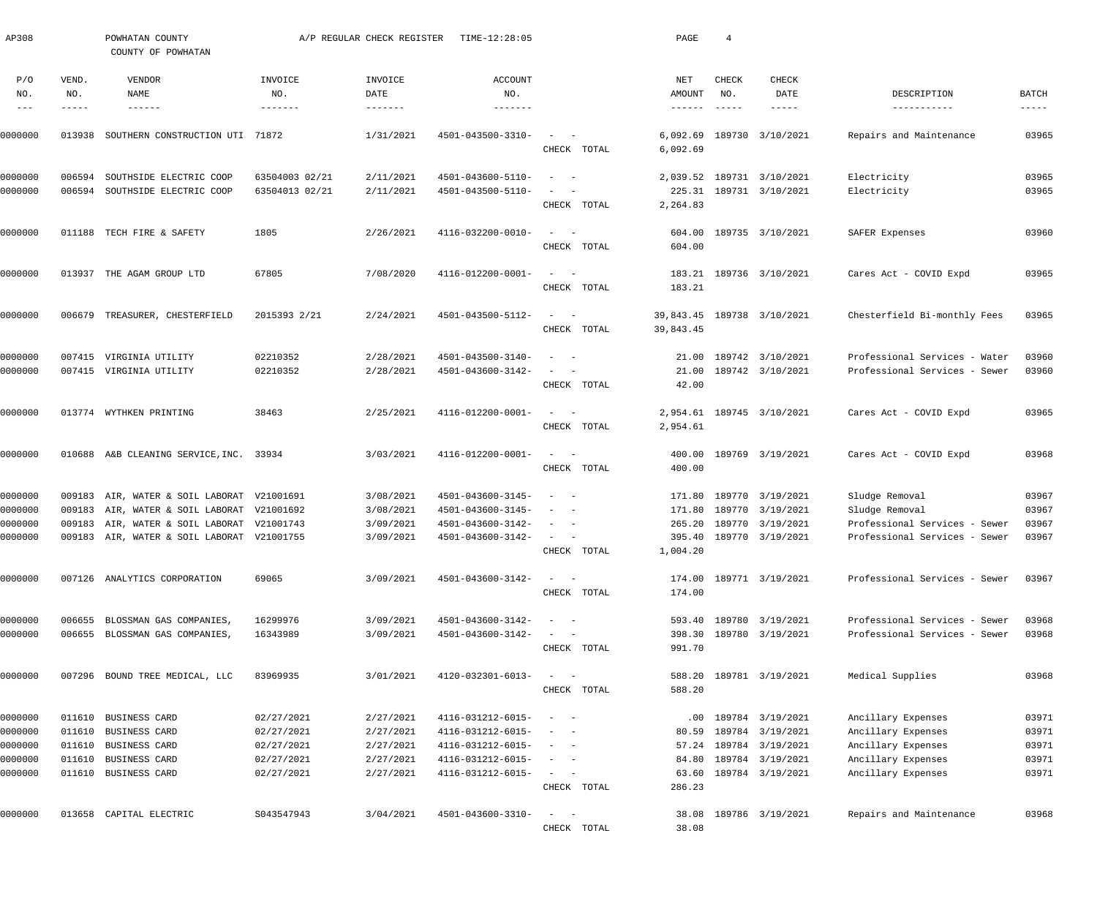| AP308                           |                       | POWHATAN COUNTY<br>COUNTY OF POWHATAN      |                           | A/P REGULAR CHECK REGISTER           | TIME-12:28:05                            |                                                       | PAGE                                        | $\overline{4}$                                     |                           |                               |                             |
|---------------------------------|-----------------------|--------------------------------------------|---------------------------|--------------------------------------|------------------------------------------|-------------------------------------------------------|---------------------------------------------|----------------------------------------------------|---------------------------|-------------------------------|-----------------------------|
| P/O<br>NO.<br>$\qquad \qquad -$ | VEND.<br>NO.<br>----- | VENDOR<br>NAME<br>$- - - - - - -$          | INVOICE<br>NO.<br>------- | INVOICE<br>DATE<br>$- - - - - - - -$ | <b>ACCOUNT</b><br>NO.<br>$- - - - - - -$ |                                                       | NET<br>AMOUNT<br>$\cdots\cdots\cdots\cdots$ | <b>CHECK</b><br>NO.<br>$\qquad \qquad - - - - - -$ | <b>CHECK</b><br>DATE      | DESCRIPTION<br>-----------    | <b>BATCH</b><br>$--- - - -$ |
| 0000000                         | 013938                | SOUTHERN CONSTRUCTION UTI 71872            |                           | 1/31/2021                            | 4501-043500-3310-                        | CHECK TOTAL                                           | 6,092.69<br>6,092.69                        |                                                    | 189730 3/10/2021          | Repairs and Maintenance       | 03965                       |
| 0000000                         | 006594                | SOUTHSIDE ELECTRIC COOP                    | 63504003 02/21            | 2/11/2021                            | 4501-043600-5110-                        | $\sim$ $-$                                            | 2,039.52                                    |                                                    | 189731 3/10/2021          | Electricity                   | 03965                       |
| 0000000                         | 006594                | SOUTHSIDE ELECTRIC COOP                    | 63504013 02/21            | 2/11/2021                            | 4501-043500-5110-                        | CHECK TOTAL                                           | 2,264.83                                    |                                                    | 225.31 189731 3/10/2021   | Electricity                   | 03965                       |
| 0000000                         | 011188                | TECH FIRE & SAFETY                         | 1805                      | 2/26/2021                            | 4116-032200-0010-                        | $\sim$<br>$\sim$ $-$<br>CHECK TOTAL                   | 604.00<br>604.00                            |                                                    | 189735 3/10/2021          | SAFER Expenses                | 03960                       |
| 0000000                         |                       | 013937 THE AGAM GROUP LTD                  | 67805                     | 7/08/2020                            | 4116-012200-0001-                        | $\sim$<br>$\sim$ $-$<br>CHECK TOTAL                   | 183.21<br>183.21                            |                                                    | 189736 3/10/2021          | Cares Act - COVID Expd        | 03965                       |
| 0000000                         | 006679                | TREASURER, CHESTERFIELD                    | 2015393 2/21              | 2/24/2021                            | 4501-043500-5112-                        | $\sim$<br>$\sim$ $-$<br>CHECK TOTAL                   | 39,843.45<br>39,843.45                      |                                                    | 189738 3/10/2021          | Chesterfield Bi-monthly Fees  | 03965                       |
| 0000000                         | 007415                | VIRGINIA UTILITY                           | 02210352                  | 2/28/2021                            | 4501-043500-3140-                        | $\sim$ $-$                                            | 21.00                                       |                                                    | 189742 3/10/2021          | Professional Services - Water | 03960                       |
| 0000000                         |                       | 007415 VIRGINIA UTILITY                    | 02210352                  | 2/28/2021                            | 4501-043600-3142-                        | CHECK TOTAL                                           | 21.00<br>42.00                              |                                                    | 189742 3/10/2021          | Professional Services - Sewer | 03960                       |
| 0000000                         |                       | 013774 WYTHKEN PRINTING                    | 38463                     | 2/25/2021                            | 4116-012200-0001-                        | $\sim$ $-$<br>CHECK TOTAL                             | 2,954.61                                    |                                                    | 2,954.61 189745 3/10/2021 | Cares Act - COVID Expd        | 03965                       |
| 0000000                         |                       | 010688 A&B CLEANING SERVICE, INC. 33934    |                           | 3/03/2021                            | 4116-012200-0001-                        | $\sim$<br>$\sim$ $-$<br>CHECK TOTAL                   | 400.00<br>400.00                            |                                                    | 189769 3/19/2021          | Cares Act - COVID Expd        | 03968                       |
| 0000000                         | 009183                | AIR, WATER & SOIL LABORAT V21001691        |                           | 3/08/2021                            | 4501-043600-3145-                        | $\sim$ $-$                                            | 171.80                                      |                                                    | 189770 3/19/2021          | Sludge Removal                | 03967                       |
| 0000000                         | 009183                | AIR, WATER & SOIL LABORAT V21001692        |                           | 3/08/2021                            | 4501-043600-3145-                        |                                                       | 171.80                                      |                                                    | 189770 3/19/2021          | Sludge Removal                | 03967                       |
| 0000000                         | 009183                | AIR, WATER & SOIL LABORAT V21001743        |                           | 3/09/2021                            | 4501-043600-3142-                        |                                                       | 265.20                                      |                                                    | 189770 3/19/2021          | Professional Services - Sewer | 03967                       |
| 0000000                         |                       | 009183 AIR, WATER & SOIL LABORAT V21001755 |                           | 3/09/2021                            | 4501-043600-3142-                        | $\overline{\phantom{a}}$<br>CHECK TOTAL               | $1\,, 004\,. 20$                            |                                                    | 395.40 189770 3/19/2021   | Professional Services - Sewer | 03967                       |
| 0000000                         |                       | 007126 ANALYTICS CORPORATION               | 69065                     | 3/09/2021                            | 4501-043600-3142-                        | $\sim$ $-$<br>$\overline{\phantom{a}}$<br>CHECK TOTAL | 174.00<br>174.00                            |                                                    | 189771 3/19/2021          | Professional Services - Sewer | 03967                       |
| 0000000                         | 006655                | BLOSSMAN GAS COMPANIES,                    | 16299976                  | 3/09/2021                            | 4501-043600-3142-                        | $\sim$ $-$<br>$\overline{\phantom{m}}$                | 593.40                                      |                                                    | 189780 3/19/2021          | Professional Services - Sewer | 03968                       |
| 0000000                         |                       | 006655 BLOSSMAN GAS COMPANIES,             | 16343989                  | 3/09/2021                            | 4501-043600-3142-                        |                                                       | 398.30                                      |                                                    | 189780 3/19/2021          | Professional Services - Sewer | 03968                       |
|                                 |                       |                                            |                           |                                      |                                          | CHECK TOTAL                                           | 991.70                                      |                                                    |                           |                               |                             |
| 0000000                         |                       | 007296 BOUND TREE MEDICAL, LLC             | 83969935                  | 3/01/2021                            | 4120-032301-6013-                        | $\sim$<br>$\sim$ $-$<br>CHECK TOTAL                   | 588.20<br>588.20                            |                                                    | 189781 3/19/2021          | Medical Supplies              | 03968                       |
| 0000000                         | 011610                | BUSINESS CARD                              | 02/27/2021                | 2/27/2021                            | 4116-031212-6015-                        | $\sim$ $-$<br>$\overline{\phantom{a}}$                | $.00 \,$                                    |                                                    | 189784 3/19/2021          | Ancillary Expenses            | 03971                       |
| 0000000                         | 011610                | BUSINESS CARD                              | 02/27/2021                | 2/27/2021                            | 4116-031212-6015-                        | $\sim$<br>$\sim$ $-$                                  | 80.59                                       |                                                    | 189784 3/19/2021          | Ancillary Expenses            | 03971                       |
| 0000000                         | 011610                | BUSINESS CARD                              | 02/27/2021                | 2/27/2021                            | 4116-031212-6015-                        | $\sim$ $  -$                                          | 57.24                                       |                                                    | 189784 3/19/2021          | Ancillary Expenses            | 03971                       |
| 0000000                         | 011610                | BUSINESS CARD                              | 02/27/2021                | 2/27/2021                            | 4116-031212-6015-                        | $\sim$<br>$\sim$ $-$                                  | 84.80                                       |                                                    | 189784 3/19/2021          | Ancillary Expenses            | 03971                       |
| 0000000                         | 011610                | BUSINESS CARD                              | 02/27/2021                | 2/27/2021                            | 4116-031212-6015-                        | $\sim$<br>$\sim$ $-$<br>CHECK TOTAL                   | 63.60<br>286.23                             |                                                    | 189784 3/19/2021          | Ancillary Expenses            | 03971                       |
| 0000000                         | 013658                | CAPITAL ELECTRIC                           | S043547943                | 3/04/2021                            | 4501-043600-3310-                        | $\sim$ $-$<br>CHECK TOTAL                             | 38.08<br>38.08                              |                                                    | 189786 3/19/2021          | Repairs and Maintenance       | 03968                       |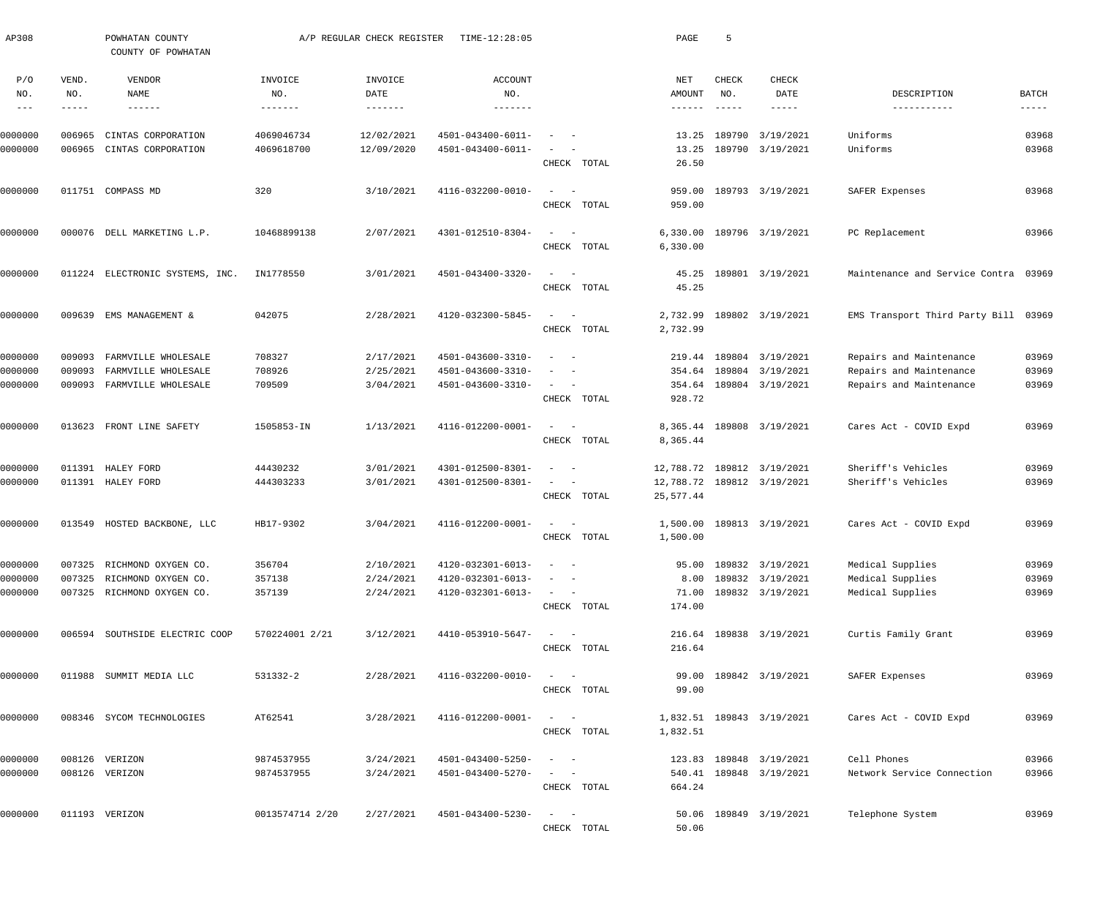| AP308              |                  | POWHATAN COUNTY<br>COUNTY OF POWHATAN      |                  | A/P REGULAR CHECK REGISTER | TIME-12:28:05                          |                                                      | PAGE            | 5            |                                      |                                      |                |
|--------------------|------------------|--------------------------------------------|------------------|----------------------------|----------------------------------------|------------------------------------------------------|-----------------|--------------|--------------------------------------|--------------------------------------|----------------|
| P/O<br>NO.         | VEND.<br>NO.     | VENDOR<br>NAME                             | INVOICE<br>NO.   | INVOICE<br>DATE            | <b>ACCOUNT</b><br>NO.                  |                                                      | NET<br>AMOUNT   | CHECK<br>NO. | CHECK<br>DATE                        | DESCRIPTION                          | BATCH          |
| $---$              | $- - - - -$      | $- - - - - - -$                            | -------          |                            | -------                                |                                                      | $- - - - - - -$ | $- - - - -$  | -----                                | -----------                          | $- - - - -$    |
| 0000000            | 006965           | CINTAS CORPORATION                         | 4069046734       | 12/02/2021                 | 4501-043400-6011-                      |                                                      | 13.25           | 189790       | 3/19/2021                            | Uniforms                             | 03968          |
| 0000000            | 006965           | CINTAS CORPORATION                         | 4069618700       | 12/09/2020                 | 4501-043400-6011-                      |                                                      | 13.25           |              | 189790 3/19/2021                     | Uniforms                             | 03968          |
|                    |                  |                                            |                  |                            |                                        | CHECK TOTAL                                          | 26.50           |              |                                      |                                      |                |
| 0000000            |                  | 011751 COMPASS MD                          | 320              | 3/10/2021                  | 4116-032200-0010-                      | $\sim$<br>$\hspace{0.1mm}$                           | 959.00          |              | 189793 3/19/2021                     | SAFER Expenses                       | 03968          |
|                    |                  |                                            |                  |                            |                                        | CHECK TOTAL                                          | 959.00          |              |                                      |                                      |                |
| 0000000            | 000076           | DELL MARKETING L.P.                        | 10468899138      | 2/07/2021                  | 4301-012510-8304-                      | $\equiv$<br>$\hspace{0.1mm}$                         | 6,330.00        |              | 189796 3/19/2021                     | PC Replacement                       | 03966          |
|                    |                  |                                            |                  |                            |                                        | CHECK TOTAL                                          | 6,330.00        |              |                                      |                                      |                |
| 0000000            |                  | 011224 ELECTRONIC SYSTEMS, INC.            | IN1778550        | 3/01/2021                  | 4501-043400-3320-                      | $\sim$<br>$\overline{a}$                             | 45.25           |              | 189801 3/19/2021                     | Maintenance and Service Contra       | 03969          |
|                    |                  |                                            |                  |                            |                                        | CHECK TOTAL                                          | 45.25           |              |                                      |                                      |                |
|                    |                  |                                            |                  |                            |                                        |                                                      |                 |              |                                      |                                      |                |
| 0000000            | 009639           | EMS MANAGEMENT &                           | 042075           | 2/28/2021                  | 4120-032300-5845-                      | $\sim$<br>$\sim$                                     | 2,732.99        |              | 189802 3/19/2021                     | EMS Transport Third Party Bill 03969 |                |
|                    |                  |                                            |                  |                            |                                        | CHECK TOTAL                                          | 2,732.99        |              |                                      |                                      |                |
| 0000000            | 009093           | FARMVILLE WHOLESALE                        | 708327           | 2/17/2021                  | 4501-043600-3310-                      | $\sim$                                               | 219.44          |              | 189804 3/19/2021                     | Repairs and Maintenance              | 03969          |
| 0000000            | 009093           | FARMVILLE WHOLESALE                        | 708926           | 2/25/2021                  | 4501-043600-3310-                      | $\overline{\phantom{a}}$                             | 354.64          |              | 189804 3/19/2021                     | Repairs and Maintenance              | 03969          |
| 0000000            | 009093           | FARMVILLE WHOLESALE                        | 709509           | 3/04/2021                  | 4501-043600-3310-                      | $\sim$<br>$\sim$ $-$                                 | 354.64          |              | 189804 3/19/2021                     | Repairs and Maintenance              | 03969          |
|                    |                  |                                            |                  |                            |                                        | CHECK TOTAL                                          | 928.72          |              |                                      |                                      |                |
| 0000000            | 013623           | FRONT LINE SAFETY                          | 1505853-IN       | 1/13/2021                  | 4116-012200-0001-                      | $\sim$<br>$\sim$                                     | 8,365.44        |              | 189808 3/19/2021                     | Cares Act - COVID Expd               | 03969          |
|                    |                  |                                            |                  |                            |                                        | CHECK TOTAL                                          | 8,365.44        |              |                                      |                                      |                |
| 0000000            | 011391           | HALEY FORD                                 | 44430232         | 3/01/2021                  | 4301-012500-8301-                      | $\overline{\phantom{a}}$<br>$\overline{\phantom{a}}$ | 12,788.72       |              | 189812 3/19/2021                     | Sheriff's Vehicles                   | 03969          |
| 0000000            | 011391           | HALEY FORD                                 | 444303233        | 3/01/2021                  | 4301-012500-8301-                      | $\sim$<br>$\sim$                                     | 12,788.72       |              | 189812 3/19/2021                     | Sheriff's Vehicles                   | 03969          |
|                    |                  |                                            |                  |                            |                                        | CHECK TOTAL                                          | 25,577.44       |              |                                      |                                      |                |
| 0000000            |                  | 013549 HOSTED BACKBONE, LLC                | HB17-9302        | 3/04/2021                  | 4116-012200-0001-                      | $\sim$                                               | 1,500.00        |              | 189813 3/19/2021                     | Cares Act - COVID Expd               | 03969          |
|                    |                  |                                            |                  |                            |                                        | CHECK TOTAL                                          | 1,500.00        |              |                                      |                                      |                |
|                    |                  |                                            |                  |                            |                                        |                                                      |                 |              |                                      |                                      |                |
| 0000000<br>0000000 | 007325<br>007325 | RICHMOND OXYGEN CO.<br>RICHMOND OXYGEN CO. | 356704<br>357138 | 2/10/2021<br>2/24/2021     | 4120-032301-6013-<br>4120-032301-6013- | $\sim$ $ -$<br>$\sim$                                | 95.00<br>8.00   |              | 189832 3/19/2021<br>189832 3/19/2021 | Medical Supplies<br>Medical Supplies | 03969<br>03969 |
| 0000000            |                  | 007325 RICHMOND OXYGEN CO.                 | 357139           | 2/24/2021                  | 4120-032301-6013-                      | $\sim$ $  -$                                         | 71.00           |              | 189832 3/19/2021                     | Medical Supplies                     | 03969          |
|                    |                  |                                            |                  |                            |                                        | CHECK TOTAL                                          | 174.00          |              |                                      |                                      |                |
| 0000000            |                  | 006594 SOUTHSIDE ELECTRIC COOP             | 570224001 2/21   | 3/12/2021                  | 4410-053910-5647-                      | $\frac{1}{2}$ and $\frac{1}{2}$ and $\frac{1}{2}$    |                 |              | 216.64 189838 3/19/2021              | Curtis Family Grant                  | 03969          |
|                    |                  |                                            |                  |                            |                                        | CHECK TOTAL                                          | 216.64          |              |                                      |                                      |                |
|                    |                  |                                            |                  |                            |                                        |                                                      |                 |              |                                      |                                      |                |
| 0000000            |                  | 011988 SUMMIT MEDIA LLC                    | 531332-2         | 2/28/2021                  | 4116-032200-0010-                      | $\frac{1}{2}$ and $\frac{1}{2}$ and $\frac{1}{2}$    | 99.00           |              | 189842 3/19/2021                     | SAFER Expenses                       | 03969          |
|                    |                  |                                            |                  |                            |                                        | CHECK TOTAL                                          | 99.00           |              |                                      |                                      |                |
| 0000000            |                  | 008346 SYCOM TECHNOLOGIES                  | AT62541          | 3/28/2021                  | 4116-012200-0001-                      | $\sim$ $ -$                                          |                 |              | 1,832.51 189843 3/19/2021            | Cares Act - COVID Expd               | 03969          |
|                    |                  |                                            |                  |                            |                                        | CHECK TOTAL                                          | 1,832.51        |              |                                      |                                      |                |
| 0000000            |                  | 008126 VERIZON                             | 9874537955       | 3/24/2021                  | 4501-043400-5250-                      | $\qquad \qquad -$                                    |                 |              | 123.83 189848 3/19/2021              | Cell Phones                          | 03966          |
| 0000000            |                  | 008126 VERIZON                             | 9874537955       | 3/24/2021                  | 4501-043400-5270-                      | $\sim$ $  -$                                         |                 |              | 540.41 189848 3/19/2021              | Network Service Connection           | 03966          |
|                    |                  |                                            |                  |                            |                                        | CHECK TOTAL                                          | 664.24          |              |                                      |                                      |                |
|                    |                  |                                            |                  |                            |                                        |                                                      |                 |              |                                      |                                      |                |
| 0000000            |                  | 011193 VERIZON                             | 0013574714 2/20  | 2/27/2021                  | 4501-043400-5230-                      | $\frac{1}{2}$ and $\frac{1}{2}$ and $\frac{1}{2}$    | 50.06           |              | 189849 3/19/2021                     | Telephone System                     | 03969          |
|                    |                  |                                            |                  |                            |                                        | CHECK TOTAL                                          | 50.06           |              |                                      |                                      |                |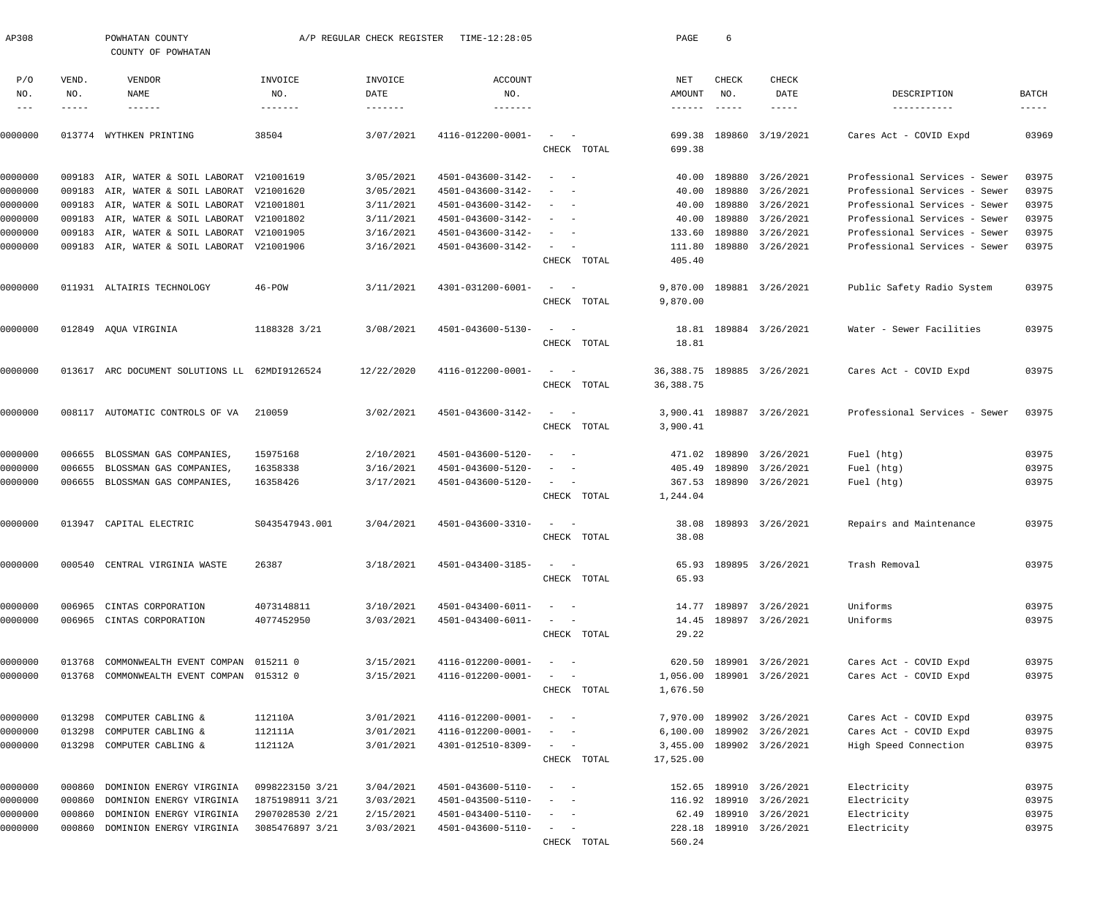| AP308         |              | POWHATAN COUNTY<br>COUNTY OF POWHATAN         |                 | A/P REGULAR CHECK REGISTER | TIME-12:28:05     |                                                                                                                           | PAGE                   | 6             |                           |                               |                             |
|---------------|--------------|-----------------------------------------------|-----------------|----------------------------|-------------------|---------------------------------------------------------------------------------------------------------------------------|------------------------|---------------|---------------------------|-------------------------------|-----------------------------|
| P/O           | VEND.        | VENDOR                                        | INVOICE         | INVOICE                    | <b>ACCOUNT</b>    |                                                                                                                           | NET                    | CHECK         | CHECK                     |                               |                             |
| NO.<br>$-- -$ | NO.<br>----- | NAME<br>$- - - - - - -$                       | NO.<br>-------  | DATE<br>-------            | NO.<br>-------    |                                                                                                                           | AMOUNT<br>------       | NO.<br>------ | DATE<br>-----             | DESCRIPTION<br>-----------    | <b>BATCH</b><br>$- - - - -$ |
| 0000000       |              | 013774 WYTHKEN PRINTING                       | 38504           | 3/07/2021                  | 4116-012200-0001- | CHECK TOTAL                                                                                                               | 699.38<br>699.38       |               | 189860 3/19/2021          | Cares Act - COVID Expd        | 03969                       |
| 0000000       |              | 009183 AIR, WATER & SOIL LABORAT              | V21001619       | 3/05/2021                  | 4501-043600-3142- | $\qquad \qquad -$                                                                                                         | 40.00                  |               | 189880 3/26/2021          | Professional Services - Sewer | 03975                       |
| 0000000       |              | 009183 AIR, WATER & SOIL LABORAT              | V21001620       | 3/05/2021                  | 4501-043600-3142- | $\sim$<br>$\sim$ $-$                                                                                                      | 40.00                  | 189880        | 3/26/2021                 | Professional Services - Sewer | 03975                       |
| 0000000       | 009183       | AIR, WATER & SOIL LABORAT V21001801           |                 | 3/11/2021                  | 4501-043600-3142- | $\sim$<br>$\sim$ $-$                                                                                                      | 40.00                  | 189880        | 3/26/2021                 | Professional Services - Sewer | 03975                       |
| 0000000       | 009183       | AIR, WATER & SOIL LABORAT V21001802           |                 | 3/11/2021                  | 4501-043600-3142- | $\frac{1}{2} \left( \frac{1}{2} \right) \left( \frac{1}{2} \right) \left( \frac{1}{2} \right) \left( \frac{1}{2} \right)$ | 40.00                  |               | 189880 3/26/2021          | Professional Services - Sewer | 03975                       |
| 0000000       | 009183       | AIR, WATER & SOIL LABORAT                     | V21001905       | 3/16/2021                  | 4501-043600-3142- | $\sim$ $  -$                                                                                                              | 133.60                 | 189880        | 3/26/2021                 | Professional Services - Sewer | 03975                       |
| 0000000       |              | 009183 AIR, WATER & SOIL LABORAT V21001906    |                 | 3/16/2021                  | 4501-043600-3142- | $\sim$<br>CHECK TOTAL                                                                                                     | 111.80<br>405.40       |               | 189880 3/26/2021          | Professional Services - Sewer | 03975                       |
| 0000000       |              | 011931 ALTAIRIS TECHNOLOGY                    | $46 - POW$      | 3/11/2021                  | 4301-031200-6001- | $\overline{\phantom{a}}$<br>CHECK TOTAL                                                                                   | 9,870.00<br>9,870.00   |               | 189881 3/26/2021          | Public Safety Radio System    | 03975                       |
| 0000000       |              | 012849 AQUA VIRGINIA                          | 1188328 3/21    | 3/08/2021                  | 4501-043600-5130- | $\sim$<br>$\sim$                                                                                                          | 18.81                  |               | 189884 3/26/2021          | Water - Sewer Facilities      | 03975                       |
|               |              |                                               |                 |                            |                   | CHECK TOTAL                                                                                                               | 18.81                  |               |                           |                               |                             |
| 0000000       |              | 013617 ARC DOCUMENT SOLUTIONS LL 62MDI9126524 |                 | 12/22/2020                 | 4116-012200-0001- | $\sim$<br>$\sim$ $-$<br>CHECK TOTAL                                                                                       | 36,388.75<br>36,388.75 |               | 189885 3/26/2021          | Cares Act - COVID Expd        | 03975                       |
| 0000000       |              | 008117 AUTOMATIC CONTROLS OF VA               | 210059          | 3/02/2021                  | 4501-043600-3142- | $\sim$<br>$\sim$<br>CHECK TOTAL                                                                                           | 3,900.41<br>3,900.41   |               | 189887 3/26/2021          | Professional Services - Sewer | 03975                       |
| 0000000       | 006655       | BLOSSMAN GAS COMPANIES,                       | 15975168        | 2/10/2021                  | 4501-043600-5120- | $\sim$<br>$\sim$ $-$                                                                                                      | 471.02                 |               | 189890 3/26/2021          | Fuel (htg)                    | 03975                       |
| 0000000       | 006655       | BLOSSMAN GAS COMPANIES,                       | 16358338        | 3/16/2021                  | 4501-043600-5120- | $\overline{\phantom{m}}$<br>$\sim$                                                                                        | 405.49                 |               | 189890 3/26/2021          | Fuel (htg)                    | 03975                       |
| 0000000       |              | 006655 BLOSSMAN GAS COMPANIES,                | 16358426        | 3/17/2021                  | 4501-043600-5120- | $\overline{\phantom{0}}$<br>CHECK TOTAL                                                                                   | 367.53<br>1,244.04     |               | 189890 3/26/2021          | Fuel (htg)                    | 03975                       |
| 0000000       |              | 013947 CAPITAL ELECTRIC                       | \$043547943.001 | 3/04/2021                  | 4501-043600-3310- | CHECK TOTAL                                                                                                               | 38.08<br>38.08         |               | 189893 3/26/2021          | Repairs and Maintenance       | 03975                       |
| 0000000       |              | 000540 CENTRAL VIRGINIA WASTE                 | 26387           | 3/18/2021                  | 4501-043400-3185- | $\alpha = 1$ , $\alpha = 1$                                                                                               | 65.93                  |               | 189895 3/26/2021          | Trash Removal                 | 03975                       |
|               |              |                                               |                 |                            |                   | CHECK TOTAL                                                                                                               | 65.93                  |               |                           |                               |                             |
| 0000000       | 006965       | CINTAS CORPORATION                            | 4073148811      | 3/10/2021                  | 4501-043400-6011- | $\frac{1}{2}$ and $\frac{1}{2}$ and $\frac{1}{2}$                                                                         |                        |               | 14.77 189897 3/26/2021    | Uniforms                      | 03975                       |
| 0000000       |              | 006965 CINTAS CORPORATION                     | 4077452950      | 3/03/2021                  | 4501-043400-6011- | $\frac{1}{2}$ and $\frac{1}{2}$ and $\frac{1}{2}$                                                                         | 14.45                  |               | 189897 3/26/2021          | Uniforms                      | 03975                       |
|               |              |                                               |                 |                            |                   | CHECK TOTAL                                                                                                               | 29.22                  |               |                           |                               |                             |
| 0000000       | 013768       | COMMONWEALTH EVENT COMPAN                     | 015211 0        | 3/15/2021                  | 4116-012200-0001- | $\frac{1}{2} \left( \frac{1}{2} \right) \left( \frac{1}{2} \right) = \frac{1}{2} \left( \frac{1}{2} \right)$              | 620.50                 |               | 189901 3/26/2021          | Cares Act - COVID Expd        | 03975                       |
| 0000000       |              | 013768 COMMONWEALTH EVENT COMPAN              | 015312 0        | 3/15/2021                  | 4116-012200-0001- | $\sim$                                                                                                                    | 1,056.00               |               | 189901 3/26/2021          | Cares Act - COVID Expd        | 03975                       |
|               |              |                                               |                 |                            |                   | CHECK TOTAL                                                                                                               | 1,676.50               |               |                           |                               |                             |
| 0000000       | 013298       | COMPUTER CABLING &                            | 112110A         | 3/01/2021                  | 4116-012200-0001- | $\frac{1}{2}$ and $\frac{1}{2}$ and $\frac{1}{2}$                                                                         | 7,970.00               |               | 189902 3/26/2021          | Cares Act - COVID Expd        | 03975                       |
| 0000000       | 013298       | COMPUTER CABLING &                            | 112111A         | 3/01/2021                  | 4116-012200-0001- | $\frac{1}{2}$ and $\frac{1}{2}$ and $\frac{1}{2}$                                                                         | 6,100.00               |               | 189902 3/26/2021          | Cares Act - COVID Expd        | 03975                       |
| 0000000       |              | 013298 COMPUTER CABLING &                     | 112112A         | 3/01/2021                  | 4301-012510-8309- | $\mathcal{L}_{\text{max}}$ and $\mathcal{L}_{\text{max}}$<br>CHECK TOTAL                                                  | 17,525.00              |               | 3,455.00 189902 3/26/2021 | High Speed Connection         | 03975                       |
| 0000000       | 000860       | DOMINION ENERGY VIRGINIA                      | 0998223150 3/21 | 3/04/2021                  | 4501-043600-5110- | $\frac{1}{2}$ and $\frac{1}{2}$ and $\frac{1}{2}$                                                                         | 152.65                 |               | 189910 3/26/2021          | Electricity                   | 03975                       |
| 0000000       | 000860       | DOMINION ENERGY VIRGINIA                      | 1875198911 3/21 | 3/03/2021                  | 4501-043500-5110- | $\frac{1}{2} \left( \frac{1}{2} \right) \left( \frac{1}{2} \right) = \frac{1}{2} \left( \frac{1}{2} \right)$              | 116.92                 |               | 189910 3/26/2021          | Electricity                   | 03975                       |
| 0000000       | 000860       | DOMINION ENERGY VIRGINIA                      | 2907028530 2/21 | 2/15/2021                  | 4501-043400-5110- | $\frac{1}{2}$ and $\frac{1}{2}$ and $\frac{1}{2}$                                                                         | 62.49                  |               | 189910 3/26/2021          | Electricity                   | 03975                       |
| 0000000       | 000860       | DOMINION ENERGY VIRGINIA                      | 3085476897 3/21 | 3/03/2021                  | 4501-043600-5110- | $\frac{1}{2}$ and $\frac{1}{2}$ and $\frac{1}{2}$                                                                         | 228.18                 |               | 189910 3/26/2021          | Electricity                   | 03975                       |
|               |              |                                               |                 |                            |                   | CHECK TOTAL                                                                                                               | 560.24                 |               |                           |                               |                             |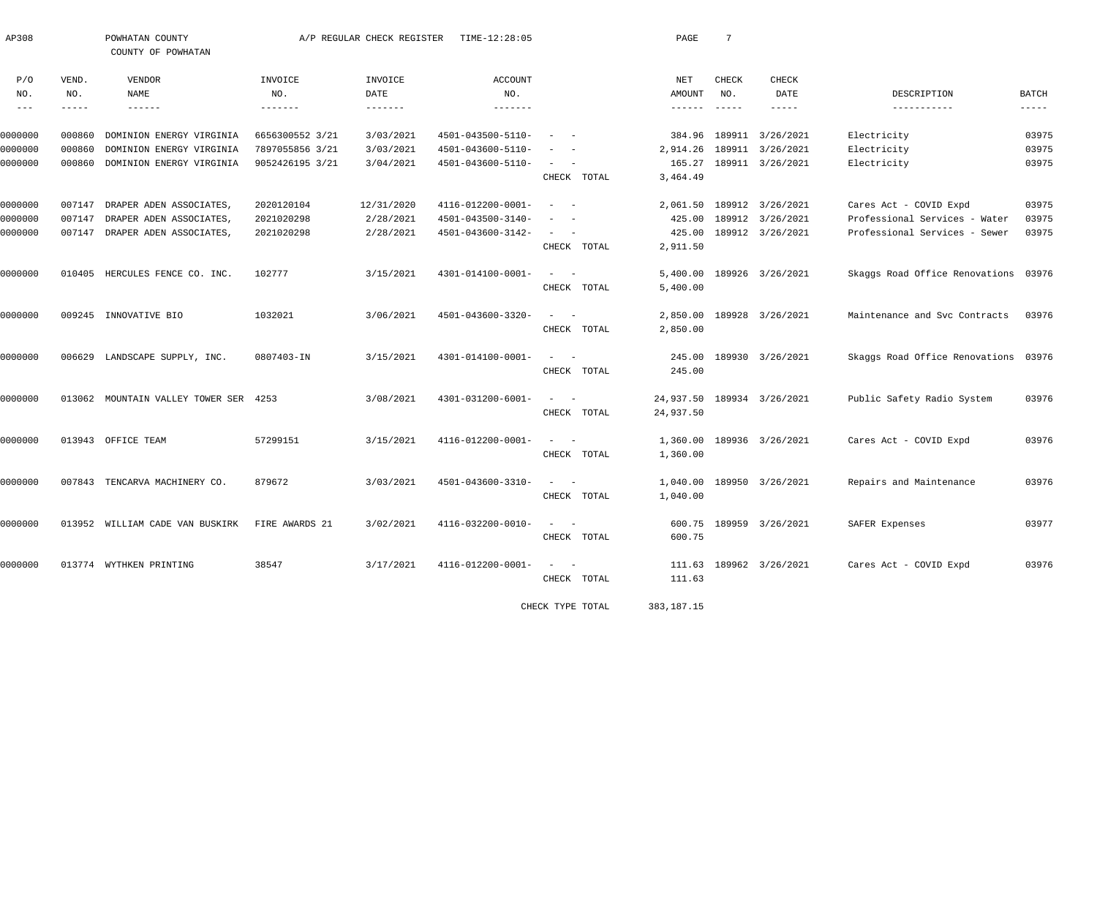| AP308                                                                                                                                                                                                                                                                                                                                                                                        |               | POWHATAN COUNTY<br>COUNTY OF POWHATAN |                 | A/P REGULAR CHECK REGISTER | TIME-12:28:05     |                                                   | PAGE               | $7\phantom{.0}$ |                            |                                      |             |
|----------------------------------------------------------------------------------------------------------------------------------------------------------------------------------------------------------------------------------------------------------------------------------------------------------------------------------------------------------------------------------------------|---------------|---------------------------------------|-----------------|----------------------------|-------------------|---------------------------------------------------|--------------------|-----------------|----------------------------|--------------------------------------|-------------|
| P/O<br>NO.                                                                                                                                                                                                                                                                                                                                                                                   | VEND.<br>NO.  | VENDOR<br>NAME                        | INVOICE<br>NO.  | INVOICE<br>DATE            | ACCOUNT<br>NO.    |                                                   | NET<br>AMOUNT      | CHECK<br>NO.    | <b>CHECK</b><br>DATE       | DESCRIPTION                          | BATCH       |
| $\frac{1}{2} \frac{1}{2} \frac{1}{2} \frac{1}{2} \frac{1}{2} \frac{1}{2} \frac{1}{2} \frac{1}{2} \frac{1}{2} \frac{1}{2} \frac{1}{2} \frac{1}{2} \frac{1}{2} \frac{1}{2} \frac{1}{2} \frac{1}{2} \frac{1}{2} \frac{1}{2} \frac{1}{2} \frac{1}{2} \frac{1}{2} \frac{1}{2} \frac{1}{2} \frac{1}{2} \frac{1}{2} \frac{1}{2} \frac{1}{2} \frac{1}{2} \frac{1}{2} \frac{1}{2} \frac{1}{2} \frac{$ | $- - - - - -$ | $- - - - - -$                         | $- - - - - - -$ | $- - - - - - -$            |                   |                                                   | $- - - - - - -$    | $- - - - - -$   | $- - - - -$                | -----------                          | $- - - - -$ |
| 0000000                                                                                                                                                                                                                                                                                                                                                                                      | 000860        | DOMINION ENERGY VIRGINIA              | 6656300552 3/21 | 3/03/2021                  | 4501-043500-5110- |                                                   | 384.96             |                 | 189911 3/26/2021           | Electricity                          | 03975       |
| 0000000                                                                                                                                                                                                                                                                                                                                                                                      | 000860        | DOMINION ENERGY VIRGINIA              | 7897055856 3/21 | 3/03/2021                  | 4501-043600-5110- | $\overline{\phantom{0}}$                          | 2,914.26           |                 | 189911 3/26/2021           | Electricity                          | 03975       |
| 0000000                                                                                                                                                                                                                                                                                                                                                                                      | 000860        | DOMINION ENERGY VIRGINIA              | 9052426195 3/21 | 3/04/2021                  | 4501-043600-5110- | $\sim$<br>CHECK TOTAL                             | 165.27<br>3,464.49 |                 | 189911 3/26/2021           | Electricity                          | 03975       |
|                                                                                                                                                                                                                                                                                                                                                                                              |               |                                       |                 |                            |                   |                                                   |                    |                 |                            |                                      |             |
| 0000000                                                                                                                                                                                                                                                                                                                                                                                      | 007147        | DRAPER ADEN ASSOCIATES,               | 2020120104      | 12/31/2020                 | 4116-012200-0001- | $\sim$<br>$\sim$ $-$                              | 2,061.50           |                 | 189912 3/26/2021           | Cares Act - COVID Expd               | 03975       |
| 0000000                                                                                                                                                                                                                                                                                                                                                                                      | 007147        | DRAPER ADEN ASSOCIATES,               | 2021020298      | 2/28/2021                  | 4501-043500-3140- | $\equiv$<br>$\sim$                                | 425.00             |                 | 189912 3/26/2021           | Professional Services - Water        | 03975       |
| 0000000                                                                                                                                                                                                                                                                                                                                                                                      |               | 007147 DRAPER ADEN ASSOCIATES,        | 2021020298      | 2/28/2021                  | 4501-043600-3142- | $\sim$                                            | 425.00             |                 | 189912 3/26/2021           | Professional Services - Sewer        | 03975       |
|                                                                                                                                                                                                                                                                                                                                                                                              |               |                                       |                 |                            |                   | CHECK TOTAL                                       | 2,911.50           |                 |                            |                                      |             |
| 0000000                                                                                                                                                                                                                                                                                                                                                                                      |               | 010405 HERCULES FENCE CO. INC.        | 102777          | 3/15/2021                  | 4301-014100-0001- | $\frac{1}{2}$ and $\frac{1}{2}$ and $\frac{1}{2}$ | 5,400.00           |                 | 189926 3/26/2021           | Skaggs Road Office Renovations 03976 |             |
|                                                                                                                                                                                                                                                                                                                                                                                              |               |                                       |                 |                            |                   | CHECK TOTAL                                       | 5,400.00           |                 |                            |                                      |             |
| 0000000                                                                                                                                                                                                                                                                                                                                                                                      |               | 009245 INNOVATIVE BIO                 | 1032021         | 3/06/2021                  | 4501-043600-3320- | $\sim$<br>$\sim$ $-$                              | 2,850.00           |                 | 189928 3/26/2021           | Maintenance and Svc Contracts        | 03976       |
|                                                                                                                                                                                                                                                                                                                                                                                              |               |                                       |                 |                            |                   | CHECK TOTAL                                       | 2,850.00           |                 |                            |                                      |             |
| 0000000                                                                                                                                                                                                                                                                                                                                                                                      | 006629        | LANDSCAPE SUPPLY, INC.                | 0807403-IN      | 3/15/2021                  | 4301-014100-0001- | $\overline{\phantom{a}}$                          | 245.00             |                 | 189930 3/26/2021           | Skaggs Road Office Renovations 03976 |             |
|                                                                                                                                                                                                                                                                                                                                                                                              |               |                                       |                 |                            |                   | CHECK TOTAL                                       | 245.00             |                 |                            |                                      |             |
| 0000000                                                                                                                                                                                                                                                                                                                                                                                      |               | 013062 MOUNTAIN VALLEY TOWER SER 4253 |                 | 3/08/2021                  | 4301-031200-6001- | $\frac{1}{2}$ and $\frac{1}{2}$ and $\frac{1}{2}$ |                    |                 | 24,937.50 189934 3/26/2021 | Public Safety Radio System           | 03976       |
|                                                                                                                                                                                                                                                                                                                                                                                              |               |                                       |                 |                            |                   | CHECK TOTAL                                       | 24,937.50          |                 |                            |                                      |             |
| 0000000                                                                                                                                                                                                                                                                                                                                                                                      |               | 013943 OFFICE TEAM                    | 57299151        | 3/15/2021                  | 4116-012200-0001- | $\sim$ $  -$                                      | 1,360.00           |                 | 189936 3/26/2021           | Cares Act - COVID Expd               | 03976       |
|                                                                                                                                                                                                                                                                                                                                                                                              |               |                                       |                 |                            |                   | CHECK TOTAL                                       | 1,360.00           |                 |                            |                                      |             |
| 0000000                                                                                                                                                                                                                                                                                                                                                                                      |               | 007843 TENCARVA MACHINERY CO.         | 879672          | 3/03/2021                  | 4501-043600-3310- | $\sim$<br>$\overline{\phantom{0}}$                | 1,040.00           |                 | 189950 3/26/2021           | Repairs and Maintenance              | 03976       |
|                                                                                                                                                                                                                                                                                                                                                                                              |               |                                       |                 |                            |                   | CHECK TOTAL                                       | 1,040.00           |                 |                            |                                      |             |
| 0000000                                                                                                                                                                                                                                                                                                                                                                                      |               | 013952 WILLIAM CADE VAN BUSKIRK       | FIRE AWARDS 21  | 3/02/2021                  | 4116-032200-0010- | $\sim$ 100 $\sim$ 100 $\sim$                      |                    |                 | 600.75 189959 3/26/2021    | SAFER Expenses                       | 03977       |
|                                                                                                                                                                                                                                                                                                                                                                                              |               |                                       |                 |                            |                   | CHECK TOTAL                                       | 600.75             |                 |                            |                                      |             |
| 0000000                                                                                                                                                                                                                                                                                                                                                                                      |               | 013774 WYTHKEN PRINTING               | 38547           | 3/17/2021                  | 4116-012200-0001- | $\sim$ $  -$                                      |                    |                 | 111.63 189962 3/26/2021    | Cares Act - COVID Expd               | 03976       |
|                                                                                                                                                                                                                                                                                                                                                                                              |               |                                       |                 |                            |                   | CHECK TOTAL                                       | 111.63             |                 |                            |                                      |             |
|                                                                                                                                                                                                                                                                                                                                                                                              |               |                                       |                 |                            |                   | CHECK TYPE TOTAL                                  | 383, 187. 15       |                 |                            |                                      |             |